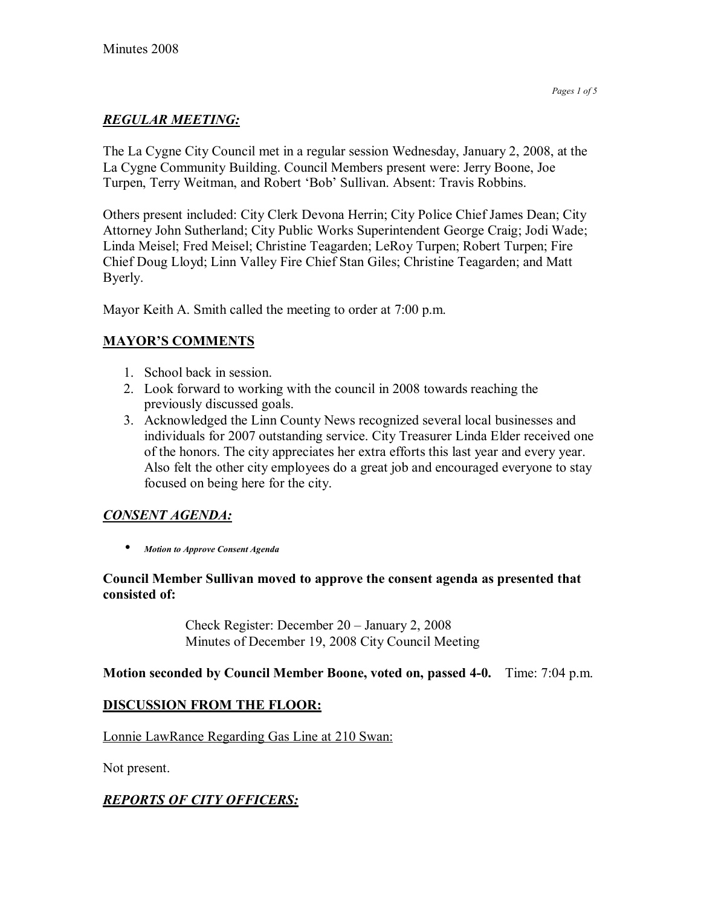# *REGULAR MEETING:*

The La Cygne City Council met in a regular session Wednesday, January 2, 2008, at the La Cygne Community Building. Council Members present were: Jerry Boone, Joe Turpen, Terry Weitman, and Robert 'Bob' Sullivan. Absent: Travis Robbins.

Others present included: City Clerk Devona Herrin; City Police Chief James Dean; City Attorney John Sutherland; City Public Works Superintendent George Craig; Jodi Wade; Linda Meisel; Fred Meisel; Christine Teagarden; LeRoy Turpen; Robert Turpen; Fire Chief Doug Lloyd; Linn Valley Fire Chief Stan Giles; Christine Teagarden; and Matt Byerly.

Mayor Keith A. Smith called the meeting to order at 7:00 p.m.

# **MAYOR'S COMMENTS**

- 1. School back in session.
- 2. Look forward to working with the council in 2008 towards reaching the previously discussed goals.
- 3. Acknowledged the Linn County News recognized several local businesses and individuals for 2007 outstanding service. City Treasurer Linda Elder received one of the honors. The city appreciates her extra efforts this last year and every year. Also felt the other city employees do a great job and encouraged everyone to stay focused on being here for the city.

# *CONSENT AGENDA:*

• *Motion to Approve Consent Agenda* 

### **Council Member Sullivan moved to approve the consent agenda as presented that consisted of:**

Check Register: December  $20 -$  January 2, 2008 Minutes of December 19, 2008 City Council Meeting

## **Motion seconded by Council Member Boone, voted on, passed 4-0.** Time: 7:04 p.m.

## **DISCUSSION FROM THE FLOOR:**

Lonnie LawRance Regarding Gas Line at 210 Swan:

Not present.

# *REPORTS OF CITY OFFICERS:*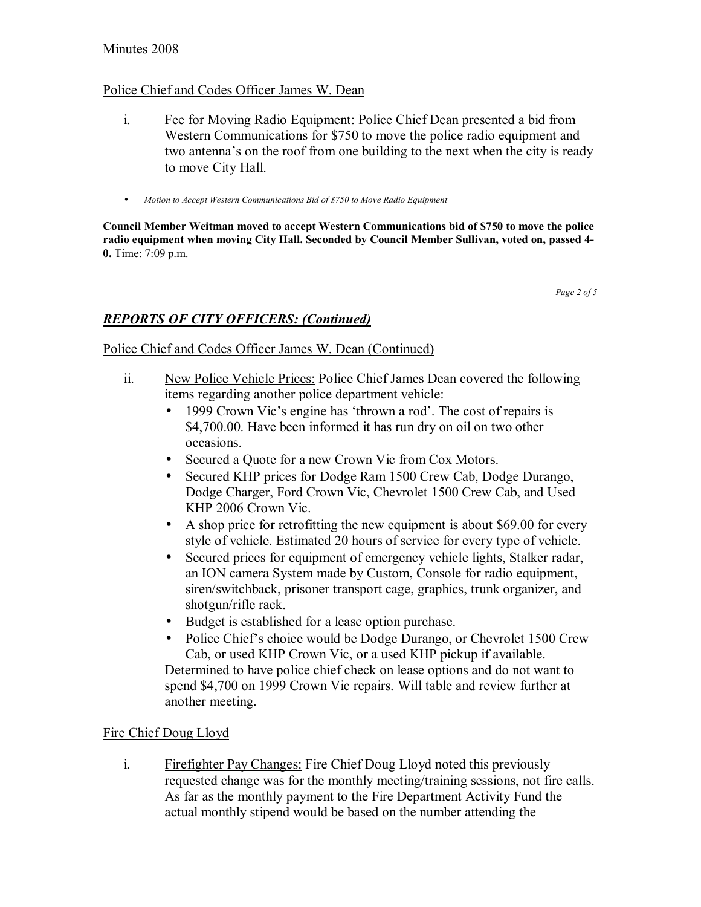#### Minutes 2008

#### Police Chief and Codes Officer James W. Dean

- i. Fee for Moving Radio Equipment: Police Chief Dean presented a bid from Western Communications for \$750 to move the police radio equipment and two antenna's on the roof from one building to the next when the city is ready to move City Hall.
- *Motion to Accept Western Communications Bid of \$750 to Move Radio Equipment*

**Council Member Weitman moved to accept Western Communications bid of \$750 to move the police radio equipment when moving City Hall. Seconded by Council Member Sullivan, voted on, passed 4- 0.** Time: 7:09 p.m.

*Page 2 of 5* 

## *REPORTS OF CITY OFFICERS: (Continued)*

#### Police Chief and Codes Officer James W. Dean (Continued)

- ii. New Police Vehicle Prices: Police Chief James Dean covered the following items regarding another police department vehicle:
	- 1999 Crown Vic's engine has 'thrown a rod'. The cost of repairs is \$4,700.00. Have been informed it has run dry on oil on two other occasions.
	- Secured a Quote for a new Crown Vic from Cox Motors.
	- Secured KHP prices for Dodge Ram 1500 Crew Cab, Dodge Durango, Dodge Charger, Ford Crown Vic, Chevrolet 1500 Crew Cab, and Used KHP 2006 Crown Vic.
	- A shop price for retrofitting the new equipment is about \$69.00 for every style of vehicle. Estimated 20 hours of service for every type of vehicle.
	- Secured prices for equipment of emergency vehicle lights, Stalker radar, an ION camera System made by Custom, Console for radio equipment, siren/switchback, prisoner transport cage, graphics, trunk organizer, and shotgun/rifle rack.
	- Budget is established for a lease option purchase.
	- Police Chief's choice would be Dodge Durango, or Chevrolet 1500 Crew Cab, or used KHP Crown Vic, or a used KHP pickup if available. Determined to have police chief check on lease options and do not want to spend \$4,700 on 1999 Crown Vic repairs. Will table and review further at another meeting.

### Fire Chief Doug Lloyd

i. Firefighter Pay Changes: Fire Chief Doug Lloyd noted this previously requested change was for the monthly meeting/training sessions, not fire calls. As far as the monthly payment to the Fire Department Activity Fund the actual monthly stipend would be based on the number attending the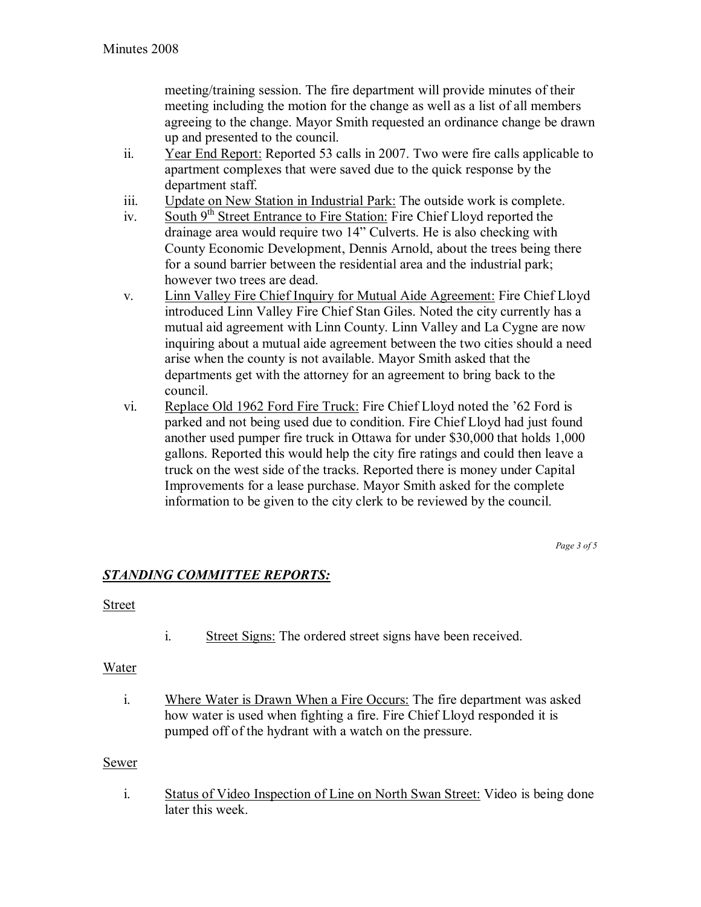meeting/training session. The fire department will provide minutes of their meeting including the motion for the change as well as a list of all members agreeing to the change. Mayor Smith requested an ordinance change be drawn up and presented to the council.

- ii. Year End Report: Reported 53 calls in 2007. Two were fire calls applicable to apartment complexes that were saved due to the quick response by the department staff.
- iii. Update on New Station in Industrial Park: The outside work is complete.
- iv. South  $9<sup>th</sup>$  Street Entrance to Fire Station: Fire Chief Lloyd reported the drainage area would require two 14" Culverts. He is also checking with County Economic Development, Dennis Arnold, about the trees being there for a sound barrier between the residential area and the industrial park; however two trees are dead.
- v. Linn Valley Fire Chief Inquiry for Mutual Aide Agreement: Fire Chief Lloyd introduced Linn Valley Fire Chief Stan Giles. Noted the city currently has a mutual aid agreement with Linn County. Linn Valley and La Cygne are now inquiring about a mutual aide agreement between the two cities should a need arise when the county is not available. Mayor Smith asked that the departments get with the attorney for an agreement to bring back to the council.
- vi. Replace Old 1962 Ford Fire Truck: Fire Chief Lloyd noted the í62 Ford is parked and not being used due to condition. Fire Chief Lloyd had just found another used pumper fire truck in Ottawa for under \$30,000 that holds 1,000 gallons. Reported this would help the city fire ratings and could then leave a truck on the west side of the tracks. Reported there is money under Capital Improvements for a lease purchase. Mayor Smith asked for the complete information to be given to the city clerk to be reviewed by the council.

*Page 3 of 5* 

## *STANDING COMMITTEE REPORTS:*

### **Street**

i. Street Signs: The ordered street signs have been received.

### Water

i. Where Water is Drawn When a Fire Occurs: The fire department was asked how water is used when fighting a fire. Fire Chief Lloyd responded it is pumped off of the hydrant with a watch on the pressure.

#### Sewer

i. Status of Video Inspection of Line on North Swan Street: Video is being done later this week.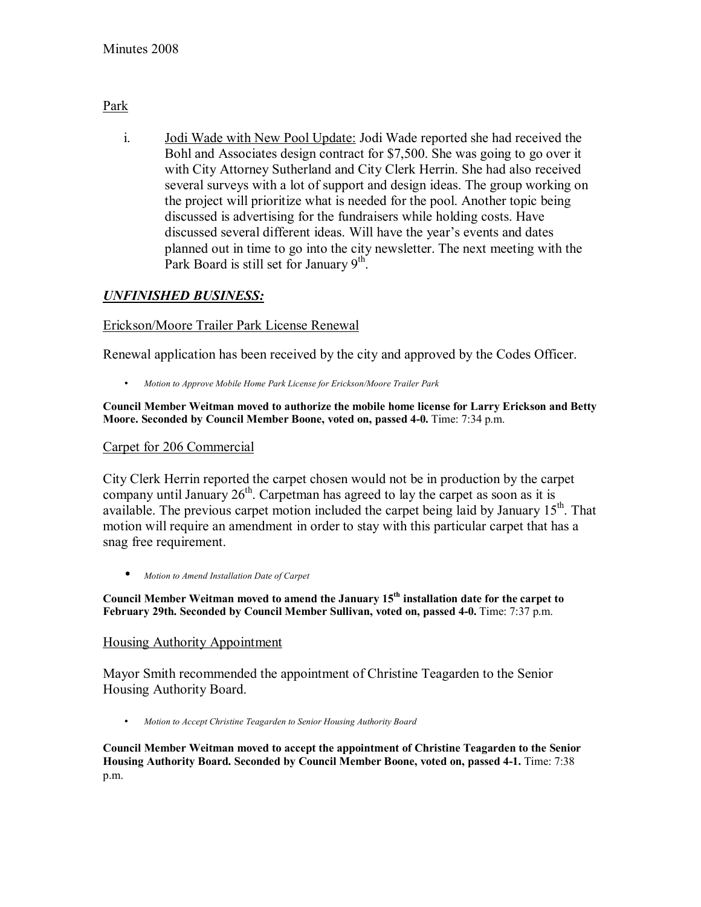### Park

i. Jodi Wade with New Pool Update: Jodi Wade reported she had received the Bohl and Associates design contract for \$7,500. She was going to go over it with City Attorney Sutherland and City Clerk Herrin. She had also received several surveys with a lot of support and design ideas. The group working on the project will prioritize what is needed for the pool. Another topic being discussed is advertising for the fundraisers while holding costs. Have discussed several different ideas. Will have the year's events and dates planned out in time to go into the city newsletter. The next meeting with the Park Board is still set for January 9<sup>th</sup>.

## *UNFINISHED BUSINESS:*

### Erickson/Moore Trailer Park License Renewal

Renewal application has been received by the city and approved by the Codes Officer.

• *Motion to Approve Mobile Home Park License for Erickson/Moore Trailer Park*

#### **Council Member Weitman moved to authorize the mobile home license for Larry Erickson and Betty Moore. Seconded by Council Member Boone, voted on, passed 4-0.** Time: 7:34 p.m.

### Carpet for 206 Commercial

City Clerk Herrin reported the carpet chosen would not be in production by the carpet company until January  $26<sup>th</sup>$ . Carpetman has agreed to lay the carpet as soon as it is available. The previous carpet motion included the carpet being laid by January  $15<sup>th</sup>$ . That motion will require an amendment in order to stay with this particular carpet that has a snag free requirement.

• *Motion to Amend Installation Date of Carpet*

**Council Member Weitman moved to amend the January 15th installation date for the carpet to February 29th. Seconded by Council Member Sullivan, voted on, passed 4-0.** Time: 7:37 p.m.

### Housing Authority Appointment

Mayor Smith recommended the appointment of Christine Teagarden to the Senior Housing Authority Board.

• *Motion to Accept Christine Teagarden to Senior Housing Authority Board*

**Council Member Weitman moved to accept the appointment of Christine Teagarden to the Senior Housing Authority Board. Seconded by Council Member Boone, voted on, passed 4-1.** Time: 7:38 p.m.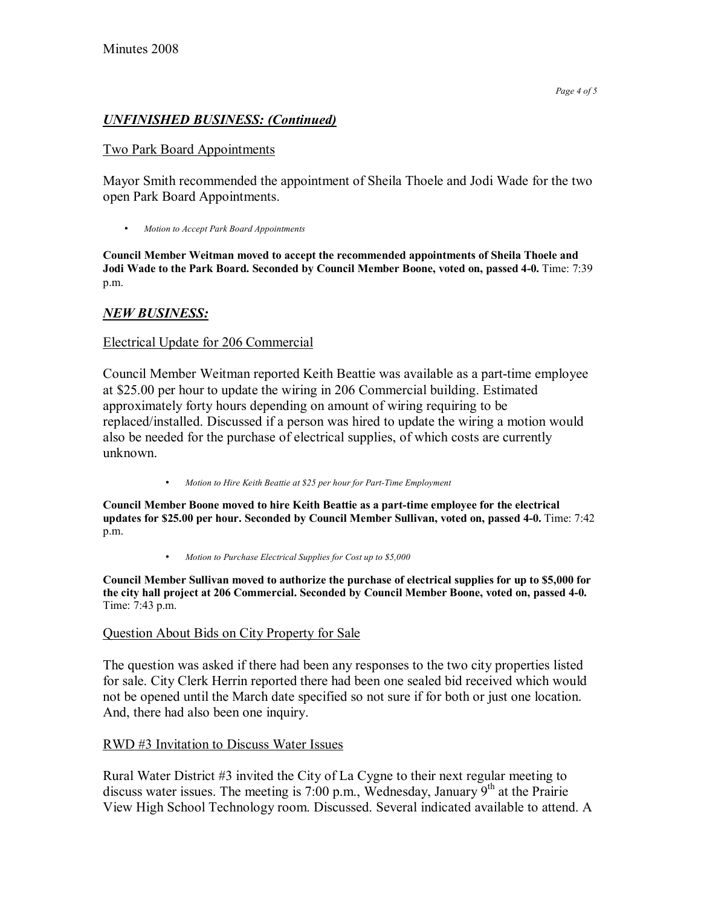### *UNFINISHED BUSINESS: (Continued)*

#### Two Park Board Appointments

Mayor Smith recommended the appointment of Sheila Thoele and Jodi Wade for the two open Park Board Appointments.

• *Motion to Accept Park Board Appointments*

**Council Member Weitman moved to accept the recommended appointments of Sheila Thoele and Jodi Wade to the Park Board. Seconded by Council Member Boone, voted on, passed 4-0.** Time: 7:39 p.m.

## *NEW BUSINESS:*

#### Electrical Update for 206 Commercial

Council Member Weitman reported Keith Beattie was available as a part-time employee at \$25.00 per hour to update the wiring in 206 Commercial building. Estimated approximately forty hours depending on amount of wiring requiring to be replaced/installed. Discussed if a person was hired to update the wiring a motion would also be needed for the purchase of electrical supplies, of which costs are currently unknown.

• *Motion to Hire Keith Beattie at \$25 per hour for Part-Time Employment*

**Council Member Boone moved to hire Keith Beattie as a part-time employee for the electrical updates for \$25.00 per hour. Seconded by Council Member Sullivan, voted on, passed 4-0.** Time: 7:42 p.m.

• *Motion to Purchase Electrical Supplies for Cost up to \$5,000*

**Council Member Sullivan moved to authorize the purchase of electrical supplies for up to \$5,000 for the city hall project at 206 Commercial. Seconded by Council Member Boone, voted on, passed 4-0.**  Time: 7:43 p.m.

#### Question About Bids on City Property for Sale

The question was asked if there had been any responses to the two city properties listed for sale. City Clerk Herrin reported there had been one sealed bid received which would not be opened until the March date specified so not sure if for both or just one location. And, there had also been one inquiry.

### RWD #3 Invitation to Discuss Water Issues

Rural Water District #3 invited the City of La Cygne to their next regular meeting to discuss water issues. The meeting is 7:00 p.m., Wednesday, January  $9<sup>th</sup>$  at the Prairie View High School Technology room. Discussed. Several indicated available to attend. A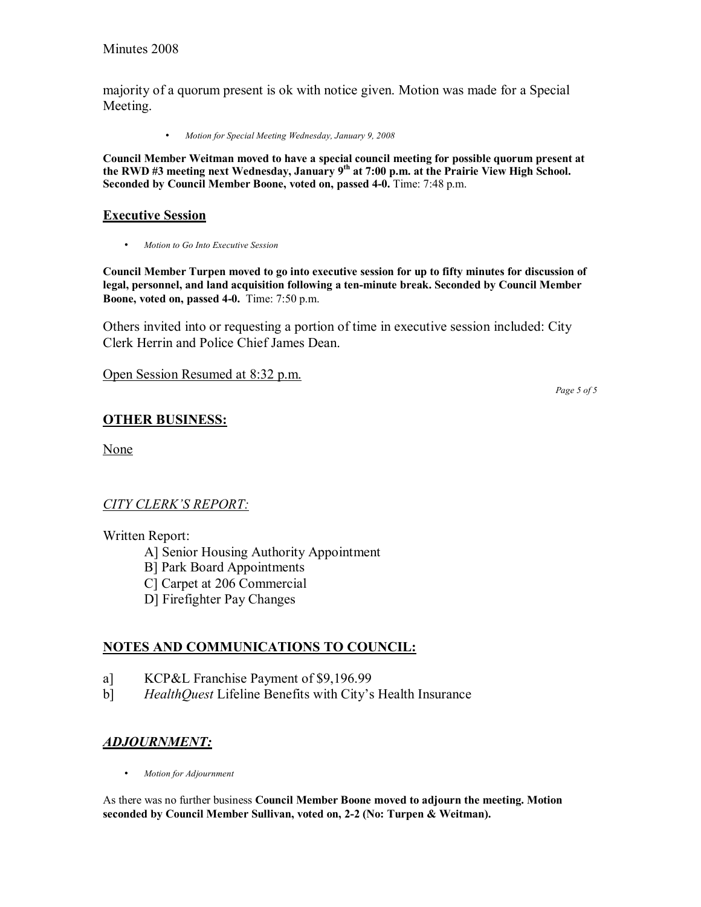majority of a quorum present is ok with notice given. Motion was made for a Special Meeting.

• *Motion for Special Meeting Wednesday, January 9, 2008*

**Council Member Weitman moved to have a special council meeting for possible quorum present at the RWD #3 meeting next Wednesday, January 9th at 7:00 p.m. at the Prairie View High School. Seconded by Council Member Boone, voted on, passed 4-0.** Time: 7:48 p.m.

#### **Executive Session**

• *Motion to Go Into Executive Session* 

**Council Member Turpen moved to go into executive session for up to fifty minutes for discussion of legal, personnel, and land acquisition following a ten-minute break. Seconded by Council Member Boone, voted on, passed 4-0.** Time: 7:50 p.m.

Others invited into or requesting a portion of time in executive session included: City Clerk Herrin and Police Chief James Dean.

Open Session Resumed at 8:32 p.m.

*Page 5 of 5* 

## **OTHER BUSINESS:**

None

## **CITY CLERK'S REPORT:**

### Written Report:

A] Senior Housing Authority Appointment

B] Park Board Appointments

C] Carpet at 206 Commercial

D] Firefighter Pay Changes

## **NOTES AND COMMUNICATIONS TO COUNCIL:**

- a] KCP&L Franchise Payment of \$9,196.99
- b] *HealthQuest* Lifeline Benefits with City's Health Insurance

## *ADJOURNMENT:*

• *Motion for Adjournment*

As there was no further business **Council Member Boone moved to adjourn the meeting. Motion seconded by Council Member Sullivan, voted on, 2-2 (No: Turpen & Weitman).**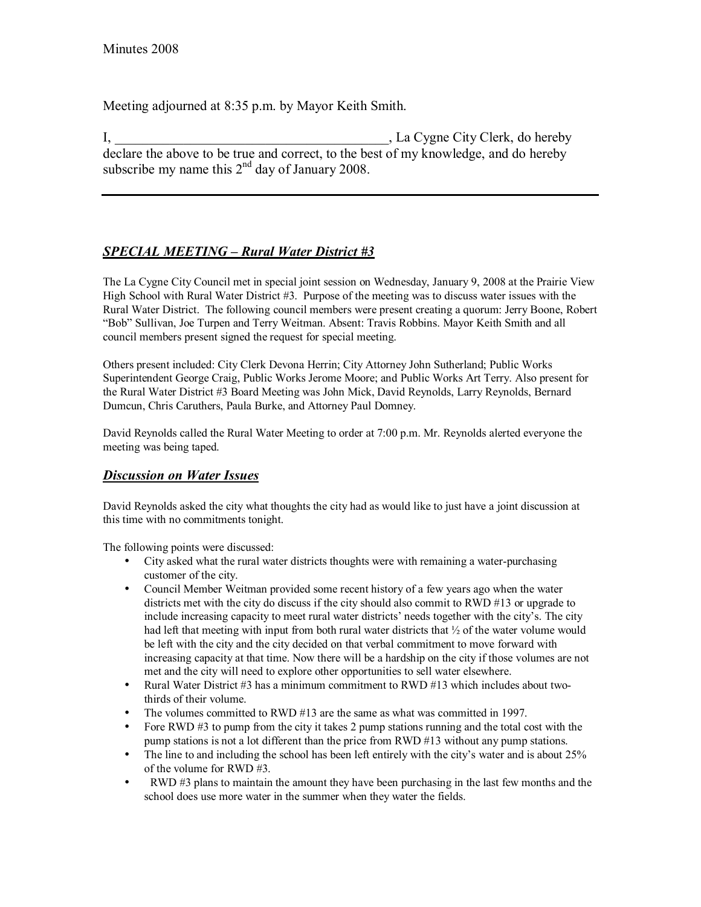Meeting adjourned at 8:35 p.m. by Mayor Keith Smith.

I, \_\_\_\_\_\_\_\_\_\_\_\_\_\_\_\_\_\_\_\_\_\_\_\_\_\_\_\_\_\_\_\_\_\_\_\_\_\_\_\_, La Cygne City Clerk, do hereby declare the above to be true and correct, to the best of my knowledge, and do hereby subscribe my name this  $2<sup>nd</sup>$  day of January 2008.

# *SPECIAL MEETING – Rural Water District #3*

The La Cygne City Council met in special joint session on Wednesday, January 9, 2008 at the Prairie View High School with Rural Water District #3. Purpose of the meeting was to discuss water issues with the Rural Water District. The following council members were present creating a quorum: Jerry Boone, Robert ìBobî Sullivan, Joe Turpen and Terry Weitman. Absent: Travis Robbins. Mayor Keith Smith and all council members present signed the request for special meeting.

Others present included: City Clerk Devona Herrin; City Attorney John Sutherland; Public Works Superintendent George Craig, Public Works Jerome Moore; and Public Works Art Terry. Also present for the Rural Water District #3 Board Meeting was John Mick, David Reynolds, Larry Reynolds, Bernard Dumcun, Chris Caruthers, Paula Burke, and Attorney Paul Domney.

David Reynolds called the Rural Water Meeting to order at 7:00 p.m. Mr. Reynolds alerted everyone the meeting was being taped.

### *Discussion on Water Issues*

David Reynolds asked the city what thoughts the city had as would like to just have a joint discussion at this time with no commitments tonight.

The following points were discussed:

- City asked what the rural water districts thoughts were with remaining a water-purchasing customer of the city.
- Council Member Weitman provided some recent history of a few years ago when the water districts met with the city do discuss if the city should also commit to RWD #13 or upgrade to include increasing capacity to meet rural water districts' needs together with the city's. The city had left that meeting with input from both rural water districts that  $\frac{1}{2}$  of the water volume would be left with the city and the city decided on that verbal commitment to move forward with increasing capacity at that time. Now there will be a hardship on the city if those volumes are not met and the city will need to explore other opportunities to sell water elsewhere.
- Rural Water District #3 has a minimum commitment to RWD #13 which includes about twothirds of their volume.
- The volumes committed to RWD #13 are the same as what was committed in 1997.
- Fore RWD  $\#$ 3 to pump from the city it takes 2 pump stations running and the total cost with the pump stations is not a lot different than the price from RWD #13 without any pump stations.
- The line to and including the school has been left entirely with the city's water and is about 25% of the volume for RWD #3.
- RWD #3 plans to maintain the amount they have been purchasing in the last few months and the school does use more water in the summer when they water the fields.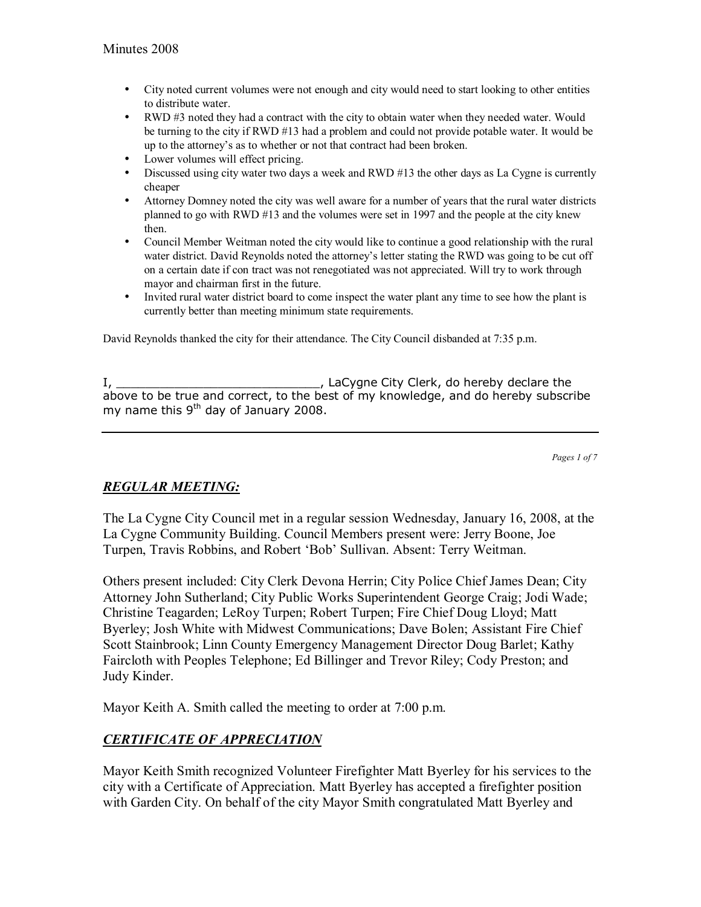- City noted current volumes were not enough and city would need to start looking to other entities to distribute water.
- RWD #3 noted they had a contract with the city to obtain water when they needed water. Would be turning to the city if RWD #13 had a problem and could not provide potable water. It would be up to the attorneyís as to whether or not that contract had been broken.
- Lower volumes will effect pricing.
- Discussed using city water two days a week and RWD #13 the other days as La Cygne is currently cheaper
- Attorney Domney noted the city was well aware for a number of years that the rural water districts planned to go with RWD #13 and the volumes were set in 1997 and the people at the city knew then.
- Council Member Weitman noted the city would like to continue a good relationship with the rural water district. David Reynolds noted the attorney's letter stating the RWD was going to be cut off on a certain date if con tract was not renegotiated was not appreciated. Will try to work through mayor and chairman first in the future.
- Invited rural water district board to come inspect the water plant any time to see how the plant is currently better than meeting minimum state requirements.

David Reynolds thanked the city for their attendance. The City Council disbanded at 7:35 p.m.

I, \_\_\_\_\_\_\_\_\_\_\_\_\_\_\_\_\_\_\_\_\_\_\_\_\_\_\_\_, LaCygne City Clerk, do hereby declare the above to be true and correct, to the best of my knowledge, and do hereby subscribe my name this 9<sup>th</sup> day of January 2008.

*Pages 1 of 7*

## *REGULAR MEETING:*

The La Cygne City Council met in a regular session Wednesday, January 16, 2008, at the La Cygne Community Building. Council Members present were: Jerry Boone, Joe Turpen, Travis Robbins, and Robert 'Bob' Sullivan. Absent: Terry Weitman.

Others present included: City Clerk Devona Herrin; City Police Chief James Dean; City Attorney John Sutherland; City Public Works Superintendent George Craig; Jodi Wade; Christine Teagarden; LeRoy Turpen; Robert Turpen; Fire Chief Doug Lloyd; Matt Byerley; Josh White with Midwest Communications; Dave Bolen; Assistant Fire Chief Scott Stainbrook; Linn County Emergency Management Director Doug Barlet; Kathy Faircloth with Peoples Telephone; Ed Billinger and Trevor Riley; Cody Preston; and Judy Kinder.

Mayor Keith A. Smith called the meeting to order at 7:00 p.m.

## *CERTIFICATE OF APPRECIATION*

Mayor Keith Smith recognized Volunteer Firefighter Matt Byerley for his services to the city with a Certificate of Appreciation. Matt Byerley has accepted a firefighter position with Garden City. On behalf of the city Mayor Smith congratulated Matt Byerley and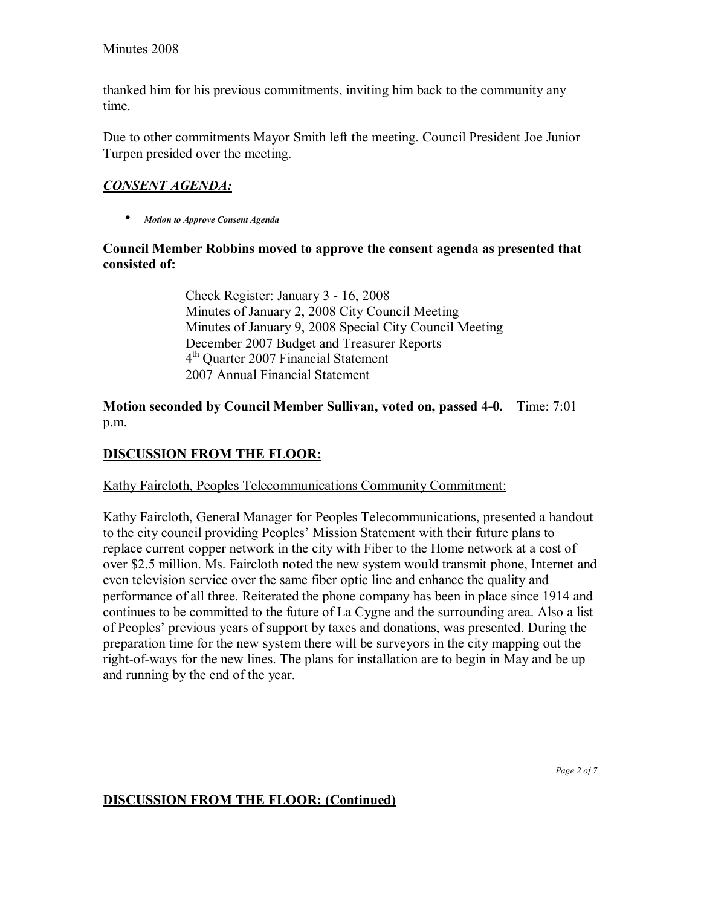thanked him for his previous commitments, inviting him back to the community any time.

Due to other commitments Mayor Smith left the meeting. Council President Joe Junior Turpen presided over the meeting.

# *CONSENT AGENDA:*

• *Motion to Approve Consent Agenda* 

### **Council Member Robbins moved to approve the consent agenda as presented that consisted of:**

 Check Register: January 3 - 16, 2008 Minutes of January 2, 2008 City Council Meeting Minutes of January 9, 2008 Special City Council Meeting December 2007 Budget and Treasurer Reports 4th Quarter 2007 Financial Statement 2007 Annual Financial Statement

**Motion seconded by Council Member Sullivan, voted on, passed 4-0.** Time: 7:01 p.m.

# **DISCUSSION FROM THE FLOOR:**

Kathy Faircloth, Peoples Telecommunications Community Commitment:

Kathy Faircloth, General Manager for Peoples Telecommunications, presented a handout to the city council providing Peoples' Mission Statement with their future plans to replace current copper network in the city with Fiber to the Home network at a cost of over \$2.5 million. Ms. Faircloth noted the new system would transmit phone, Internet and even television service over the same fiber optic line and enhance the quality and performance of all three. Reiterated the phone company has been in place since 1914 and continues to be committed to the future of La Cygne and the surrounding area. Also a list of Peoplesí previous years of support by taxes and donations, was presented. During the preparation time for the new system there will be surveyors in the city mapping out the right-of-ways for the new lines. The plans for installation are to begin in May and be up and running by the end of the year.

### **DISCUSSION FROM THE FLOOR: (Continued)**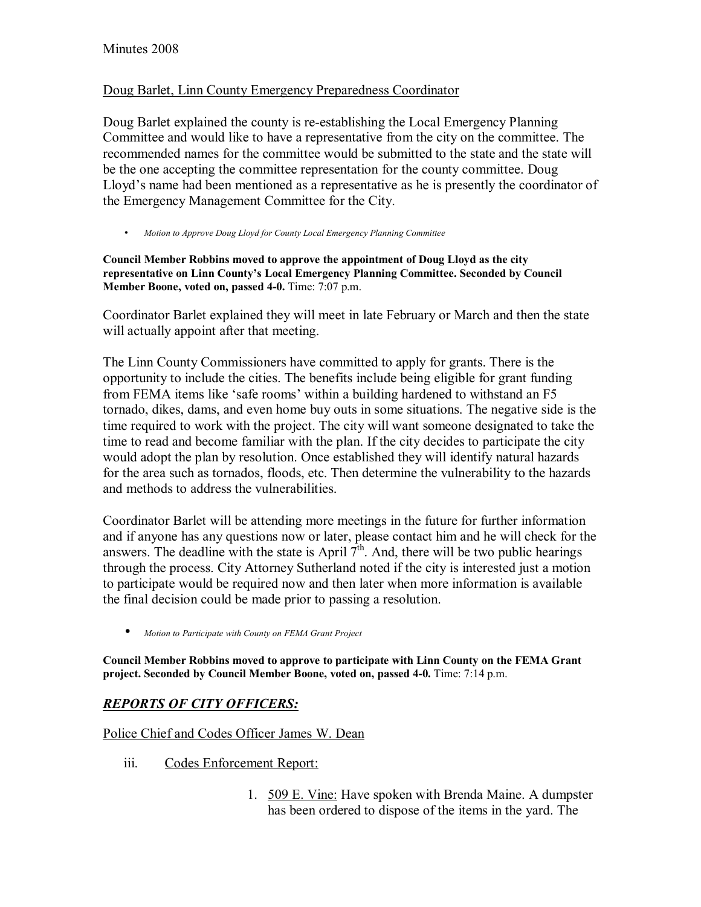#### Doug Barlet, Linn County Emergency Preparedness Coordinator

Doug Barlet explained the county is re-establishing the Local Emergency Planning Committee and would like to have a representative from the city on the committee. The recommended names for the committee would be submitted to the state and the state will be the one accepting the committee representation for the county committee. Doug Lloyd's name had been mentioned as a representative as he is presently the coordinator of the Emergency Management Committee for the City.

• *Motion to Approve Doug Lloyd for County Local Emergency Planning Committee*

**Council Member Robbins moved to approve the appointment of Doug Lloyd as the city representative on Linn Countyís Local Emergency Planning Committee. Seconded by Council Member Boone, voted on, passed 4-0.** Time: 7:07 p.m.

Coordinator Barlet explained they will meet in late February or March and then the state will actually appoint after that meeting.

The Linn County Commissioners have committed to apply for grants. There is the opportunity to include the cities. The benefits include being eligible for grant funding from FEMA items like 'safe rooms' within a building hardened to withstand an F5 tornado, dikes, dams, and even home buy outs in some situations. The negative side is the time required to work with the project. The city will want someone designated to take the time to read and become familiar with the plan. If the city decides to participate the city would adopt the plan by resolution. Once established they will identify natural hazards for the area such as tornados, floods, etc. Then determine the vulnerability to the hazards and methods to address the vulnerabilities.

Coordinator Barlet will be attending more meetings in the future for further information and if anyone has any questions now or later, please contact him and he will check for the answers. The deadline with the state is April  $7<sup>th</sup>$ . And, there will be two public hearings through the process. City Attorney Sutherland noted if the city is interested just a motion to participate would be required now and then later when more information is available the final decision could be made prior to passing a resolution.

• *Motion to Participate with County on FEMA Grant Project*

**Council Member Robbins moved to approve to participate with Linn County on the FEMA Grant project. Seconded by Council Member Boone, voted on, passed 4-0.** Time: 7:14 p.m.

## *REPORTS OF CITY OFFICERS:*

Police Chief and Codes Officer James W. Dean

- iii. Codes Enforcement Report:
	- 1. 509 E. Vine: Have spoken with Brenda Maine. A dumpster has been ordered to dispose of the items in the yard. The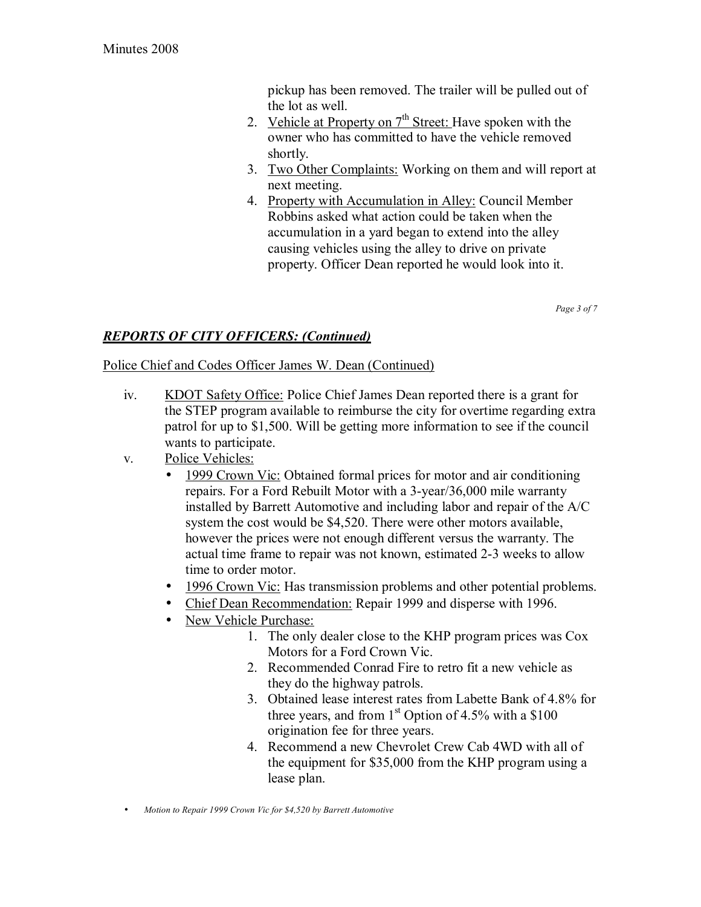pickup has been removed. The trailer will be pulled out of the lot as well.

- 2. Vehicle at Property on  $7<sup>th</sup>$  Street: Have spoken with the owner who has committed to have the vehicle removed shortly.
- 3. Two Other Complaints: Working on them and will report at next meeting.
- 4. Property with Accumulation in Alley: Council Member Robbins asked what action could be taken when the accumulation in a yard began to extend into the alley causing vehicles using the alley to drive on private property. Officer Dean reported he would look into it.

*Page 3 of 7* 

## *REPORTS OF CITY OFFICERS: (Continued)*

### Police Chief and Codes Officer James W. Dean (Continued)

- iv. KDOT Safety Office: Police Chief James Dean reported there is a grant for the STEP program available to reimburse the city for overtime regarding extra patrol for up to \$1,500. Will be getting more information to see if the council wants to participate.
- v. Police Vehicles:
	- 1999 Crown Vic: Obtained formal prices for motor and air conditioning repairs. For a Ford Rebuilt Motor with a 3-year/36,000 mile warranty installed by Barrett Automotive and including labor and repair of the A/C system the cost would be \$4,520. There were other motors available, however the prices were not enough different versus the warranty. The actual time frame to repair was not known, estimated 2-3 weeks to allow time to order motor.
	- 1996 Crown Vic: Has transmission problems and other potential problems.
	- Chief Dean Recommendation: Repair 1999 and disperse with 1996.
	- New Vehicle Purchase:
		- 1. The only dealer close to the KHP program prices was Cox Motors for a Ford Crown Vic.
		- 2. Recommended Conrad Fire to retro fit a new vehicle as they do the highway patrols.
		- 3. Obtained lease interest rates from Labette Bank of 4.8% for three years, and from  $1<sup>st</sup>$  Option of 4.5% with a \$100 origination fee for three years.
		- 4. Recommend a new Chevrolet Crew Cab 4WD with all of the equipment for \$35,000 from the KHP program using a lease plan.
- *Motion to Repair 1999 Crown Vic for \$4,520 by Barrett Automotive*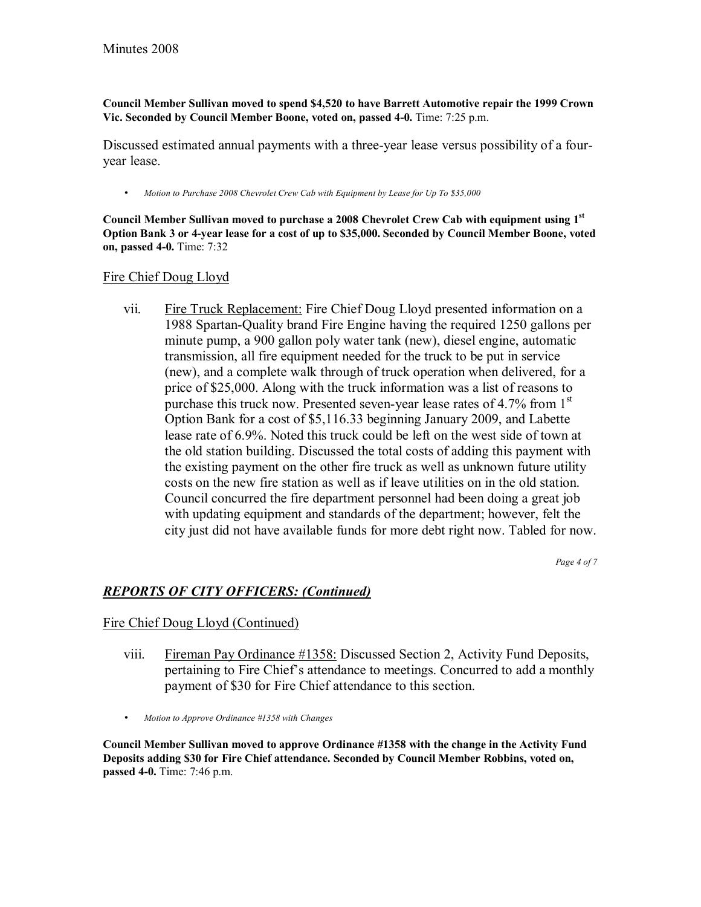**Council Member Sullivan moved to spend \$4,520 to have Barrett Automotive repair the 1999 Crown Vic. Seconded by Council Member Boone, voted on, passed 4-0.** Time: 7:25 p.m.

Discussed estimated annual payments with a three-year lease versus possibility of a fouryear lease.

• *Motion to Purchase 2008 Chevrolet Crew Cab with Equipment by Lease for Up To \$35,000*

**Council Member Sullivan moved to purchase a 2008 Chevrolet Crew Cab with equipment using 1st Option Bank 3 or 4-year lease for a cost of up to \$35,000. Seconded by Council Member Boone, voted on, passed 4-0.** Time: 7:32

#### Fire Chief Doug Lloyd

vii. Fire Truck Replacement: Fire Chief Doug Lloyd presented information on a 1988 Spartan-Quality brand Fire Engine having the required 1250 gallons per minute pump, a 900 gallon poly water tank (new), diesel engine, automatic transmission, all fire equipment needed for the truck to be put in service (new), and a complete walk through of truck operation when delivered, for a price of \$25,000. Along with the truck information was a list of reasons to purchase this truck now. Presented seven-year lease rates of 4.7% from 1st Option Bank for a cost of \$5,116.33 beginning January 2009, and Labette lease rate of 6.9%. Noted this truck could be left on the west side of town at the old station building. Discussed the total costs of adding this payment with the existing payment on the other fire truck as well as unknown future utility costs on the new fire station as well as if leave utilities on in the old station. Council concurred the fire department personnel had been doing a great job with updating equipment and standards of the department; however, felt the city just did not have available funds for more debt right now. Tabled for now.

*Page 4 of 7* 

### *REPORTS OF CITY OFFICERS: (Continued)*

#### Fire Chief Doug Lloyd (Continued)

- viii. Fireman Pay Ordinance #1358: Discussed Section 2, Activity Fund Deposits, pertaining to Fire Chief's attendance to meetings. Concurred to add a monthly payment of \$30 for Fire Chief attendance to this section.
- *Motion to Approve Ordinance #1358 with Changes*

**Council Member Sullivan moved to approve Ordinance #1358 with the change in the Activity Fund Deposits adding \$30 for Fire Chief attendance. Seconded by Council Member Robbins, voted on, passed 4-0.** Time: 7:46 p.m.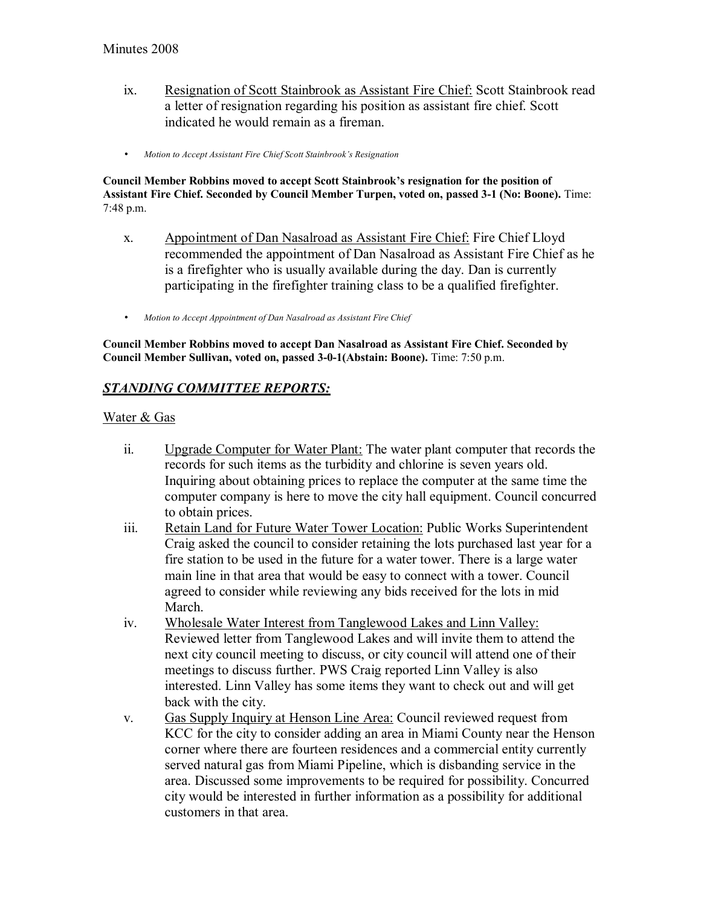- ix. Resignation of Scott Stainbrook as Assistant Fire Chief: Scott Stainbrook read a letter of resignation regarding his position as assistant fire chief. Scott indicated he would remain as a fireman.
- *Motion to Accept Assistant Fire Chief Scott Stainbrook's Resignation*

Council Member Robbins moved to accept Scott Stainbrook's resignation for the position of **Assistant Fire Chief. Seconded by Council Member Turpen, voted on, passed 3-1 (No: Boone).** Time: 7:48 p.m.

- x. Appointment of Dan Nasalroad as Assistant Fire Chief: Fire Chief Lloyd recommended the appointment of Dan Nasalroad as Assistant Fire Chief as he is a firefighter who is usually available during the day. Dan is currently participating in the firefighter training class to be a qualified firefighter.
- *Motion to Accept Appointment of Dan Nasalroad as Assistant Fire Chief*

**Council Member Robbins moved to accept Dan Nasalroad as Assistant Fire Chief. Seconded by Council Member Sullivan, voted on, passed 3-0-1(Abstain: Boone).** Time: 7:50 p.m.

## *STANDING COMMITTEE REPORTS:*

#### Water & Gas

- ii. Upgrade Computer for Water Plant: The water plant computer that records the records for such items as the turbidity and chlorine is seven years old. Inquiring about obtaining prices to replace the computer at the same time the computer company is here to move the city hall equipment. Council concurred to obtain prices.
- iii. Retain Land for Future Water Tower Location: Public Works Superintendent Craig asked the council to consider retaining the lots purchased last year for a fire station to be used in the future for a water tower. There is a large water main line in that area that would be easy to connect with a tower. Council agreed to consider while reviewing any bids received for the lots in mid March.
- iv. Wholesale Water Interest from Tanglewood Lakes and Linn Valley: Reviewed letter from Tanglewood Lakes and will invite them to attend the next city council meeting to discuss, or city council will attend one of their meetings to discuss further. PWS Craig reported Linn Valley is also interested. Linn Valley has some items they want to check out and will get back with the city.
- v. Gas Supply Inquiry at Henson Line Area: Council reviewed request from KCC for the city to consider adding an area in Miami County near the Henson corner where there are fourteen residences and a commercial entity currently served natural gas from Miami Pipeline, which is disbanding service in the area. Discussed some improvements to be required for possibility. Concurred city would be interested in further information as a possibility for additional customers in that area.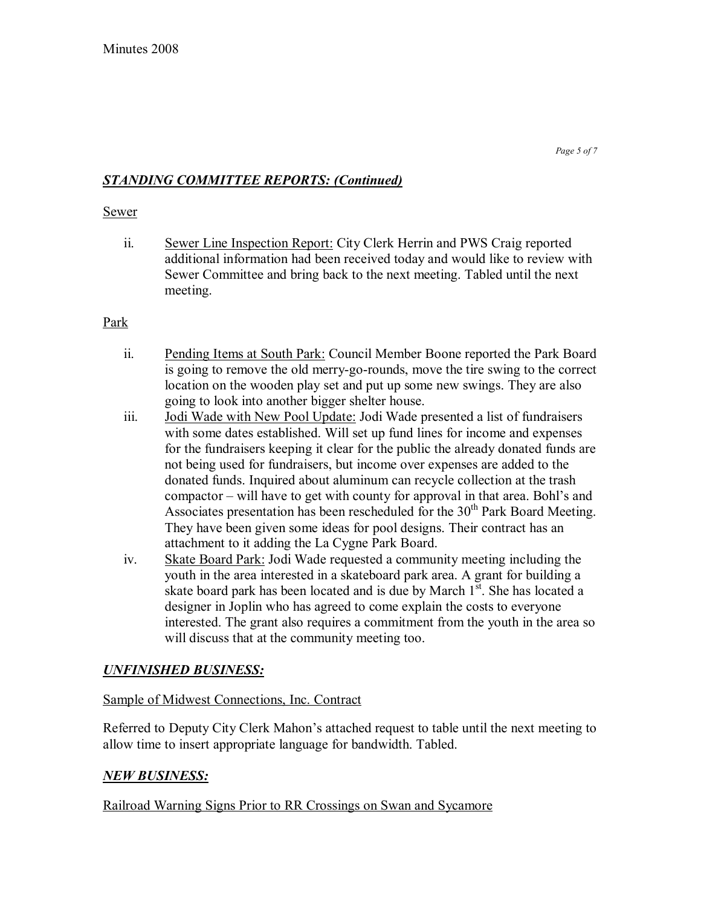## *STANDING COMMITTEE REPORTS: (Continued)*

#### Sewer

ii. Sewer Line Inspection Report: City Clerk Herrin and PWS Craig reported additional information had been received today and would like to review with Sewer Committee and bring back to the next meeting. Tabled until the next meeting.

### Park

- ii. Pending Items at South Park: Council Member Boone reported the Park Board is going to remove the old merry-go-rounds, move the tire swing to the correct location on the wooden play set and put up some new swings. They are also going to look into another bigger shelter house.
- iii. Jodi Wade with New Pool Update: Jodi Wade presented a list of fundraisers with some dates established. Will set up fund lines for income and expenses for the fundraisers keeping it clear for the public the already donated funds are not being used for fundraisers, but income over expenses are added to the donated funds. Inquired about aluminum can recycle collection at the trash compactor  $-\text{ will have to get with county for approval in that area. Bohl's and$ Associates presentation has been rescheduled for the  $30<sup>th</sup>$  Park Board Meeting. They have been given some ideas for pool designs. Their contract has an attachment to it adding the La Cygne Park Board.
- iv. Skate Board Park: Jodi Wade requested a community meeting including the youth in the area interested in a skateboard park area. A grant for building a skate board park has been located and is due by March  $1<sup>st</sup>$ . She has located a designer in Joplin who has agreed to come explain the costs to everyone interested. The grant also requires a commitment from the youth in the area so will discuss that at the community meeting too.

## *UNFINISHED BUSINESS:*

### Sample of Midwest Connections, Inc. Contract

Referred to Deputy City Clerk Mahon's attached request to table until the next meeting to allow time to insert appropriate language for bandwidth. Tabled.

### *NEW BUSINESS:*

Railroad Warning Signs Prior to RR Crossings on Swan and Sycamore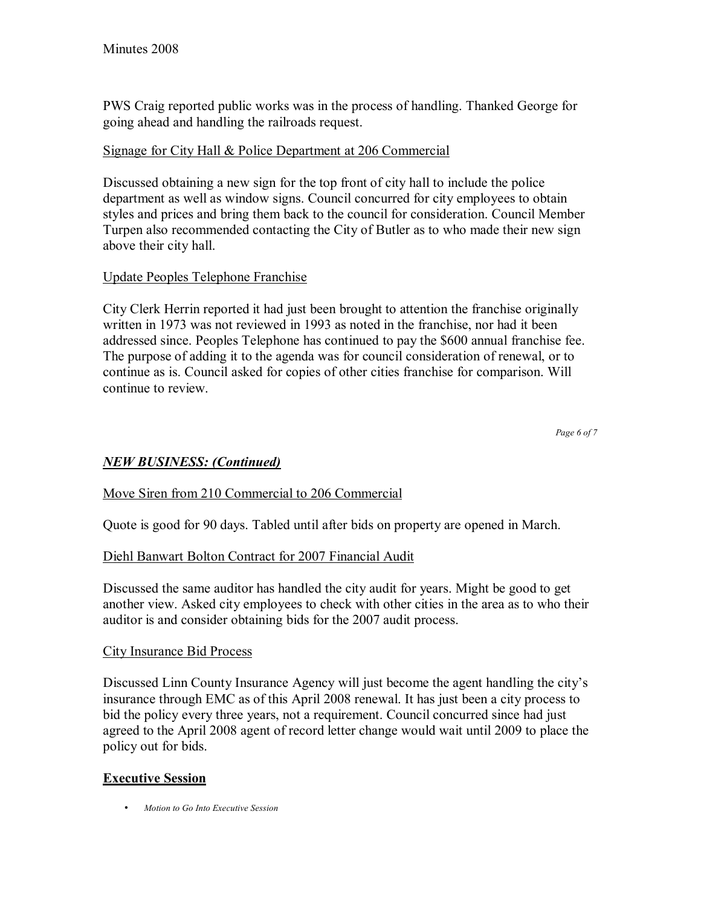PWS Craig reported public works was in the process of handling. Thanked George for going ahead and handling the railroads request.

## Signage for City Hall & Police Department at 206 Commercial

Discussed obtaining a new sign for the top front of city hall to include the police department as well as window signs. Council concurred for city employees to obtain styles and prices and bring them back to the council for consideration. Council Member Turpen also recommended contacting the City of Butler as to who made their new sign above their city hall.

## Update Peoples Telephone Franchise

City Clerk Herrin reported it had just been brought to attention the franchise originally written in 1973 was not reviewed in 1993 as noted in the franchise, nor had it been addressed since. Peoples Telephone has continued to pay the \$600 annual franchise fee. The purpose of adding it to the agenda was for council consideration of renewal, or to continue as is. Council asked for copies of other cities franchise for comparison. Will continue to review.

*Page 6 of 7*

## *NEW BUSINESS: (Continued)*

### Move Siren from 210 Commercial to 206 Commercial

Quote is good for 90 days. Tabled until after bids on property are opened in March.

### Diehl Banwart Bolton Contract for 2007 Financial Audit

Discussed the same auditor has handled the city audit for years. Might be good to get another view. Asked city employees to check with other cities in the area as to who their auditor is and consider obtaining bids for the 2007 audit process.

### City Insurance Bid Process

Discussed Linn County Insurance Agency will just become the agent handling the city's insurance through EMC as of this April 2008 renewal. It has just been a city process to bid the policy every three years, not a requirement. Council concurred since had just agreed to the April 2008 agent of record letter change would wait until 2009 to place the policy out for bids.

### **Executive Session**

• *Motion to Go Into Executive Session*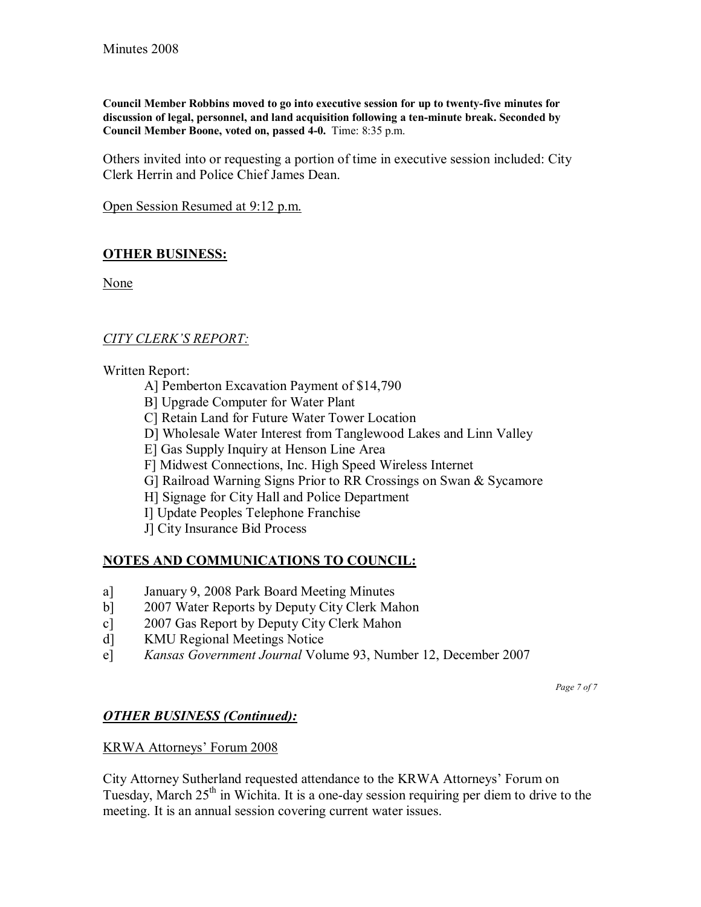**Council Member Robbins moved to go into executive session for up to twenty-five minutes for discussion of legal, personnel, and land acquisition following a ten-minute break. Seconded by Council Member Boone, voted on, passed 4-0.** Time: 8:35 p.m.

Others invited into or requesting a portion of time in executive session included: City Clerk Herrin and Police Chief James Dean.

Open Session Resumed at 9:12 p.m.

## **OTHER BUSINESS:**

None

### **CITY CLERK'S REPORT:**

Written Report:

- A] Pemberton Excavation Payment of \$14,790
- B] Upgrade Computer for Water Plant
- C] Retain Land for Future Water Tower Location
- D] Wholesale Water Interest from Tanglewood Lakes and Linn Valley
- E] Gas Supply Inquiry at Henson Line Area
- F] Midwest Connections, Inc. High Speed Wireless Internet
- G] Railroad Warning Signs Prior to RR Crossings on Swan & Sycamore
- H] Signage for City Hall and Police Department
- I] Update Peoples Telephone Franchise
- J] City Insurance Bid Process

### **NOTES AND COMMUNICATIONS TO COUNCIL:**

- a] January 9, 2008 Park Board Meeting Minutes
- b] 2007 Water Reports by Deputy City Clerk Mahon
- c] 2007 Gas Report by Deputy City Clerk Mahon
- d] KMU Regional Meetings Notice
- e] *Kansas Government Journal* Volume 93, Number 12, December 2007

*Page 7 of 7* 

### *OTHER BUSINESS (Continued):*

### KRWA Attorneys' Forum 2008

City Attorney Sutherland requested attendance to the KRWA Attorneys' Forum on Tuesday, March  $25<sup>th</sup>$  in Wichita. It is a one-day session requiring per diem to drive to the meeting. It is an annual session covering current water issues.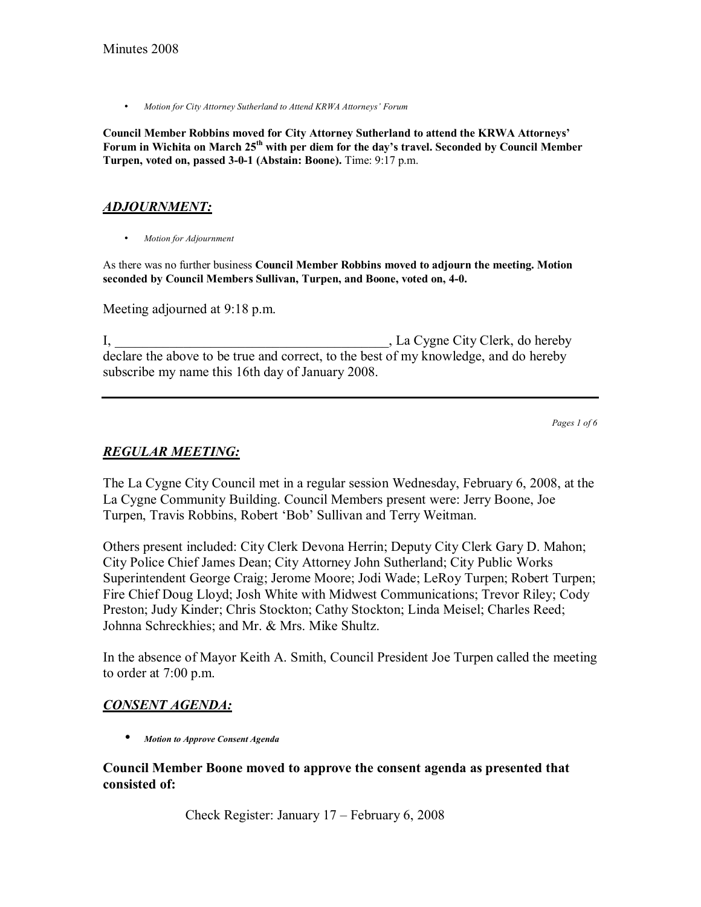• Motion for City Attorney Sutherland to Attend KRWA Attorneys' Forum

**Council Member Robbins moved for City Attorney Sutherland to attend the KRWA Attorneysí**  Forum in Wichita on March 25<sup>th</sup> with per diem for the day's travel. Seconded by Council Member **Turpen, voted on, passed 3-0-1 (Abstain: Boone).** Time: 9:17 p.m.

### *ADJOURNMENT:*

• *Motion for Adjournment*

As there was no further business **Council Member Robbins moved to adjourn the meeting. Motion seconded by Council Members Sullivan, Turpen, and Boone, voted on, 4-0.**

Meeting adjourned at 9:18 p.m.

I, La Cygne City Clerk, do hereby declare the above to be true and correct, to the best of my knowledge, and do hereby subscribe my name this 16th day of January 2008.

*Pages 1 of 6*

### *REGULAR MEETING:*

The La Cygne City Council met in a regular session Wednesday, February 6, 2008, at the La Cygne Community Building. Council Members present were: Jerry Boone, Joe Turpen, Travis Robbins, Robert 'Bob' Sullivan and Terry Weitman.

Others present included: City Clerk Devona Herrin; Deputy City Clerk Gary D. Mahon; City Police Chief James Dean; City Attorney John Sutherland; City Public Works Superintendent George Craig; Jerome Moore; Jodi Wade; LeRoy Turpen; Robert Turpen; Fire Chief Doug Lloyd; Josh White with Midwest Communications; Trevor Riley; Cody Preston; Judy Kinder; Chris Stockton; Cathy Stockton; Linda Meisel; Charles Reed; Johnna Schreckhies; and Mr. & Mrs. Mike Shultz.

In the absence of Mayor Keith A. Smith, Council President Joe Turpen called the meeting to order at 7:00 p.m.

### *CONSENT AGENDA:*

• *Motion to Approve Consent Agenda* 

#### **Council Member Boone moved to approve the consent agenda as presented that consisted of:**

Check Register: January  $17$  – February 6, 2008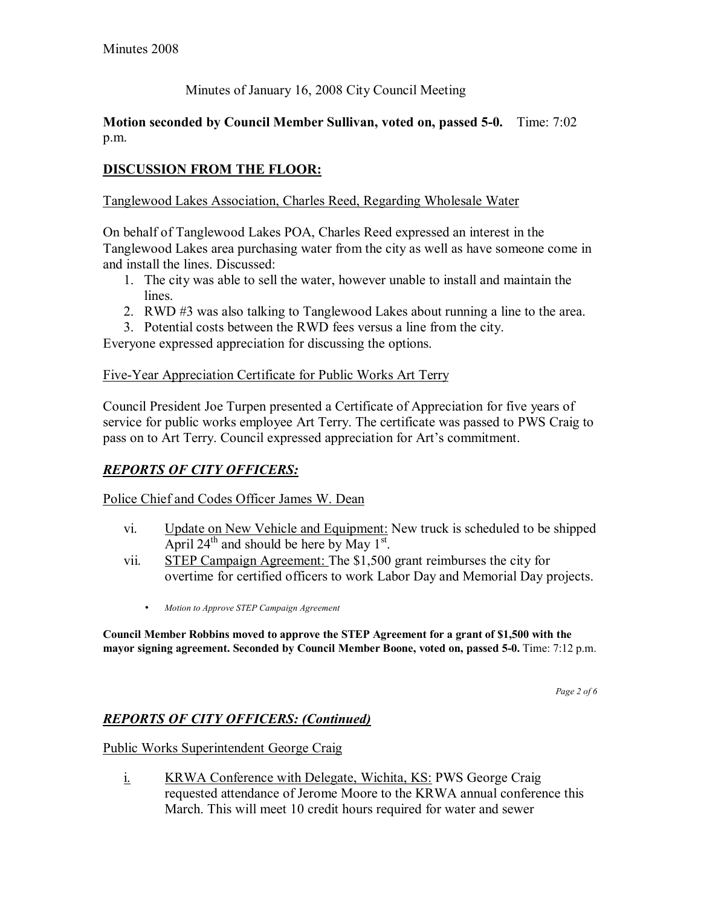## Minutes of January 16, 2008 City Council Meeting

#### **Motion seconded by Council Member Sullivan, voted on, passed 5-0.** Time: 7:02 p.m.

## **DISCUSSION FROM THE FLOOR:**

#### Tanglewood Lakes Association, Charles Reed, Regarding Wholesale Water

On behalf of Tanglewood Lakes POA, Charles Reed expressed an interest in the Tanglewood Lakes area purchasing water from the city as well as have someone come in and install the lines. Discussed:

- 1. The city was able to sell the water, however unable to install and maintain the lines.
- 2. RWD #3 was also talking to Tanglewood Lakes about running a line to the area.
- 3. Potential costs between the RWD fees versus a line from the city.

Everyone expressed appreciation for discussing the options.

#### Five-Year Appreciation Certificate for Public Works Art Terry

Council President Joe Turpen presented a Certificate of Appreciation for five years of service for public works employee Art Terry. The certificate was passed to PWS Craig to pass on to Art Terry. Council expressed appreciation for Art's commitment.

## *REPORTS OF CITY OFFICERS:*

Police Chief and Codes Officer James W. Dean

- vi. Update on New Vehicle and Equipment: New truck is scheduled to be shipped April  $24^{\text{th}}$  and should be here by May  $1^{\text{st}}$ .
- vii. STEP Campaign Agreement: The \$1,500 grant reimburses the city for overtime for certified officers to work Labor Day and Memorial Day projects.
	- *Motion to Approve STEP Campaign Agreement*

**Council Member Robbins moved to approve the STEP Agreement for a grant of \$1,500 with the mayor signing agreement. Seconded by Council Member Boone, voted on, passed 5-0.** Time: 7:12 p.m.

*Page 2 of 6* 

## *REPORTS OF CITY OFFICERS: (Continued)*

Public Works Superintendent George Craig

i. KRWA Conference with Delegate, Wichita, KS: PWS George Craig requested attendance of Jerome Moore to the KRWA annual conference this March. This will meet 10 credit hours required for water and sewer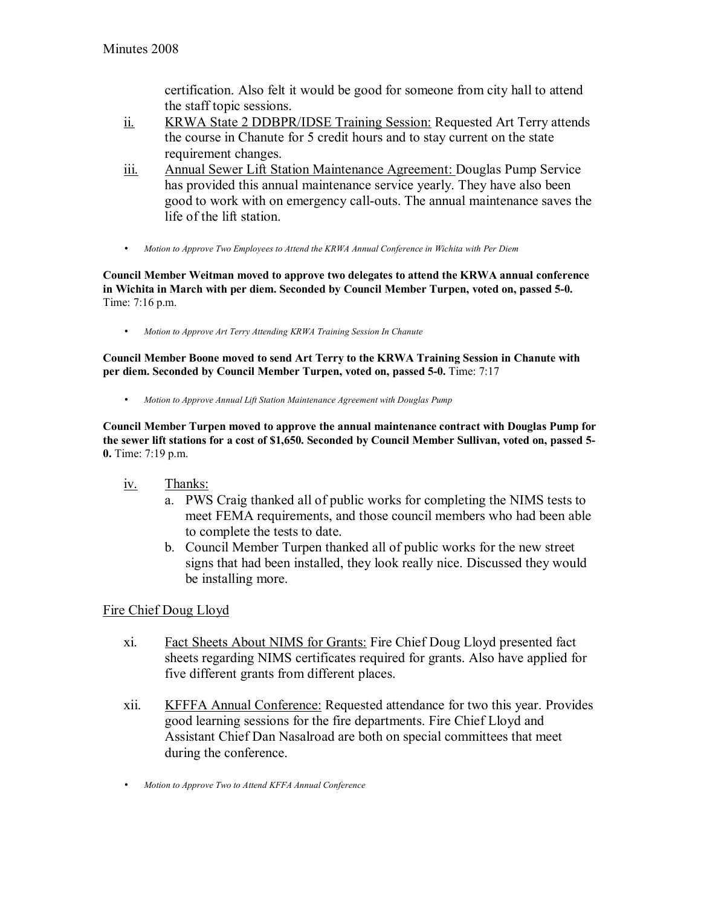certification. Also felt it would be good for someone from city hall to attend the staff topic sessions.

- ii. KRWA State 2 DDBPR/IDSE Training Session: Requested Art Terry attends the course in Chanute for 5 credit hours and to stay current on the state requirement changes.
- iii. Annual Sewer Lift Station Maintenance Agreement: Douglas Pump Service has provided this annual maintenance service yearly. They have also been good to work with on emergency call-outs. The annual maintenance saves the life of the lift station.
- *Motion to Approve Two Employees to Attend the KRWA Annual Conference in Wichita with Per Diem*

**Council Member Weitman moved to approve two delegates to attend the KRWA annual conference in Wichita in March with per diem. Seconded by Council Member Turpen, voted on, passed 5-0.**  Time: 7:16 p.m.

• *Motion to Approve Art Terry Attending KRWA Training Session In Chanute*

**Council Member Boone moved to send Art Terry to the KRWA Training Session in Chanute with per diem. Seconded by Council Member Turpen, voted on, passed 5-0.** Time: 7:17

• *Motion to Approve Annual Lift Station Maintenance Agreement with Douglas Pump*

**Council Member Turpen moved to approve the annual maintenance contract with Douglas Pump for the sewer lift stations for a cost of \$1,650. Seconded by Council Member Sullivan, voted on, passed 5- 0.** Time: 7:19 p.m.

- iv. Thanks:
	- a. PWS Craig thanked all of public works for completing the NIMS tests to meet FEMA requirements, and those council members who had been able to complete the tests to date.
	- b. Council Member Turpen thanked all of public works for the new street signs that had been installed, they look really nice. Discussed they would be installing more.

Fire Chief Doug Lloyd

- xi. Fact Sheets About NIMS for Grants: Fire Chief Doug Lloyd presented fact sheets regarding NIMS certificates required for grants. Also have applied for five different grants from different places.
- xii. KFFFA Annual Conference: Requested attendance for two this year. Provides good learning sessions for the fire departments. Fire Chief Lloyd and Assistant Chief Dan Nasalroad are both on special committees that meet during the conference.
- *Motion to Approve Two to Attend KFFA Annual Conference*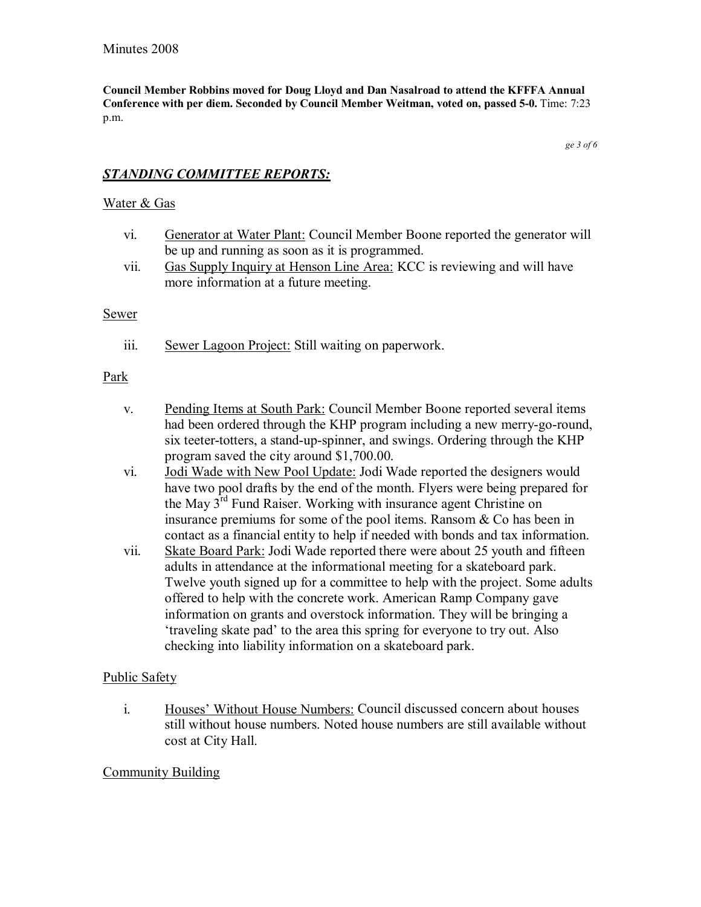**Council Member Robbins moved for Doug Lloyd and Dan Nasalroad to attend the KFFFA Annual Conference with per diem. Seconded by Council Member Weitman, voted on, passed 5-0.** Time: 7:23 p.m.

*ge 3 of 6* 

## *STANDING COMMITTEE REPORTS:*

#### Water & Gas

- vi. Generator at Water Plant: Council Member Boone reported the generator will be up and running as soon as it is programmed.
- vii. Gas Supply Inquiry at Henson Line Area: KCC is reviewing and will have more information at a future meeting.

#### **Sewer**

iii. Sewer Lagoon Project: Still waiting on paperwork.

#### Park

- v. Pending Items at South Park: Council Member Boone reported several items had been ordered through the KHP program including a new merry-go-round, six teeter-totters, a stand-up-spinner, and swings. Ordering through the KHP program saved the city around \$1,700.00.
- vi. Jodi Wade with New Pool Update: Jodi Wade reported the designers would have two pool drafts by the end of the month. Flyers were being prepared for the May  $3<sup>rd</sup>$  Fund Raiser. Working with insurance agent Christine on insurance premiums for some of the pool items. Ransom & Co has been in contact as a financial entity to help if needed with bonds and tax information.
- vii. Skate Board Park: Jodi Wade reported there were about 25 youth and fifteen adults in attendance at the informational meeting for a skateboard park. Twelve youth signed up for a committee to help with the project. Some adults offered to help with the concrete work. American Ramp Company gave information on grants and overstock information. They will be bringing a traveling skate pad' to the area this spring for everyone to try out. Also checking into liability information on a skateboard park.

#### Public Safety

i. Houses' Without House Numbers: Council discussed concern about houses still without house numbers. Noted house numbers are still available without cost at City Hall.

### Community Building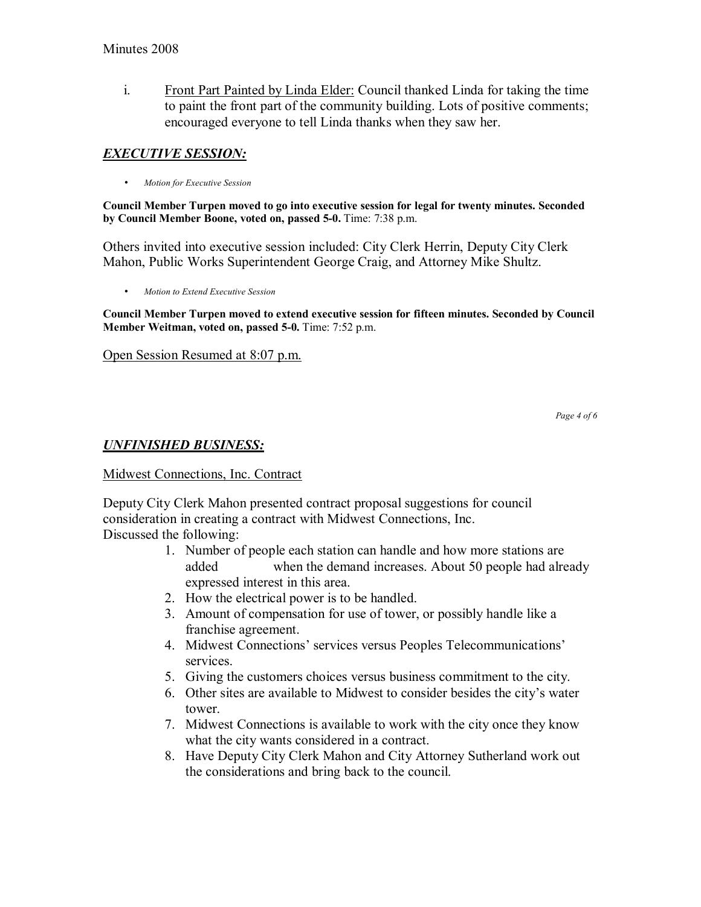i. Front Part Painted by Linda Elder: Council thanked Linda for taking the time to paint the front part of the community building. Lots of positive comments; encouraged everyone to tell Linda thanks when they saw her.

# *EXECUTIVE SESSION:*

• *Motion for Executive Session*

**Council Member Turpen moved to go into executive session for legal for twenty minutes. Seconded by Council Member Boone, voted on, passed 5-0.** Time: 7:38 p.m.

Others invited into executive session included: City Clerk Herrin, Deputy City Clerk Mahon, Public Works Superintendent George Craig, and Attorney Mike Shultz.

• *Motion to Extend Executive Session*

**Council Member Turpen moved to extend executive session for fifteen minutes. Seconded by Council Member Weitman, voted on, passed 5-0.** Time: 7:52 p.m.

Open Session Resumed at 8:07 p.m.

*Page 4 of 6* 

## *UNFINISHED BUSINESS:*

### Midwest Connections, Inc. Contract

Deputy City Clerk Mahon presented contract proposal suggestions for council consideration in creating a contract with Midwest Connections, Inc. Discussed the following:

- 1. Number of people each station can handle and how more stations are added when the demand increases. About 50 people had already expressed interest in this area.
- 2. How the electrical power is to be handled.
- 3. Amount of compensation for use of tower, or possibly handle like a franchise agreement.
- 4. Midwest Connections' services versus Peoples Telecommunications' services.
- 5. Giving the customers choices versus business commitment to the city.
- 6. Other sites are available to Midwest to consider besides the city's water tower.
- 7. Midwest Connections is available to work with the city once they know what the city wants considered in a contract.
- 8. Have Deputy City Clerk Mahon and City Attorney Sutherland work out the considerations and bring back to the council.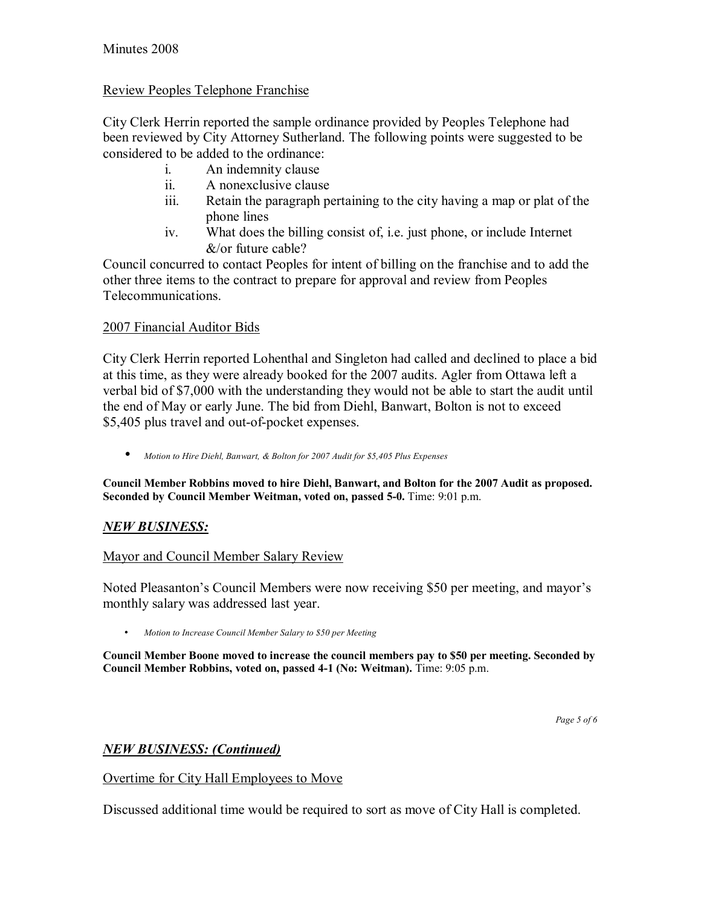### Review Peoples Telephone Franchise

City Clerk Herrin reported the sample ordinance provided by Peoples Telephone had been reviewed by City Attorney Sutherland. The following points were suggested to be considered to be added to the ordinance:

- i. An indemnity clause
- ii. A nonexclusive clause
- iii. Retain the paragraph pertaining to the city having a map or plat of the phone lines
- iv. What does the billing consist of, i.e. just phone, or include Internet &/or future cable?

Council concurred to contact Peoples for intent of billing on the franchise and to add the other three items to the contract to prepare for approval and review from Peoples Telecommunications.

### 2007 Financial Auditor Bids

City Clerk Herrin reported Lohenthal and Singleton had called and declined to place a bid at this time, as they were already booked for the 2007 audits. Agler from Ottawa left a verbal bid of \$7,000 with the understanding they would not be able to start the audit until the end of May or early June. The bid from Diehl, Banwart, Bolton is not to exceed \$5,405 plus travel and out-of-pocket expenses.

• *Motion to Hire Diehl, Banwart, & Bolton for 2007 Audit for \$5,405 Plus Expenses*

**Council Member Robbins moved to hire Diehl, Banwart, and Bolton for the 2007 Audit as proposed. Seconded by Council Member Weitman, voted on, passed 5-0.** Time: 9:01 p.m.

### *NEW BUSINESS:*

### Mayor and Council Member Salary Review

Noted Pleasanton's Council Members were now receiving \$50 per meeting, and mayor's monthly salary was addressed last year.

• *Motion to Increase Council Member Salary to \$50 per Meeting*

**Council Member Boone moved to increase the council members pay to \$50 per meeting. Seconded by Council Member Robbins, voted on, passed 4-1 (No: Weitman).** Time: 9:05 p.m.

*Page 5 of 6*

### *NEW BUSINESS: (Continued)*

### Overtime for City Hall Employees to Move

Discussed additional time would be required to sort as move of City Hall is completed.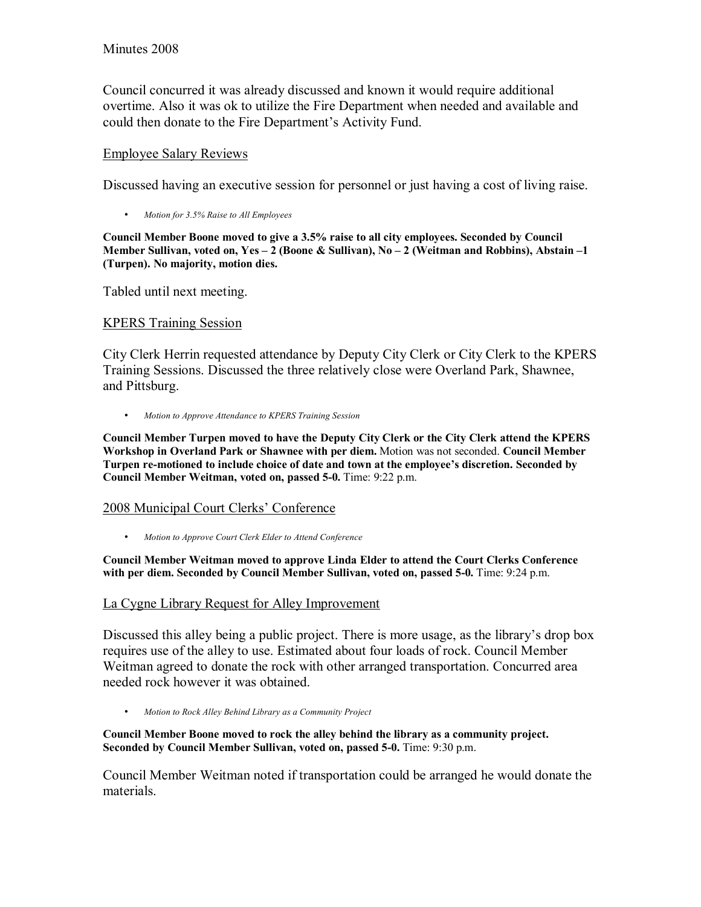Council concurred it was already discussed and known it would require additional overtime. Also it was ok to utilize the Fire Department when needed and available and could then donate to the Fire Department's Activity Fund.

#### Employee Salary Reviews

Discussed having an executive session for personnel or just having a cost of living raise.

• *Motion for 3.5% Raise to All Employees*

**Council Member Boone moved to give a 3.5% raise to all city employees. Seconded by Council Member Sullivan, voted on, Yes – 2 (Boone & Sullivan), No – 2 (Weitman and Robbins), Abstain –1 (Turpen). No majority, motion dies.** 

Tabled until next meeting.

#### KPERS Training Session

City Clerk Herrin requested attendance by Deputy City Clerk or City Clerk to the KPERS Training Sessions. Discussed the three relatively close were Overland Park, Shawnee, and Pittsburg.

• *Motion to Approve Attendance to KPERS Training Session*

**Council Member Turpen moved to have the Deputy City Clerk or the City Clerk attend the KPERS Workshop in Overland Park or Shawnee with per diem.** Motion was not seconded. **Council Member**  Turpen re-motioned to include choice of date and town at the employee's discretion. Seconded by **Council Member Weitman, voted on, passed 5-0.** Time: 9:22 p.m.

### 2008 Municipal Court Clerks' Conference

• *Motion to Approve Court Clerk Elder to Attend Conference*

**Council Member Weitman moved to approve Linda Elder to attend the Court Clerks Conference with per diem. Seconded by Council Member Sullivan, voted on, passed 5-0.** Time: 9:24 p.m.

### La Cygne Library Request for Alley Improvement

Discussed this alley being a public project. There is more usage, as the library's drop box requires use of the alley to use. Estimated about four loads of rock. Council Member Weitman agreed to donate the rock with other arranged transportation. Concurred area needed rock however it was obtained.

• *Motion to Rock Alley Behind Library as a Community Project*

**Council Member Boone moved to rock the alley behind the library as a community project. Seconded by Council Member Sullivan, voted on, passed 5-0.** Time: 9:30 p.m.

Council Member Weitman noted if transportation could be arranged he would donate the materials.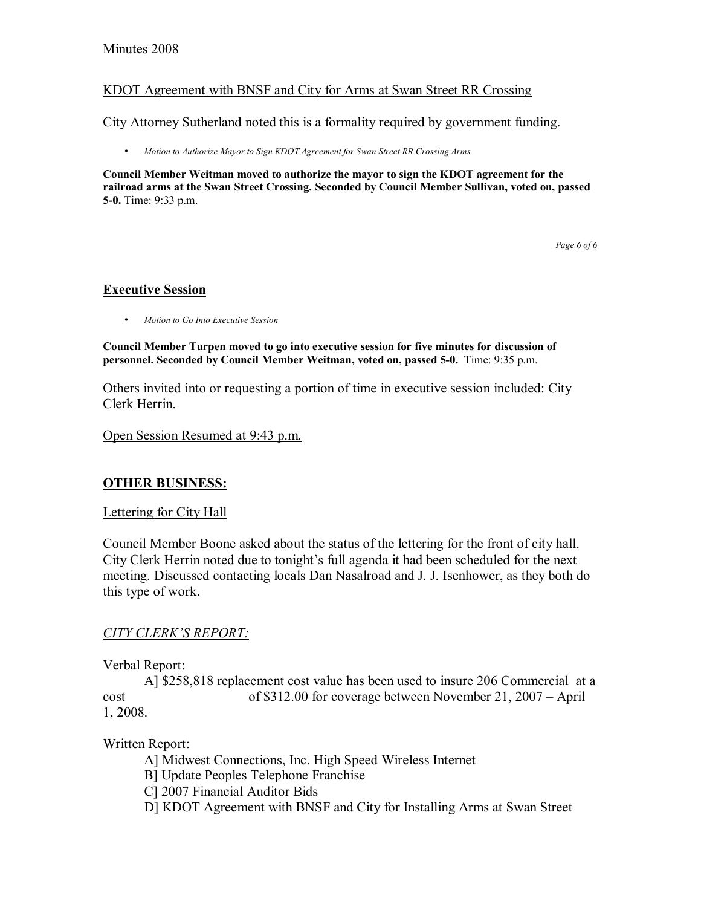#### Minutes 2008

#### KDOT Agreement with BNSF and City for Arms at Swan Street RR Crossing

City Attorney Sutherland noted this is a formality required by government funding.

• *Motion to Authorize Mayor to Sign KDOT Agreement for Swan Street RR Crossing Arms* 

**Council Member Weitman moved to authorize the mayor to sign the KDOT agreement for the railroad arms at the Swan Street Crossing. Seconded by Council Member Sullivan, voted on, passed 5-0.** Time: 9:33 p.m.

*Page 6 of 6* 

#### **Executive Session**

• *Motion to Go Into Executive Session* 

**Council Member Turpen moved to go into executive session for five minutes for discussion of personnel. Seconded by Council Member Weitman, voted on, passed 5-0.** Time: 9:35 p.m.

Others invited into or requesting a portion of time in executive session included: City Clerk Herrin.

Open Session Resumed at 9:43 p.m.

### **OTHER BUSINESS:**

#### Lettering for City Hall

Council Member Boone asked about the status of the lettering for the front of city hall. City Clerk Herrin noted due to tonight's full agenda it had been scheduled for the next meeting. Discussed contacting locals Dan Nasalroad and J. J. Isenhower, as they both do this type of work.

#### **CITY CLERK'S REPORT:**

Verbal Report:

 A] \$258,818 replacement cost value has been used to insure 206 Commercial at a cost  $\qquad \qquad$  of \$312.00 for coverage between November 21, 2007 – April 1, 2008.

Written Report:

A] Midwest Connections, Inc. High Speed Wireless Internet

B] Update Peoples Telephone Franchise

C] 2007 Financial Auditor Bids

D] KDOT Agreement with BNSF and City for Installing Arms at Swan Street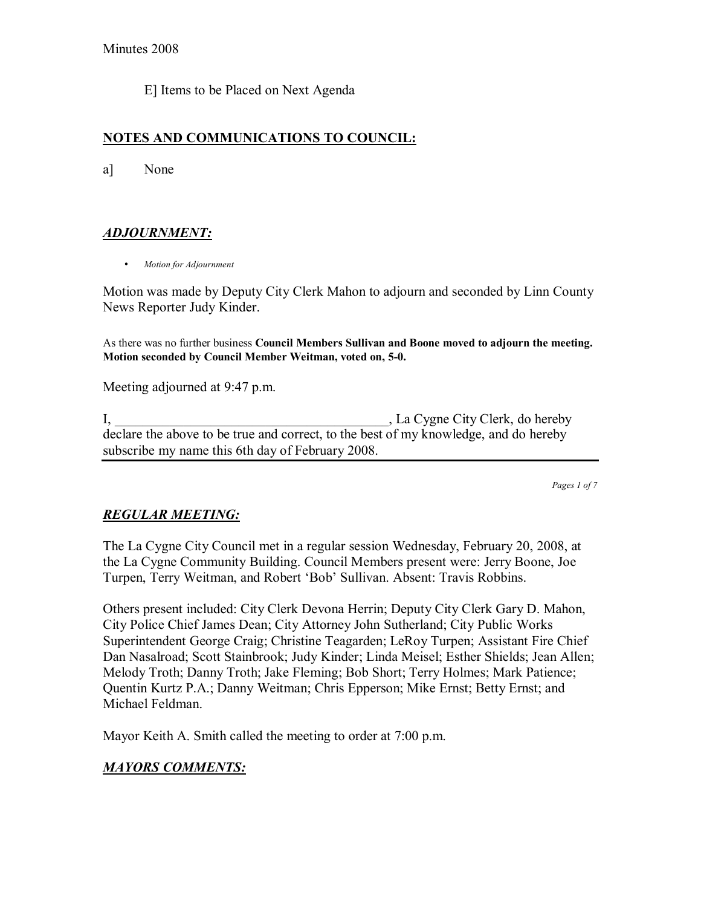E] Items to be Placed on Next Agenda

### **NOTES AND COMMUNICATIONS TO COUNCIL:**

a] None

## *ADJOURNMENT:*

• *Motion for Adjournment*

Motion was made by Deputy City Clerk Mahon to adjourn and seconded by Linn County News Reporter Judy Kinder.

As there was no further business **Council Members Sullivan and Boone moved to adjourn the meeting. Motion seconded by Council Member Weitman, voted on, 5-0.**

Meeting adjourned at 9:47 p.m.

I, \_\_\_\_\_\_\_\_\_\_\_\_\_\_\_\_\_\_\_\_\_\_\_\_\_\_\_\_\_\_\_\_\_\_\_\_\_\_\_\_, La Cygne City Clerk, do hereby declare the above to be true and correct, to the best of my knowledge, and do hereby subscribe my name this 6th day of February 2008.

*Pages 1 of 7*

## *REGULAR MEETING:*

The La Cygne City Council met in a regular session Wednesday, February 20, 2008, at the La Cygne Community Building. Council Members present were: Jerry Boone, Joe Turpen, Terry Weitman, and Robert 'Bob' Sullivan. Absent: Travis Robbins.

Others present included: City Clerk Devona Herrin; Deputy City Clerk Gary D. Mahon, City Police Chief James Dean; City Attorney John Sutherland; City Public Works Superintendent George Craig; Christine Teagarden; LeRoy Turpen; Assistant Fire Chief Dan Nasalroad; Scott Stainbrook; Judy Kinder; Linda Meisel; Esther Shields; Jean Allen; Melody Troth; Danny Troth; Jake Fleming; Bob Short; Terry Holmes; Mark Patience; Quentin Kurtz P.A.; Danny Weitman; Chris Epperson; Mike Ernst; Betty Ernst; and Michael Feldman.

Mayor Keith A. Smith called the meeting to order at 7:00 p.m.

### *MAYORS COMMENTS:*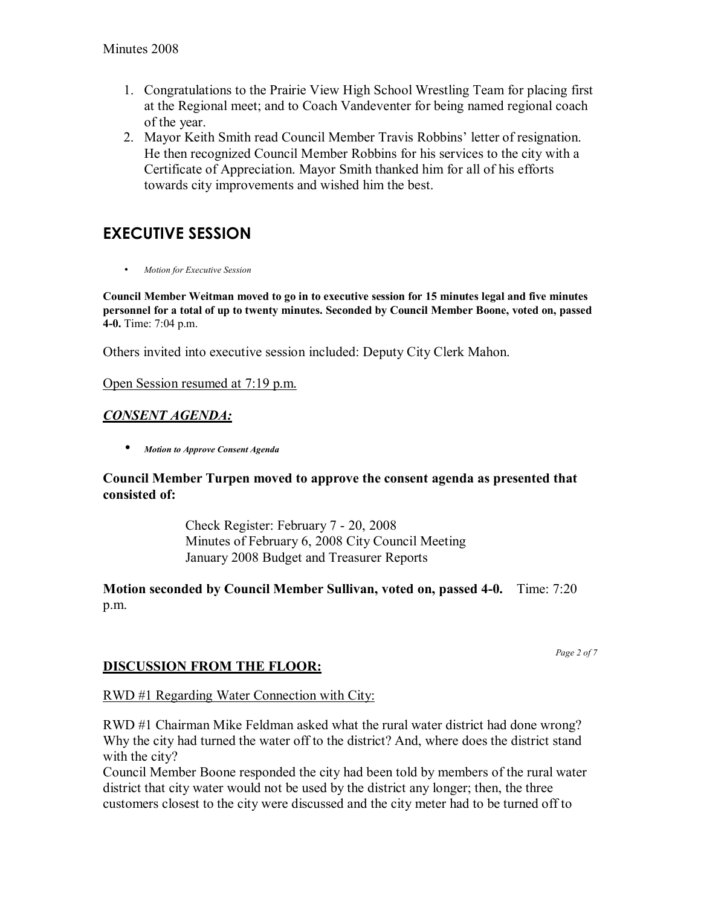- 1. Congratulations to the Prairie View High School Wrestling Team for placing first at the Regional meet; and to Coach Vandeventer for being named regional coach of the year.
- 2. Mayor Keith Smith read Council Member Travis Robbins' letter of resignation. He then recognized Council Member Robbins for his services to the city with a Certificate of Appreciation. Mayor Smith thanked him for all of his efforts towards city improvements and wished him the best.

# **EXECUTIVE SESSION**

• *Motion for Executive Session*

**Council Member Weitman moved to go in to executive session for 15 minutes legal and five minutes personnel for a total of up to twenty minutes. Seconded by Council Member Boone, voted on, passed 4-0.** Time: 7:04 p.m.

Others invited into executive session included: Deputy City Clerk Mahon.

Open Session resumed at 7:19 p.m.

## *CONSENT AGENDA:*

• *Motion to Approve Consent Agenda* 

### **Council Member Turpen moved to approve the consent agenda as presented that consisted of:**

 Check Register: February 7 - 20, 2008 Minutes of February 6, 2008 City Council Meeting January 2008 Budget and Treasurer Reports

## **Motion seconded by Council Member Sullivan, voted on, passed 4-0.** Time: 7:20 p.m.

*Page 2 of 7* 

## **DISCUSSION FROM THE FLOOR:**

### RWD #1 Regarding Water Connection with City:

RWD #1 Chairman Mike Feldman asked what the rural water district had done wrong? Why the city had turned the water off to the district? And, where does the district stand with the city?

Council Member Boone responded the city had been told by members of the rural water district that city water would not be used by the district any longer; then, the three customers closest to the city were discussed and the city meter had to be turned off to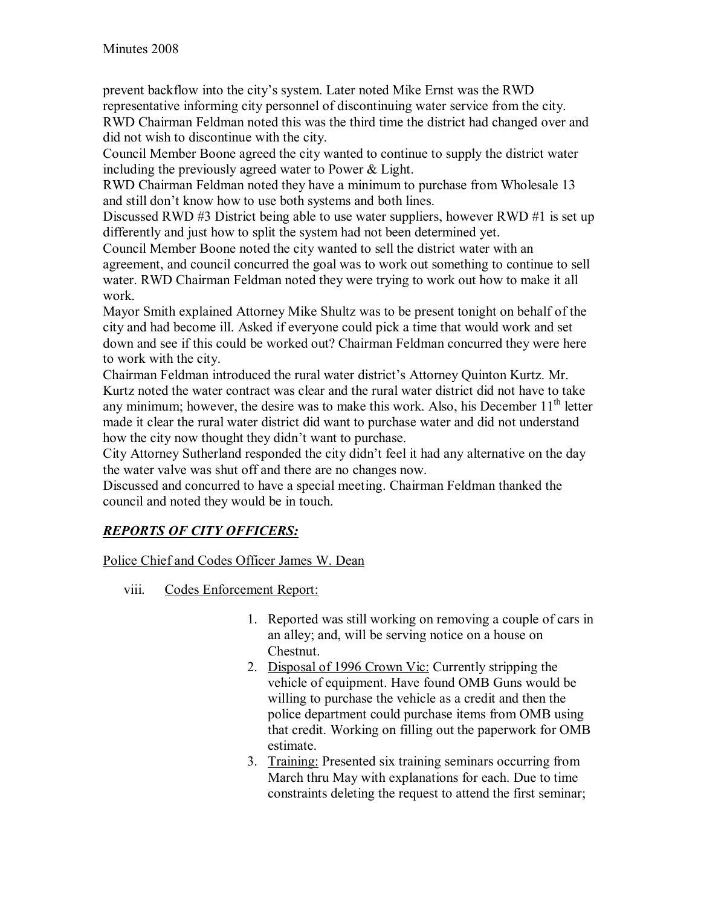prevent backflow into the cityís system. Later noted Mike Ernst was the RWD representative informing city personnel of discontinuing water service from the city. RWD Chairman Feldman noted this was the third time the district had changed over and did not wish to discontinue with the city.

Council Member Boone agreed the city wanted to continue to supply the district water including the previously agreed water to Power & Light.

RWD Chairman Feldman noted they have a minimum to purchase from Wholesale 13 and still don't know how to use both systems and both lines.

Discussed RWD #3 District being able to use water suppliers, however RWD #1 is set up differently and just how to split the system had not been determined yet.

Council Member Boone noted the city wanted to sell the district water with an agreement, and council concurred the goal was to work out something to continue to sell water. RWD Chairman Feldman noted they were trying to work out how to make it all work.

Mayor Smith explained Attorney Mike Shultz was to be present tonight on behalf of the city and had become ill. Asked if everyone could pick a time that would work and set down and see if this could be worked out? Chairman Feldman concurred they were here to work with the city.

Chairman Feldman introduced the rural water district's Attorney Quinton Kurtz. Mr. Kurtz noted the water contract was clear and the rural water district did not have to take any minimum; however, the desire was to make this work. Also, his December  $11<sup>th</sup>$  letter made it clear the rural water district did want to purchase water and did not understand how the city now thought they didn't want to purchase.

City Attorney Sutherland responded the city didn't feel it had any alternative on the day the water valve was shut off and there are no changes now.

Discussed and concurred to have a special meeting. Chairman Feldman thanked the council and noted they would be in touch.

## *REPORTS OF CITY OFFICERS:*

Police Chief and Codes Officer James W. Dean

- viii. Codes Enforcement Report:
	- 1. Reported was still working on removing a couple of cars in an alley; and, will be serving notice on a house on Chestnut.
	- 2. Disposal of 1996 Crown Vic: Currently stripping the vehicle of equipment. Have found OMB Guns would be willing to purchase the vehicle as a credit and then the police department could purchase items from OMB using that credit. Working on filling out the paperwork for OMB estimate.
	- 3. Training: Presented six training seminars occurring from March thru May with explanations for each. Due to time constraints deleting the request to attend the first seminar;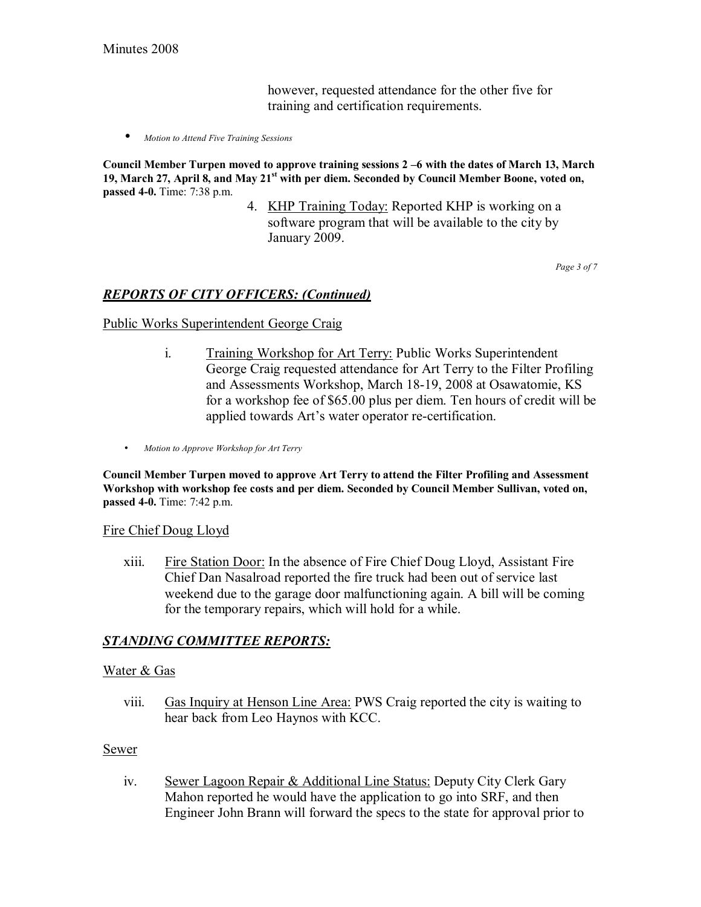however, requested attendance for the other five for training and certification requirements.

• *Motion to Attend Five Training Sessions*

Council Member Turpen moved to approve training sessions 2 -6 with the dates of March 13, March **19, March 27, April 8, and May 21st with per diem. Seconded by Council Member Boone, voted on, passed 4-0.** Time: 7:38 p.m.

> 4. KHP Training Today: Reported KHP is working on a software program that will be available to the city by January 2009.

> > *Page 3 of 7*

#### *REPORTS OF CITY OFFICERS: (Continued)*

Public Works Superintendent George Craig

- i. Training Workshop for Art Terry: Public Works Superintendent George Craig requested attendance for Art Terry to the Filter Profiling and Assessments Workshop, March 18-19, 2008 at Osawatomie, KS for a workshop fee of \$65.00 plus per diem. Ten hours of credit will be applied towards Art's water operator re-certification.
- *Motion to Approve Workshop for Art Terry*

**Council Member Turpen moved to approve Art Terry to attend the Filter Profiling and Assessment Workshop with workshop fee costs and per diem. Seconded by Council Member Sullivan, voted on, passed 4-0.** Time: 7:42 p.m.

#### Fire Chief Doug Lloyd

xiii. Fire Station Door: In the absence of Fire Chief Doug Lloyd, Assistant Fire Chief Dan Nasalroad reported the fire truck had been out of service last weekend due to the garage door malfunctioning again. A bill will be coming for the temporary repairs, which will hold for a while.

#### *STANDING COMMITTEE REPORTS:*

#### Water & Gas

viii. Gas Inquiry at Henson Line Area: PWS Craig reported the city is waiting to hear back from Leo Haynos with KCC.

#### Sewer

iv. Sewer Lagoon Repair & Additional Line Status: Deputy City Clerk Gary Mahon reported he would have the application to go into SRF, and then Engineer John Brann will forward the specs to the state for approval prior to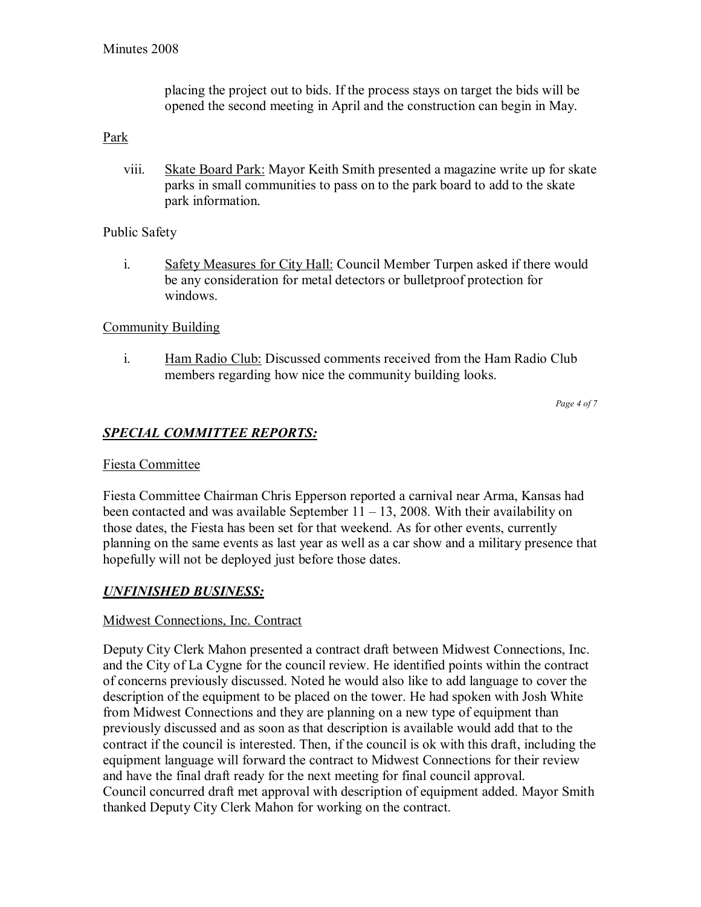placing the project out to bids. If the process stays on target the bids will be opened the second meeting in April and the construction can begin in May.

### Park

viii. Skate Board Park: Mayor Keith Smith presented a magazine write up for skate parks in small communities to pass on to the park board to add to the skate park information.

## Public Safety

i. Safety Measures for City Hall: Council Member Turpen asked if there would be any consideration for metal detectors or bulletproof protection for windows.

## Community Building

i. Ham Radio Club: Discussed comments received from the Ham Radio Club members regarding how nice the community building looks.

*Page 4 of 7* 

# *SPECIAL COMMITTEE REPORTS:*

### Fiesta Committee

Fiesta Committee Chairman Chris Epperson reported a carnival near Arma, Kansas had been contacted and was available September  $11 - 13$ , 2008. With their availability on those dates, the Fiesta has been set for that weekend. As for other events, currently planning on the same events as last year as well as a car show and a military presence that hopefully will not be deployed just before those dates.

### *UNFINISHED BUSINESS:*

### Midwest Connections, Inc. Contract

Deputy City Clerk Mahon presented a contract draft between Midwest Connections, Inc. and the City of La Cygne for the council review. He identified points within the contract of concerns previously discussed. Noted he would also like to add language to cover the description of the equipment to be placed on the tower. He had spoken with Josh White from Midwest Connections and they are planning on a new type of equipment than previously discussed and as soon as that description is available would add that to the contract if the council is interested. Then, if the council is ok with this draft, including the equipment language will forward the contract to Midwest Connections for their review and have the final draft ready for the next meeting for final council approval. Council concurred draft met approval with description of equipment added. Mayor Smith thanked Deputy City Clerk Mahon for working on the contract.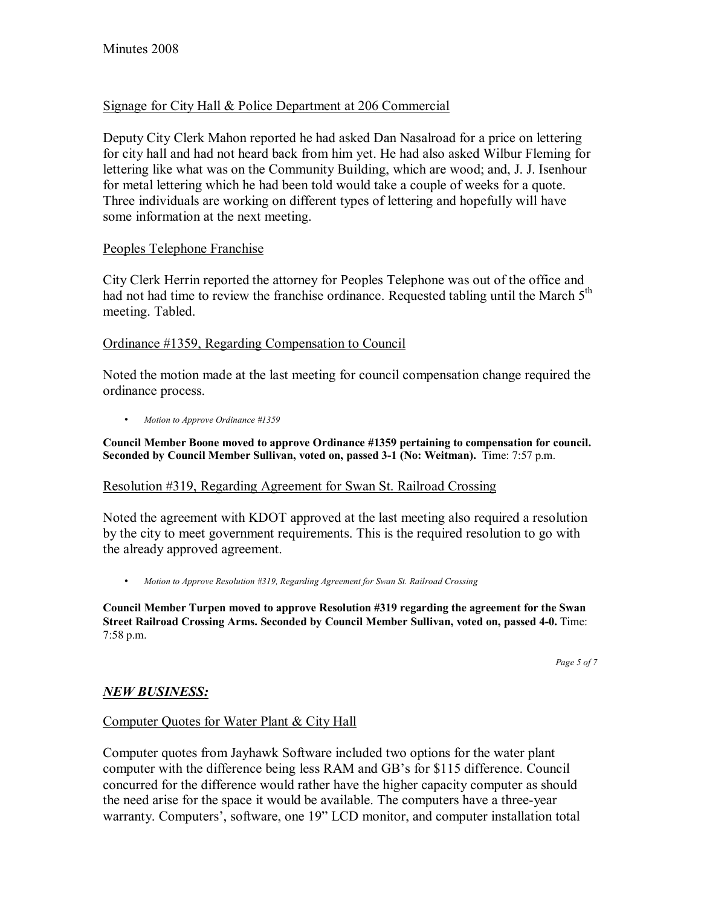## Signage for City Hall & Police Department at 206 Commercial

Deputy City Clerk Mahon reported he had asked Dan Nasalroad for a price on lettering for city hall and had not heard back from him yet. He had also asked Wilbur Fleming for lettering like what was on the Community Building, which are wood; and, J. J. Isenhour for metal lettering which he had been told would take a couple of weeks for a quote. Three individuals are working on different types of lettering and hopefully will have some information at the next meeting.

#### Peoples Telephone Franchise

City Clerk Herrin reported the attorney for Peoples Telephone was out of the office and had not had time to review the franchise ordinance. Requested tabling until the March 5<sup>th</sup> meeting. Tabled.

#### Ordinance #1359, Regarding Compensation to Council

Noted the motion made at the last meeting for council compensation change required the ordinance process.

• *Motion to Approve Ordinance #1359*

**Council Member Boone moved to approve Ordinance #1359 pertaining to compensation for council. Seconded by Council Member Sullivan, voted on, passed 3-1 (No: Weitman).** Time: 7:57 p.m.

### Resolution #319, Regarding Agreement for Swan St. Railroad Crossing

Noted the agreement with KDOT approved at the last meeting also required a resolution by the city to meet government requirements. This is the required resolution to go with the already approved agreement.

• *Motion to Approve Resolution #319, Regarding Agreement for Swan St. Railroad Crossing*

**Council Member Turpen moved to approve Resolution #319 regarding the agreement for the Swan Street Railroad Crossing Arms. Seconded by Council Member Sullivan, voted on, passed 4-0.** Time: 7:58 p.m.

*Page 5 of 7* 

### *NEW BUSINESS:*

### Computer Quotes for Water Plant & City Hall

Computer quotes from Jayhawk Software included two options for the water plant computer with the difference being less RAM and GB's for \$115 difference. Council concurred for the difference would rather have the higher capacity computer as should the need arise for the space it would be available. The computers have a three-year warranty. Computers', software, one 19" LCD monitor, and computer installation total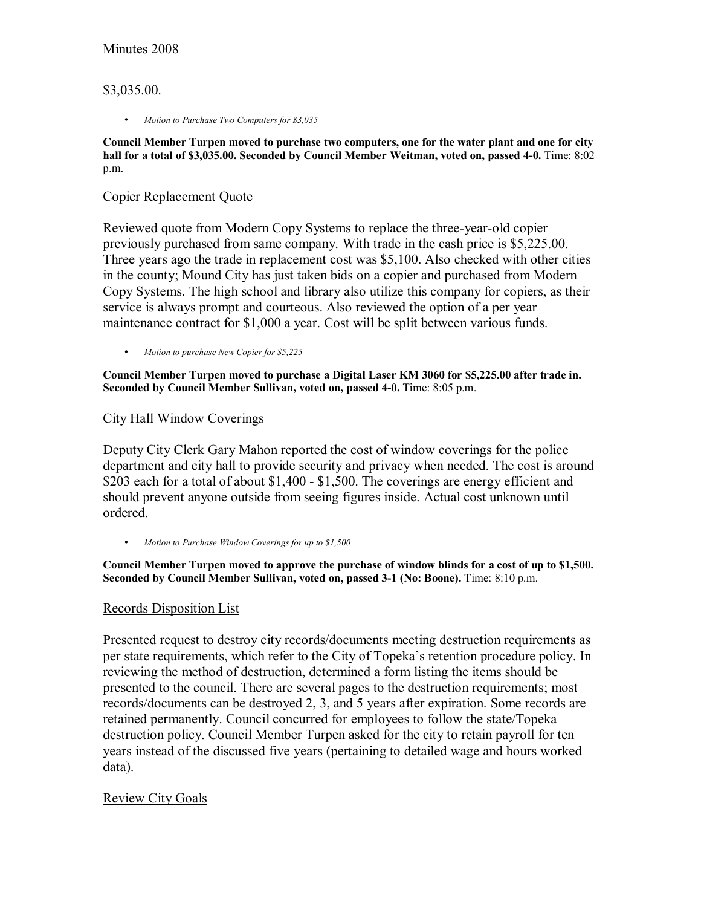### \$3,035.00.

• *Motion to Purchase Two Computers for \$3,035*

**Council Member Turpen moved to purchase two computers, one for the water plant and one for city**  hall for a total of \$3,035.00. Seconded by Council Member Weitman, voted on, passed 4-0. Time: 8:02 p.m.

#### Copier Replacement Quote

Reviewed quote from Modern Copy Systems to replace the three-year-old copier previously purchased from same company. With trade in the cash price is \$5,225.00. Three years ago the trade in replacement cost was \$5,100. Also checked with other cities in the county; Mound City has just taken bids on a copier and purchased from Modern Copy Systems. The high school and library also utilize this company for copiers, as their service is always prompt and courteous. Also reviewed the option of a per year maintenance contract for \$1,000 a year. Cost will be split between various funds.

• *Motion to purchase New Copier for \$5,225*

**Council Member Turpen moved to purchase a Digital Laser KM 3060 for \$5,225.00 after trade in. Seconded by Council Member Sullivan, voted on, passed 4-0.** Time: 8:05 p.m.

#### City Hall Window Coverings

Deputy City Clerk Gary Mahon reported the cost of window coverings for the police department and city hall to provide security and privacy when needed. The cost is around \$203 each for a total of about \$1,400 - \$1,500. The coverings are energy efficient and should prevent anyone outside from seeing figures inside. Actual cost unknown until ordered.

• *Motion to Purchase Window Coverings for up to \$1,500*

**Council Member Turpen moved to approve the purchase of window blinds for a cost of up to \$1,500. Seconded by Council Member Sullivan, voted on, passed 3-1 (No: Boone).** Time: 8:10 p.m.

### Records Disposition List

Presented request to destroy city records/documents meeting destruction requirements as per state requirements, which refer to the City of Topeka's retention procedure policy. In reviewing the method of destruction, determined a form listing the items should be presented to the council. There are several pages to the destruction requirements; most records/documents can be destroyed 2, 3, and 5 years after expiration. Some records are retained permanently. Council concurred for employees to follow the state/Topeka destruction policy. Council Member Turpen asked for the city to retain payroll for ten years instead of the discussed five years (pertaining to detailed wage and hours worked data).

### Review City Goals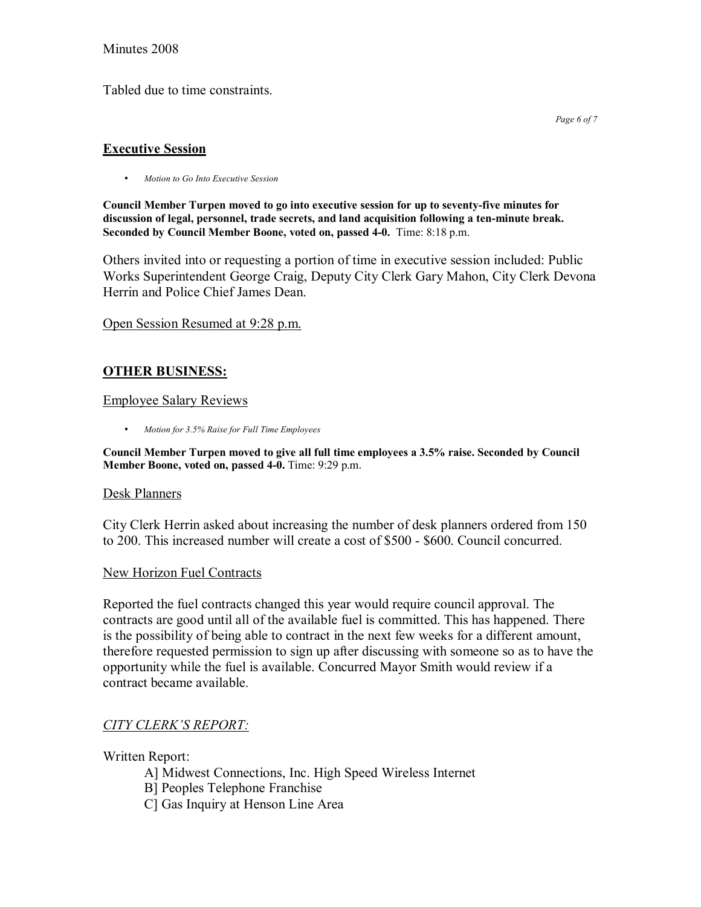#### Minutes 2008

Tabled due to time constraints.

#### **Executive Session**

• *Motion to Go Into Executive Session* 

**Council Member Turpen moved to go into executive session for up to seventy-five minutes for discussion of legal, personnel, trade secrets, and land acquisition following a ten-minute break. Seconded by Council Member Boone, voted on, passed 4-0.** Time: 8:18 p.m.

Others invited into or requesting a portion of time in executive session included: Public Works Superintendent George Craig, Deputy City Clerk Gary Mahon, City Clerk Devona Herrin and Police Chief James Dean.

Open Session Resumed at 9:28 p.m.

## **OTHER BUSINESS:**

#### Employee Salary Reviews

• *Motion for 3.5% Raise for Full Time Employees*

**Council Member Turpen moved to give all full time employees a 3.5% raise. Seconded by Council Member Boone, voted on, passed 4-0.** Time: 9:29 p.m.

#### Desk Planners

City Clerk Herrin asked about increasing the number of desk planners ordered from 150 to 200. This increased number will create a cost of \$500 - \$600. Council concurred.

#### New Horizon Fuel Contracts

Reported the fuel contracts changed this year would require council approval. The contracts are good until all of the available fuel is committed. This has happened. There is the possibility of being able to contract in the next few weeks for a different amount, therefore requested permission to sign up after discussing with someone so as to have the opportunity while the fuel is available. Concurred Mayor Smith would review if a contract became available.

### **CITY CLERK'S REPORT:**

Written Report:

- A] Midwest Connections, Inc. High Speed Wireless Internet
- B] Peoples Telephone Franchise
- C] Gas Inquiry at Henson Line Area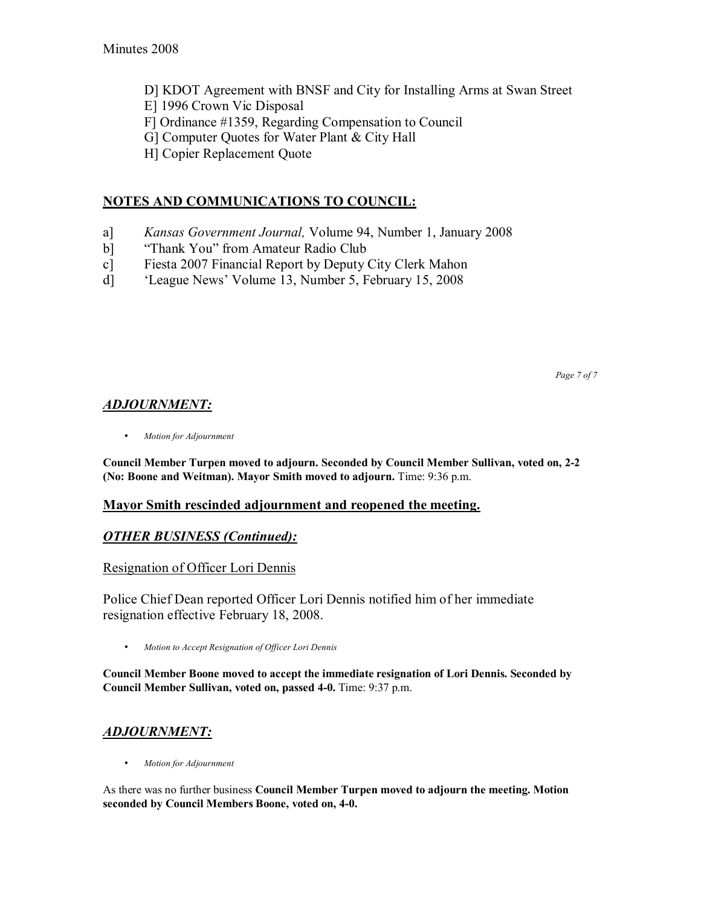- D] KDOT Agreement with BNSF and City for Installing Arms at Swan Street
- E] 1996 Crown Vic Disposal
- F] Ordinance #1359, Regarding Compensation to Council
- G] Computer Quotes for Water Plant & City Hall
- H] Copier Replacement Quote

## **NOTES AND COMMUNICATIONS TO COUNCIL:**

- a] *Kansas Government Journal,* Volume 94, Number 1, January 2008
- b] "Thank You" from Amateur Radio Club
- c] Fiesta 2007 Financial Report by Deputy City Clerk Mahon
- d] ëLeague Newsí Volume 13, Number 5, February 15, 2008

*Page 7 of 7* 

## *ADJOURNMENT:*

• *Motion for Adjournment*

**Council Member Turpen moved to adjourn. Seconded by Council Member Sullivan, voted on, 2-2 (No: Boone and Weitman). Mayor Smith moved to adjourn.** Time: 9:36 p.m.

### **Mayor Smith rescinded adjournment and reopened the meeting.**

### *OTHER BUSINESS (Continued):*

#### Resignation of Officer Lori Dennis

Police Chief Dean reported Officer Lori Dennis notified him of her immediate resignation effective February 18, 2008.

• *Motion to Accept Resignation of Officer Lori Dennis* 

**Council Member Boone moved to accept the immediate resignation of Lori Dennis. Seconded by Council Member Sullivan, voted on, passed 4-0.** Time: 9:37 p.m.

### *ADJOURNMENT:*

• *Motion for Adjournment*

As there was no further business **Council Member Turpen moved to adjourn the meeting. Motion seconded by Council Members Boone, voted on, 4-0.**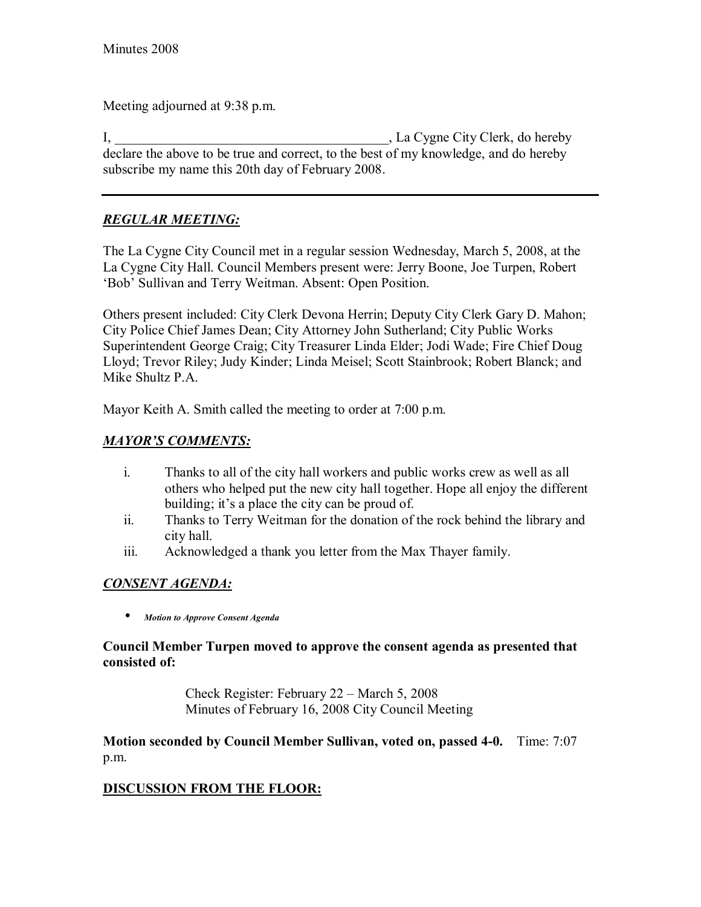Meeting adjourned at 9:38 p.m.

I, \_\_\_\_\_\_\_\_\_\_\_\_\_\_\_\_\_\_\_\_\_\_\_\_\_\_\_\_\_\_\_\_\_\_\_\_\_\_\_\_, La Cygne City Clerk, do hereby declare the above to be true and correct, to the best of my knowledge, and do hereby subscribe my name this 20th day of February 2008.

# *REGULAR MEETING:*

The La Cygne City Council met in a regular session Wednesday, March 5, 2008, at the La Cygne City Hall. Council Members present were: Jerry Boone, Joe Turpen, Robert ëBobí Sullivan and Terry Weitman. Absent: Open Position.

Others present included: City Clerk Devona Herrin; Deputy City Clerk Gary D. Mahon; City Police Chief James Dean; City Attorney John Sutherland; City Public Works Superintendent George Craig; City Treasurer Linda Elder; Jodi Wade; Fire Chief Doug Lloyd; Trevor Riley; Judy Kinder; Linda Meisel; Scott Stainbrook; Robert Blanck; and Mike Shultz P.A.

Mayor Keith A. Smith called the meeting to order at 7:00 p.m.

## *MAYORíS COMMENTS:*

- i. Thanks to all of the city hall workers and public works crew as well as all others who helped put the new city hall together. Hope all enjoy the different building; it's a place the city can be proud of.
- ii. Thanks to Terry Weitman for the donation of the rock behind the library and city hall.
- iii. Acknowledged a thank you letter from the Max Thayer family.

## *CONSENT AGENDA:*

• *Motion to Approve Consent Agenda* 

## **Council Member Turpen moved to approve the consent agenda as presented that consisted of:**

Check Register: February  $22 - March\ 5, 2008$ Minutes of February 16, 2008 City Council Meeting

**Motion seconded by Council Member Sullivan, voted on, passed 4-0.** Time: 7:07 p.m.

# **DISCUSSION FROM THE FLOOR:**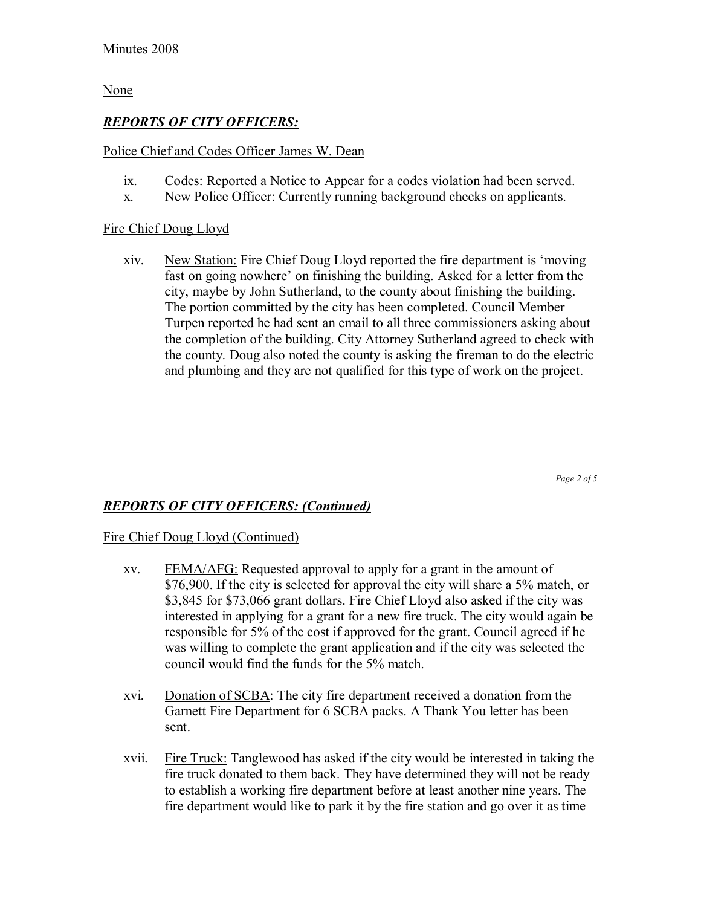### None

## *REPORTS OF CITY OFFICERS:*

## Police Chief and Codes Officer James W. Dean

- ix. Codes: Reported a Notice to Appear for a codes violation had been served.
- x. New Police Officer: Currently running background checks on applicants.

### Fire Chief Doug Lloyd

xiv. New Station: Fire Chief Doug Lloyd reported the fire department is ëmoving fast on going nowhere' on finishing the building. Asked for a letter from the city, maybe by John Sutherland, to the county about finishing the building. The portion committed by the city has been completed. Council Member Turpen reported he had sent an email to all three commissioners asking about the completion of the building. City Attorney Sutherland agreed to check with the county. Doug also noted the county is asking the fireman to do the electric and plumbing and they are not qualified for this type of work on the project.

*Page 2 of 5* 

## *REPORTS OF CITY OFFICERS: (Continued)*

### Fire Chief Doug Lloyd (Continued)

- xv. FEMA/AFG: Requested approval to apply for a grant in the amount of \$76,900. If the city is selected for approval the city will share a 5% match, or \$3,845 for \$73,066 grant dollars. Fire Chief Lloyd also asked if the city was interested in applying for a grant for a new fire truck. The city would again be responsible for 5% of the cost if approved for the grant. Council agreed if he was willing to complete the grant application and if the city was selected the council would find the funds for the 5% match.
- xvi. Donation of SCBA: The city fire department received a donation from the Garnett Fire Department for 6 SCBA packs. A Thank You letter has been sent.
- xvii. Fire Truck: Tanglewood has asked if the city would be interested in taking the fire truck donated to them back. They have determined they will not be ready to establish a working fire department before at least another nine years. The fire department would like to park it by the fire station and go over it as time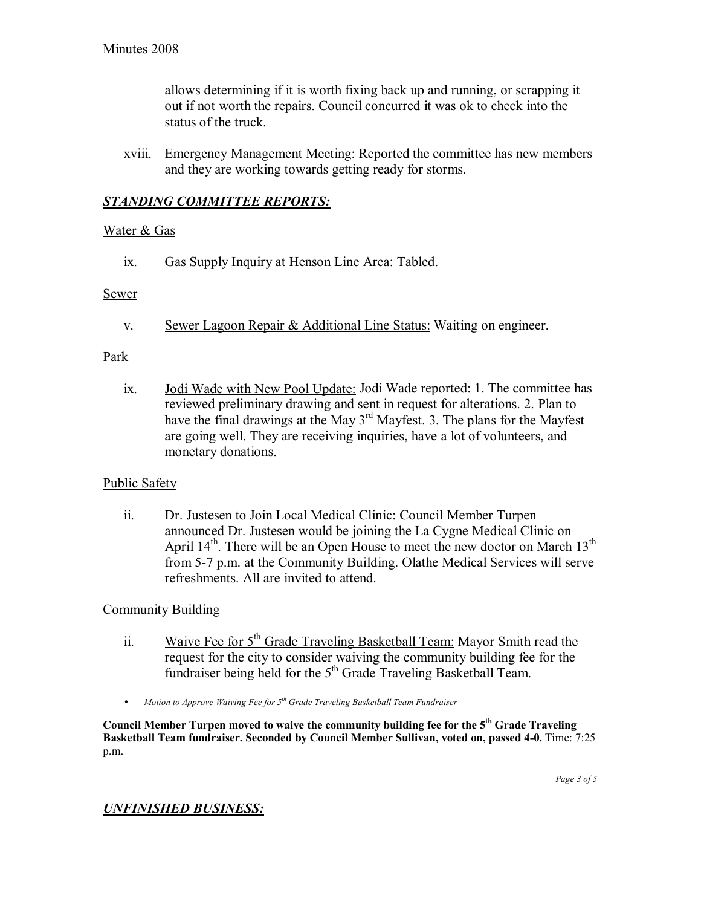allows determining if it is worth fixing back up and running, or scrapping it out if not worth the repairs. Council concurred it was ok to check into the status of the truck.

xviii. Emergency Management Meeting: Reported the committee has new members and they are working towards getting ready for storms.

## *STANDING COMMITTEE REPORTS:*

#### Water & Gas

ix. Gas Supply Inquiry at Henson Line Area: Tabled.

#### **Sewer**

v. Sewer Lagoon Repair & Additional Line Status: Waiting on engineer.

#### Park

ix. Jodi Wade with New Pool Update: Jodi Wade reported: 1. The committee has reviewed preliminary drawing and sent in request for alterations. 2. Plan to have the final drawings at the May 3<sup>rd</sup> Mayfest. 3. The plans for the Mayfest are going well. They are receiving inquiries, have a lot of volunteers, and monetary donations.

### Public Safety

ii. Dr. Justesen to Join Local Medical Clinic: Council Member Turpen announced Dr. Justesen would be joining the La Cygne Medical Clinic on April  $14<sup>th</sup>$ . There will be an Open House to meet the new doctor on March  $13<sup>th</sup>$ from 5-7 p.m. at the Community Building. Olathe Medical Services will serve refreshments. All are invited to attend.

### Community Building

- ii. Waive Fee for  $5<sup>th</sup>$  Grade Traveling Basketball Team: Mayor Smith read the request for the city to consider waiving the community building fee for the fundraiser being held for the 5<sup>th</sup> Grade Traveling Basketball Team.
- *Motion to Approve Waiving Fee for 5th Grade Traveling Basketball Team Fundraiser*

**Council Member Turpen moved to waive the community building fee for the 5th Grade Traveling Basketball Team fundraiser. Seconded by Council Member Sullivan, voted on, passed 4-0.** Time: 7:25 p.m.

### *UNFINISHED BUSINESS:*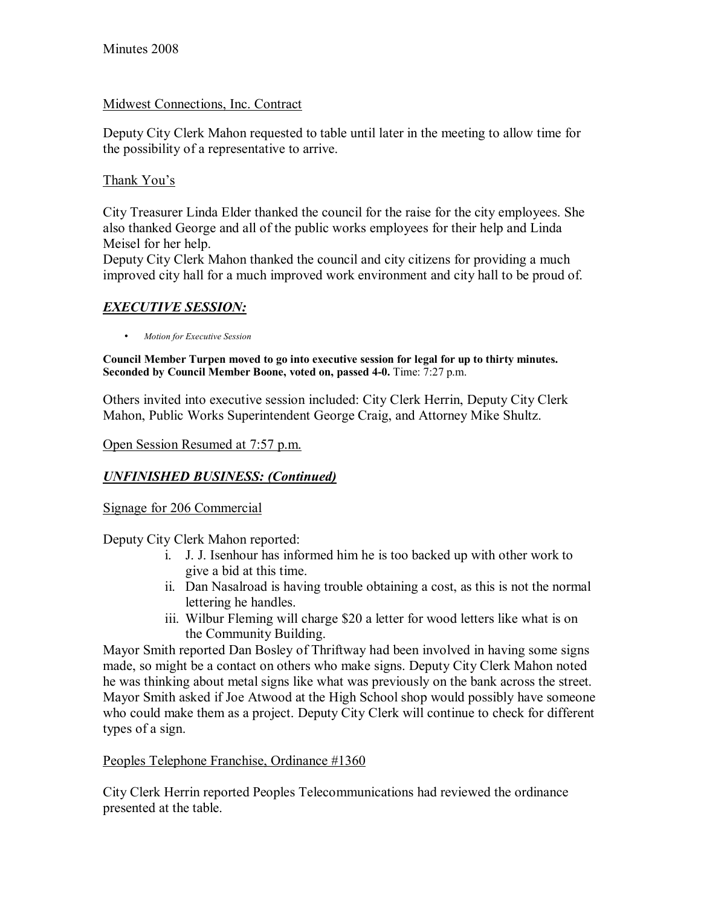# Midwest Connections, Inc. Contract

Deputy City Clerk Mahon requested to table until later in the meeting to allow time for the possibility of a representative to arrive.

# Thank You's

City Treasurer Linda Elder thanked the council for the raise for the city employees. She also thanked George and all of the public works employees for their help and Linda Meisel for her help.

Deputy City Clerk Mahon thanked the council and city citizens for providing a much improved city hall for a much improved work environment and city hall to be proud of.

# *EXECUTIVE SESSION:*

• *Motion for Executive Session*

**Council Member Turpen moved to go into executive session for legal for up to thirty minutes.**  Seconded by Council Member Boone, voted on, passed 4-0. Time: 7:27 p.m.

Others invited into executive session included: City Clerk Herrin, Deputy City Clerk Mahon, Public Works Superintendent George Craig, and Attorney Mike Shultz.

## Open Session Resumed at 7:57 p.m.

# *UNFINISHED BUSINESS: (Continued)*

# Signage for 206 Commercial

Deputy City Clerk Mahon reported:

- i. J. J. Isenhour has informed him he is too backed up with other work to give a bid at this time.
- ii. Dan Nasalroad is having trouble obtaining a cost, as this is not the normal lettering he handles.
- iii. Wilbur Fleming will charge \$20 a letter for wood letters like what is on the Community Building.

Mayor Smith reported Dan Bosley of Thriftway had been involved in having some signs made, so might be a contact on others who make signs. Deputy City Clerk Mahon noted he was thinking about metal signs like what was previously on the bank across the street. Mayor Smith asked if Joe Atwood at the High School shop would possibly have someone who could make them as a project. Deputy City Clerk will continue to check for different types of a sign.

## Peoples Telephone Franchise, Ordinance #1360

City Clerk Herrin reported Peoples Telecommunications had reviewed the ordinance presented at the table.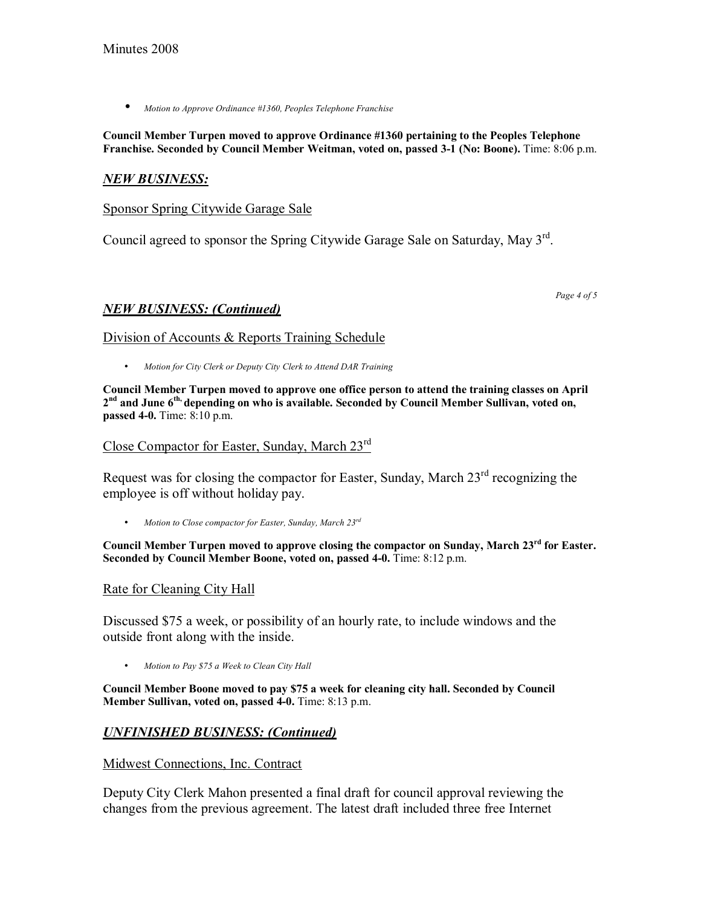• *Motion to Approve Ordinance #1360, Peoples Telephone Franchise*

#### **Council Member Turpen moved to approve Ordinance #1360 pertaining to the Peoples Telephone Franchise. Seconded by Council Member Weitman, voted on, passed 3-1 (No: Boone).** Time: 8:06 p.m.

## *NEW BUSINESS:*

Sponsor Spring Citywide Garage Sale

Council agreed to sponsor the Spring Citywide Garage Sale on Saturday, May 3rd.

*NEW BUSINESS: (Continued)*

Division of Accounts & Reports Training Schedule

• *Motion for City Clerk or Deputy City Clerk to Attend DAR Training*

**Council Member Turpen moved to approve one office person to attend the training classes on April 2nd and June 6th, depending on who is available. Seconded by Council Member Sullivan, voted on, passed 4-0.** Time: 8:10 p.m.

Close Compactor for Easter, Sunday, March 23rd

Request was for closing the compactor for Easter, Sunday, March  $23<sup>rd</sup>$  recognizing the employee is off without holiday pay.

• *Motion to Close compactor for Easter, Sunday, March 23rd*

**Council Member Turpen moved to approve closing the compactor on Sunday, March 23rd for Easter. Seconded by Council Member Boone, voted on, passed 4-0.** Time: 8:12 p.m.

#### Rate for Cleaning City Hall

Discussed \$75 a week, or possibility of an hourly rate, to include windows and the outside front along with the inside.

• *Motion to Pay \$75 a Week to Clean City Hall* 

**Council Member Boone moved to pay \$75 a week for cleaning city hall. Seconded by Council Member Sullivan, voted on, passed 4-0.** Time: 8:13 p.m.

## *UNFINISHED BUSINESS: (Continued)*

#### Midwest Connections, Inc. Contract

Deputy City Clerk Mahon presented a final draft for council approval reviewing the changes from the previous agreement. The latest draft included three free Internet

*Page 4 of 5*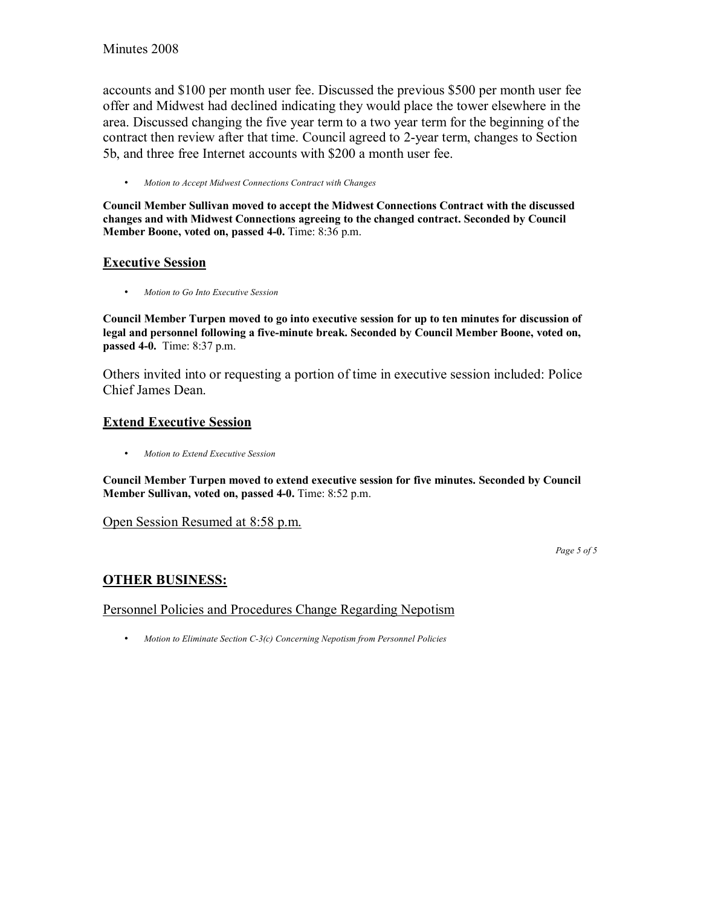accounts and \$100 per month user fee. Discussed the previous \$500 per month user fee offer and Midwest had declined indicating they would place the tower elsewhere in the area. Discussed changing the five year term to a two year term for the beginning of the contract then review after that time. Council agreed to 2-year term, changes to Section 5b, and three free Internet accounts with \$200 a month user fee.

• *Motion to Accept Midwest Connections Contract with Changes* 

**Council Member Sullivan moved to accept the Midwest Connections Contract with the discussed changes and with Midwest Connections agreeing to the changed contract. Seconded by Council Member Boone, voted on, passed 4-0.** Time: 8:36 p.m.

### **Executive Session**

• *Motion to Go Into Executive Session* 

**Council Member Turpen moved to go into executive session for up to ten minutes for discussion of legal and personnel following a five-minute break. Seconded by Council Member Boone, voted on, passed 4-0.** Time: 8:37 p.m.

Others invited into or requesting a portion of time in executive session included: Police Chief James Dean.

### **Extend Executive Session**

• *Motion to Extend Executive Session*

**Council Member Turpen moved to extend executive session for five minutes. Seconded by Council Member Sullivan, voted on, passed 4-0.** Time: 8:52 p.m.

#### Open Session Resumed at 8:58 p.m.

*Page 5 of 5* 

# **OTHER BUSINESS:**

Personnel Policies and Procedures Change Regarding Nepotism

• *Motion to Eliminate Section C-3(c) Concerning Nepotism from Personnel Policies*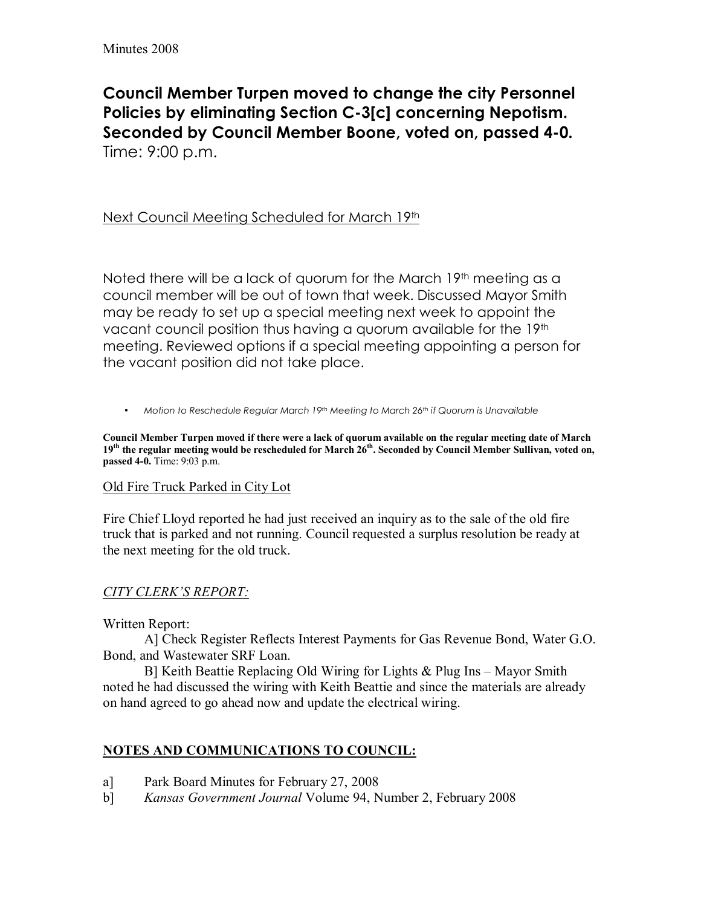**Council Member Turpen moved to change the city Personnel Policies by eliminating Section C-3[c] concerning Nepotism. Seconded by Council Member Boone, voted on, passed 4-0.**  Time: 9:00 p.m.

# Next Council Meeting Scheduled for March 19th

Noted there will be a lack of quorum for the March  $19<sup>th</sup>$  meeting as a council member will be out of town that week. Discussed Mayor Smith may be ready to set up a special meeting next week to appoint the vacant council position thus having a quorum available for the 19th meeting. Reviewed options if a special meeting appointing a person for the vacant position did not take place.

• *Motion to Reschedule Regular March 19th Meeting to March 26th if Quorum is Unavailable* 

**Council Member Turpen moved if there were a lack of quorum available on the regular meeting date of March**  19<sup>th</sup> the regular meeting would be rescheduled for March 26<sup>th</sup>. Seconded by Council Member Sullivan, voted on, **passed 4-0.** Time: 9:03 p.m.

## Old Fire Truck Parked in City Lot

Fire Chief Lloyd reported he had just received an inquiry as to the sale of the old fire truck that is parked and not running. Council requested a surplus resolution be ready at the next meeting for the old truck.

# *CITY CLERKíS REPORT:*

Written Report:

 A] Check Register Reflects Interest Payments for Gas Revenue Bond, Water G.O. Bond, and Wastewater SRF Loan.

B] Keith Beattie Replacing Old Wiring for Lights  $&$  Plug Ins – Mayor Smith noted he had discussed the wiring with Keith Beattie and since the materials are already on hand agreed to go ahead now and update the electrical wiring.

# **NOTES AND COMMUNICATIONS TO COUNCIL:**

- a] Park Board Minutes for February 27, 2008
- b] *Kansas Government Journal* Volume 94, Number 2, February 2008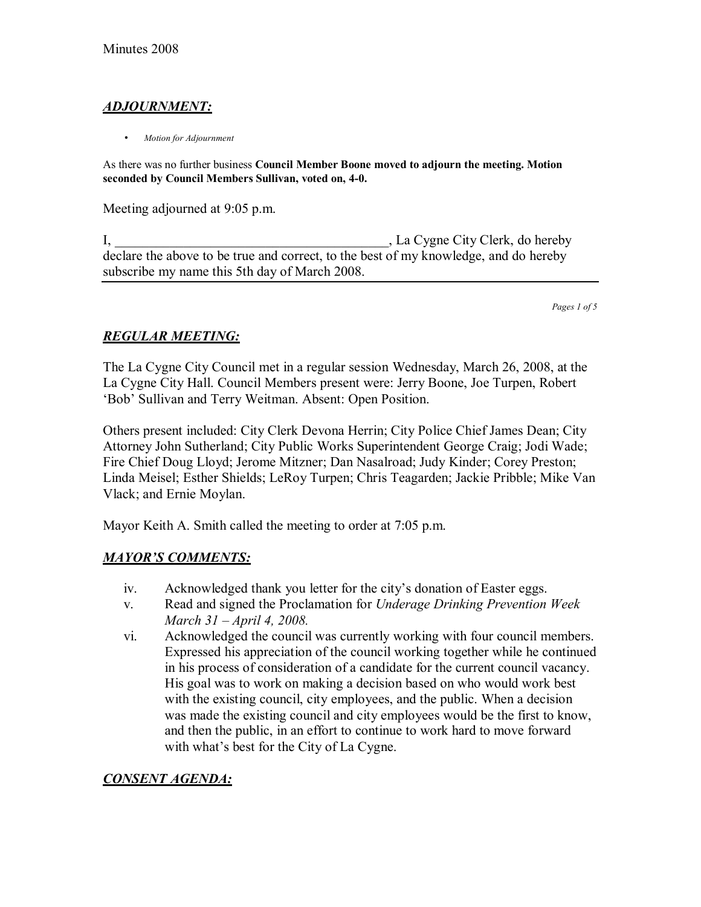# *ADJOURNMENT:*

• *Motion for Adjournment*

As there was no further business **Council Member Boone moved to adjourn the meeting. Motion seconded by Council Members Sullivan, voted on, 4-0.**

Meeting adjourned at 9:05 p.m.

I, La Cygne City Clerk, do hereby declare the above to be true and correct, to the best of my knowledge, and do hereby subscribe my name this 5th day of March 2008.

*Pages 1 of 5*

# *REGULAR MEETING:*

The La Cygne City Council met in a regular session Wednesday, March 26, 2008, at the La Cygne City Hall. Council Members present were: Jerry Boone, Joe Turpen, Robert ëBobí Sullivan and Terry Weitman. Absent: Open Position.

Others present included: City Clerk Devona Herrin; City Police Chief James Dean; City Attorney John Sutherland; City Public Works Superintendent George Craig; Jodi Wade; Fire Chief Doug Lloyd; Jerome Mitzner; Dan Nasalroad; Judy Kinder; Corey Preston; Linda Meisel; Esther Shields; LeRoy Turpen; Chris Teagarden; Jackie Pribble; Mike Van Vlack; and Ernie Moylan.

Mayor Keith A. Smith called the meeting to order at 7:05 p.m.

# *MAYORíS COMMENTS:*

- iv. Acknowledged thank you letter for the city's donation of Easter eggs.
- v. Read and signed the Proclamation for *Underage Drinking Prevention Week March 31 – April 4, 2008.*
- vi. Acknowledged the council was currently working with four council members. Expressed his appreciation of the council working together while he continued in his process of consideration of a candidate for the current council vacancy. His goal was to work on making a decision based on who would work best with the existing council, city employees, and the public. When a decision was made the existing council and city employees would be the first to know, and then the public, in an effort to continue to work hard to move forward with what's best for the City of La Cygne.

# *CONSENT AGENDA:*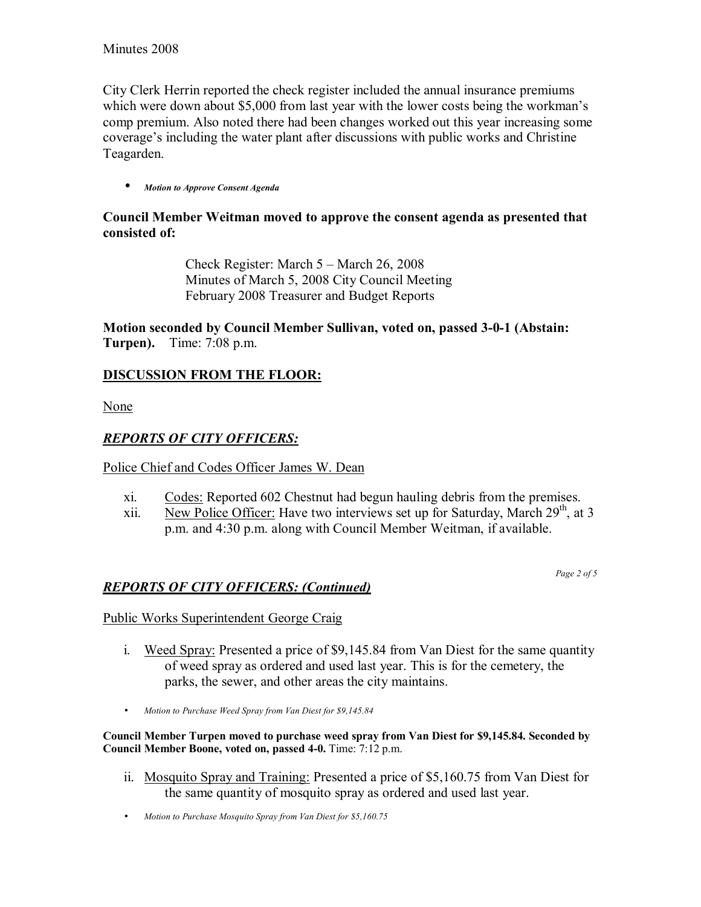City Clerk Herrin reported the check register included the annual insurance premiums which were down about \$5,000 from last year with the lower costs being the workman's comp premium. Also noted there had been changes worked out this year increasing some coverage's including the water plant after discussions with public works and Christine Teagarden.

#### • *Motion to Approve Consent Agenda*

## **Council Member Weitman moved to approve the consent agenda as presented that consisted of:**

Check Register: March  $5 -$  March 26, 2008 Minutes of March 5, 2008 City Council Meeting February 2008 Treasurer and Budget Reports

**Motion seconded by Council Member Sullivan, voted on, passed 3-0-1 (Abstain: Turpen).** Time: 7:08 p.m.

### **DISCUSSION FROM THE FLOOR:**

None

### *REPORTS OF CITY OFFICERS:*

Police Chief and Codes Officer James W. Dean

- xi. Codes: Reported 602 Chestnut had begun hauling debris from the premises.
- xii. New Police Officer: Have two interviews set up for Saturday, March  $29<sup>th</sup>$ , at 3 p.m. and 4:30 p.m. along with Council Member Weitman, if available.

*Page 2 of 5* 

## *REPORTS OF CITY OFFICERS: (Continued)*

Public Works Superintendent George Craig

- i. Weed Spray: Presented a price of \$9,145.84 from Van Diest for the same quantity of weed spray as ordered and used last year. This is for the cemetery, the parks, the sewer, and other areas the city maintains.
- *Motion to Purchase Weed Spray from Van Diest for \$9,145.84*

**Council Member Turpen moved to purchase weed spray from Van Diest for \$9,145.84. Seconded by Council Member Boone, voted on, passed 4-0.** Time: 7:12 p.m.

- ii. Mosquito Spray and Training: Presented a price of \$5,160.75 from Van Diest for the same quantity of mosquito spray as ordered and used last year.
- *Motion to Purchase Mosquito Spray from Van Diest for \$5,160.75*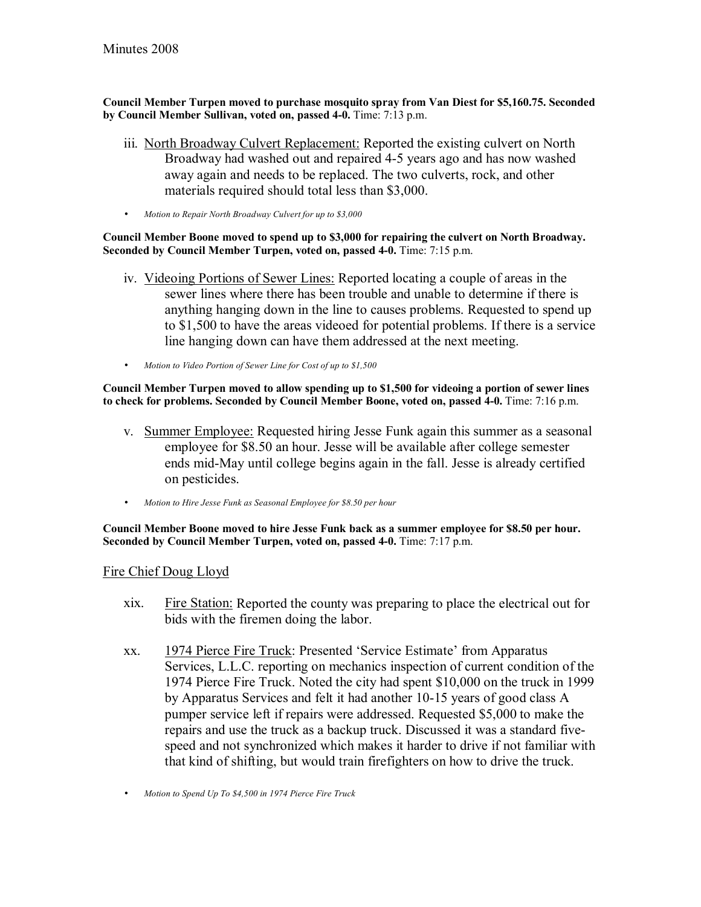**Council Member Turpen moved to purchase mosquito spray from Van Diest for \$5,160.75. Seconded by Council Member Sullivan, voted on, passed 4-0.** Time: 7:13 p.m.

- iii. North Broadway Culvert Replacement: Reported the existing culvert on North Broadway had washed out and repaired 4-5 years ago and has now washed away again and needs to be replaced. The two culverts, rock, and other materials required should total less than \$3,000.
- *Motion to Repair North Broadway Culvert for up to \$3,000*

#### **Council Member Boone moved to spend up to \$3,000 for repairing the culvert on North Broadway. Seconded by Council Member Turpen, voted on, passed 4-0.** Time: 7:15 p.m.

- iv. Videoing Portions of Sewer Lines: Reported locating a couple of areas in the sewer lines where there has been trouble and unable to determine if there is anything hanging down in the line to causes problems. Requested to spend up to \$1,500 to have the areas videoed for potential problems. If there is a service line hanging down can have them addressed at the next meeting.
- *Motion to Video Portion of Sewer Line for Cost of up to \$1,500*

#### **Council Member Turpen moved to allow spending up to \$1,500 for videoing a portion of sewer lines to check for problems. Seconded by Council Member Boone, voted on, passed 4-0.** Time: 7:16 p.m.

- v. Summer Employee: Requested hiring Jesse Funk again this summer as a seasonal employee for \$8.50 an hour. Jesse will be available after college semester ends mid-May until college begins again in the fall. Jesse is already certified on pesticides.
- *Motion to Hire Jesse Funk as Seasonal Employee for \$8.50 per hour*

#### **Council Member Boone moved to hire Jesse Funk back as a summer employee for \$8.50 per hour. Seconded by Council Member Turpen, voted on, passed 4-0.** Time: 7:17 p.m.

#### Fire Chief Doug Lloyd

- xix. Fire Station: Reported the county was preparing to place the electrical out for bids with the firemen doing the labor.
- xx. 1974 Pierce Fire Truck: Presented 'Service Estimate' from Apparatus Services, L.L.C. reporting on mechanics inspection of current condition of the 1974 Pierce Fire Truck. Noted the city had spent \$10,000 on the truck in 1999 by Apparatus Services and felt it had another 10-15 years of good class A pumper service left if repairs were addressed. Requested \$5,000 to make the repairs and use the truck as a backup truck. Discussed it was a standard fivespeed and not synchronized which makes it harder to drive if not familiar with that kind of shifting, but would train firefighters on how to drive the truck.
- *Motion to Spend Up To \$4,500 in 1974 Pierce Fire Truck*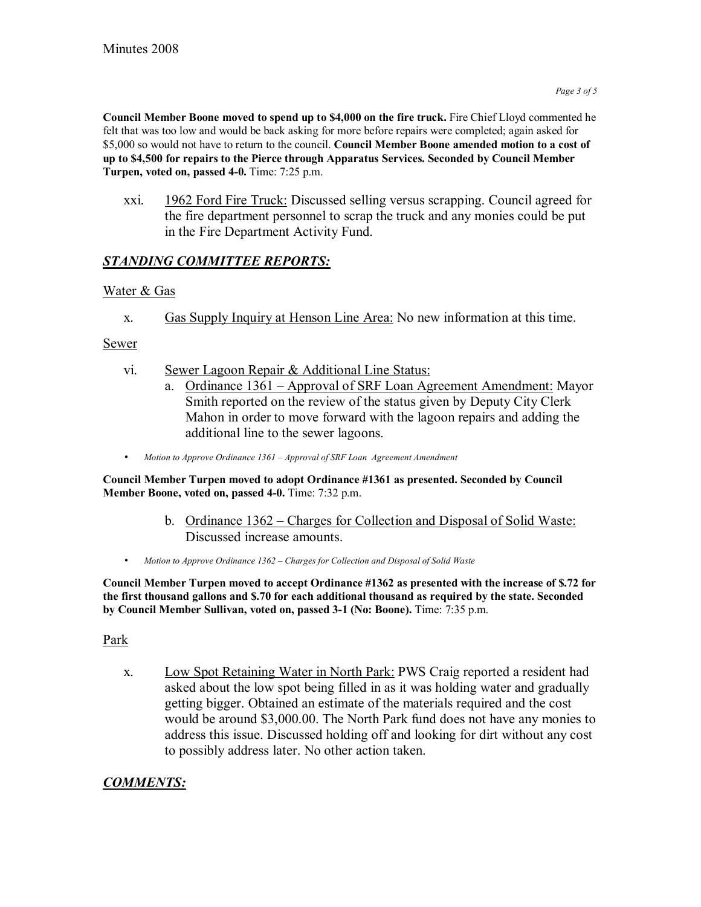**Council Member Boone moved to spend up to \$4,000 on the fire truck.** Fire Chief Lloyd commented he felt that was too low and would be back asking for more before repairs were completed; again asked for \$5,000 so would not have to return to the council. **Council Member Boone amended motion to a cost of up to \$4,500 for repairs to the Pierce through Apparatus Services. Seconded by Council Member Turpen, voted on, passed 4-0.** Time: 7:25 p.m.

xxi. 1962 Ford Fire Truck: Discussed selling versus scrapping. Council agreed for the fire department personnel to scrap the truck and any monies could be put in the Fire Department Activity Fund.

# *STANDING COMMITTEE REPORTS:*

# Water & Gas

x. Gas Supply Inquiry at Henson Line Area: No new information at this time.

Sewer

- vi. Sewer Lagoon Repair & Additional Line Status:
	- a. Ordinance 1361 Approval of SRF Loan Agreement Amendment: Mayor Smith reported on the review of the status given by Deputy City Clerk Mahon in order to move forward with the lagoon repairs and adding the additional line to the sewer lagoons.
- *Motion to Approve Ordinance 1361 Approval of SRF Loan Agreement Amendment*

**Council Member Turpen moved to adopt Ordinance #1361 as presented. Seconded by Council Member Boone, voted on, passed 4-0.** Time: 7:32 p.m.

- b. Ordinance 1362 Charges for Collection and Disposal of Solid Waste: Discussed increase amounts.
- Motion to Approve Ordinance 1362 Charges for Collection and Disposal of Solid Waste

**Council Member Turpen moved to accept Ordinance #1362 as presented with the increase of \$.72 for the first thousand gallons and \$.70 for each additional thousand as required by the state. Seconded by Council Member Sullivan, voted on, passed 3-1 (No: Boone).** Time: 7:35 p.m.

## Park

x. Low Spot Retaining Water in North Park: PWS Craig reported a resident had asked about the low spot being filled in as it was holding water and gradually getting bigger. Obtained an estimate of the materials required and the cost would be around \$3,000.00. The North Park fund does not have any monies to address this issue. Discussed holding off and looking for dirt without any cost to possibly address later. No other action taken.

# *COMMENTS:*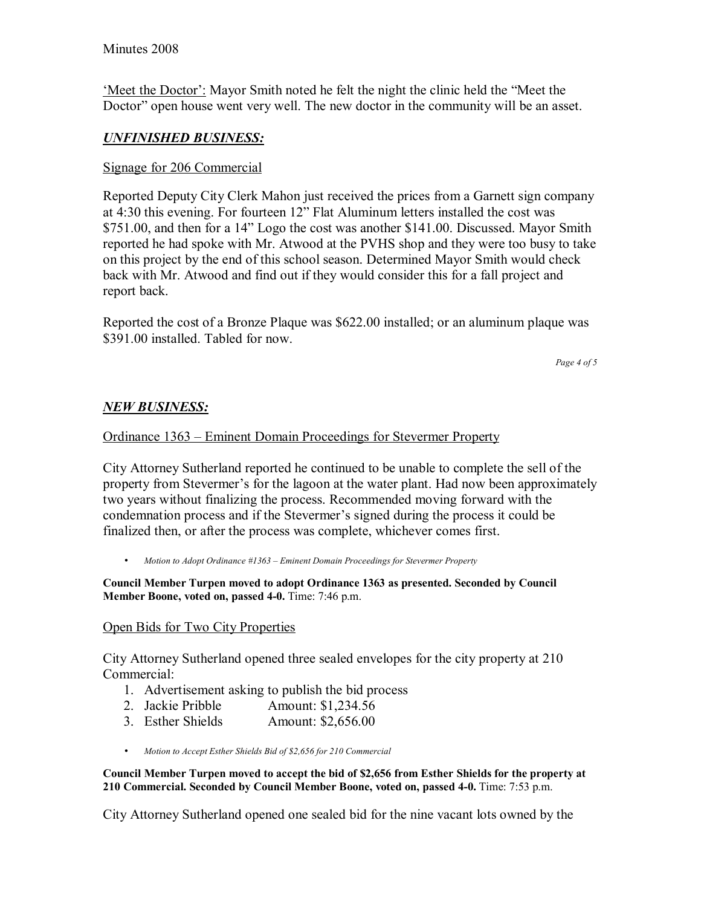'Meet the Doctor': Mayor Smith noted he felt the night the clinic held the "Meet the Doctor" open house went very well. The new doctor in the community will be an asset.

# *UNFINISHED BUSINESS:*

## Signage for 206 Commercial

Reported Deputy City Clerk Mahon just received the prices from a Garnett sign company at 4:30 this evening. For fourteen 12" Flat Aluminum letters installed the cost was \$751.00, and then for a 14" Logo the cost was another \$141.00. Discussed. Mayor Smith reported he had spoke with Mr. Atwood at the PVHS shop and they were too busy to take on this project by the end of this school season. Determined Mayor Smith would check back with Mr. Atwood and find out if they would consider this for a fall project and report back.

Reported the cost of a Bronze Plaque was \$622.00 installed; or an aluminum plaque was \$391.00 installed. Tabled for now.

*Page 4 of 5*

## *NEW BUSINESS:*

### Ordinance 1363 – Eminent Domain Proceedings for Stevermer Property

City Attorney Sutherland reported he continued to be unable to complete the sell of the property from Stevermer's for the lagoon at the water plant. Had now been approximately two years without finalizing the process. Recommended moving forward with the condemnation process and if the Stevermer's signed during the process it could be finalized then, or after the process was complete, whichever comes first.

*Motion to Adopt Ordinance #1363 – Eminent Domain Proceedings for Stevermer Property* 

**Council Member Turpen moved to adopt Ordinance 1363 as presented. Seconded by Council Member Boone, voted on, passed 4-0.** Time: 7:46 p.m.

#### Open Bids for Two City Properties

City Attorney Sutherland opened three sealed envelopes for the city property at 210 Commercial:

- 1. Advertisement asking to publish the bid process
- 2. Jackie Pribble Amount: \$1,234.56
- 3. Esther Shields Amount: \$2,656.00
- *Motion to Accept Esther Shields Bid of \$2,656 for 210 Commercial*

**Council Member Turpen moved to accept the bid of \$2,656 from Esther Shields for the property at 210 Commercial. Seconded by Council Member Boone, voted on, passed 4-0.** Time: 7:53 p.m.

City Attorney Sutherland opened one sealed bid for the nine vacant lots owned by the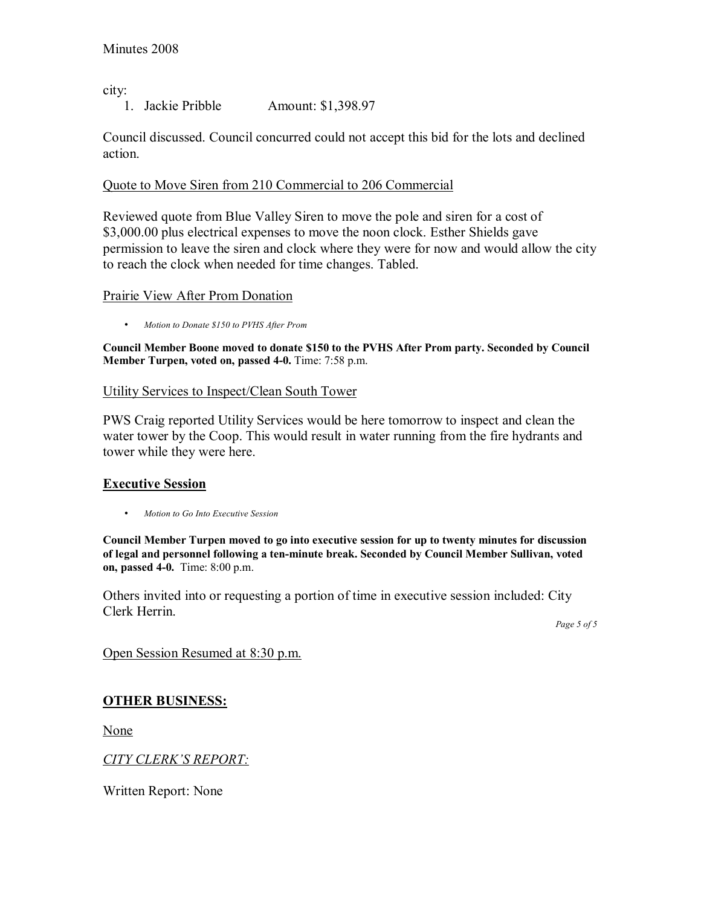city:

1. Jackie Pribble Amount: \$1,398.97

Council discussed. Council concurred could not accept this bid for the lots and declined action.

### Quote to Move Siren from 210 Commercial to 206 Commercial

Reviewed quote from Blue Valley Siren to move the pole and siren for a cost of \$3,000.00 plus electrical expenses to move the noon clock. Esther Shields gave permission to leave the siren and clock where they were for now and would allow the city to reach the clock when needed for time changes. Tabled.

#### Prairie View After Prom Donation

• *Motion to Donate \$150 to PVHS After Prom* 

**Council Member Boone moved to donate \$150 to the PVHS After Prom party. Seconded by Council Member Turpen, voted on, passed 4-0.** Time: 7:58 p.m.

### Utility Services to Inspect/Clean South Tower

PWS Craig reported Utility Services would be here tomorrow to inspect and clean the water tower by the Coop. This would result in water running from the fire hydrants and tower while they were here.

## **Executive Session**

• *Motion to Go Into Executive Session* 

**Council Member Turpen moved to go into executive session for up to twenty minutes for discussion of legal and personnel following a ten-minute break. Seconded by Council Member Sullivan, voted on, passed 4-0.** Time: 8:00 p.m.

Others invited into or requesting a portion of time in executive session included: City Clerk Herrin.

*Page 5 of 5* 

Open Session Resumed at 8:30 p.m.

# **OTHER BUSINESS:**

None

## **CITY CLERK'S REPORT:**

Written Report: None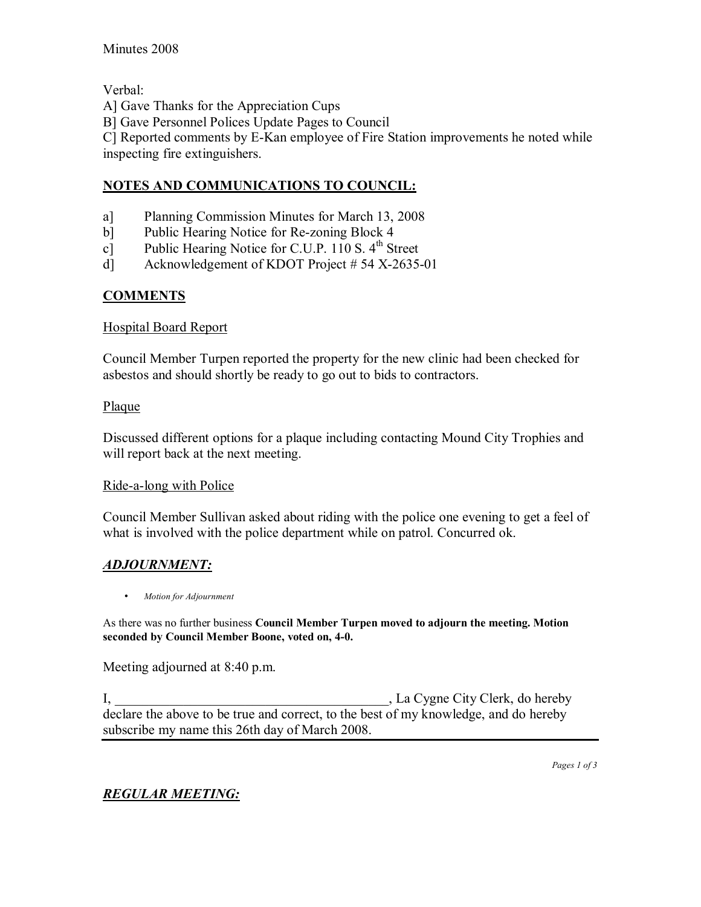Verbal:

A] Gave Thanks for the Appreciation Cups

B] Gave Personnel Polices Update Pages to Council

C] Reported comments by E-Kan employee of Fire Station improvements he noted while inspecting fire extinguishers.

# **NOTES AND COMMUNICATIONS TO COUNCIL:**

- a] Planning Commission Minutes for March 13, 2008
- b] Public Hearing Notice for Re-zoning Block 4
- c] Public Hearing Notice for C.U.P. 110 S.  $4<sup>th</sup>$  Street
- d] Acknowledgement of KDOT Project # 54 X-2635-01

# **COMMENTS**

## Hospital Board Report

Council Member Turpen reported the property for the new clinic had been checked for asbestos and should shortly be ready to go out to bids to contractors.

# Plaque

Discussed different options for a plaque including contacting Mound City Trophies and will report back at the next meeting.

## Ride-a-long with Police

Council Member Sullivan asked about riding with the police one evening to get a feel of what is involved with the police department while on patrol. Concurred ok.

# *ADJOURNMENT:*

• *Motion for Adjournment*

As there was no further business **Council Member Turpen moved to adjourn the meeting. Motion seconded by Council Member Boone, voted on, 4-0.**

Meeting adjourned at 8:40 p.m.

I, La Cygne City Clerk, do hereby declare the above to be true and correct, to the best of my knowledge, and do hereby subscribe my name this 26th day of March 2008.

*Pages 1 of 3*

# *REGULAR MEETING:*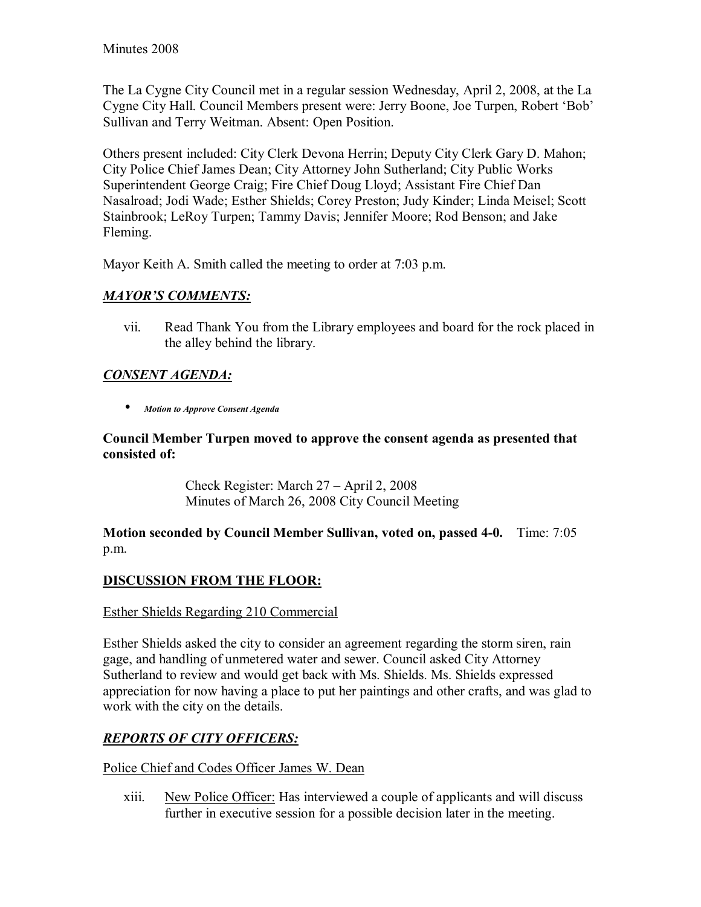The La Cygne City Council met in a regular session Wednesday, April 2, 2008, at the La Cygne City Hall. Council Members present were: Jerry Boone, Joe Turpen, Robert 'Bob' Sullivan and Terry Weitman. Absent: Open Position.

Others present included: City Clerk Devona Herrin; Deputy City Clerk Gary D. Mahon; City Police Chief James Dean; City Attorney John Sutherland; City Public Works Superintendent George Craig; Fire Chief Doug Lloyd; Assistant Fire Chief Dan Nasalroad; Jodi Wade; Esther Shields; Corey Preston; Judy Kinder; Linda Meisel; Scott Stainbrook; LeRoy Turpen; Tammy Davis; Jennifer Moore; Rod Benson; and Jake Fleming.

Mayor Keith A. Smith called the meeting to order at 7:03 p.m.

# **MAYOR'S COMMENTS:**

vii. Read Thank You from the Library employees and board for the rock placed in the alley behind the library.

# *CONSENT AGENDA:*

• *Motion to Approve Consent Agenda* 

# **Council Member Turpen moved to approve the consent agenda as presented that consisted of:**

Check Register: March  $27 -$ April 2, 2008 Minutes of March 26, 2008 City Council Meeting

**Motion seconded by Council Member Sullivan, voted on, passed 4-0.** Time: 7:05 p.m.

# **DISCUSSION FROM THE FLOOR:**

# Esther Shields Regarding 210 Commercial

Esther Shields asked the city to consider an agreement regarding the storm siren, rain gage, and handling of unmetered water and sewer. Council asked City Attorney Sutherland to review and would get back with Ms. Shields. Ms. Shields expressed appreciation for now having a place to put her paintings and other crafts, and was glad to work with the city on the details.

# *REPORTS OF CITY OFFICERS:*

## Police Chief and Codes Officer James W. Dean

xiii. New Police Officer: Has interviewed a couple of applicants and will discuss further in executive session for a possible decision later in the meeting.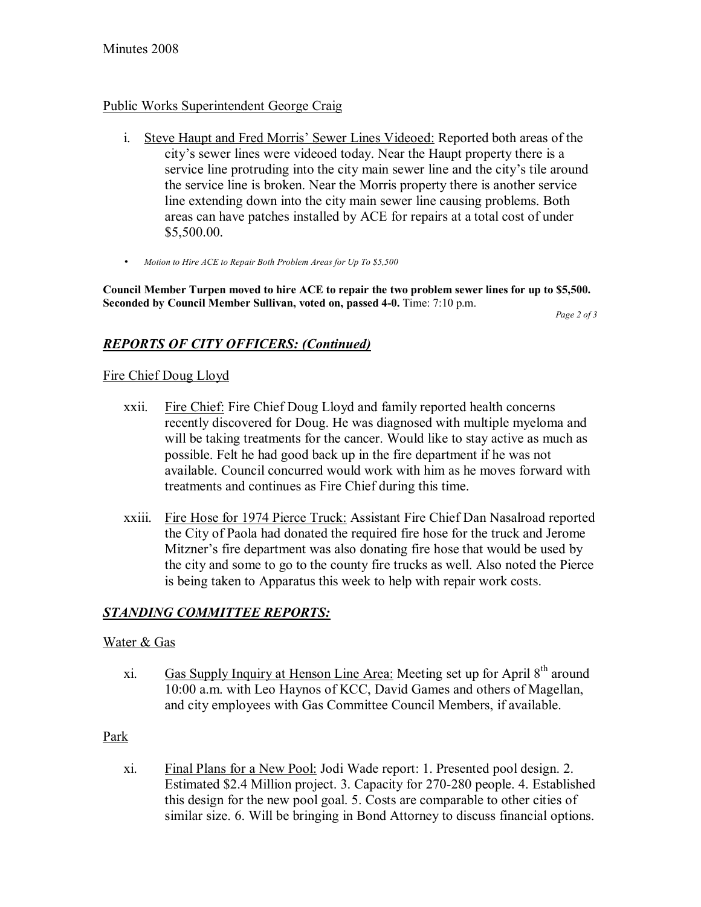# Public Works Superintendent George Craig

- i. Steve Haupt and Fred Morris' Sewer Lines Videoed: Reported both areas of the city's sewer lines were videoed today. Near the Haupt property there is a service line protruding into the city main sewer line and the city's tile around the service line is broken. Near the Morris property there is another service line extending down into the city main sewer line causing problems. Both areas can have patches installed by ACE for repairs at a total cost of under \$5,500.00.
- *Motion to Hire ACE to Repair Both Problem Areas for Up To \$5,500*

**Council Member Turpen moved to hire ACE to repair the two problem sewer lines for up to \$5,500. Seconded by Council Member Sullivan, voted on, passed 4-0.** Time: 7:10 p.m.

*Page 2 of 3* 

# *REPORTS OF CITY OFFICERS: (Continued)*

# Fire Chief Doug Lloyd

- xxii. Fire Chief: Fire Chief Doug Lloyd and family reported health concerns recently discovered for Doug. He was diagnosed with multiple myeloma and will be taking treatments for the cancer. Would like to stay active as much as possible. Felt he had good back up in the fire department if he was not available. Council concurred would work with him as he moves forward with treatments and continues as Fire Chief during this time.
- xxiii. Fire Hose for 1974 Pierce Truck: Assistant Fire Chief Dan Nasalroad reported the City of Paola had donated the required fire hose for the truck and Jerome Mitzner's fire department was also donating fire hose that would be used by the city and some to go to the county fire trucks as well. Also noted the Pierce is being taken to Apparatus this week to help with repair work costs.

# *STANDING COMMITTEE REPORTS:*

## Water & Gas

xi. Gas Supply Inquiry at Henson Line Area: Meeting set up for April  $8<sup>th</sup>$  around 10:00 a.m. with Leo Haynos of KCC, David Games and others of Magellan, and city employees with Gas Committee Council Members, if available.

## Park

xi. Final Plans for a New Pool: Jodi Wade report: 1. Presented pool design. 2. Estimated \$2.4 Million project. 3. Capacity for 270-280 people. 4. Established this design for the new pool goal. 5. Costs are comparable to other cities of similar size. 6. Will be bringing in Bond Attorney to discuss financial options.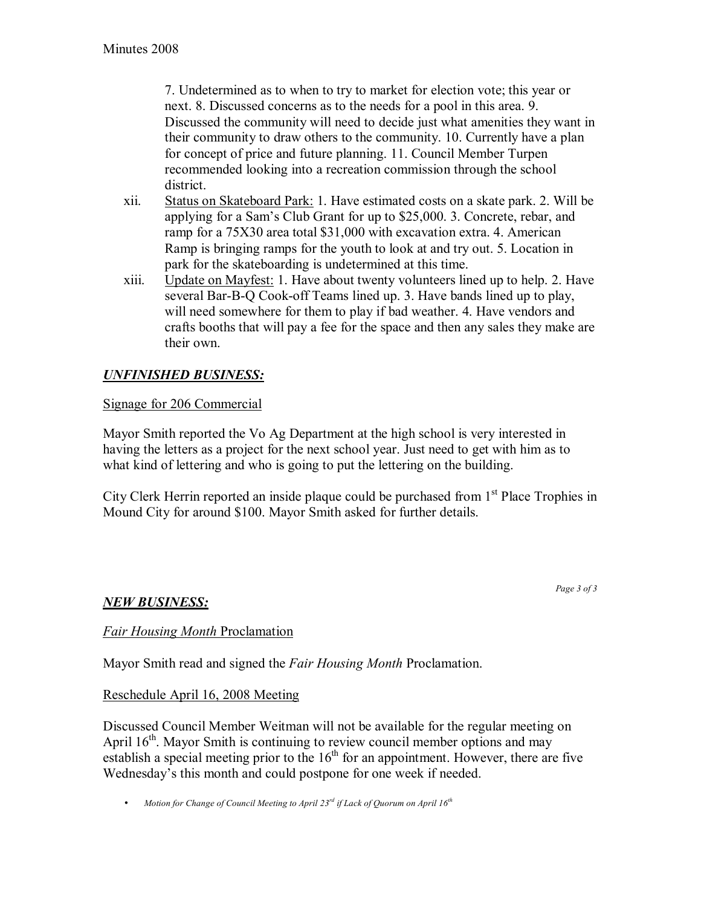7. Undetermined as to when to try to market for election vote; this year or next. 8. Discussed concerns as to the needs for a pool in this area. 9. Discussed the community will need to decide just what amenities they want in their community to draw others to the community. 10. Currently have a plan for concept of price and future planning. 11. Council Member Turpen recommended looking into a recreation commission through the school district.

- xii. Status on Skateboard Park: 1. Have estimated costs on a skate park. 2. Will be applying for a Sam's Club Grant for up to \$25,000. 3. Concrete, rebar, and ramp for a 75X30 area total \$31,000 with excavation extra. 4. American Ramp is bringing ramps for the youth to look at and try out. 5. Location in park for the skateboarding is undetermined at this time.
- xiii. Update on Mayfest: 1. Have about twenty volunteers lined up to help. 2. Have several Bar-B-Q Cook-off Teams lined up. 3. Have bands lined up to play, will need somewhere for them to play if bad weather. 4. Have vendors and crafts booths that will pay a fee for the space and then any sales they make are their own.

# *UNFINISHED BUSINESS:*

## Signage for 206 Commercial

Mayor Smith reported the Vo Ag Department at the high school is very interested in having the letters as a project for the next school year. Just need to get with him as to what kind of lettering and who is going to put the lettering on the building.

City Clerk Herrin reported an inside plaque could be purchased from  $1<sup>st</sup>$  Place Trophies in Mound City for around \$100. Mayor Smith asked for further details.

## *NEW BUSINESS:*

*Page 3 of 3* 

## *Fair Housing Month* Proclamation

Mayor Smith read and signed the *Fair Housing Month* Proclamation.

# Reschedule April 16, 2008 Meeting

Discussed Council Member Weitman will not be available for the regular meeting on April  $16<sup>th</sup>$ . Mayor Smith is continuing to review council member options and may establish a special meeting prior to the  $16<sup>th</sup>$  for an appointment. However, there are five Wednesday's this month and could postpone for one week if needed.

• *Motion for Change of Council Meeting to April 23rd if Lack of Quorum on April 16th*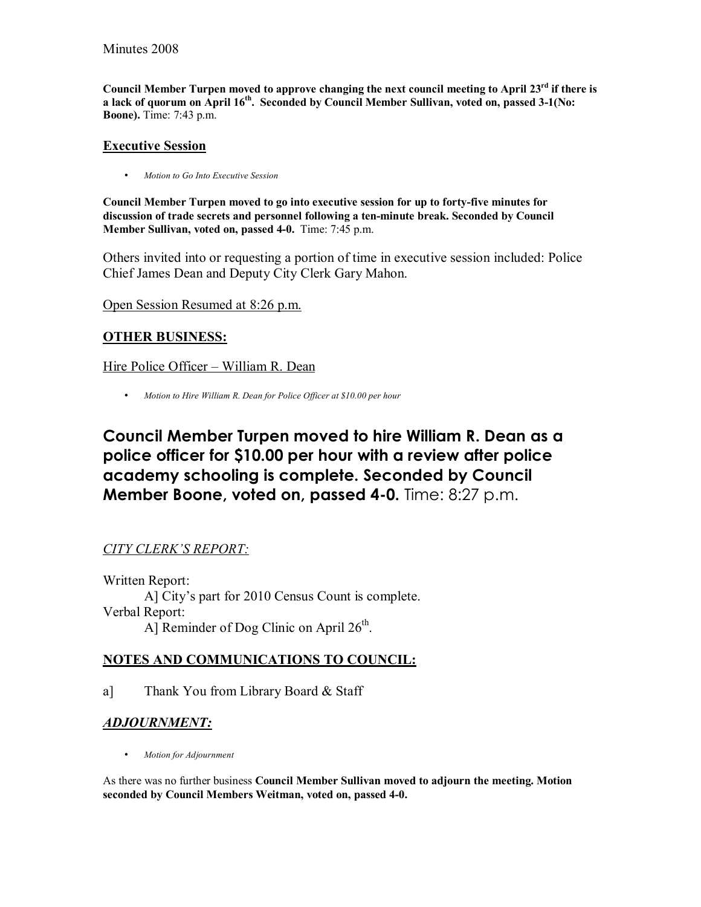Council Member Turpen moved to approve changing the next council meeting to April 23<sup>rd</sup> if there is a lack of quorum on April 16<sup>th</sup>. Seconded by Council Member Sullivan, voted on, passed 3-1(No: **Boone).** Time: 7:43 p.m.

### **Executive Session**

• *Motion to Go Into Executive Session* 

**Council Member Turpen moved to go into executive session for up to forty-five minutes for discussion of trade secrets and personnel following a ten-minute break. Seconded by Council Member Sullivan, voted on, passed 4-0.** Time: 7:45 p.m.

Others invited into or requesting a portion of time in executive session included: Police Chief James Dean and Deputy City Clerk Gary Mahon.

Open Session Resumed at 8:26 p.m.

# **OTHER BUSINESS:**

Hire Police Officer – William R. Dean

• *Motion to Hire William R. Dean for Police Officer at \$10.00 per hour*

**Council Member Turpen moved to hire William R. Dean as a police officer for \$10.00 per hour with a review after police academy schooling is complete. Seconded by Council Member Boone, voted on, passed 4-0.** Time: 8:27 p.m.

# **CITY CLERK'S REPORT:**

Written Report: A] City's part for 2010 Census Count is complete. Verbal Report: A] Reminder of Dog Clinic on April  $26<sup>th</sup>$ .

# **NOTES AND COMMUNICATIONS TO COUNCIL:**

a] Thank You from Library Board & Staff

# *ADJOURNMENT:*

• *Motion for Adjournment*

As there was no further business **Council Member Sullivan moved to adjourn the meeting. Motion seconded by Council Members Weitman, voted on, passed 4-0.**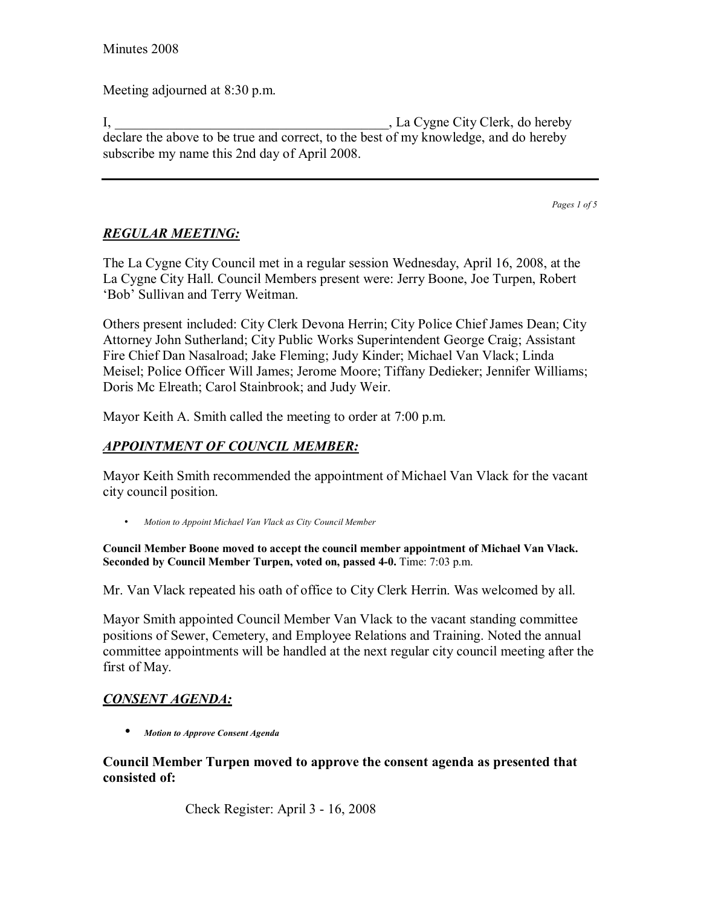Meeting adjourned at 8:30 p.m.

I, La Cygne City Clerk, do hereby declare the above to be true and correct, to the best of my knowledge, and do hereby subscribe my name this 2nd day of April 2008.

*Pages 1 of 5*

# *REGULAR MEETING:*

The La Cygne City Council met in a regular session Wednesday, April 16, 2008, at the La Cygne City Hall. Council Members present were: Jerry Boone, Joe Turpen, Robert 'Bob' Sullivan and Terry Weitman.

Others present included: City Clerk Devona Herrin; City Police Chief James Dean; City Attorney John Sutherland; City Public Works Superintendent George Craig; Assistant Fire Chief Dan Nasalroad; Jake Fleming; Judy Kinder; Michael Van Vlack; Linda Meisel; Police Officer Will James; Jerome Moore; Tiffany Dedieker; Jennifer Williams; Doris Mc Elreath; Carol Stainbrook; and Judy Weir.

Mayor Keith A. Smith called the meeting to order at 7:00 p.m.

# *APPOINTMENT OF COUNCIL MEMBER:*

Mayor Keith Smith recommended the appointment of Michael Van Vlack for the vacant city council position.

• *Motion to Appoint Michael Van Vlack as City Council Member*

**Council Member Boone moved to accept the council member appointment of Michael Van Vlack. Seconded by Council Member Turpen, voted on, passed 4-0.** Time: 7:03 p.m.

Mr. Van Vlack repeated his oath of office to City Clerk Herrin. Was welcomed by all.

Mayor Smith appointed Council Member Van Vlack to the vacant standing committee positions of Sewer, Cemetery, and Employee Relations and Training. Noted the annual committee appointments will be handled at the next regular city council meeting after the first of May.

# *CONSENT AGENDA:*

• *Motion to Approve Consent Agenda* 

**Council Member Turpen moved to approve the consent agenda as presented that consisted of:** 

Check Register: April 3 - 16, 2008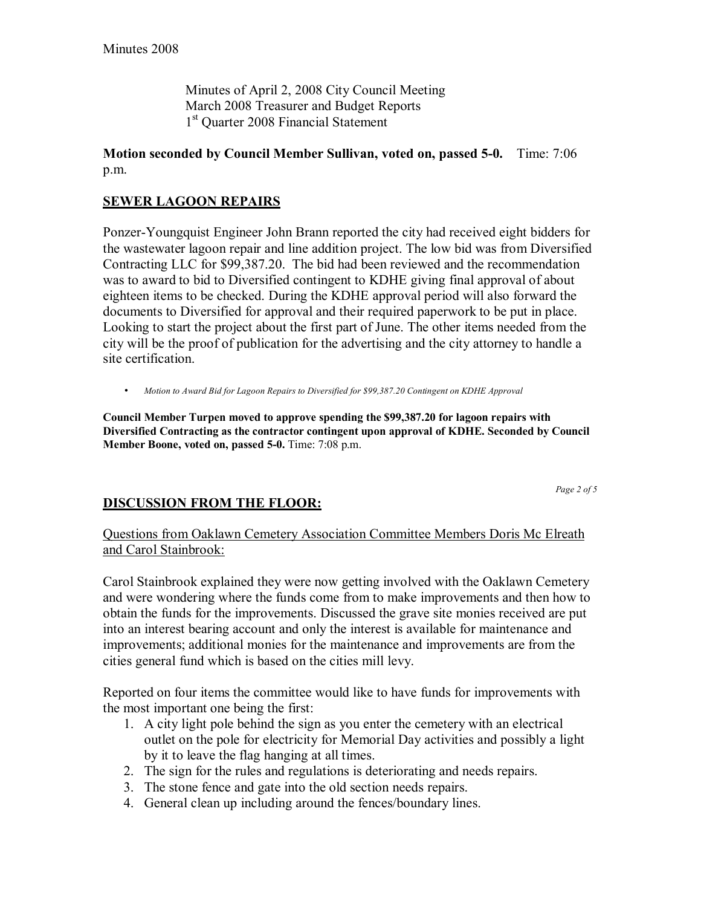Minutes of April 2, 2008 City Council Meeting March 2008 Treasurer and Budget Reports 1<sup>st</sup> Quarter 2008 Financial Statement

### **Motion seconded by Council Member Sullivan, voted on, passed 5-0.** Time: 7:06 p.m.

# **SEWER LAGOON REPAIRS**

Ponzer-Youngquist Engineer John Brann reported the city had received eight bidders for the wastewater lagoon repair and line addition project. The low bid was from Diversified Contracting LLC for \$99,387.20. The bid had been reviewed and the recommendation was to award to bid to Diversified contingent to KDHE giving final approval of about eighteen items to be checked. During the KDHE approval period will also forward the documents to Diversified for approval and their required paperwork to be put in place. Looking to start the project about the first part of June. The other items needed from the city will be the proof of publication for the advertising and the city attorney to handle a site certification.

• *Motion to Award Bid for Lagoon Repairs to Diversified for \$99,387.20 Contingent on KDHE Approval*

**Council Member Turpen moved to approve spending the \$99,387.20 for lagoon repairs with Diversified Contracting as the contractor contingent upon approval of KDHE. Seconded by Council Member Boone, voted on, passed 5-0.** Time: 7:08 p.m.

*Page 2 of 5* 

## **DISCUSSION FROM THE FLOOR:**

Questions from Oaklawn Cemetery Association Committee Members Doris Mc Elreath and Carol Stainbrook:

Carol Stainbrook explained they were now getting involved with the Oaklawn Cemetery and were wondering where the funds come from to make improvements and then how to obtain the funds for the improvements. Discussed the grave site monies received are put into an interest bearing account and only the interest is available for maintenance and improvements; additional monies for the maintenance and improvements are from the cities general fund which is based on the cities mill levy.

Reported on four items the committee would like to have funds for improvements with the most important one being the first:

- 1. A city light pole behind the sign as you enter the cemetery with an electrical outlet on the pole for electricity for Memorial Day activities and possibly a light by it to leave the flag hanging at all times.
- 2. The sign for the rules and regulations is deteriorating and needs repairs.
- 3. The stone fence and gate into the old section needs repairs.
- 4. General clean up including around the fences/boundary lines.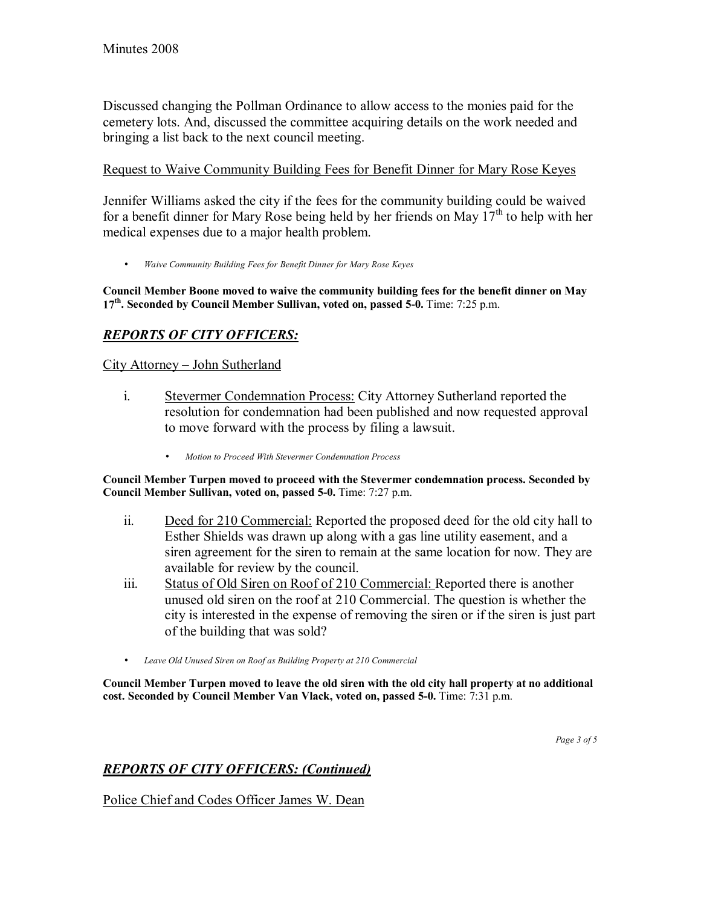Discussed changing the Pollman Ordinance to allow access to the monies paid for the cemetery lots. And, discussed the committee acquiring details on the work needed and bringing a list back to the next council meeting.

## Request to Waive Community Building Fees for Benefit Dinner for Mary Rose Keyes

Jennifer Williams asked the city if the fees for the community building could be waived for a benefit dinner for Mary Rose being held by her friends on May  $17<sup>th</sup>$  to help with her medical expenses due to a major health problem.

• *Waive Community Building Fees for Benefit Dinner for Mary Rose Keyes*

**Council Member Boone moved to waive the community building fees for the benefit dinner on May 17th. Seconded by Council Member Sullivan, voted on, passed 5-0.** Time: 7:25 p.m.

# *REPORTS OF CITY OFFICERS:*

# City Attorney - John Sutherland

- i. Stevermer Condemnation Process: City Attorney Sutherland reported the resolution for condemnation had been published and now requested approval to move forward with the process by filing a lawsuit.
	- *Motion to Proceed With Stevermer Condemnation Process*

**Council Member Turpen moved to proceed with the Stevermer condemnation process. Seconded by Council Member Sullivan, voted on, passed 5-0.** Time: 7:27 p.m.

- ii. Deed for 210 Commercial: Reported the proposed deed for the old city hall to Esther Shields was drawn up along with a gas line utility easement, and a siren agreement for the siren to remain at the same location for now. They are available for review by the council.
- iii. Status of Old Siren on Roof of 210 Commercial: Reported there is another unused old siren on the roof at 210 Commercial. The question is whether the city is interested in the expense of removing the siren or if the siren is just part of the building that was sold?
- *Leave Old Unused Siren on Roof as Building Property at 210 Commercial*

**Council Member Turpen moved to leave the old siren with the old city hall property at no additional cost. Seconded by Council Member Van Vlack, voted on, passed 5-0.** Time: 7:31 p.m.

# *REPORTS OF CITY OFFICERS: (Continued)*

Police Chief and Codes Officer James W. Dean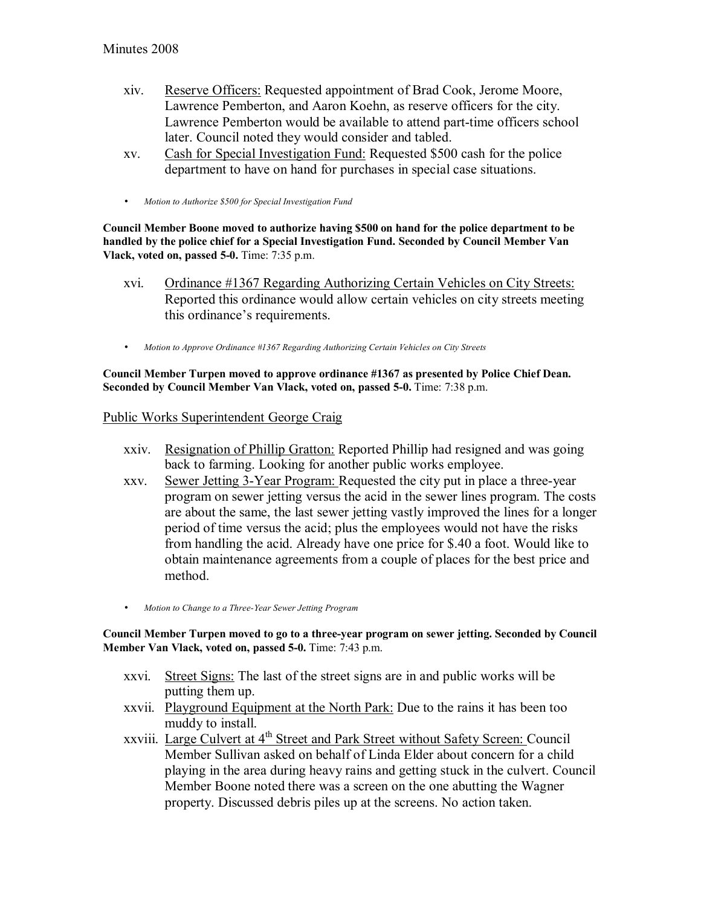- xiv. Reserve Officers: Requested appointment of Brad Cook, Jerome Moore, Lawrence Pemberton, and Aaron Koehn, as reserve officers for the city. Lawrence Pemberton would be available to attend part-time officers school later. Council noted they would consider and tabled.
- xv. Cash for Special Investigation Fund: Requested \$500 cash for the police department to have on hand for purchases in special case situations.
- *Motion to Authorize \$500 for Special Investigation Fund*

**Council Member Boone moved to authorize having \$500 on hand for the police department to be handled by the police chief for a Special Investigation Fund. Seconded by Council Member Van Vlack, voted on, passed 5-0.** Time: 7:35 p.m.

- xvi. Ordinance #1367 Regarding Authorizing Certain Vehicles on City Streets: Reported this ordinance would allow certain vehicles on city streets meeting this ordinance's requirements.
- *Motion to Approve Ordinance #1367 Regarding Authorizing Certain Vehicles on City Streets*

**Council Member Turpen moved to approve ordinance #1367 as presented by Police Chief Dean. Seconded by Council Member Van Vlack, voted on, passed 5-0.** Time: 7:38 p.m.

#### Public Works Superintendent George Craig

- xxiv. Resignation of Phillip Gratton: Reported Phillip had resigned and was going back to farming. Looking for another public works employee.
- xxv. Sewer Jetting 3-Year Program: Requested the city put in place a three-year program on sewer jetting versus the acid in the sewer lines program. The costs are about the same, the last sewer jetting vastly improved the lines for a longer period of time versus the acid; plus the employees would not have the risks from handling the acid. Already have one price for \$.40 a foot. Would like to obtain maintenance agreements from a couple of places for the best price and method.
- *Motion to Change to a Three-Year Sewer Jetting Program*

**Council Member Turpen moved to go to a three-year program on sewer jetting. Seconded by Council Member Van Vlack, voted on, passed 5-0.** Time: 7:43 p.m.

- xxvi. Street Signs: The last of the street signs are in and public works will be putting them up.
- xxvii. Playground Equipment at the North Park: Due to the rains it has been too muddy to install.
- xxviii. Large Culvert at 4<sup>th</sup> Street and Park Street without Safety Screen: Council Member Sullivan asked on behalf of Linda Elder about concern for a child playing in the area during heavy rains and getting stuck in the culvert. Council Member Boone noted there was a screen on the one abutting the Wagner property. Discussed debris piles up at the screens. No action taken.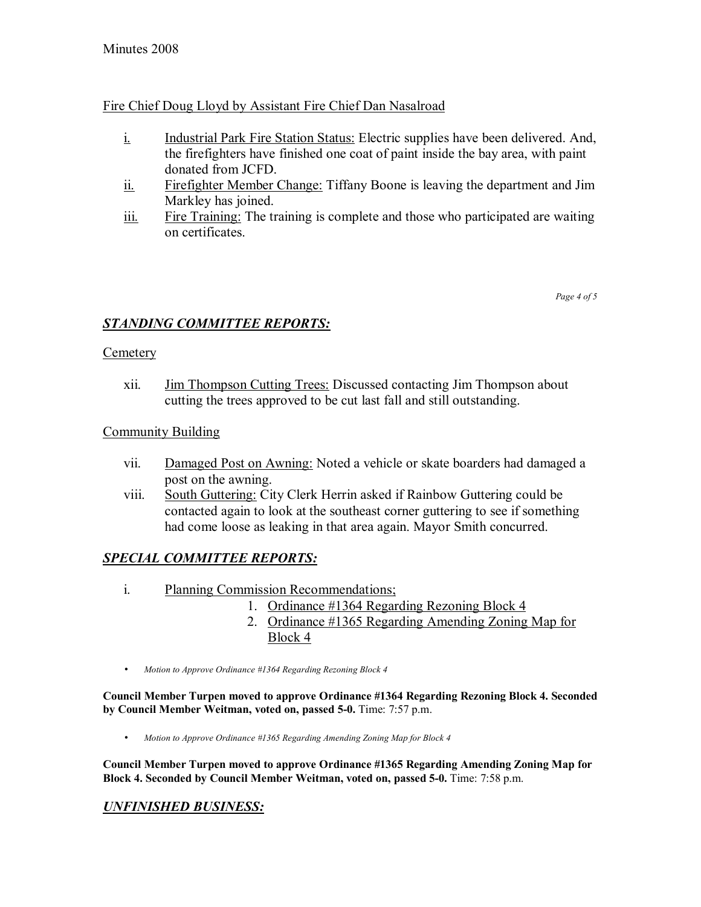# Fire Chief Doug Lloyd by Assistant Fire Chief Dan Nasalroad

- i. Industrial Park Fire Station Status: Electric supplies have been delivered. And, the firefighters have finished one coat of paint inside the bay area, with paint donated from JCFD.
- ii. Firefighter Member Change: Tiffany Boone is leaving the department and Jim Markley has joined.
- iii. Fire Training: The training is complete and those who participated are waiting on certificates.

*Page 4 of 5* 

## *STANDING COMMITTEE REPORTS:*

#### **Cemetery**

xii. Jim Thompson Cutting Trees: Discussed contacting Jim Thompson about cutting the trees approved to be cut last fall and still outstanding.

### Community Building

- vii. Damaged Post on Awning: Noted a vehicle or skate boarders had damaged a post on the awning.
- viii. South Guttering: City Clerk Herrin asked if Rainbow Guttering could be contacted again to look at the southeast corner guttering to see if something had come loose as leaking in that area again. Mayor Smith concurred.

# *SPECIAL COMMITTEE REPORTS:*

- i. Planning Commission Recommendations;
	- 1. Ordinance #1364 Regarding Rezoning Block 4
	- 2. Ordinance #1365 Regarding Amending Zoning Map for Block 4
- *Motion to Approve Ordinance #1364 Regarding Rezoning Block 4*

**Council Member Turpen moved to approve Ordinance #1364 Regarding Rezoning Block 4. Seconded by Council Member Weitman, voted on, passed 5-0.** Time: 7:57 p.m.

• *Motion to Approve Ordinance #1365 Regarding Amending Zoning Map for Block 4*

**Council Member Turpen moved to approve Ordinance #1365 Regarding Amending Zoning Map for Block 4. Seconded by Council Member Weitman, voted on, passed 5-0.** Time: 7:58 p.m.

## *UNFINISHED BUSINESS:*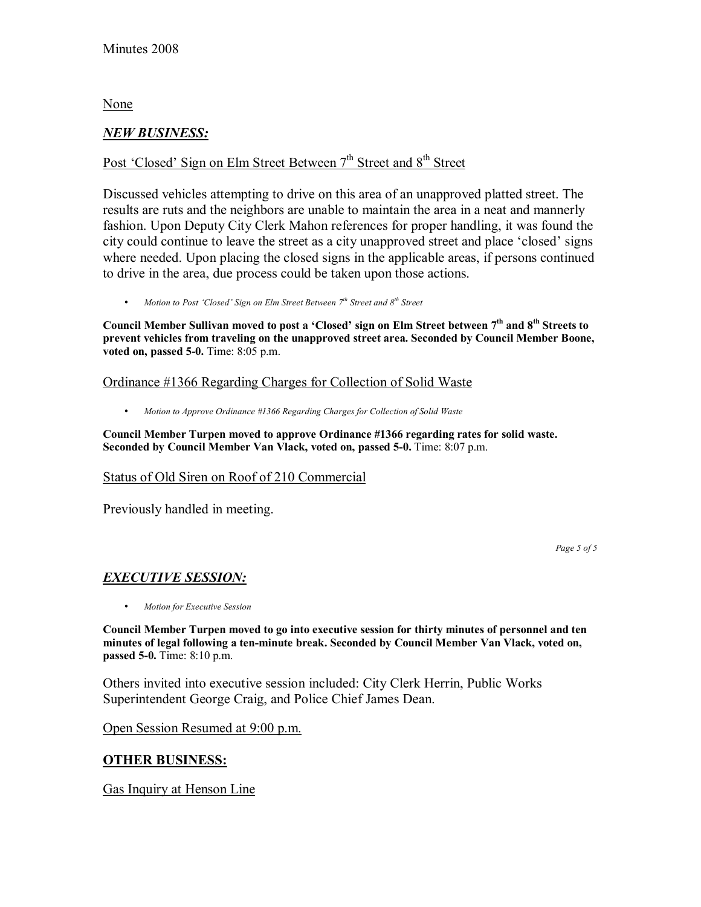None

### *NEW BUSINESS:*

# Post 'Closed' Sign on Elm Street Between 7<sup>th</sup> Street and 8<sup>th</sup> Street

Discussed vehicles attempting to drive on this area of an unapproved platted street. The results are ruts and the neighbors are unable to maintain the area in a neat and mannerly fashion. Upon Deputy City Clerk Mahon references for proper handling, it was found the city could continue to leave the street as a city unapproved street and place 'closed' signs where needed. Upon placing the closed signs in the applicable areas, if persons continued to drive in the area, due process could be taken upon those actions.

• *Motion to Post 'Closed' Sign on Elm Street Between* 7<sup>*th</sup> Street and 8<sup>th</sup> Street*</sup>

Council Member Sullivan moved to post a 'Closed' sign on Elm Street between 7<sup>th</sup> and 8<sup>th</sup> Streets to **prevent vehicles from traveling on the unapproved street area. Seconded by Council Member Boone, voted on, passed 5-0.** Time: 8:05 p.m.

#### Ordinance #1366 Regarding Charges for Collection of Solid Waste

• *Motion to Approve Ordinance #1366 Regarding Charges for Collection of Solid Waste*

**Council Member Turpen moved to approve Ordinance #1366 regarding rates for solid waste. Seconded by Council Member Van Vlack, voted on, passed 5-0.** Time: 8:07 p.m.

#### Status of Old Siren on Roof of 210 Commercial

Previously handled in meeting.

*Page 5 of 5* 

## *EXECUTIVE SESSION:*

• *Motion for Executive Session*

**Council Member Turpen moved to go into executive session for thirty minutes of personnel and ten minutes of legal following a ten-minute break. Seconded by Council Member Van Vlack, voted on, passed 5-0.** Time: 8:10 p.m.

Others invited into executive session included: City Clerk Herrin, Public Works Superintendent George Craig, and Police Chief James Dean.

Open Session Resumed at 9:00 p.m.

## **OTHER BUSINESS:**

Gas Inquiry at Henson Line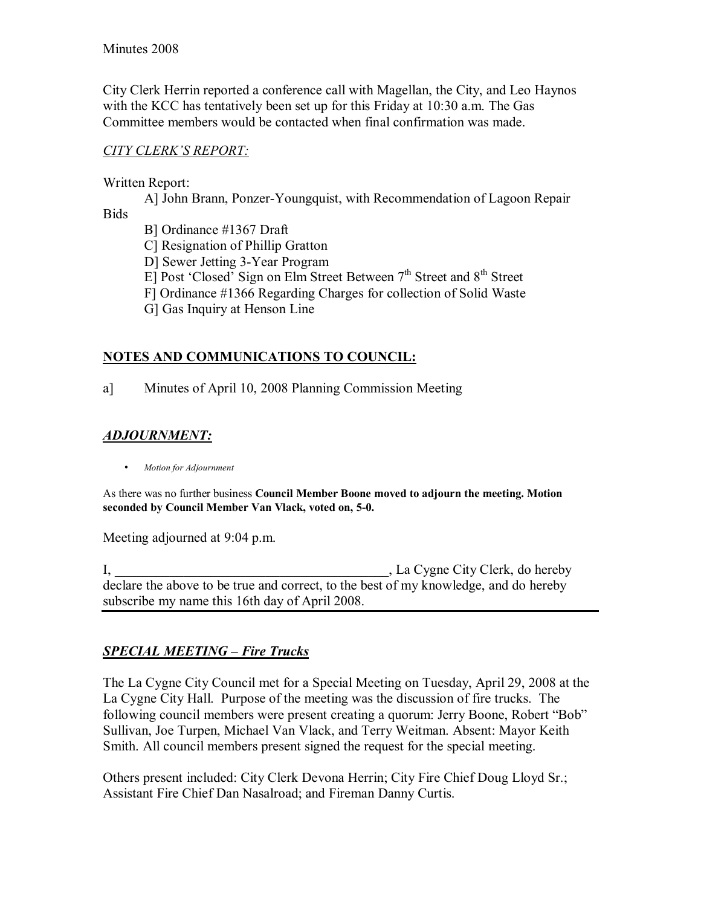City Clerk Herrin reported a conference call with Magellan, the City, and Leo Haynos with the KCC has tentatively been set up for this Friday at 10:30 a.m. The Gas Committee members would be contacted when final confirmation was made.

## *CITY CLERKíS REPORT:*

Written Report:

 A] John Brann, Ponzer-Youngquist, with Recommendation of Lagoon Repair Bids

B] Ordinance #1367 Draft

C] Resignation of Phillip Gratton

D] Sewer Jetting 3-Year Program

E] Post 'Closed' Sign on Elm Street Between  $7<sup>th</sup>$  Street and  $8<sup>th</sup>$  Street

F] Ordinance #1366 Regarding Charges for collection of Solid Waste

G] Gas Inquiry at Henson Line

# **NOTES AND COMMUNICATIONS TO COUNCIL:**

a] Minutes of April 10, 2008 Planning Commission Meeting

# *ADJOURNMENT:*

• *Motion for Adjournment*

As there was no further business **Council Member Boone moved to adjourn the meeting. Motion seconded by Council Member Van Vlack, voted on, 5-0.**

Meeting adjourned at 9:04 p.m.

I, La Cygne City Clerk, do hereby declare the above to be true and correct, to the best of my knowledge, and do hereby subscribe my name this 16th day of April 2008.

# **SPECIAL MEETING - Fire Trucks**

The La Cygne City Council met for a Special Meeting on Tuesday, April 29, 2008 at the La Cygne City Hall. Purpose of the meeting was the discussion of fire trucks. The following council members were present creating a quorum: Jerry Boone, Robert "Bob" Sullivan, Joe Turpen, Michael Van Vlack, and Terry Weitman. Absent: Mayor Keith Smith. All council members present signed the request for the special meeting.

Others present included: City Clerk Devona Herrin; City Fire Chief Doug Lloyd Sr.; Assistant Fire Chief Dan Nasalroad; and Fireman Danny Curtis.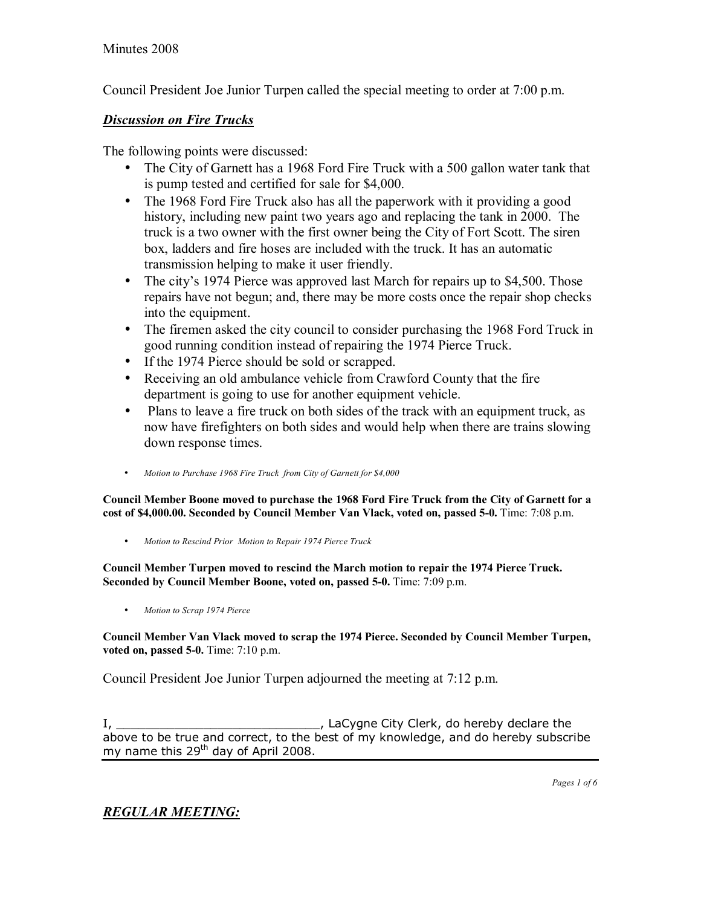Council President Joe Junior Turpen called the special meeting to order at 7:00 p.m.

# *Discussion on Fire Trucks*

The following points were discussed:

- The City of Garnett has a 1968 Ford Fire Truck with a 500 gallon water tank that is pump tested and certified for sale for \$4,000.
- The 1968 Ford Fire Truck also has all the paperwork with it providing a good history, including new paint two years ago and replacing the tank in 2000. The truck is a two owner with the first owner being the City of Fort Scott. The siren box, ladders and fire hoses are included with the truck. It has an automatic transmission helping to make it user friendly.
- The city's 1974 Pierce was approved last March for repairs up to \$4,500. Those repairs have not begun; and, there may be more costs once the repair shop checks into the equipment.
- The firemen asked the city council to consider purchasing the 1968 Ford Truck in good running condition instead of repairing the 1974 Pierce Truck.
- If the 1974 Pierce should be sold or scrapped.
- Receiving an old ambulance vehicle from Crawford County that the fire department is going to use for another equipment vehicle.
- Plans to leave a fire truck on both sides of the track with an equipment truck, as now have firefighters on both sides and would help when there are trains slowing down response times.
- *Motion to Purchase 1968 Fire Truck from City of Garnett for \$4,000*

**Council Member Boone moved to purchase the 1968 Ford Fire Truck from the City of Garnett for a cost of \$4,000.00. Seconded by Council Member Van Vlack, voted on, passed 5-0.** Time: 7:08 p.m.

• *Motion to Rescind Prior Motion to Repair 1974 Pierce Truck*

**Council Member Turpen moved to rescind the March motion to repair the 1974 Pierce Truck. Seconded by Council Member Boone, voted on, passed 5-0.** Time: 7:09 p.m.

• *Motion to Scrap 1974 Pierce*

**Council Member Van Vlack moved to scrap the 1974 Pierce. Seconded by Council Member Turpen, voted on, passed 5-0.** Time: 7:10 p.m.

Council President Joe Junior Turpen adjourned the meeting at 7:12 p.m.

I, \_\_\_\_\_\_\_\_\_\_\_\_\_\_\_\_\_\_\_\_\_\_\_\_\_\_\_\_\_\_\_\_\_\_\_, LaCygne City Clerk, do hereby declare the above to be true and correct, to the best of my knowledge, and do hereby subscribe my name this  $29<sup>th</sup>$  day of April 2008.

*REGULAR MEETING:*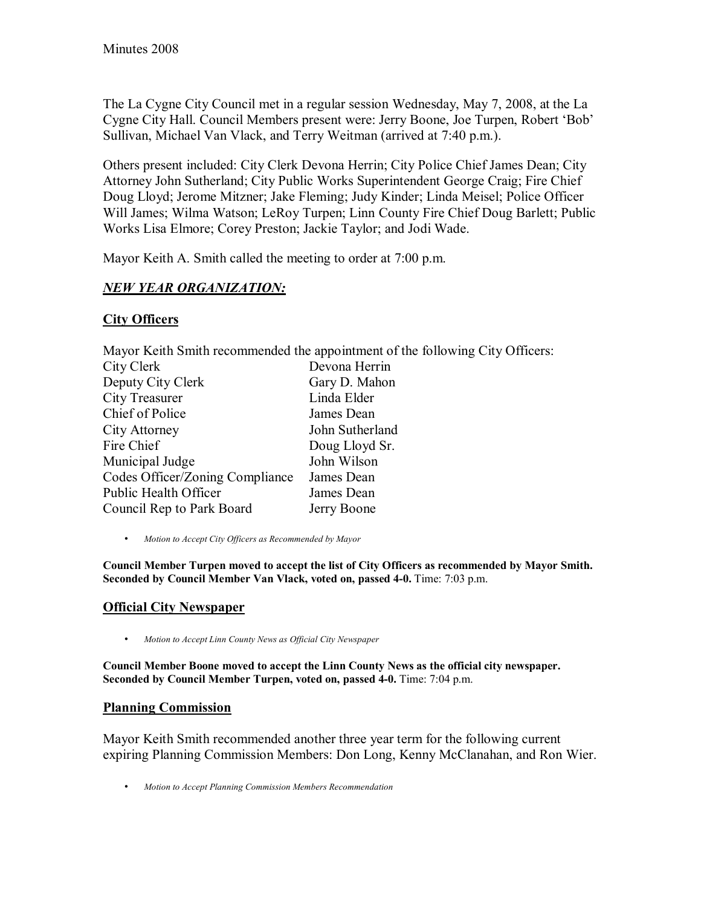The La Cygne City Council met in a regular session Wednesday, May 7, 2008, at the La Cygne City Hall. Council Members present were: Jerry Boone, Joe Turpen, Robert 'Bob' Sullivan, Michael Van Vlack, and Terry Weitman (arrived at 7:40 p.m.).

Others present included: City Clerk Devona Herrin; City Police Chief James Dean; City Attorney John Sutherland; City Public Works Superintendent George Craig; Fire Chief Doug Lloyd; Jerome Mitzner; Jake Fleming; Judy Kinder; Linda Meisel; Police Officer Will James; Wilma Watson; LeRoy Turpen; Linn County Fire Chief Doug Barlett; Public Works Lisa Elmore; Corey Preston; Jackie Taylor; and Jodi Wade.

Mayor Keith A. Smith called the meeting to order at 7:00 p.m.

# *NEW YEAR ORGANIZATION:*

# **City Officers**

Mayor Keith Smith recommended the appointment of the following City Officers:

| City Clerk                      | Devona Herrin   |
|---------------------------------|-----------------|
| Deputy City Clerk               | Gary D. Mahon   |
| City Treasurer                  | Linda Elder     |
| Chief of Police                 | James Dean      |
| City Attorney                   | John Sutherland |
| Fire Chief                      | Doug Lloyd Sr.  |
| Municipal Judge                 | John Wilson     |
| Codes Officer/Zoning Compliance | James Dean      |
| Public Health Officer           | James Dean      |
| Council Rep to Park Board       | Jerry Boone     |

• *Motion to Accept City Officers as Recommended by Mayor*

**Council Member Turpen moved to accept the list of City Officers as recommended by Mayor Smith.**  Seconded by Council Member Van Vlack, voted on, passed 4-0. Time: 7:03 p.m.

# **Official City Newspaper**

• *Motion to Accept Linn County News as Official City Newspaper* 

**Council Member Boone moved to accept the Linn County News as the official city newspaper. Seconded by Council Member Turpen, voted on, passed 4-0.** Time: 7:04 p.m.

## **Planning Commission**

Mayor Keith Smith recommended another three year term for the following current expiring Planning Commission Members: Don Long, Kenny McClanahan, and Ron Wier.

• *Motion to Accept Planning Commission Members Recommendation*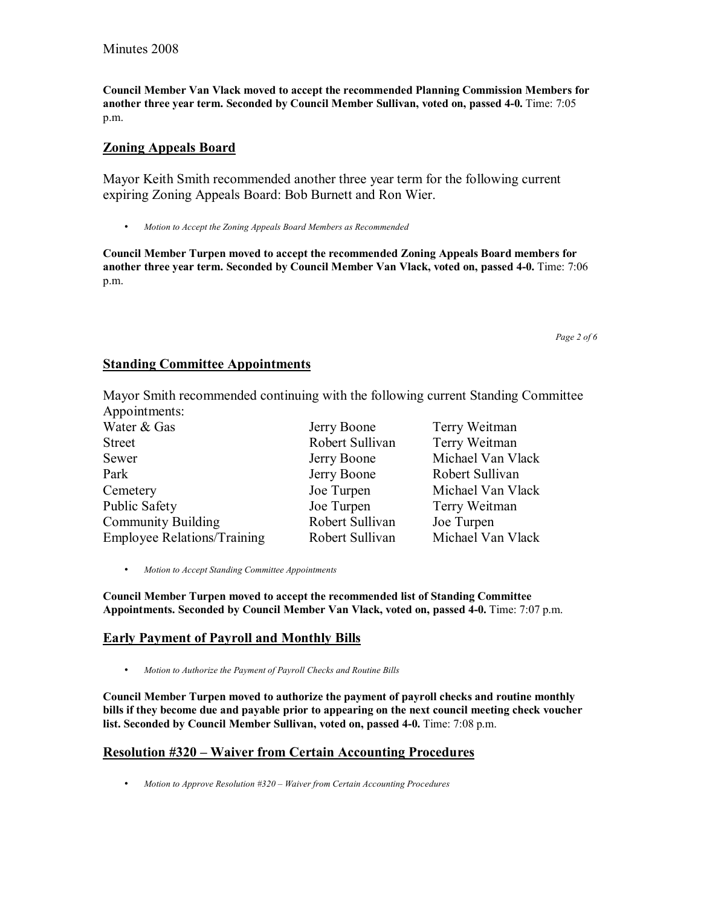**Council Member Van Vlack moved to accept the recommended Planning Commission Members for another three year term. Seconded by Council Member Sullivan, voted on, passed 4-0.** Time: 7:05 p.m.

### **Zoning Appeals Board**

Mayor Keith Smith recommended another three year term for the following current expiring Zoning Appeals Board: Bob Burnett and Ron Wier.

• *Motion to Accept the Zoning Appeals Board Members as Recommended* 

**Council Member Turpen moved to accept the recommended Zoning Appeals Board members for another three year term. Seconded by Council Member Van Vlack, voted on, passed 4-0.** Time: 7:06 p.m.

*Page 2 of 6* 

#### **Standing Committee Appointments**

Mayor Smith recommended continuing with the following current Standing Committee Appointments:

| Water & Gas                        | Jerry Boone     | Terry Weitman     |
|------------------------------------|-----------------|-------------------|
| <b>Street</b>                      | Robert Sullivan | Terry Weitman     |
| Sewer                              | Jerry Boone     | Michael Van Vlack |
| Park                               | Jerry Boone     | Robert Sullivan   |
| Cemetery                           | Joe Turpen      | Michael Van Vlack |
| <b>Public Safety</b>               | Joe Turpen      | Terry Weitman     |
| <b>Community Building</b>          | Robert Sullivan | Joe Turpen        |
| <b>Employee Relations/Training</b> | Robert Sullivan | Michael Van Vlack |

• *Motion to Accept Standing Committee Appointments*

**Council Member Turpen moved to accept the recommended list of Standing Committee Appointments. Seconded by Council Member Van Vlack, voted on, passed 4-0.** Time: 7:07 p.m.

#### **Early Payment of Payroll and Monthly Bills**

• *Motion to Authorize the Payment of Payroll Checks and Routine Bills*

**Council Member Turpen moved to authorize the payment of payroll checks and routine monthly bills if they become due and payable prior to appearing on the next council meeting check voucher list. Seconded by Council Member Sullivan, voted on, passed 4-0.** Time: 7:08 p.m.

## **Resolution #320 – Waiver from Certain Accounting Procedures**

• *Motion to Approve Resolution #320 – Waiver from Certain Accounting Procedures*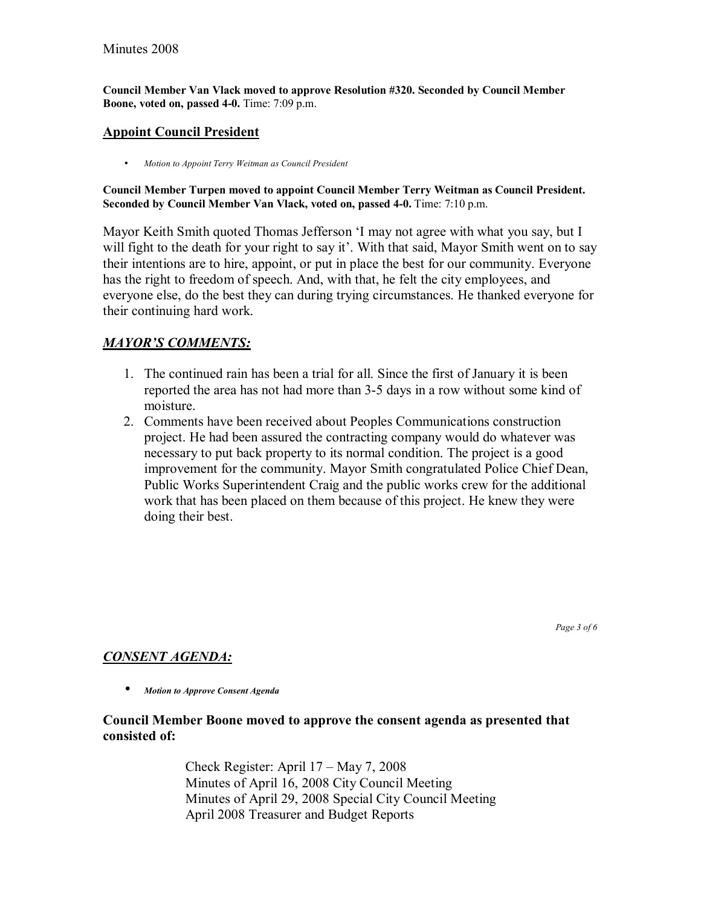**Council Member Van Vlack moved to approve Resolution #320. Seconded by Council Member Boone, voted on, passed 4-0.** Time: 7:09 p.m.

## **Appoint Council President**

• *Motion to Appoint Terry Weitman as Council President*

#### **Council Member Turpen moved to appoint Council Member Terry Weitman as Council President. Seconded by Council Member Van Vlack, voted on, passed 4-0.** Time: 7:10 p.m.

Mayor Keith Smith quoted Thomas Jefferson 'I may not agree with what you say, but I will fight to the death for your right to say it'. With that said, Mayor Smith went on to say their intentions are to hire, appoint, or put in place the best for our community. Everyone has the right to freedom of speech. And, with that, he felt the city employees, and everyone else, do the best they can during trying circumstances. He thanked everyone for their continuing hard work.

# *MAYORíS COMMENTS:*

- 1. The continued rain has been a trial for all. Since the first of January it is been reported the area has not had more than 3-5 days in a row without some kind of moisture.
- 2. Comments have been received about Peoples Communications construction project. He had been assured the contracting company would do whatever was necessary to put back property to its normal condition. The project is a good improvement for the community. Mayor Smith congratulated Police Chief Dean, Public Works Superintendent Craig and the public works crew for the additional work that has been placed on them because of this project. He knew they were doing their best.

*Page 3 of 6* 

# *CONSENT AGENDA:*

• *Motion to Approve Consent Agenda* 

## **Council Member Boone moved to approve the consent agenda as presented that consisted of:**

Check Register: April  $17 - May 7, 2008$  Minutes of April 16, 2008 City Council Meeting Minutes of April 29, 2008 Special City Council Meeting April 2008 Treasurer and Budget Reports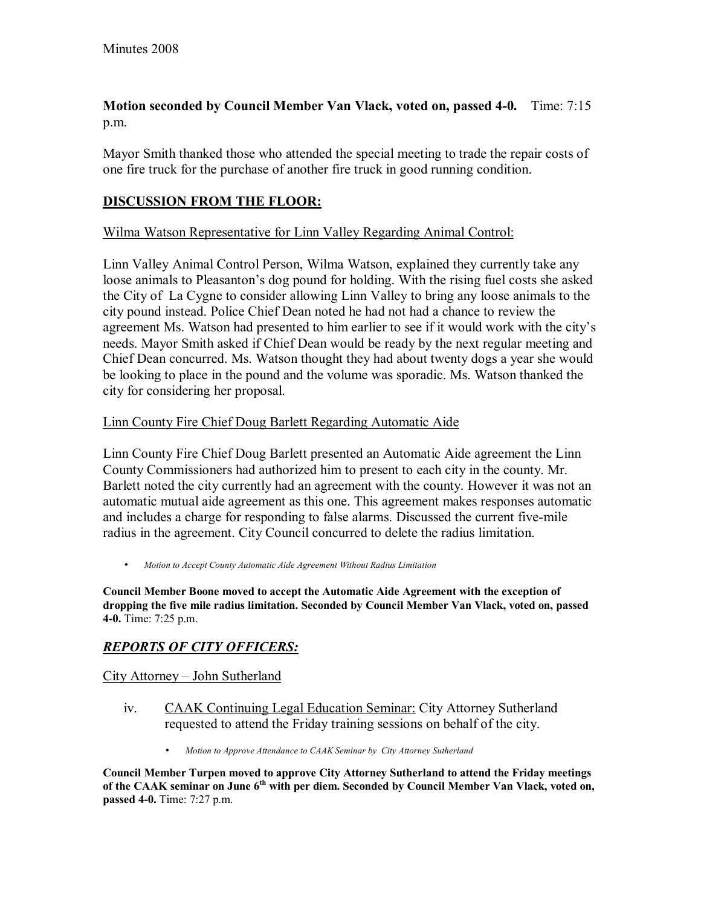# **Motion seconded by Council Member Van Vlack, voted on, passed 4-0.** Time: 7:15 p.m.

Mayor Smith thanked those who attended the special meeting to trade the repair costs of one fire truck for the purchase of another fire truck in good running condition.

# **DISCUSSION FROM THE FLOOR:**

### Wilma Watson Representative for Linn Valley Regarding Animal Control:

Linn Valley Animal Control Person, Wilma Watson, explained they currently take any loose animals to Pleasanton's dog pound for holding. With the rising fuel costs she asked the City of La Cygne to consider allowing Linn Valley to bring any loose animals to the city pound instead. Police Chief Dean noted he had not had a chance to review the agreement Ms. Watson had presented to him earlier to see if it would work with the city's needs. Mayor Smith asked if Chief Dean would be ready by the next regular meeting and Chief Dean concurred. Ms. Watson thought they had about twenty dogs a year she would be looking to place in the pound and the volume was sporadic. Ms. Watson thanked the city for considering her proposal.

### Linn County Fire Chief Doug Barlett Regarding Automatic Aide

Linn County Fire Chief Doug Barlett presented an Automatic Aide agreement the Linn County Commissioners had authorized him to present to each city in the county. Mr. Barlett noted the city currently had an agreement with the county. However it was not an automatic mutual aide agreement as this one. This agreement makes responses automatic and includes a charge for responding to false alarms. Discussed the current five-mile radius in the agreement. City Council concurred to delete the radius limitation.

• *Motion to Accept County Automatic Aide Agreement Without Radius Limitation*

**Council Member Boone moved to accept the Automatic Aide Agreement with the exception of dropping the five mile radius limitation. Seconded by Council Member Van Vlack, voted on, passed 4-0.** Time: 7:25 p.m.

# *REPORTS OF CITY OFFICERS:*

## City Attorney – John Sutherland

- iv. CAAK Continuing Legal Education Seminar: City Attorney Sutherland requested to attend the Friday training sessions on behalf of the city.
	- *Motion to Approve Attendance to CAAK Seminar by City Attorney Sutherland*

**Council Member Turpen moved to approve City Attorney Sutherland to attend the Friday meetings of the CAAK seminar on June 6th with per diem. Seconded by Council Member Van Vlack, voted on, passed 4-0.** Time: 7:27 p.m.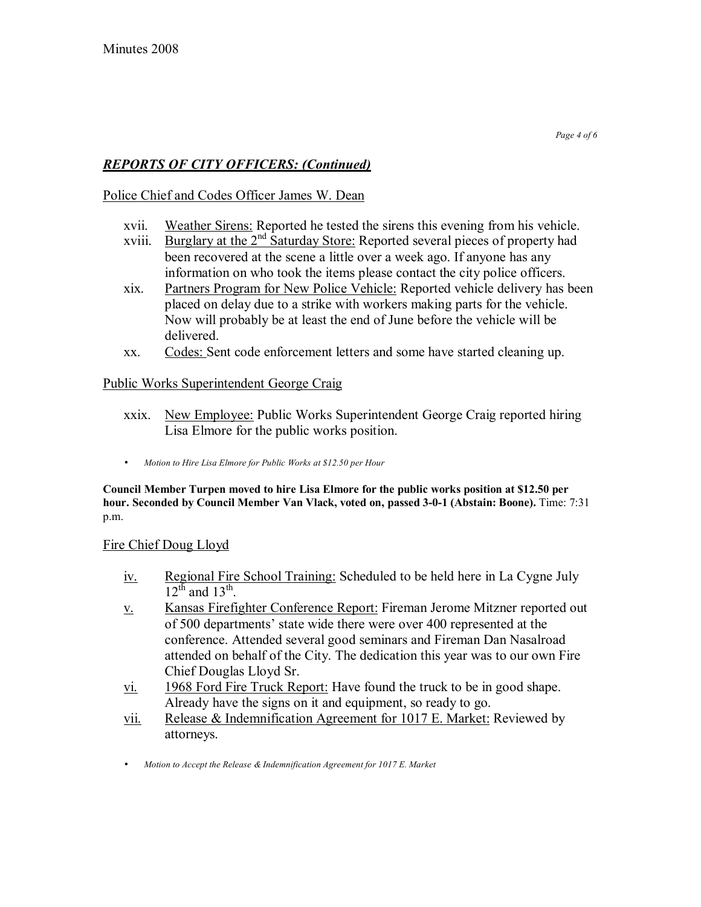# *REPORTS OF CITY OFFICERS: (Continued)*

# Police Chief and Codes Officer James W. Dean

- xvii. Weather Sirens: Reported he tested the sirens this evening from his vehicle.
- xviii. Burglary at the  $2<sup>nd</sup>$  Saturday Store: Reported several pieces of property had been recovered at the scene a little over a week ago. If anyone has any information on who took the items please contact the city police officers.
- xix. Partners Program for New Police Vehicle: Reported vehicle delivery has been placed on delay due to a strike with workers making parts for the vehicle. Now will probably be at least the end of June before the vehicle will be delivered.
- xx. Codes: Sent code enforcement letters and some have started cleaning up.

## Public Works Superintendent George Craig

- xxix. New Employee: Public Works Superintendent George Craig reported hiring Lisa Elmore for the public works position.
- *Motion to Hire Lisa Elmore for Public Works at \$12.50 per Hour*

**Council Member Turpen moved to hire Lisa Elmore for the public works position at \$12.50 per hour. Seconded by Council Member Van Vlack, voted on, passed 3-0-1 (Abstain: Boone).** Time: 7:31 p.m.

## Fire Chief Doug Lloyd

- iv. Regional Fire School Training: Scheduled to be held here in La Cygne July  $12<sup>th</sup>$  and  $13<sup>th</sup>$ .
- v. Kansas Firefighter Conference Report: Fireman Jerome Mitzner reported out of 500 departments' state wide there were over 400 represented at the conference. Attended several good seminars and Fireman Dan Nasalroad attended on behalf of the City. The dedication this year was to our own Fire Chief Douglas Lloyd Sr.
- vi. 1968 Ford Fire Truck Report: Have found the truck to be in good shape. Already have the signs on it and equipment, so ready to go.
- vii. Release & Indemnification Agreement for 1017 E. Market: Reviewed by attorneys.
- *Motion to Accept the Release & Indemnification Agreement for 1017 E. Market*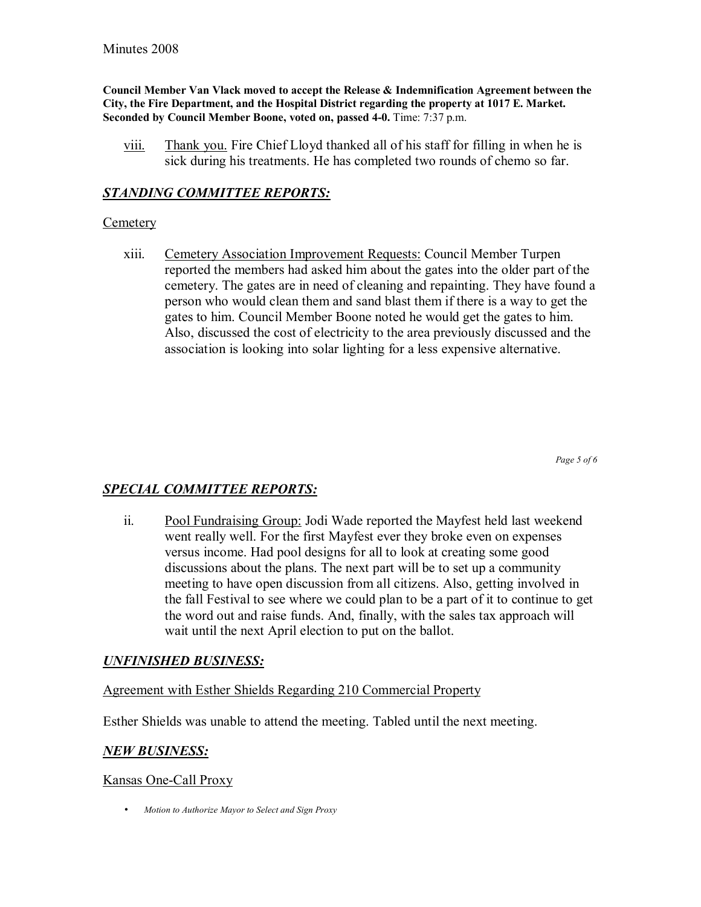**Council Member Van Vlack moved to accept the Release & Indemnification Agreement between the City, the Fire Department, and the Hospital District regarding the property at 1017 E. Market. Seconded by Council Member Boone, voted on, passed 4-0.** Time: 7:37 p.m.

viii. Thank you. Fire Chief Lloyd thanked all of his staff for filling in when he is sick during his treatments. He has completed two rounds of chemo so far.

#### *STANDING COMMITTEE REPORTS:*

#### **Cemetery**

xiii. Cemetery Association Improvement Requests: Council Member Turpen reported the members had asked him about the gates into the older part of the cemetery. The gates are in need of cleaning and repainting. They have found a person who would clean them and sand blast them if there is a way to get the gates to him. Council Member Boone noted he would get the gates to him. Also, discussed the cost of electricity to the area previously discussed and the association is looking into solar lighting for a less expensive alternative.

*Page 5 of 6* 

## *SPECIAL COMMITTEE REPORTS:*

ii. Pool Fundraising Group: Jodi Wade reported the Mayfest held last weekend went really well. For the first Mayfest ever they broke even on expenses versus income. Had pool designs for all to look at creating some good discussions about the plans. The next part will be to set up a community meeting to have open discussion from all citizens. Also, getting involved in the fall Festival to see where we could plan to be a part of it to continue to get the word out and raise funds. And, finally, with the sales tax approach will wait until the next April election to put on the ballot.

#### *UNFINISHED BUSINESS:*

#### Agreement with Esther Shields Regarding 210 Commercial Property

Esther Shields was unable to attend the meeting. Tabled until the next meeting.

#### *NEW BUSINESS:*

#### Kansas One-Call Proxy

• *Motion to Authorize Mayor to Select and Sign Proxy*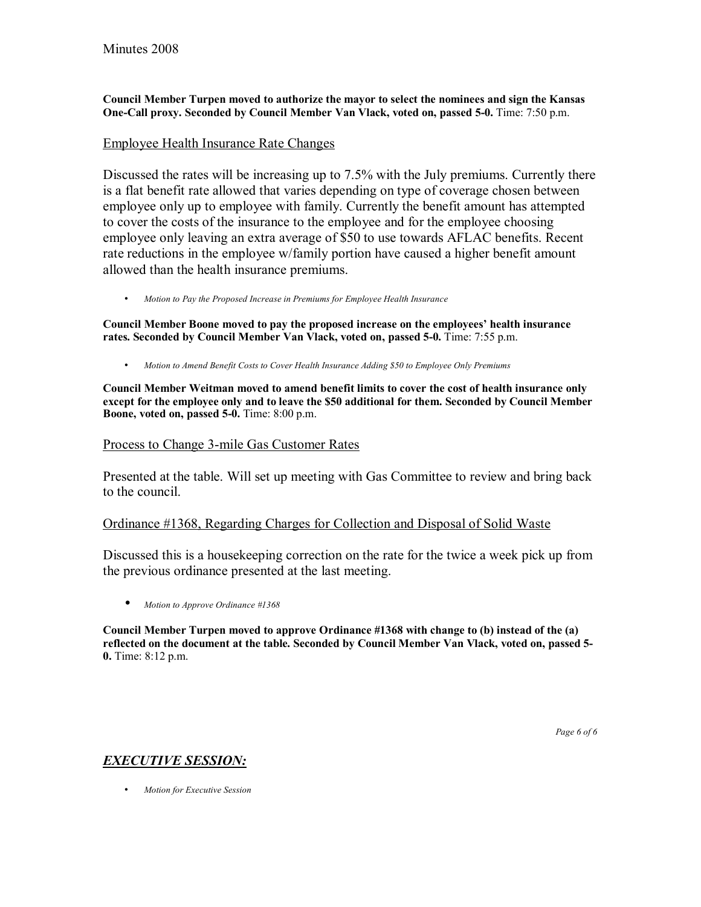**Council Member Turpen moved to authorize the mayor to select the nominees and sign the Kansas One-Call proxy. Seconded by Council Member Van Vlack, voted on, passed 5-0.** Time: 7:50 p.m.

#### Employee Health Insurance Rate Changes

Discussed the rates will be increasing up to 7.5% with the July premiums. Currently there is a flat benefit rate allowed that varies depending on type of coverage chosen between employee only up to employee with family. Currently the benefit amount has attempted to cover the costs of the insurance to the employee and for the employee choosing employee only leaving an extra average of \$50 to use towards AFLAC benefits. Recent rate reductions in the employee w/family portion have caused a higher benefit amount allowed than the health insurance premiums.

• *Motion to Pay the Proposed Increase in Premiums for Employee Health Insurance*

Council Member Boone moved to pay the proposed increase on the employees' health insurance **rates. Seconded by Council Member Van Vlack, voted on, passed 5-0.** Time: 7:55 p.m.

• *Motion to Amend Benefit Costs to Cover Health Insurance Adding \$50 to Employee Only Premiums*

**Council Member Weitman moved to amend benefit limits to cover the cost of health insurance only except for the employee only and to leave the \$50 additional for them. Seconded by Council Member Boone, voted on, passed 5-0.** Time: 8:00 p.m.

#### Process to Change 3-mile Gas Customer Rates

Presented at the table. Will set up meeting with Gas Committee to review and bring back to the council.

#### Ordinance #1368, Regarding Charges for Collection and Disposal of Solid Waste

Discussed this is a housekeeping correction on the rate for the twice a week pick up from the previous ordinance presented at the last meeting.

• *Motion to Approve Ordinance #1368*

**Council Member Turpen moved to approve Ordinance #1368 with change to (b) instead of the (a) reflected on the document at the table. Seconded by Council Member Van Vlack, voted on, passed 5- 0.** Time: 8:12 p.m.

## *EXECUTIVE SESSION:*

• *Motion for Executive Session*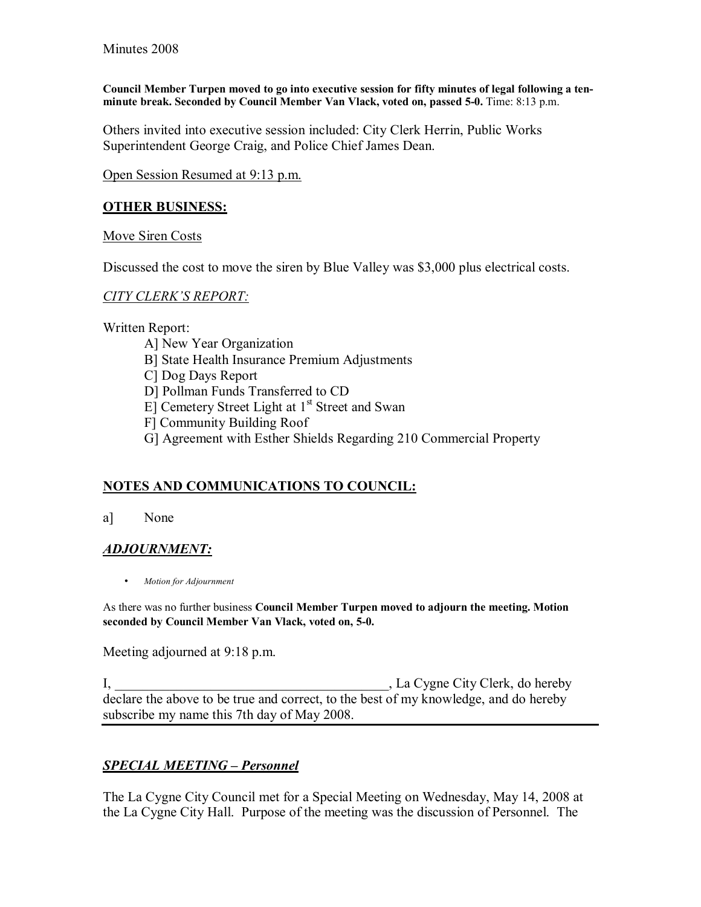**Council Member Turpen moved to go into executive session for fifty minutes of legal following a tenminute break. Seconded by Council Member Van Vlack, voted on, passed 5-0.** Time: 8:13 p.m.

Others invited into executive session included: City Clerk Herrin, Public Works Superintendent George Craig, and Police Chief James Dean.

Open Session Resumed at 9:13 p.m.

### **OTHER BUSINESS:**

Move Siren Costs

Discussed the cost to move the siren by Blue Valley was \$3,000 plus electrical costs.

### **CITY CLERK'S REPORT:**

Written Report:

- A] New Year Organization
- B] State Health Insurance Premium Adjustments
- C] Dog Days Report
- D] Pollman Funds Transferred to CD
- E] Cemetery Street Light at 1<sup>st</sup> Street and Swan
- F] Community Building Roof
- G] Agreement with Esther Shields Regarding 210 Commercial Property

# **NOTES AND COMMUNICATIONS TO COUNCIL:**

a] None

## *ADJOURNMENT:*

• *Motion for Adjournment*

As there was no further business **Council Member Turpen moved to adjourn the meeting. Motion seconded by Council Member Van Vlack, voted on, 5-0.**

Meeting adjourned at 9:18 p.m.

I, La Cygne City Clerk, do hereby declare the above to be true and correct, to the best of my knowledge, and do hereby subscribe my name this 7th day of May 2008.

# **SPECIAL MEETING - Personnel**

The La Cygne City Council met for a Special Meeting on Wednesday, May 14, 2008 at the La Cygne City Hall. Purpose of the meeting was the discussion of Personnel. The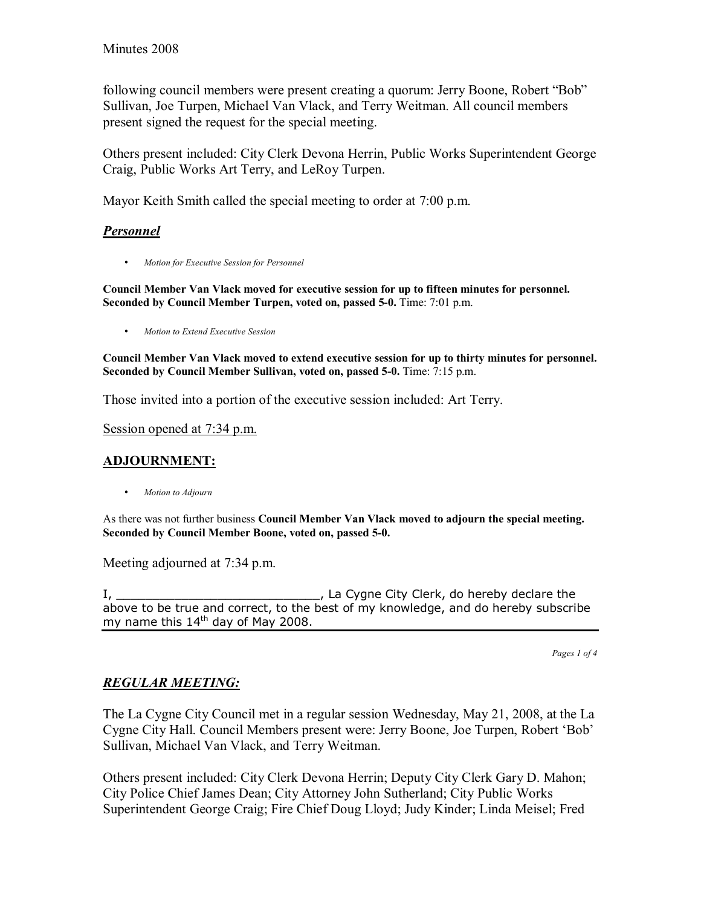following council members were present creating a quorum: Jerry Boone, Robert "Bob" Sullivan, Joe Turpen, Michael Van Vlack, and Terry Weitman. All council members present signed the request for the special meeting.

Others present included: City Clerk Devona Herrin, Public Works Superintendent George Craig, Public Works Art Terry, and LeRoy Turpen.

Mayor Keith Smith called the special meeting to order at 7:00 p.m.

### *Personnel*

• *Motion for Executive Session for Personnel*

**Council Member Van Vlack moved for executive session for up to fifteen minutes for personnel. Seconded by Council Member Turpen, voted on, passed 5-0.** Time: 7:01 p.m.

• *Motion to Extend Executive Session*

**Council Member Van Vlack moved to extend executive session for up to thirty minutes for personnel. Seconded by Council Member Sullivan, voted on, passed 5-0.** Time: 7:15 p.m.

Those invited into a portion of the executive session included: Art Terry.

Session opened at 7:34 p.m.

### **ADJOURNMENT:**

• *Motion to Adjourn*

As there was not further business **Council Member Van Vlack moved to adjourn the special meeting. Seconded by Council Member Boone, voted on, passed 5-0.** 

Meeting adjourned at 7:34 p.m.

I, \_\_\_\_\_\_\_\_\_\_\_\_\_\_\_\_\_\_\_\_\_\_\_\_\_\_\_\_, La Cygne City Clerk, do hereby declare the above to be true and correct, to the best of my knowledge, and do hereby subscribe my name this  $14<sup>th</sup>$  day of May 2008.

*Pages 1 of 4*

## *REGULAR MEETING:*

The La Cygne City Council met in a regular session Wednesday, May 21, 2008, at the La Cygne City Hall. Council Members present were: Jerry Boone, Joe Turpen, Robert 'Bob' Sullivan, Michael Van Vlack, and Terry Weitman.

Others present included: City Clerk Devona Herrin; Deputy City Clerk Gary D. Mahon; City Police Chief James Dean; City Attorney John Sutherland; City Public Works Superintendent George Craig; Fire Chief Doug Lloyd; Judy Kinder; Linda Meisel; Fred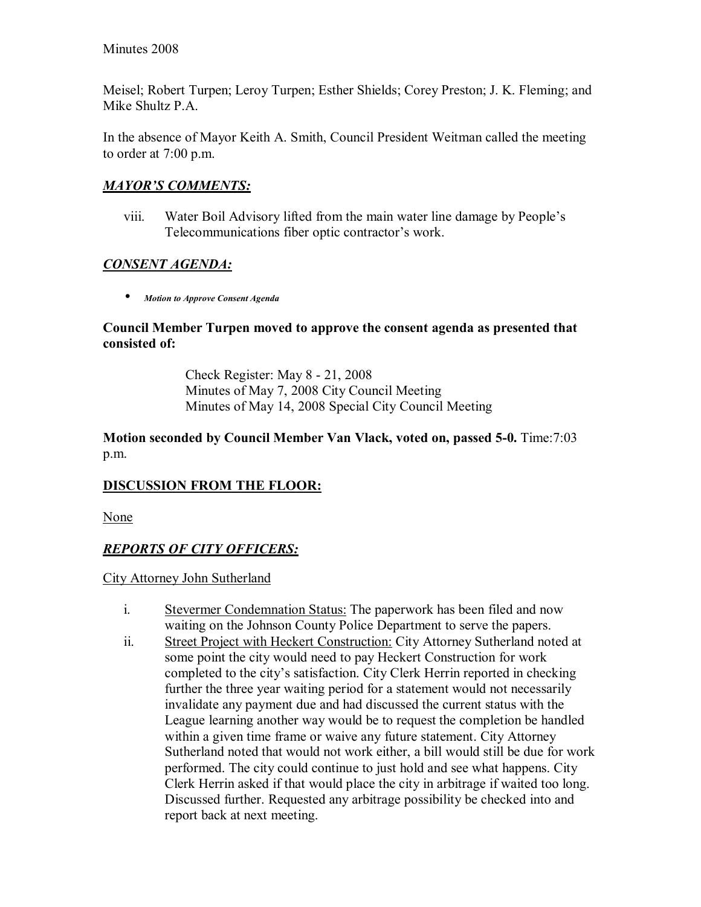Meisel; Robert Turpen; Leroy Turpen; Esther Shields; Corey Preston; J. K. Fleming; and Mike Shultz P.A.

In the absence of Mayor Keith A. Smith, Council President Weitman called the meeting to order at 7:00 p.m.

# **MAYOR'S COMMENTS:**

viii. Water Boil Advisory lifted from the main water line damage by People's Telecommunications fiber optic contractor's work.

# *CONSENT AGENDA:*

• *Motion to Approve Consent Agenda* 

### **Council Member Turpen moved to approve the consent agenda as presented that consisted of:**

 Check Register: May 8 - 21, 2008 Minutes of May 7, 2008 City Council Meeting Minutes of May 14, 2008 Special City Council Meeting

## **Motion seconded by Council Member Van Vlack, voted on, passed 5-0.** Time:7:03 p.m.

# **DISCUSSION FROM THE FLOOR:**

None

# *REPORTS OF CITY OFFICERS:*

City Attorney John Sutherland

- i. Stevermer Condemnation Status: The paperwork has been filed and now waiting on the Johnson County Police Department to serve the papers.
- ii. Street Project with Heckert Construction: City Attorney Sutherland noted at some point the city would need to pay Heckert Construction for work completed to the city's satisfaction. City Clerk Herrin reported in checking further the three year waiting period for a statement would not necessarily invalidate any payment due and had discussed the current status with the League learning another way would be to request the completion be handled within a given time frame or waive any future statement. City Attorney Sutherland noted that would not work either, a bill would still be due for work performed. The city could continue to just hold and see what happens. City Clerk Herrin asked if that would place the city in arbitrage if waited too long. Discussed further. Requested any arbitrage possibility be checked into and report back at next meeting.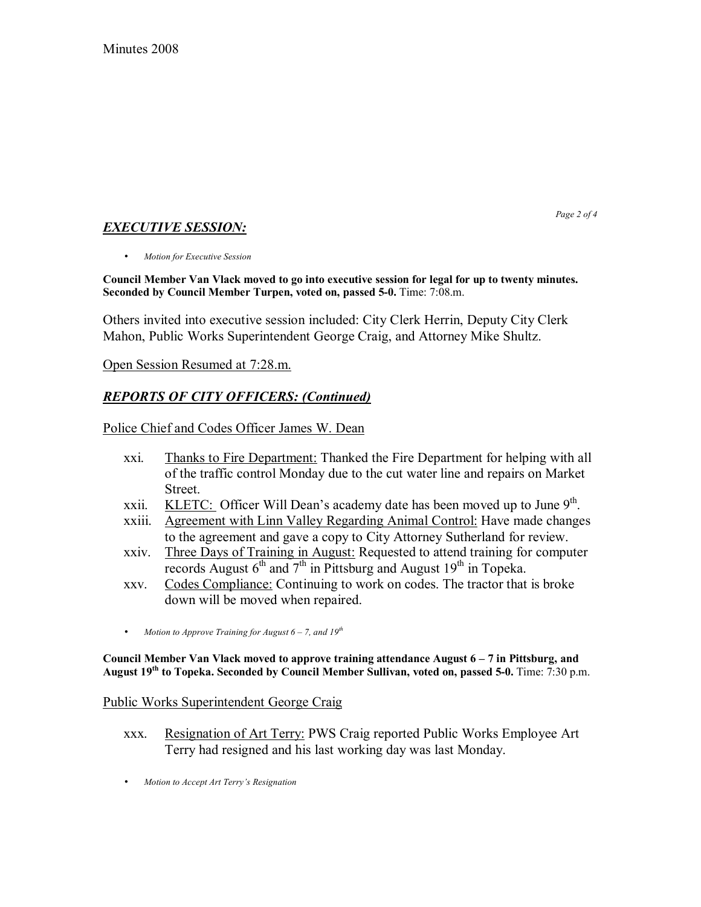# *EXECUTIVE SESSION:*

*Page 2 of 4* 

• *Motion for Executive Session*

**Council Member Van Vlack moved to go into executive session for legal for up to twenty minutes. Seconded by Council Member Turpen, voted on, passed 5-0.** Time: 7:08.m.

Others invited into executive session included: City Clerk Herrin, Deputy City Clerk Mahon, Public Works Superintendent George Craig, and Attorney Mike Shultz.

Open Session Resumed at 7:28.m.

## *REPORTS OF CITY OFFICERS: (Continued)*

Police Chief and Codes Officer James W. Dean

- xxi. Thanks to Fire Department: Thanked the Fire Department for helping with all of the traffic control Monday due to the cut water line and repairs on Market Street.
- xxii. KLETC: Officer Will Dean's academy date has been moved up to June  $9<sup>th</sup>$ .
- xxiii. Agreement with Linn Valley Regarding Animal Control: Have made changes to the agreement and gave a copy to City Attorney Sutherland for review.
- xxiv. Three Days of Training in August: Requested to attend training for computer records August  $6<sup>th</sup>$  and  $7<sup>th</sup>$  in Pittsburg and August 19<sup>th</sup> in Topeka.
- xxv. Codes Compliance: Continuing to work on codes. The tractor that is broke down will be moved when repaired.
- *Motion to Approve Training for August 6 7, and 19<sup>th</sup>*

Council Member Van Vlack moved to approve training attendance August 6 – 7 in Pittsburg, and **August 19th to Topeka. Seconded by Council Member Sullivan, voted on, passed 5-0.** Time: 7:30 p.m.

#### Public Works Superintendent George Craig

- xxx. Resignation of Art Terry: PWS Craig reported Public Works Employee Art Terry had resigned and his last working day was last Monday.
- *Motion to Accept Art Terryís Resignation*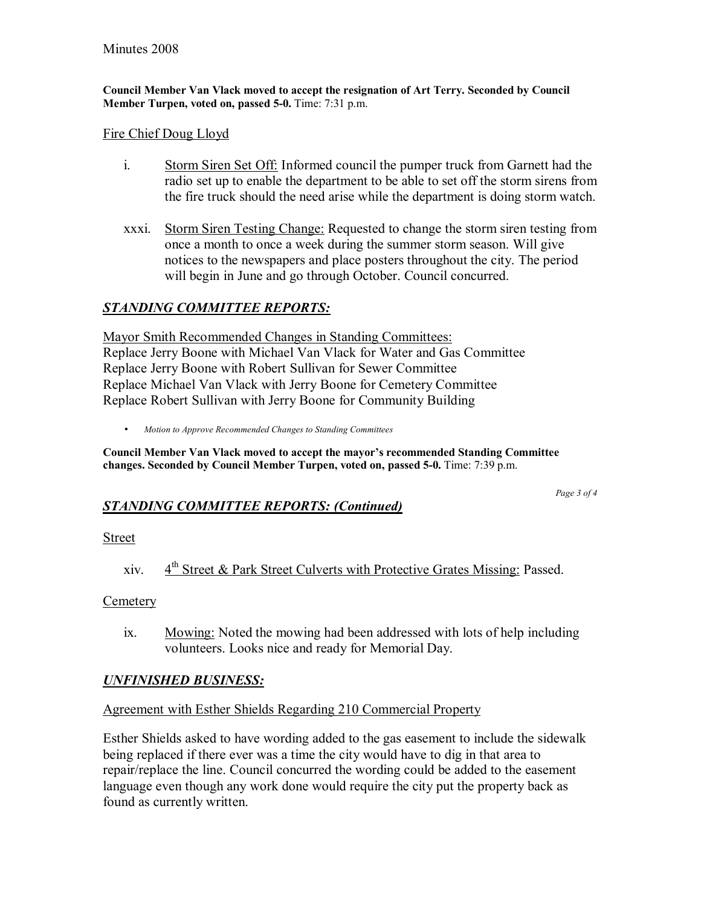**Council Member Van Vlack moved to accept the resignation of Art Terry. Seconded by Council Member Turpen, voted on, passed 5-0.** Time: 7:31 p.m.

#### Fire Chief Doug Lloyd

- i. Storm Siren Set Off: Informed council the pumper truck from Garnett had the radio set up to enable the department to be able to set off the storm sirens from the fire truck should the need arise while the department is doing storm watch.
- xxxi. Storm Siren Testing Change: Requested to change the storm siren testing from once a month to once a week during the summer storm season. Will give notices to the newspapers and place posters throughout the city. The period will begin in June and go through October. Council concurred.

# *STANDING COMMITTEE REPORTS:*

Mayor Smith Recommended Changes in Standing Committees: Replace Jerry Boone with Michael Van Vlack for Water and Gas Committee Replace Jerry Boone with Robert Sullivan for Sewer Committee Replace Michael Van Vlack with Jerry Boone for Cemetery Committee Replace Robert Sullivan with Jerry Boone for Community Building

• *Motion to Approve Recommended Changes to Standing Committees*

Council Member Van Vlack moved to accept the mayor's recommended Standing Committee **changes. Seconded by Council Member Turpen, voted on, passed 5-0.** Time: 7:39 p.m.

# *STANDING COMMITTEE REPORTS: (Continued)*

*Page 3 of 4* 

## Street

xiv. 4th Street & Park Street Culverts with Protective Grates Missing: Passed.

## **Cemetery**

ix. Mowing: Noted the mowing had been addressed with lots of help including volunteers. Looks nice and ready for Memorial Day.

## *UNFINISHED BUSINESS:*

## Agreement with Esther Shields Regarding 210 Commercial Property

Esther Shields asked to have wording added to the gas easement to include the sidewalk being replaced if there ever was a time the city would have to dig in that area to repair/replace the line. Council concurred the wording could be added to the easement language even though any work done would require the city put the property back as found as currently written.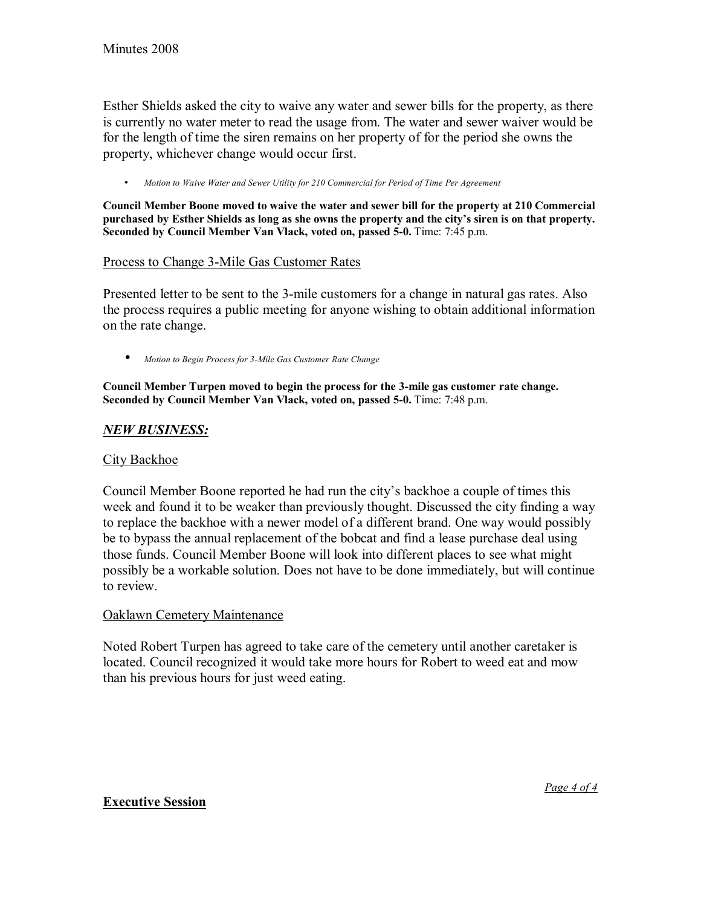Esther Shields asked the city to waive any water and sewer bills for the property, as there is currently no water meter to read the usage from. The water and sewer waiver would be for the length of time the siren remains on her property of for the period she owns the property, whichever change would occur first.

• *Motion to Waive Water and Sewer Utility for 210 Commercial for Period of Time Per Agreement*

**Council Member Boone moved to waive the water and sewer bill for the property at 210 Commercial**  purchased by Esther Shields as long as she owns the property and the city's siren is on that property. **Seconded by Council Member Van Vlack, voted on, passed 5-0.** Time: 7:45 p.m.

### Process to Change 3-Mile Gas Customer Rates

Presented letter to be sent to the 3-mile customers for a change in natural gas rates. Also the process requires a public meeting for anyone wishing to obtain additional information on the rate change.

• *Motion to Begin Process for 3-Mile Gas Customer Rate Change*

**Council Member Turpen moved to begin the process for the 3-mile gas customer rate change. Seconded by Council Member Van Vlack, voted on, passed 5-0.** Time: 7:48 p.m.

#### *NEW BUSINESS:*

#### City Backhoe

Council Member Boone reported he had run the city's backhoe a couple of times this week and found it to be weaker than previously thought. Discussed the city finding a way to replace the backhoe with a newer model of a different brand. One way would possibly be to bypass the annual replacement of the bobcat and find a lease purchase deal using those funds. Council Member Boone will look into different places to see what might possibly be a workable solution. Does not have to be done immediately, but will continue to review.

#### Oaklawn Cemetery Maintenance

Noted Robert Turpen has agreed to take care of the cemetery until another caretaker is located. Council recognized it would take more hours for Robert to weed eat and mow than his previous hours for just weed eating.

#### **Executive Session**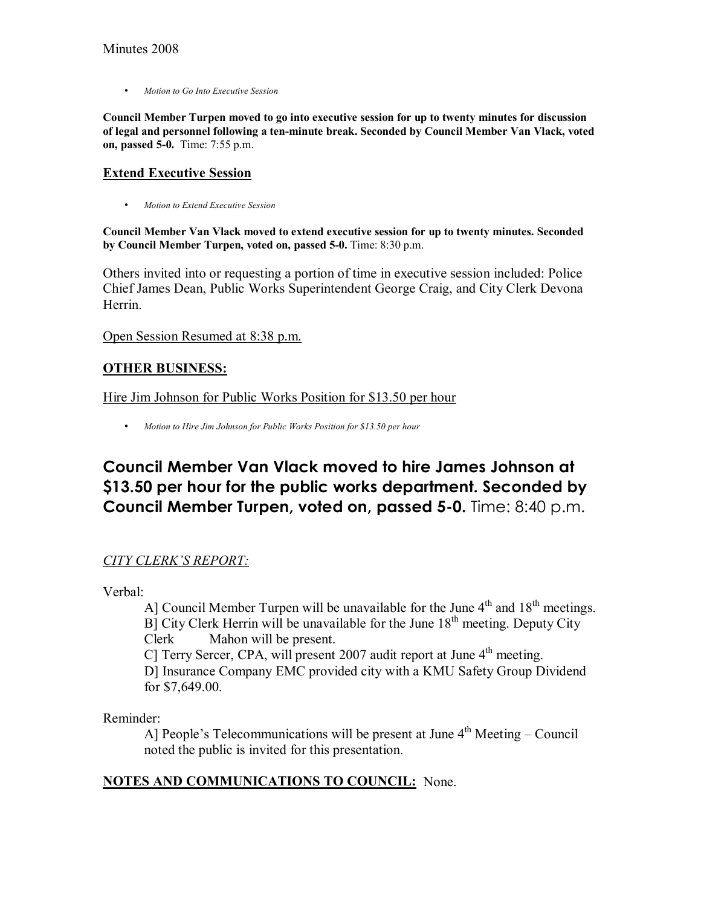• *Motion to Go Into Executive Session* 

**Council Member Turpen moved to go into executive session for up to twenty minutes for discussion of legal and personnel following a ten-minute break. Seconded by Council Member Van Vlack, voted on, passed 5-0.** Time: 7:55 p.m.

## **Extend Executive Session**

• *Motion to Extend Executive Session*

**Council Member Van Vlack moved to extend executive session for up to twenty minutes. Seconded by Council Member Turpen, voted on, passed 5-0.** Time: 8:30 p.m.

Others invited into or requesting a portion of time in executive session included: Police Chief James Dean, Public Works Superintendent George Craig, and City Clerk Devona **Herrin** 

Open Session Resumed at 8:38 p.m.

## **OTHER BUSINESS:**

Hire Jim Johnson for Public Works Position for \$13.50 per hour

• *Motion to Hire Jim Johnson for Public Works Position for \$13.50 per hour*

# **Council Member Van Vlack moved to hire James Johnson at \$13.50 per hour for the public works department. Seconded by Council Member Turpen, voted on, passed 5-0.** Time: 8:40 p.m.

## *CITY CLERKíS REPORT:*

Verbal:

Al Council Member Turpen will be unavailable for the June  $4<sup>th</sup>$  and  $18<sup>th</sup>$  meetings.  $B$ ] City Clerk Herrin will be unavailable for the June 18<sup>th</sup> meeting. Deputy City Clerk Mahon will be present. C] Terry Sercer, CPA, will present 2007 audit report at June  $4<sup>th</sup>$  meeting. D] Insurance Company EMC provided city with a KMU Safety Group Dividend for \$7,649.00.

Reminder:

A] People's Telecommunications will be present at June  $4<sup>th</sup>$  Meeting – Council noted the public is invited for this presentation.

## **NOTES AND COMMUNICATIONS TO COUNCIL:** None.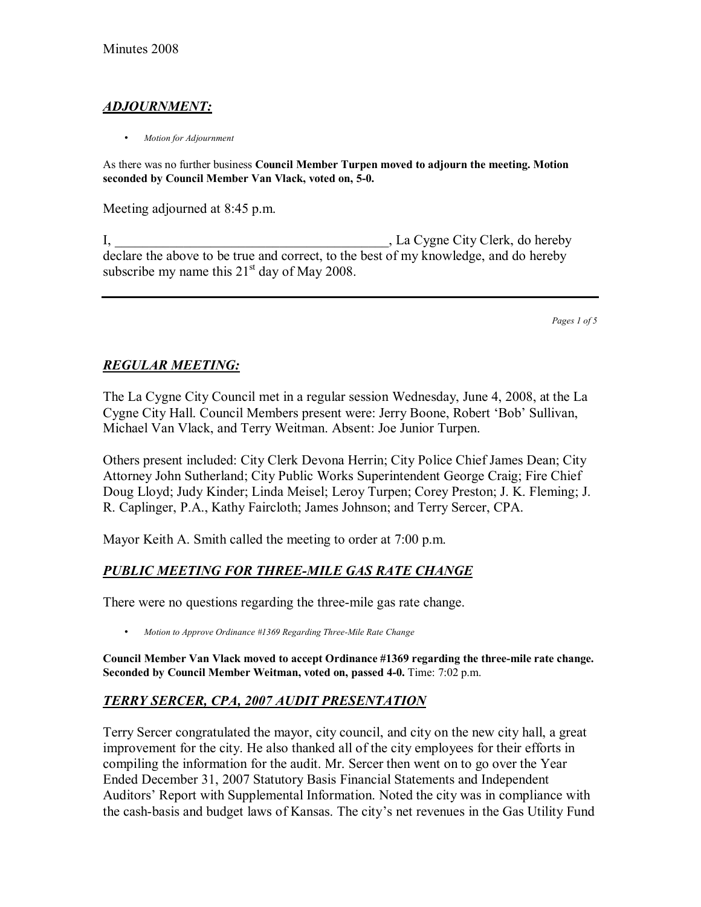# *ADJOURNMENT:*

• *Motion for Adjournment*

As there was no further business **Council Member Turpen moved to adjourn the meeting. Motion seconded by Council Member Van Vlack, voted on, 5-0.**

Meeting adjourned at 8:45 p.m.

I, La Cygne City Clerk, do hereby declare the above to be true and correct, to the best of my knowledge, and do hereby subscribe my name this  $21<sup>st</sup>$  day of May 2008.

*Pages 1 of 5*

## *REGULAR MEETING:*

The La Cygne City Council met in a regular session Wednesday, June 4, 2008, at the La Cygne City Hall. Council Members present were: Jerry Boone, Robert 'Bob' Sullivan, Michael Van Vlack, and Terry Weitman. Absent: Joe Junior Turpen.

Others present included: City Clerk Devona Herrin; City Police Chief James Dean; City Attorney John Sutherland; City Public Works Superintendent George Craig; Fire Chief Doug Lloyd; Judy Kinder; Linda Meisel; Leroy Turpen; Corey Preston; J. K. Fleming; J. R. Caplinger, P.A., Kathy Faircloth; James Johnson; and Terry Sercer, CPA.

Mayor Keith A. Smith called the meeting to order at 7:00 p.m.

## *PUBLIC MEETING FOR THREE-MILE GAS RATE CHANGE*

There were no questions regarding the three-mile gas rate change.

• *Motion to Approve Ordinance #1369 Regarding Three-Mile Rate Change*

**Council Member Van Vlack moved to accept Ordinance #1369 regarding the three-mile rate change. Seconded by Council Member Weitman, voted on, passed 4-0.** Time: 7:02 p.m.

## *TERRY SERCER, CPA, 2007 AUDIT PRESENTATION*

Terry Sercer congratulated the mayor, city council, and city on the new city hall, a great improvement for the city. He also thanked all of the city employees for their efforts in compiling the information for the audit. Mr. Sercer then went on to go over the Year Ended December 31, 2007 Statutory Basis Financial Statements and Independent Auditorsí Report with Supplemental Information. Noted the city was in compliance with the cash-basis and budget laws of Kansas. The cityís net revenues in the Gas Utility Fund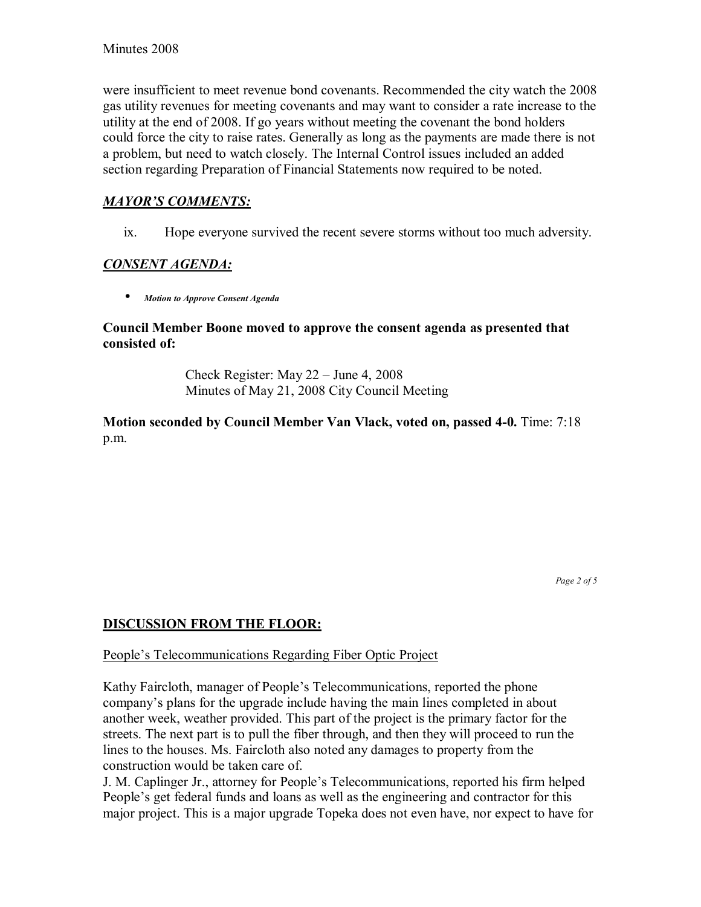were insufficient to meet revenue bond covenants. Recommended the city watch the 2008 gas utility revenues for meeting covenants and may want to consider a rate increase to the utility at the end of 2008. If go years without meeting the covenant the bond holders could force the city to raise rates. Generally as long as the payments are made there is not a problem, but need to watch closely. The Internal Control issues included an added section regarding Preparation of Financial Statements now required to be noted.

## **MAYOR'S COMMENTS:**

ix. Hope everyone survived the recent severe storms without too much adversity.

## *CONSENT AGENDA:*

• *Motion to Approve Consent Agenda* 

#### **Council Member Boone moved to approve the consent agenda as presented that consisted of:**

Check Register: May  $22 -$  June 4, 2008 Minutes of May 21, 2008 City Council Meeting

**Motion seconded by Council Member Van Vlack, voted on, passed 4-0.** Time: 7:18 p.m.

*Page 2 of 5* 

## **DISCUSSION FROM THE FLOOR:**

#### People's Telecommunications Regarding Fiber Optic Project

Kathy Faircloth, manager of People's Telecommunications, reported the phone company's plans for the upgrade include having the main lines completed in about another week, weather provided. This part of the project is the primary factor for the streets. The next part is to pull the fiber through, and then they will proceed to run the lines to the houses. Ms. Faircloth also noted any damages to property from the construction would be taken care of.

J. M. Caplinger Jr., attorney for People's Telecommunications, reported his firm helped People's get federal funds and loans as well as the engineering and contractor for this major project. This is a major upgrade Topeka does not even have, nor expect to have for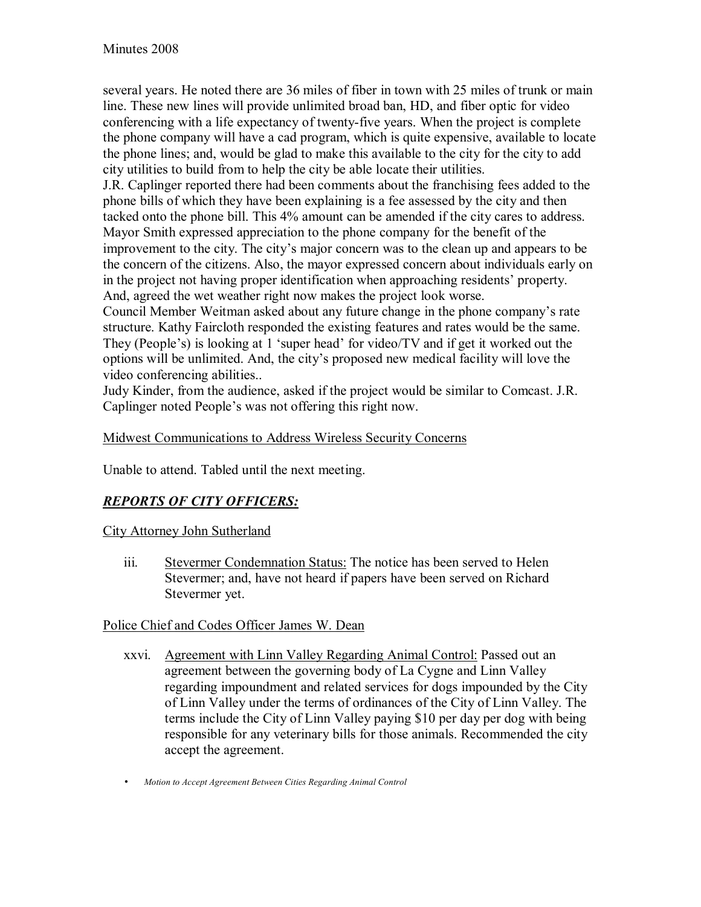several years. He noted there are 36 miles of fiber in town with 25 miles of trunk or main line. These new lines will provide unlimited broad ban, HD, and fiber optic for video conferencing with a life expectancy of twenty-five years. When the project is complete the phone company will have a cad program, which is quite expensive, available to locate the phone lines; and, would be glad to make this available to the city for the city to add city utilities to build from to help the city be able locate their utilities.

J.R. Caplinger reported there had been comments about the franchising fees added to the phone bills of which they have been explaining is a fee assessed by the city and then tacked onto the phone bill. This 4% amount can be amended if the city cares to address. Mayor Smith expressed appreciation to the phone company for the benefit of the improvement to the city. The city's major concern was to the clean up and appears to be the concern of the citizens. Also, the mayor expressed concern about individuals early on in the project not having proper identification when approaching residents' property. And, agreed the wet weather right now makes the project look worse.

Council Member Weitman asked about any future change in the phone company's rate structure. Kathy Faircloth responded the existing features and rates would be the same. They (People's) is looking at 1 'super head' for video/TV and if get it worked out the options will be unlimited. And, the cityís proposed new medical facility will love the video conferencing abilities..

Judy Kinder, from the audience, asked if the project would be similar to Comcast. J.R. Caplinger noted People's was not offering this right now.

## Midwest Communications to Address Wireless Security Concerns

Unable to attend. Tabled until the next meeting.

## *REPORTS OF CITY OFFICERS:*

## City Attorney John Sutherland

iii. Stevermer Condemnation Status: The notice has been served to Helen Stevermer; and, have not heard if papers have been served on Richard Stevermer yet.

## Police Chief and Codes Officer James W. Dean

- xxvi. Agreement with Linn Valley Regarding Animal Control: Passed out an agreement between the governing body of La Cygne and Linn Valley regarding impoundment and related services for dogs impounded by the City of Linn Valley under the terms of ordinances of the City of Linn Valley. The terms include the City of Linn Valley paying \$10 per day per dog with being responsible for any veterinary bills for those animals. Recommended the city accept the agreement.
- *Motion to Accept Agreement Between Cities Regarding Animal Control*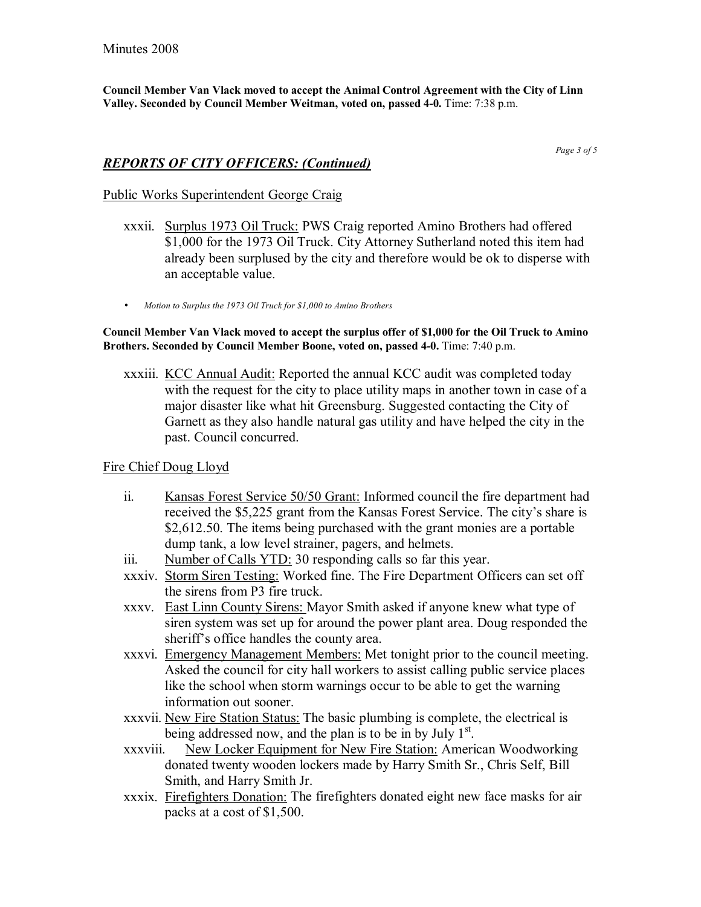**Council Member Van Vlack moved to accept the Animal Control Agreement with the City of Linn Valley. Seconded by Council Member Weitman, voted on, passed 4-0.** Time: 7:38 p.m.

*Page 3 of 5* 

#### *REPORTS OF CITY OFFICERS: (Continued)*

#### Public Works Superintendent George Craig

- xxxii. Surplus 1973 Oil Truck: PWS Craig reported Amino Brothers had offered \$1,000 for the 1973 Oil Truck. City Attorney Sutherland noted this item had already been surplused by the city and therefore would be ok to disperse with an acceptable value.
- *Motion to Surplus the 1973 Oil Truck for \$1,000 to Amino Brothers*

**Council Member Van Vlack moved to accept the surplus offer of \$1,000 for the Oil Truck to Amino Brothers. Seconded by Council Member Boone, voted on, passed 4-0.** Time: 7:40 p.m.

xxxiii. KCC Annual Audit: Reported the annual KCC audit was completed today with the request for the city to place utility maps in another town in case of a major disaster like what hit Greensburg. Suggested contacting the City of Garnett as they also handle natural gas utility and have helped the city in the past. Council concurred.

#### Fire Chief Doug Lloyd

- ii. Kansas Forest Service 50/50 Grant: Informed council the fire department had received the \$5,225 grant from the Kansas Forest Service. The city's share is \$2,612.50. The items being purchased with the grant monies are a portable dump tank, a low level strainer, pagers, and helmets.
- iii. Number of Calls YTD: 30 responding calls so far this year.
- xxxiv. Storm Siren Testing: Worked fine. The Fire Department Officers can set off the sirens from P3 fire truck.
- xxxv. East Linn County Sirens: Mayor Smith asked if anyone knew what type of siren system was set up for around the power plant area. Doug responded the sheriff's office handles the county area.
- xxxvi. Emergency Management Members: Met tonight prior to the council meeting. Asked the council for city hall workers to assist calling public service places like the school when storm warnings occur to be able to get the warning information out sooner.
- xxxvii. New Fire Station Status: The basic plumbing is complete, the electrical is being addressed now, and the plan is to be in by July  $1<sup>st</sup>$ .
- xxxviii. New Locker Equipment for New Fire Station: American Woodworking donated twenty wooden lockers made by Harry Smith Sr., Chris Self, Bill Smith, and Harry Smith Jr.
- xxxix. Firefighters Donation: The firefighters donated eight new face masks for air packs at a cost of \$1,500.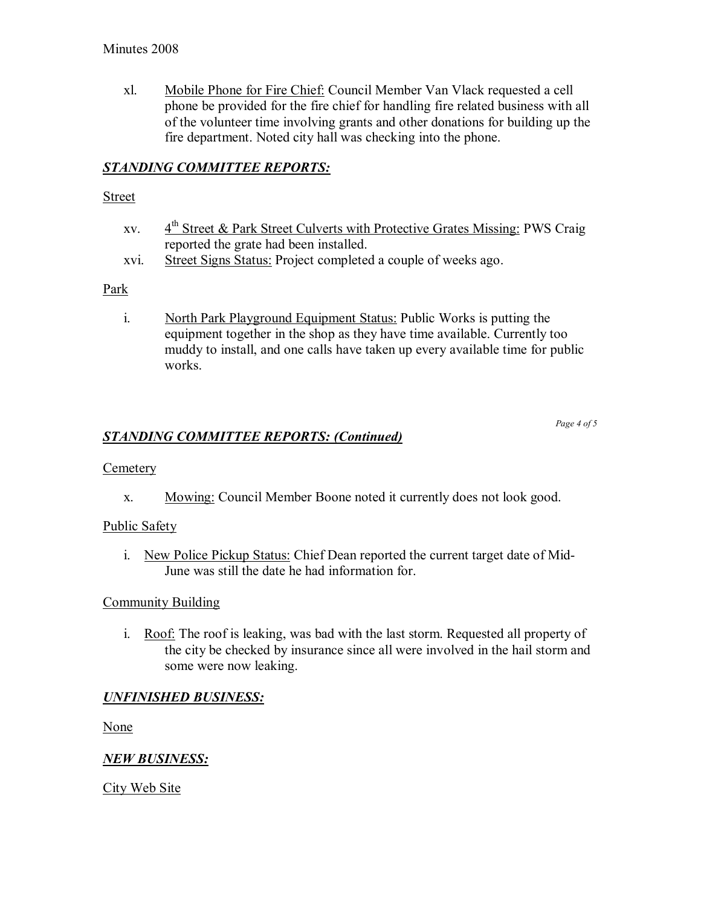xl. Mobile Phone for Fire Chief: Council Member Van Vlack requested a cell phone be provided for the fire chief for handling fire related business with all of the volunteer time involving grants and other donations for building up the fire department. Noted city hall was checking into the phone.

# *STANDING COMMITTEE REPORTS:*

#### **Street**

- xv.  $4<sup>th</sup>$  Street & Park Street Culverts with Protective Grates Missing: PWS Craig reported the grate had been installed.
- xvi. Street Signs Status: Project completed a couple of weeks ago.

## Park

i. North Park Playground Equipment Status: Public Works is putting the equipment together in the shop as they have time available. Currently too muddy to install, and one calls have taken up every available time for public works.

*Page 4 of 5* 

## *STANDING COMMITTEE REPORTS: (Continued)*

## **Cemetery**

x. Mowing: Council Member Boone noted it currently does not look good.

## Public Safety

i. New Police Pickup Status: Chief Dean reported the current target date of Mid-June was still the date he had information for.

## Community Building

i. Roof: The roof is leaking, was bad with the last storm. Requested all property of the city be checked by insurance since all were involved in the hail storm and some were now leaking.

## *UNFINISHED BUSINESS:*

None

## *NEW BUSINESS:*

City Web Site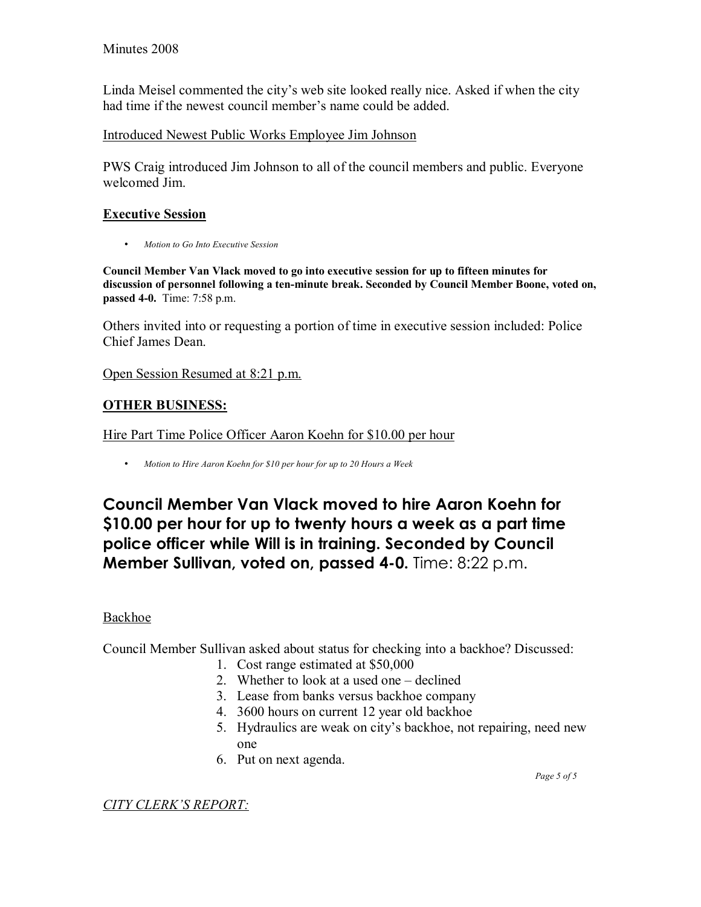Linda Meisel commented the city's web site looked really nice. Asked if when the city had time if the newest council member's name could be added.

Introduced Newest Public Works Employee Jim Johnson

PWS Craig introduced Jim Johnson to all of the council members and public. Everyone welcomed Jim.

## **Executive Session**

• *Motion to Go Into Executive Session* 

**Council Member Van Vlack moved to go into executive session for up to fifteen minutes for discussion of personnel following a ten-minute break. Seconded by Council Member Boone, voted on, passed 4-0.** Time: 7:58 p.m.

Others invited into or requesting a portion of time in executive session included: Police Chief James Dean.

Open Session Resumed at 8:21 p.m.

# **OTHER BUSINESS:**

Hire Part Time Police Officer Aaron Koehn for \$10.00 per hour

• *Motion to Hire Aaron Koehn for \$10 per hour for up to 20 Hours a Week*

**Council Member Van Vlack moved to hire Aaron Koehn for \$10.00 per hour for up to twenty hours a week as a part time police officer while Will is in training. Seconded by Council Member Sullivan, voted on, passed 4-0.** Time: 8:22 p.m.

## Backhoe

Council Member Sullivan asked about status for checking into a backhoe? Discussed:

- 1. Cost range estimated at \$50,000
- 2. Whether to look at a used one  $-\text{delined}$
- 3. Lease from banks versus backhoe company
- 4. 3600 hours on current 12 year old backhoe
- 5. Hydraulics are weak on city's backhoe, not repairing, need new one
- 6. Put on next agenda.

 *Page 5 of 5* 

*CITY CLERKíS REPORT:*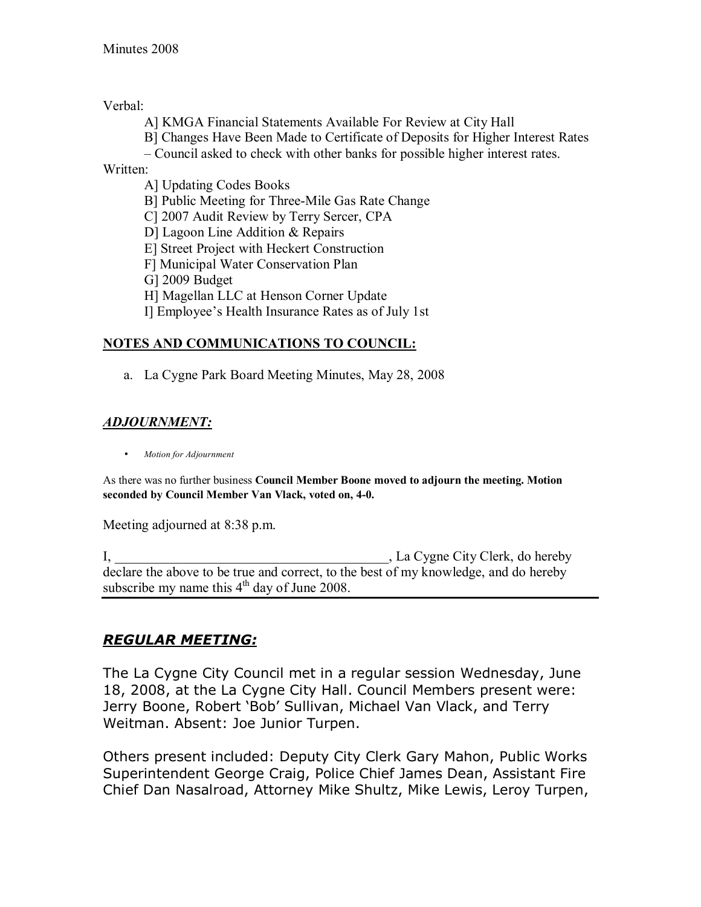Verbal:

A] KMGA Financial Statements Available For Review at City Hall

B] Changes Have Been Made to Certificate of Deposits for Higher Interest Rates

– Council asked to check with other banks for possible higher interest rates.

Written:

A] Updating Codes Books B] Public Meeting for Three-Mile Gas Rate Change C] 2007 Audit Review by Terry Sercer, CPA D] Lagoon Line Addition & Repairs E] Street Project with Heckert Construction F] Municipal Water Conservation Plan G] 2009 Budget H] Magellan LLC at Henson Corner Update Il Employee's Health Insurance Rates as of July 1st

# **NOTES AND COMMUNICATIONS TO COUNCIL:**

a. La Cygne Park Board Meeting Minutes, May 28, 2008

# *ADJOURNMENT:*

• *Motion for Adjournment*

As there was no further business **Council Member Boone moved to adjourn the meeting. Motion seconded by Council Member Van Vlack, voted on, 4-0.**

Meeting adjourned at 8:38 p.m.

I, La Cygne City Clerk, do hereby declare the above to be true and correct, to the best of my knowledge, and do hereby subscribe my name this  $4<sup>th</sup>$  day of June 2008.

# *REGULAR MEETING:*

The La Cygne City Council met in a regular session Wednesday, June 18, 2008, at the La Cygne City Hall. Council Members present were: Jerry Boone, Robert 'Bob' Sullivan, Michael Van Vlack, and Terry Weitman. Absent: Joe Junior Turpen.

Others present included: Deputy City Clerk Gary Mahon, Public Works Superintendent George Craig, Police Chief James Dean, Assistant Fire Chief Dan Nasalroad, Attorney Mike Shultz, Mike Lewis, Leroy Turpen,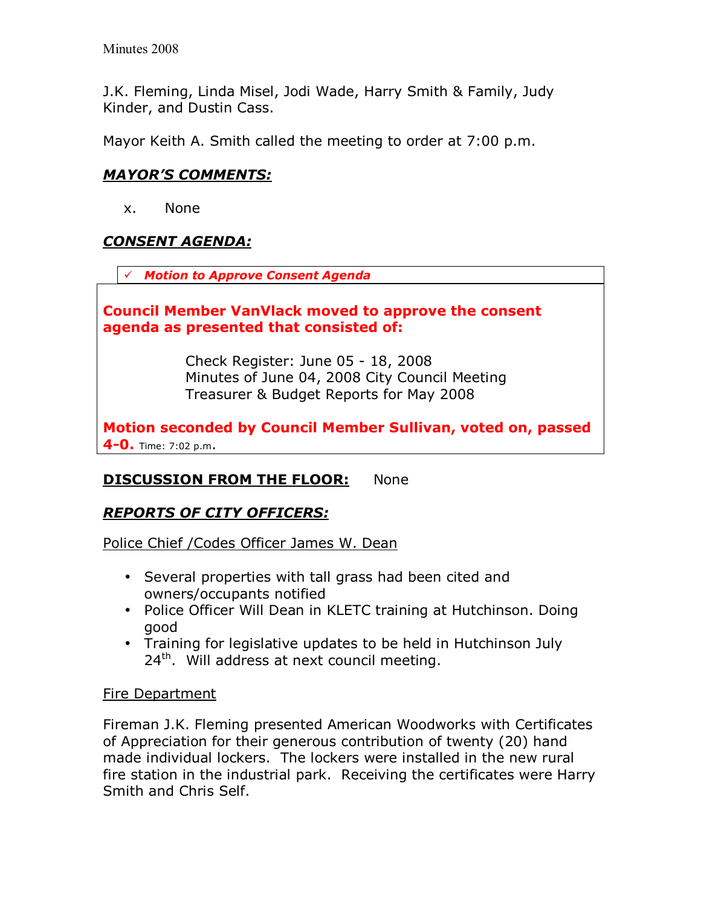J.K. Fleming, Linda Misel, Jodi Wade, Harry Smith & Family, Judy Kinder, and Dustin Cass.

Mayor Keith A. Smith called the meeting to order at 7:00 p.m.

# *MAYORíS COMMENTS:*

x. None

# *CONSENT AGENDA:*

! *Motion to Approve Consent Agenda* 

## **Council Member VanVlack moved to approve the consent agenda as presented that consisted of:**

 Check Register: June 05 - 18, 2008 Minutes of June 04, 2008 City Council Meeting Treasurer & Budget Reports for May 2008

**Motion seconded by Council Member Sullivan, voted on, passed 4-0.** Time: 7:02 p.m.

# **DISCUSSION FROM THE FLOOR:** None

# *REPORTS OF CITY OFFICERS:*

Police Chief /Codes Officer James W. Dean

- Several properties with tall grass had been cited and owners/occupants notified
- Police Officer Will Dean in KLETC training at Hutchinson. Doing good
- Training for legislative updates to be held in Hutchinson July  $24<sup>th</sup>$ . Will address at next council meeting.

## Fire Department

Fireman J.K. Fleming presented American Woodworks with Certificates of Appreciation for their generous contribution of twenty (20) hand made individual lockers. The lockers were installed in the new rural fire station in the industrial park. Receiving the certificates were Harry Smith and Chris Self.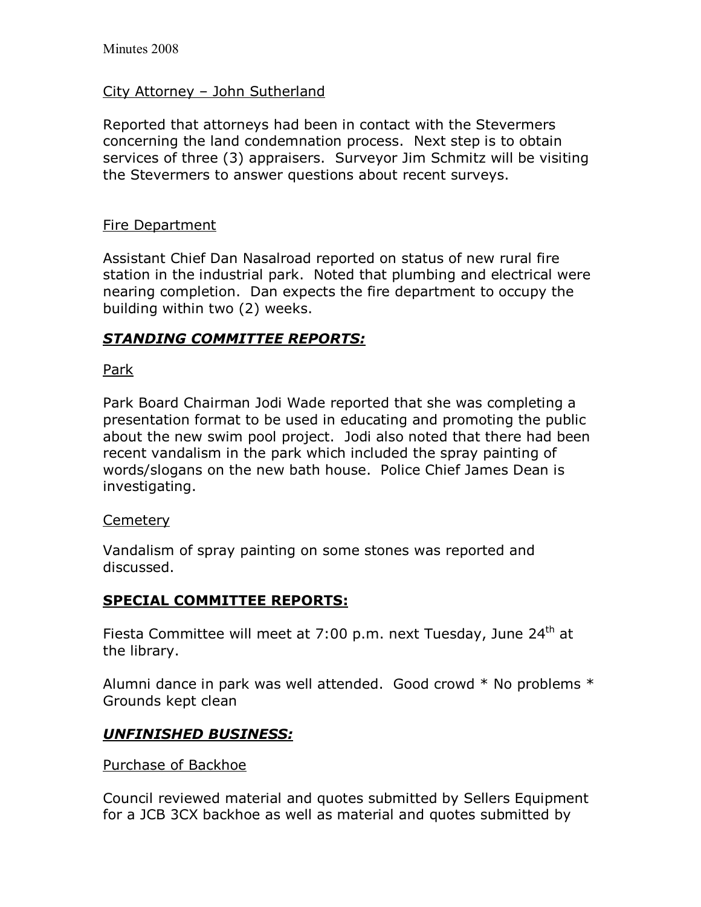## City Attorney - John Sutherland

Reported that attorneys had been in contact with the Stevermers concerning the land condemnation process. Next step is to obtain services of three (3) appraisers. Surveyor Jim Schmitz will be visiting the Stevermers to answer questions about recent surveys.

## Fire Department

Assistant Chief Dan Nasalroad reported on status of new rural fire station in the industrial park. Noted that plumbing and electrical were nearing completion. Dan expects the fire department to occupy the building within two (2) weeks.

# *STANDING COMMITTEE REPORTS:*

Park

Park Board Chairman Jodi Wade reported that she was completing a presentation format to be used in educating and promoting the public about the new swim pool project. Jodi also noted that there had been recent vandalism in the park which included the spray painting of words/slogans on the new bath house. Police Chief James Dean is investigating.

## Cemetery

Vandalism of spray painting on some stones was reported and discussed.

## **SPECIAL COMMITTEE REPORTS:**

Fiesta Committee will meet at 7:00 p.m. next Tuesday, June 24<sup>th</sup> at the library.

Alumni dance in park was well attended. Good crowd \* No problems \* Grounds kept clean

# *UNFINISHED BUSINESS:*

## Purchase of Backhoe

Council reviewed material and quotes submitted by Sellers Equipment for a JCB 3CX backhoe as well as material and quotes submitted by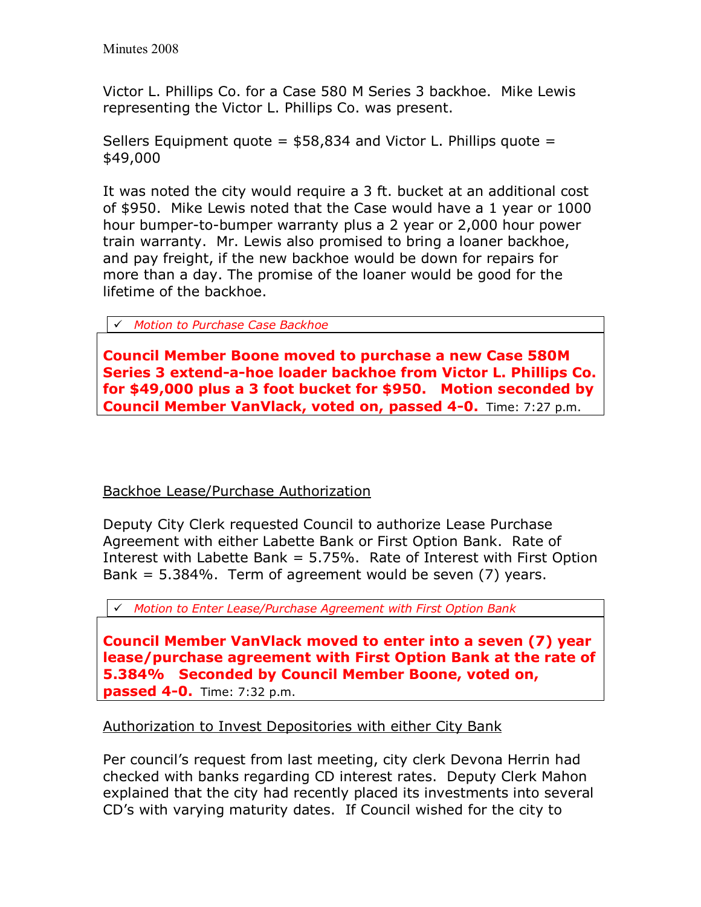Victor L. Phillips Co. for a Case 580 M Series 3 backhoe. Mike Lewis representing the Victor L. Phillips Co. was present.

Sellers Equipment quote  $=$  \$58,834 and Victor L. Phillips quote  $=$ \$49,000

It was noted the city would require a 3 ft. bucket at an additional cost of \$950. Mike Lewis noted that the Case would have a 1 year or 1000 hour bumper-to-bumper warranty plus a 2 year or 2,000 hour power train warranty. Mr. Lewis also promised to bring a loaner backhoe, and pay freight, if the new backhoe would be down for repairs for more than a day. The promise of the loaner would be good for the lifetime of the backhoe.

! *Motion to Purchase Case Backhoe*

**Council Member Boone moved to purchase a new Case 580M Series 3 extend-a-hoe loader backhoe from Victor L. Phillips Co. for \$49,000 plus a 3 foot bucket for \$950. Motion seconded by Council Member VanVlack, voted on, passed 4-0.** Time: 7:27 p.m.

Backhoe Lease/Purchase Authorization

Deputy City Clerk requested Council to authorize Lease Purchase Agreement with either Labette Bank or First Option Bank. Rate of Interest with Labette Bank = 5.75%. Rate of Interest with First Option Bank = 5.384%. Term of agreement would be seven (7) years.

! *Motion to Enter Lease/Purchase Agreement with First Option Bank*

**Council Member VanVlack moved to enter into a seven (7) year lease/purchase agreement with First Option Bank at the rate of 5.384% Seconded by Council Member Boone, voted on, passed 4-0.** Time: 7:32 p.m.

# Authorization to Invest Depositories with either City Bank

Per council's request from last meeting, city clerk Devona Herrin had checked with banks regarding CD interest rates. Deputy Clerk Mahon explained that the city had recently placed its investments into several CDís with varying maturity dates. If Council wished for the city to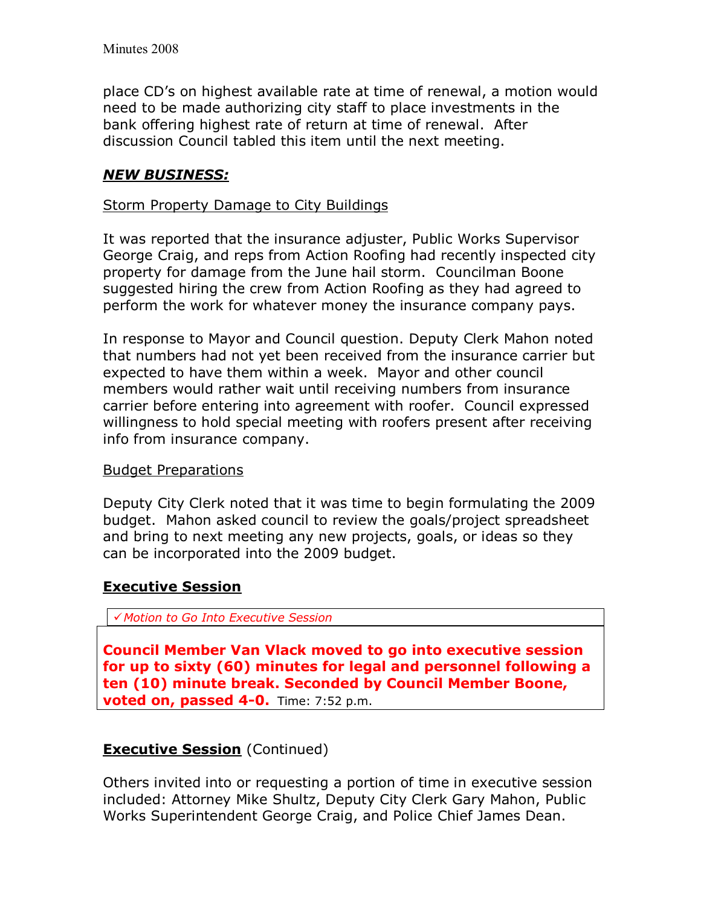place CDís on highest available rate at time of renewal, a motion would need to be made authorizing city staff to place investments in the bank offering highest rate of return at time of renewal. After discussion Council tabled this item until the next meeting.

# *NEW BUSINESS:*

## Storm Property Damage to City Buildings

It was reported that the insurance adjuster, Public Works Supervisor George Craig, and reps from Action Roofing had recently inspected city property for damage from the June hail storm. Councilman Boone suggested hiring the crew from Action Roofing as they had agreed to perform the work for whatever money the insurance company pays.

In response to Mayor and Council question. Deputy Clerk Mahon noted that numbers had not yet been received from the insurance carrier but expected to have them within a week. Mayor and other council members would rather wait until receiving numbers from insurance carrier before entering into agreement with roofer. Council expressed willingness to hold special meeting with roofers present after receiving info from insurance company.

## Budget Preparations

Deputy City Clerk noted that it was time to begin formulating the 2009 budget. Mahon asked council to review the goals/project spreadsheet and bring to next meeting any new projects, goals, or ideas so they can be incorporated into the 2009 budget.

## **Executive Session**

! *Motion to Go Into Executive Session* 

**Council Member Van Vlack moved to go into executive session for up to sixty (60) minutes for legal and personnel following a ten (10) minute break. Seconded by Council Member Boone, voted on, passed 4-0.** Time: 7:52 p.m.

# **Executive Session** (Continued)

Others invited into or requesting a portion of time in executive session included: Attorney Mike Shultz, Deputy City Clerk Gary Mahon, Public Works Superintendent George Craig, and Police Chief James Dean.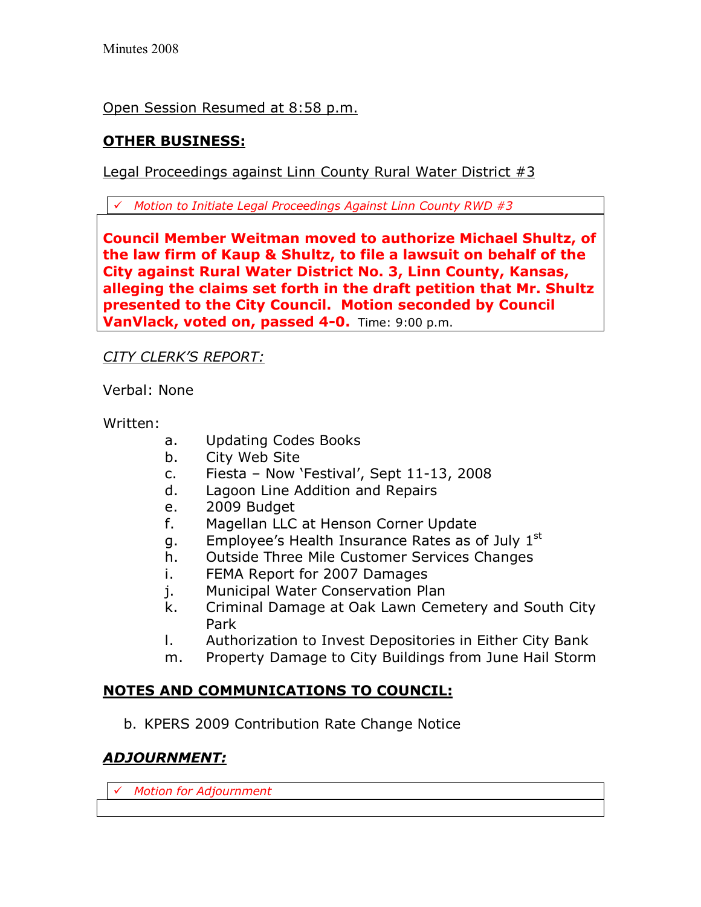Open Session Resumed at 8:58 p.m.

# **OTHER BUSINESS:**

Legal Proceedings against Linn County Rural Water District #3

! *Motion to Initiate Legal Proceedings Against Linn County RWD #3* 

**Council Member Weitman moved to authorize Michael Shultz, of the law firm of Kaup & Shultz, to file a lawsuit on behalf of the City against Rural Water District No. 3, Linn County, Kansas, alleging the claims set forth in the draft petition that Mr. Shultz presented to the City Council. Motion seconded by Council VanVlack, voted on, passed 4-0.** Time: 9:00 p.m.

# *CITY CLERKíS REPORT:*

Verbal: None

Written:

- a. Updating Codes Books
- b. City Web Site
- c. Fiesta Now 'Festival', Sept  $11-13$ , 2008
- d. Lagoon Line Addition and Repairs
- e. 2009 Budget
- f. Magellan LLC at Henson Corner Update
- g. Employee's Health Insurance Rates as of July 1st
- h. Outside Three Mile Customer Services Changes
- i. FEMA Report for 2007 Damages
- j. Municipal Water Conservation Plan
- k. Criminal Damage at Oak Lawn Cemetery and South City Park
- l. Authorization to Invest Depositories in Either City Bank
- m. Property Damage to City Buildings from June Hail Storm

# **NOTES AND COMMUNICATIONS TO COUNCIL:**

b. KPERS 2009 Contribution Rate Change Notice

# *ADJOURNMENT:*

! *Motion for Adjournment*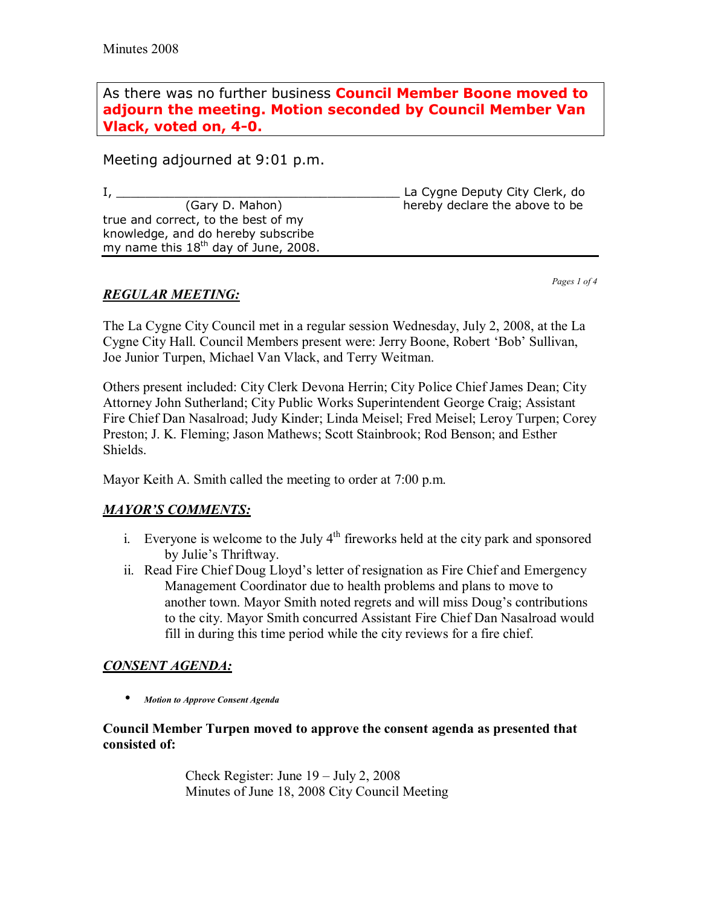As there was no further business **Council Member Boone moved to adjourn the meeting. Motion seconded by Council Member Van Vlack, voted on, 4-0.** 

Meeting adjourned at 9:01 p.m.

I, \_\_\_\_\_\_\_\_\_\_\_\_\_\_\_\_\_\_\_\_\_\_\_\_\_\_\_\_\_\_\_\_\_\_\_\_\_\_\_ La Cygne Deputy City Clerk, do hereby declare the above to be true and correct, to the best of my knowledge, and do hereby subscribe my name this 18<sup>th</sup> day of June, 2008.

*Pages 1 of 4*

## *REGULAR MEETING:*

The La Cygne City Council met in a regular session Wednesday, July 2, 2008, at the La Cygne City Hall. Council Members present were: Jerry Boone, Robert 'Bob' Sullivan, Joe Junior Turpen, Michael Van Vlack, and Terry Weitman.

Others present included: City Clerk Devona Herrin; City Police Chief James Dean; City Attorney John Sutherland; City Public Works Superintendent George Craig; Assistant Fire Chief Dan Nasalroad; Judy Kinder; Linda Meisel; Fred Meisel; Leroy Turpen; Corey Preston; J. K. Fleming; Jason Mathews; Scott Stainbrook; Rod Benson; and Esther Shields.

Mayor Keith A. Smith called the meeting to order at 7:00 p.m.

## **MAYOR'S COMMENTS:**

- i. Everyone is welcome to the July  $4<sup>th</sup>$  fireworks held at the city park and sponsored by Julie's Thriftway.
- ii. Read Fire Chief Doug Lloyd's letter of resignation as Fire Chief and Emergency Management Coordinator due to health problems and plans to move to another town. Mayor Smith noted regrets and will miss Doug's contributions to the city. Mayor Smith concurred Assistant Fire Chief Dan Nasalroad would fill in during this time period while the city reviews for a fire chief.

## *CONSENT AGENDA:*

• *Motion to Approve Consent Agenda* 

#### **Council Member Turpen moved to approve the consent agenda as presented that consisted of:**

Check Register: June  $19 - \text{July } 2, 2008$ Minutes of June 18, 2008 City Council Meeting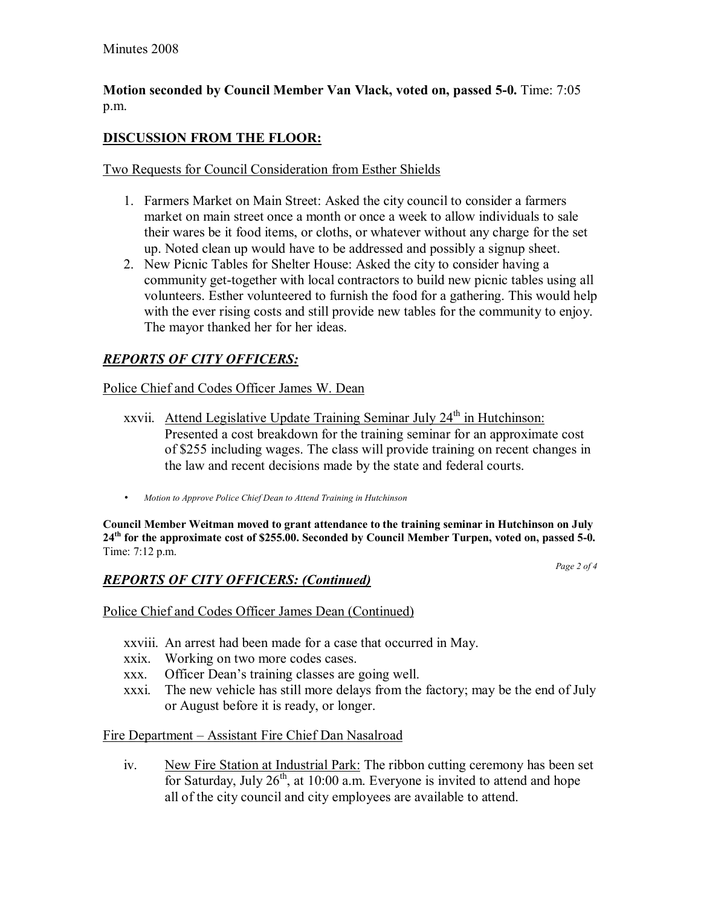## **Motion seconded by Council Member Van Vlack, voted on, passed 5-0.** Time: 7:05 p.m.

# **DISCUSSION FROM THE FLOOR:**

## Two Requests for Council Consideration from Esther Shields

- 1. Farmers Market on Main Street: Asked the city council to consider a farmers market on main street once a month or once a week to allow individuals to sale their wares be it food items, or cloths, or whatever without any charge for the set up. Noted clean up would have to be addressed and possibly a signup sheet.
- 2. New Picnic Tables for Shelter House: Asked the city to consider having a community get-together with local contractors to build new picnic tables using all volunteers. Esther volunteered to furnish the food for a gathering. This would help with the ever rising costs and still provide new tables for the community to enjoy. The mayor thanked her for her ideas.

## *REPORTS OF CITY OFFICERS:*

## Police Chief and Codes Officer James W. Dean

- xxvii. Attend Legislative Update Training Seminar July  $24<sup>th</sup>$  in Hutchinson: Presented a cost breakdown for the training seminar for an approximate cost of \$255 including wages. The class will provide training on recent changes in the law and recent decisions made by the state and federal courts.
- *Motion to Approve Police Chief Dean to Attend Training in Hutchinson*

**Council Member Weitman moved to grant attendance to the training seminar in Hutchinson on July 24th for the approximate cost of \$255.00. Seconded by Council Member Turpen, voted on, passed 5-0.**  Time: 7:12 p.m.

*Page 2 of 4* 

## *REPORTS OF CITY OFFICERS: (Continued)*

## Police Chief and Codes Officer James Dean (Continued)

- xxviii. An arrest had been made for a case that occurred in May.
- xxix. Working on two more codes cases.
- xxx. Officer Dean's training classes are going well.
- xxxi. The new vehicle has still more delays from the factory; may be the end of July or August before it is ready, or longer.

## Fire Department - Assistant Fire Chief Dan Nasalroad

iv. New Fire Station at Industrial Park: The ribbon cutting ceremony has been set for Saturday, July  $26<sup>th</sup>$ , at 10:00 a.m. Everyone is invited to attend and hope all of the city council and city employees are available to attend.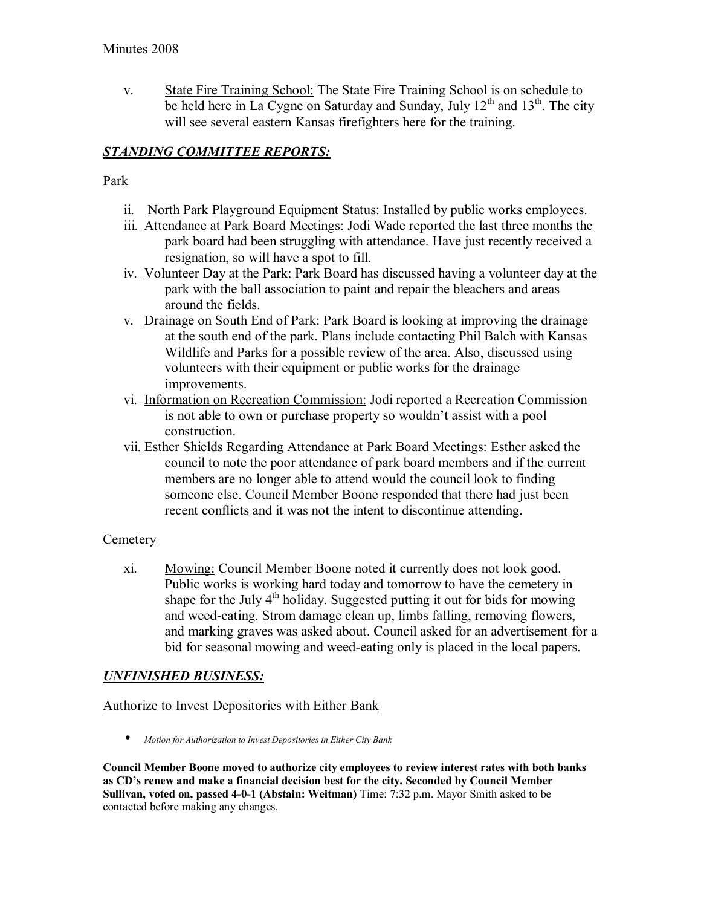v. State Fire Training School: The State Fire Training School is on schedule to be held here in La Cygne on Saturday and Sunday, July  $12<sup>th</sup>$  and  $13<sup>th</sup>$ . The city will see several eastern Kansas firefighters here for the training.

# *STANDING COMMITTEE REPORTS:*

## Park

- ii. North Park Playground Equipment Status: Installed by public works employees.
- iii. Attendance at Park Board Meetings: Jodi Wade reported the last three months the park board had been struggling with attendance. Have just recently received a resignation, so will have a spot to fill.
- iv. Volunteer Day at the Park: Park Board has discussed having a volunteer day at the park with the ball association to paint and repair the bleachers and areas around the fields.
- v. Drainage on South End of Park: Park Board is looking at improving the drainage at the south end of the park. Plans include contacting Phil Balch with Kansas Wildlife and Parks for a possible review of the area. Also, discussed using volunteers with their equipment or public works for the drainage improvements.
- vi. Information on Recreation Commission: Jodi reported a Recreation Commission is not able to own or purchase property so wouldn't assist with a pool construction.
- vii. Esther Shields Regarding Attendance at Park Board Meetings: Esther asked the council to note the poor attendance of park board members and if the current members are no longer able to attend would the council look to finding someone else. Council Member Boone responded that there had just been recent conflicts and it was not the intent to discontinue attending.

## **Cemetery**

xi. Mowing: Council Member Boone noted it currently does not look good. Public works is working hard today and tomorrow to have the cemetery in shape for the July 4<sup>th</sup> holiday. Suggested putting it out for bids for mowing and weed-eating. Strom damage clean up, limbs falling, removing flowers, and marking graves was asked about. Council asked for an advertisement for a bid for seasonal mowing and weed-eating only is placed in the local papers.

## *UNFINISHED BUSINESS:*

## Authorize to Invest Depositories with Either Bank

• *Motion for Authorization to Invest Depositories in Either City Bank*

**Council Member Boone moved to authorize city employees to review interest rates with both banks**  as CD's renew and make a financial decision best for the city. Seconded by Council Member **Sullivan, voted on, passed 4-0-1 (Abstain: Weitman)** Time: 7:32 p.m. Mayor Smith asked to be contacted before making any changes.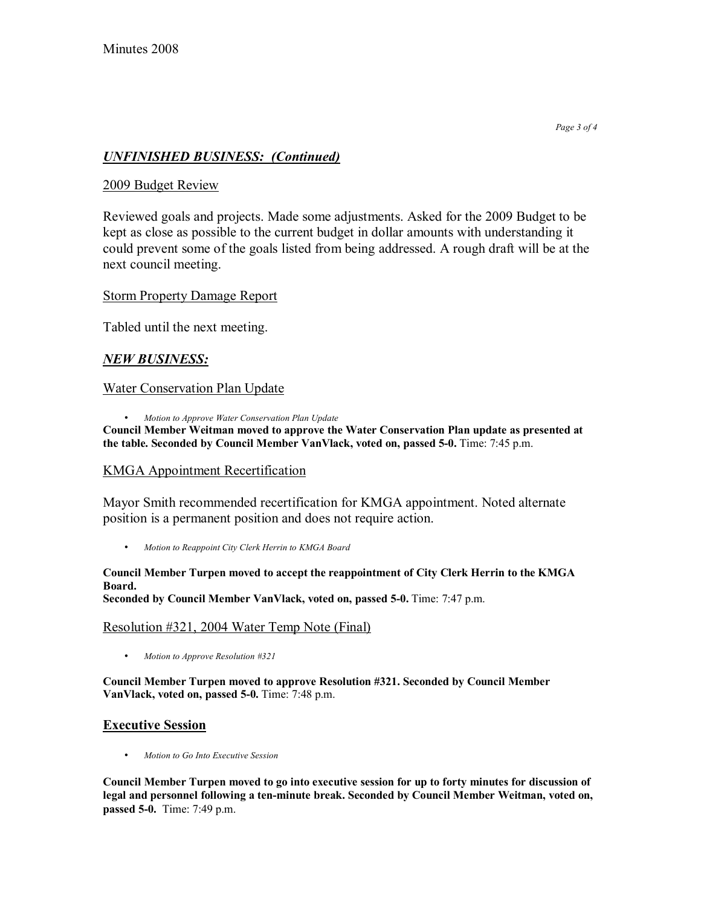## *UNFINISHED BUSINESS: (Continued)*

#### 2009 Budget Review

Reviewed goals and projects. Made some adjustments. Asked for the 2009 Budget to be kept as close as possible to the current budget in dollar amounts with understanding it could prevent some of the goals listed from being addressed. A rough draft will be at the next council meeting.

#### Storm Property Damage Report

Tabled until the next meeting.

## *NEW BUSINESS:*

#### Water Conservation Plan Update

• *Motion to Approve Water Conservation Plan Update* 

**Council Member Weitman moved to approve the Water Conservation Plan update as presented at the table. Seconded by Council Member VanVlack, voted on, passed 5-0.** Time: 7:45 p.m.

#### KMGA Appointment Recertification

Mayor Smith recommended recertification for KMGA appointment. Noted alternate position is a permanent position and does not require action.

• *Motion to Reappoint City Clerk Herrin to KMGA Board*

#### **Council Member Turpen moved to accept the reappointment of City Clerk Herrin to the KMGA Board.**

**Seconded by Council Member VanVlack, voted on, passed 5-0.** Time: 7:47 p.m.

#### Resolution #321, 2004 Water Temp Note (Final)

• *Motion to Approve Resolution #321*

**Council Member Turpen moved to approve Resolution #321. Seconded by Council Member VanVlack, voted on, passed 5-0.** Time: 7:48 p.m.

#### **Executive Session**

• *Motion to Go Into Executive Session* 

**Council Member Turpen moved to go into executive session for up to forty minutes for discussion of legal and personnel following a ten-minute break. Seconded by Council Member Weitman, voted on, passed 5-0.** Time: 7:49 p.m.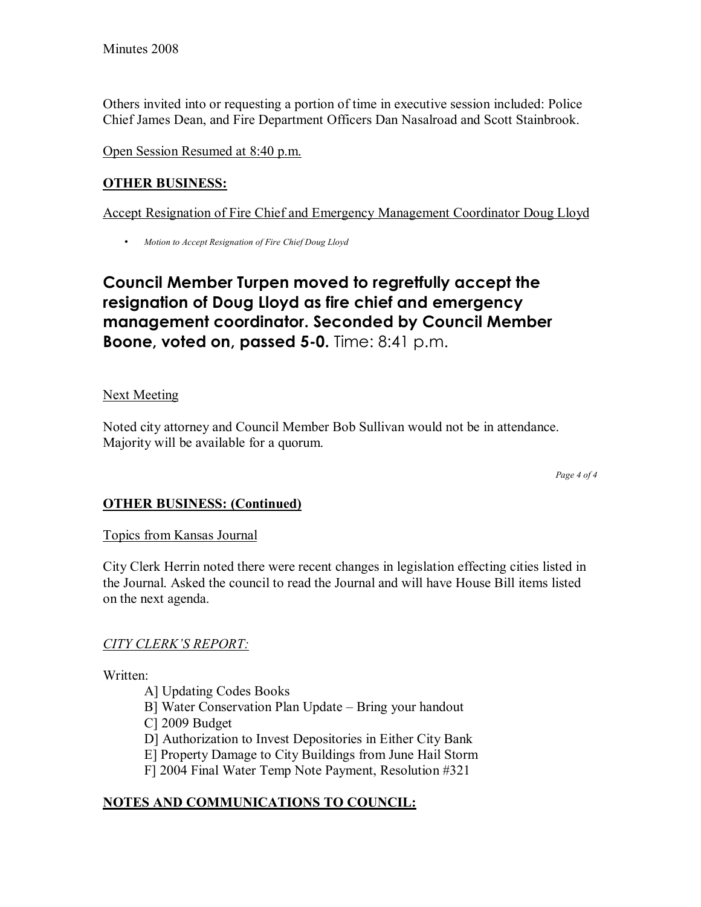Others invited into or requesting a portion of time in executive session included: Police Chief James Dean, and Fire Department Officers Dan Nasalroad and Scott Stainbrook.

Open Session Resumed at 8:40 p.m.

# **OTHER BUSINESS:**

Accept Resignation of Fire Chief and Emergency Management Coordinator Doug Lloyd

• *Motion to Accept Resignation of Fire Chief Doug Lloyd*

# **Council Member Turpen moved to regretfully accept the resignation of Doug Lloyd as fire chief and emergency management coordinator. Seconded by Council Member Boone, voted on, passed 5-0.** Time: 8:41 p.m.

# **Next Meeting**

Noted city attorney and Council Member Bob Sullivan would not be in attendance. Majority will be available for a quorum.

*Page 4 of 4* 

# **OTHER BUSINESS: (Continued)**

## Topics from Kansas Journal

City Clerk Herrin noted there were recent changes in legislation effecting cities listed in the Journal. Asked the council to read the Journal and will have House Bill items listed on the next agenda.

## **CITY CLERK'S REPORT:**

Written:

- A] Updating Codes Books
- B] Water Conservation Plan Update Bring your handout
- C] 2009 Budget
- D] Authorization to Invest Depositories in Either City Bank
- E] Property Damage to City Buildings from June Hail Storm
- F] 2004 Final Water Temp Note Payment, Resolution #321

# **NOTES AND COMMUNICATIONS TO COUNCIL:**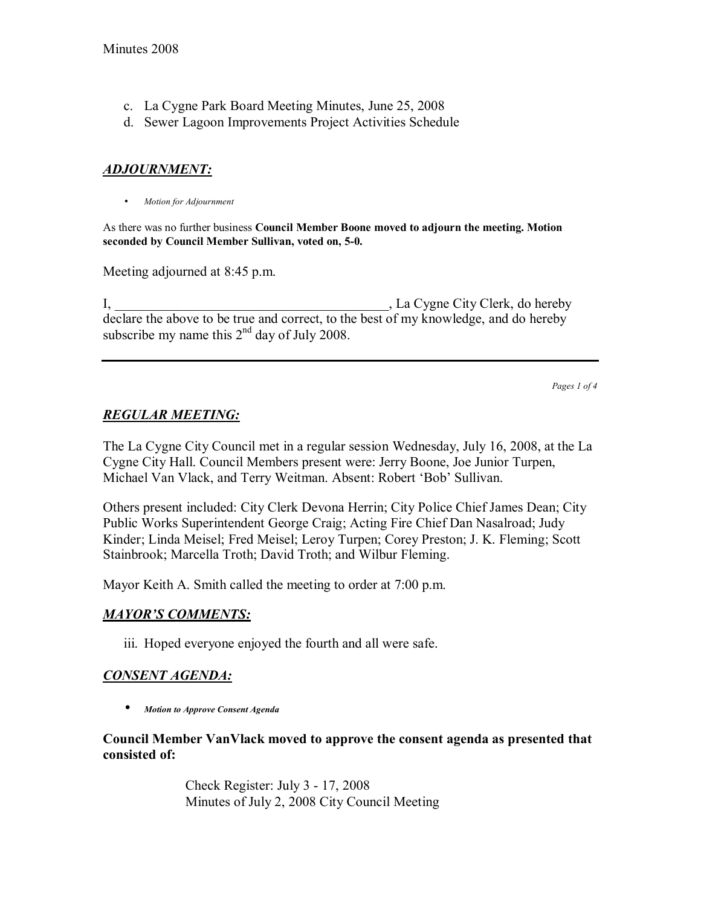- c. La Cygne Park Board Meeting Minutes, June 25, 2008
- d. Sewer Lagoon Improvements Project Activities Schedule

## *ADJOURNMENT:*

• *Motion for Adjournment*

As there was no further business **Council Member Boone moved to adjourn the meeting. Motion seconded by Council Member Sullivan, voted on, 5-0.**

Meeting adjourned at 8:45 p.m.

I, La Cygne City Clerk, do hereby declare the above to be true and correct, to the best of my knowledge, and do hereby subscribe my name this  $2<sup>nd</sup>$  day of July 2008.

*Pages 1 of 4*

## *REGULAR MEETING:*

The La Cygne City Council met in a regular session Wednesday, July 16, 2008, at the La Cygne City Hall. Council Members present were: Jerry Boone, Joe Junior Turpen, Michael Van Vlack, and Terry Weitman. Absent: Robert 'Bob' Sullivan.

Others present included: City Clerk Devona Herrin; City Police Chief James Dean; City Public Works Superintendent George Craig; Acting Fire Chief Dan Nasalroad; Judy Kinder; Linda Meisel; Fred Meisel; Leroy Turpen; Corey Preston; J. K. Fleming; Scott Stainbrook; Marcella Troth; David Troth; and Wilbur Fleming.

Mayor Keith A. Smith called the meeting to order at 7:00 p.m.

## **MAYOR'S COMMENTS:**

iii. Hoped everyone enjoyed the fourth and all were safe.

## *CONSENT AGENDA:*

• *Motion to Approve Consent Agenda* 

**Council Member VanVlack moved to approve the consent agenda as presented that consisted of:** 

> Check Register: July 3 - 17, 2008 Minutes of July 2, 2008 City Council Meeting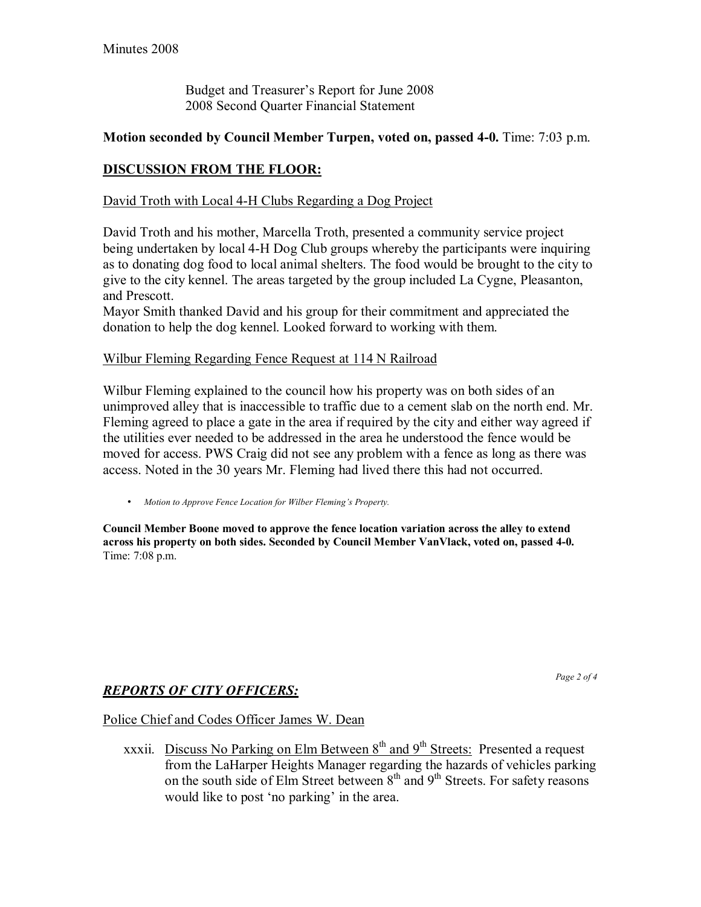Budget and Treasurer's Report for June 2008 2008 Second Quarter Financial Statement

#### **Motion seconded by Council Member Turpen, voted on, passed 4-0.** Time: 7:03 p.m.

## **DISCUSSION FROM THE FLOOR:**

#### David Troth with Local 4-H Clubs Regarding a Dog Project

David Troth and his mother, Marcella Troth, presented a community service project being undertaken by local 4-H Dog Club groups whereby the participants were inquiring as to donating dog food to local animal shelters. The food would be brought to the city to give to the city kennel. The areas targeted by the group included La Cygne, Pleasanton, and Prescott.

Mayor Smith thanked David and his group for their commitment and appreciated the donation to help the dog kennel. Looked forward to working with them.

#### Wilbur Fleming Regarding Fence Request at 114 N Railroad

Wilbur Fleming explained to the council how his property was on both sides of an unimproved alley that is inaccessible to traffic due to a cement slab on the north end. Mr. Fleming agreed to place a gate in the area if required by the city and either way agreed if the utilities ever needed to be addressed in the area he understood the fence would be moved for access. PWS Craig did not see any problem with a fence as long as there was access. Noted in the 30 years Mr. Fleming had lived there this had not occurred.

• *Motion to Approve Fence Location for Wilber Fleming's Property.* 

**Council Member Boone moved to approve the fence location variation across the alley to extend across his property on both sides. Seconded by Council Member VanVlack, voted on, passed 4-0.**  Time: 7:08 p.m.

## *REPORTS OF CITY OFFICERS:*

*Page 2 of 4* 

#### Police Chief and Codes Officer James W. Dean

xxxii. Discuss No Parking on Elm Between  $8<sup>th</sup>$  and  $9<sup>th</sup>$  Streets: Presented a request from the LaHarper Heights Manager regarding the hazards of vehicles parking on the south side of Elm Street between  $8<sup>th</sup>$  and  $9<sup>th</sup>$  Streets. For safety reasons would like to post 'no parking' in the area.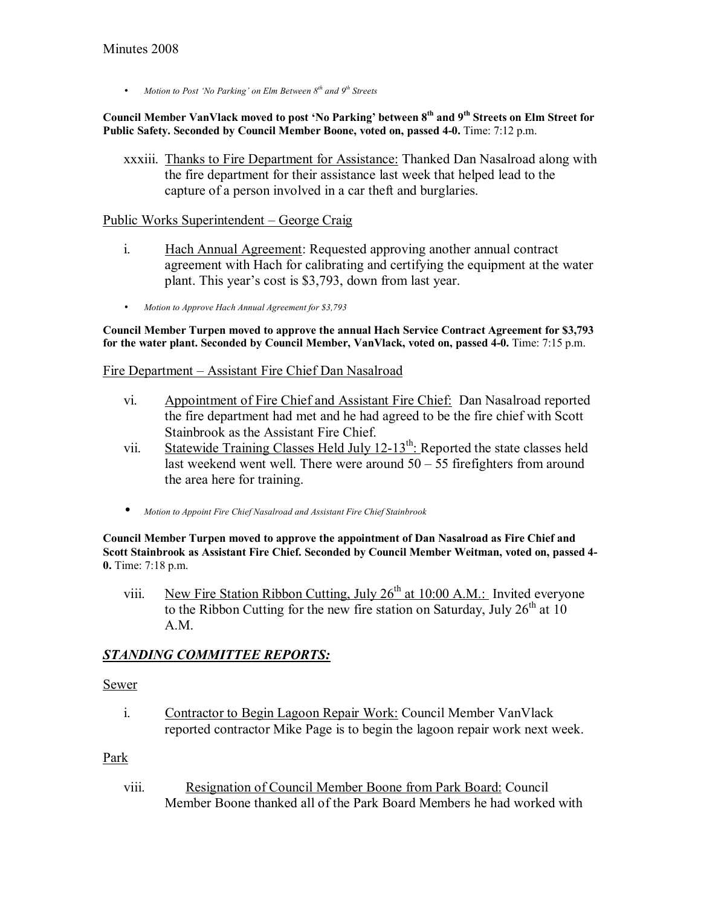• *Motion to Post 'No Parking' on Elm Between 8<sup>th</sup> and 9<sup>th</sup> Streets* 

Council Member VanVlack moved to post 'No Parking' between 8<sup>th</sup> and 9<sup>th</sup> Streets on Elm Street for **Public Safety. Seconded by Council Member Boone, voted on, passed 4-0.** Time: 7:12 p.m.

xxxiii. Thanks to Fire Department for Assistance: Thanked Dan Nasalroad along with the fire department for their assistance last week that helped lead to the capture of a person involved in a car theft and burglaries.

#### Public Works Superintendent – George Craig

- i. Hach Annual Agreement: Requested approving another annual contract agreement with Hach for calibrating and certifying the equipment at the water plant. This year's cost is \$3,793, down from last year.
- *Motion to Approve Hach Annual Agreement for \$3,793*

**Council Member Turpen moved to approve the annual Hach Service Contract Agreement for \$3,793**  for the water plant. Seconded by Council Member, VanVlack, voted on, passed 4-0. Time: 7:15 p.m.

#### Fire Department – Assistant Fire Chief Dan Nasalroad

- vi. Appointment of Fire Chief and Assistant Fire Chief: Dan Nasalroad reported the fire department had met and he had agreed to be the fire chief with Scott Stainbrook as the Assistant Fire Chief.
- vii. Statewide Training Classes Held July  $12-13^{th}$ : Reported the state classes held last weekend went well. There were around  $50 - 55$  firefighters from around the area here for training.
- *Motion to Appoint Fire Chief Nasalroad and Assistant Fire Chief Stainbrook*

**Council Member Turpen moved to approve the appointment of Dan Nasalroad as Fire Chief and Scott Stainbrook as Assistant Fire Chief. Seconded by Council Member Weitman, voted on, passed 4- 0.** Time: 7:18 p.m.

viii. New Fire Station Ribbon Cutting, July  $26<sup>th</sup>$  at 10:00 A.M.: Invited everyone to the Ribbon Cutting for the new fire station on Saturday, July  $26<sup>th</sup>$  at 10 A.M.

## *STANDING COMMITTEE REPORTS:*

#### Sewer

i. Contractor to Begin Lagoon Repair Work: Council Member VanVlack reported contractor Mike Page is to begin the lagoon repair work next week.

#### Park

viii. Resignation of Council Member Boone from Park Board: Council Member Boone thanked all of the Park Board Members he had worked with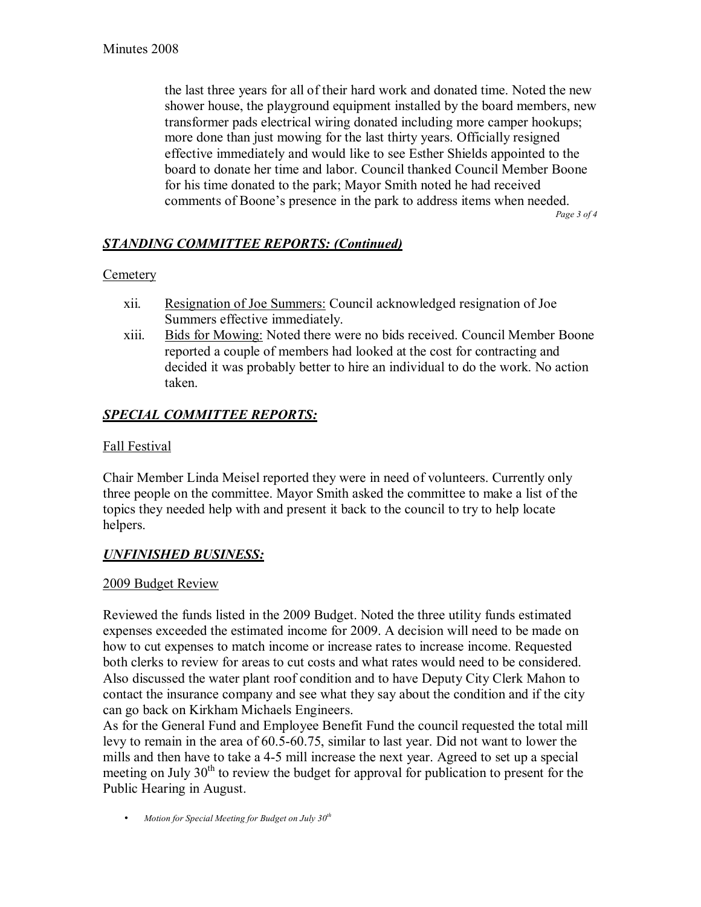the last three years for all of their hard work and donated time. Noted the new shower house, the playground equipment installed by the board members, new transformer pads electrical wiring donated including more camper hookups; more done than just mowing for the last thirty years. Officially resigned effective immediately and would like to see Esther Shields appointed to the board to donate her time and labor. Council thanked Council Member Boone for his time donated to the park; Mayor Smith noted he had received comments of Boone's presence in the park to address items when needed. *Page 3 of 4* 

*STANDING COMMITTEE REPORTS: (Continued)*

## **Cemetery**

- xii. Resignation of Joe Summers: Council acknowledged resignation of Joe Summers effective immediately.
- xiii. Bids for Mowing: Noted there were no bids received. Council Member Boone reported a couple of members had looked at the cost for contracting and decided it was probably better to hire an individual to do the work. No action taken.

# *SPECIAL COMMITTEE REPORTS:*

## Fall Festival

Chair Member Linda Meisel reported they were in need of volunteers. Currently only three people on the committee. Mayor Smith asked the committee to make a list of the topics they needed help with and present it back to the council to try to help locate helpers.

## *UNFINISHED BUSINESS:*

## 2009 Budget Review

Reviewed the funds listed in the 2009 Budget. Noted the three utility funds estimated expenses exceeded the estimated income for 2009. A decision will need to be made on how to cut expenses to match income or increase rates to increase income. Requested both clerks to review for areas to cut costs and what rates would need to be considered. Also discussed the water plant roof condition and to have Deputy City Clerk Mahon to contact the insurance company and see what they say about the condition and if the city can go back on Kirkham Michaels Engineers.

As for the General Fund and Employee Benefit Fund the council requested the total mill levy to remain in the area of 60.5-60.75, similar to last year. Did not want to lower the mills and then have to take a 4-5 mill increase the next year. Agreed to set up a special meeting on July  $30<sup>th</sup>$  to review the budget for approval for publication to present for the Public Hearing in August.

• *Motion for Special Meeting for Budget on July 30th*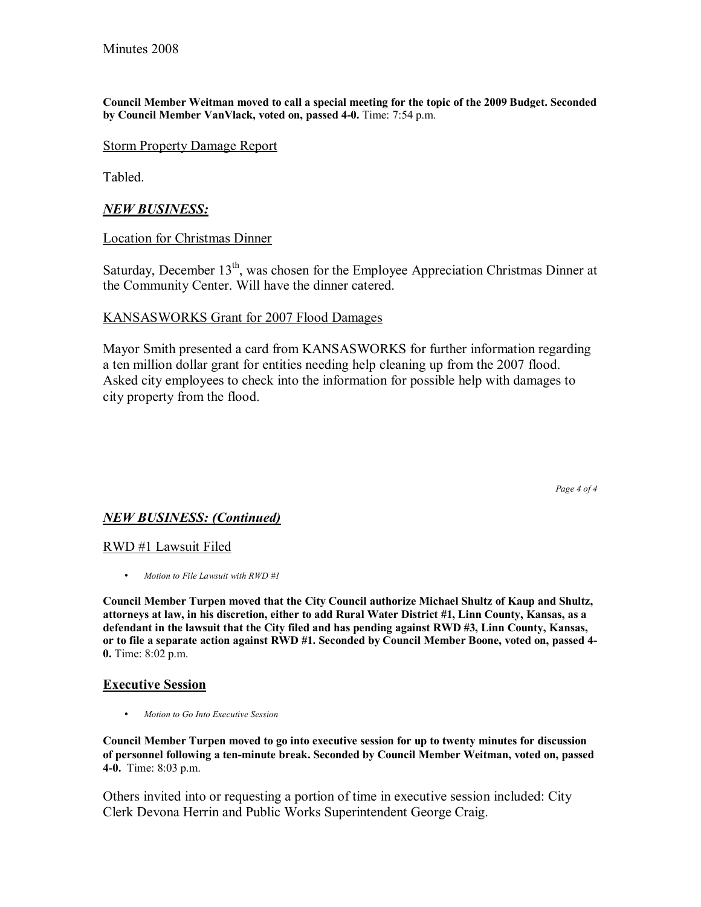**Council Member Weitman moved to call a special meeting for the topic of the 2009 Budget. Seconded by Council Member VanVlack, voted on, passed 4-0.** Time: 7:54 p.m.

#### Storm Property Damage Report

Tabled.

#### *NEW BUSINESS:*

Location for Christmas Dinner

Saturday, December 13<sup>th</sup>, was chosen for the Employee Appreciation Christmas Dinner at the Community Center. Will have the dinner catered.

#### KANSASWORKS Grant for 2007 Flood Damages

Mayor Smith presented a card from KANSASWORKS for further information regarding a ten million dollar grant for entities needing help cleaning up from the 2007 flood. Asked city employees to check into the information for possible help with damages to city property from the flood.

*Page 4 of 4* 

#### *NEW BUSINESS: (Continued)*

#### RWD #1 Lawsuit Filed

• *Motion to File Lawsuit with RWD #1*

**Council Member Turpen moved that the City Council authorize Michael Shultz of Kaup and Shultz, attorneys at law, in his discretion, either to add Rural Water District #1, Linn County, Kansas, as a defendant in the lawsuit that the City filed and has pending against RWD #3, Linn County, Kansas, or to file a separate action against RWD #1. Seconded by Council Member Boone, voted on, passed 4- 0.** Time: 8:02 p.m.

#### **Executive Session**

• *Motion to Go Into Executive Session* 

**Council Member Turpen moved to go into executive session for up to twenty minutes for discussion of personnel following a ten-minute break. Seconded by Council Member Weitman, voted on, passed 4-0.** Time: 8:03 p.m.

Others invited into or requesting a portion of time in executive session included: City Clerk Devona Herrin and Public Works Superintendent George Craig.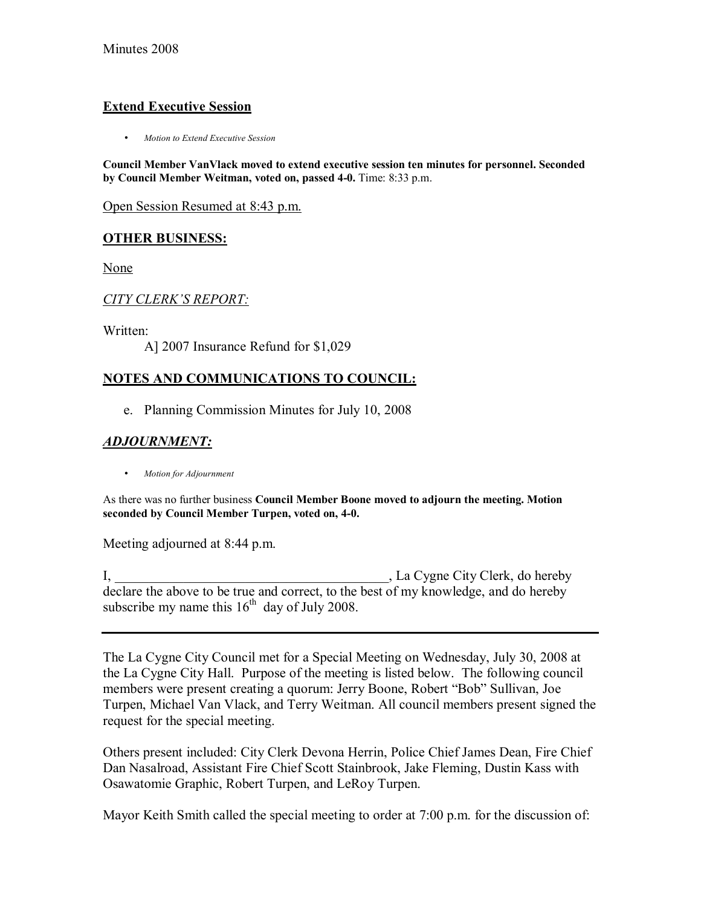## **Extend Executive Session**

• *Motion to Extend Executive Session*

**Council Member VanVlack moved to extend executive session ten minutes for personnel. Seconded by Council Member Weitman, voted on, passed 4-0.** Time: 8:33 p.m.

Open Session Resumed at 8:43 p.m.

## **OTHER BUSINESS:**

None

#### *CITY CLERKíS REPORT:*

Written:

A] 2007 Insurance Refund for \$1,029

## **NOTES AND COMMUNICATIONS TO COUNCIL:**

e. Planning Commission Minutes for July 10, 2008

## *ADJOURNMENT:*

• *Motion for Adjournment*

As there was no further business **Council Member Boone moved to adjourn the meeting. Motion seconded by Council Member Turpen, voted on, 4-0.**

Meeting adjourned at 8:44 p.m.

I, La Cygne City Clerk, do hereby declare the above to be true and correct, to the best of my knowledge, and do hereby subscribe my name this  $16<sup>th</sup>$  day of July 2008.

The La Cygne City Council met for a Special Meeting on Wednesday, July 30, 2008 at the La Cygne City Hall. Purpose of the meeting is listed below. The following council members were present creating a quorum: Jerry Boone, Robert "Bob" Sullivan, Joe Turpen, Michael Van Vlack, and Terry Weitman. All council members present signed the request for the special meeting.

Others present included: City Clerk Devona Herrin, Police Chief James Dean, Fire Chief Dan Nasalroad, Assistant Fire Chief Scott Stainbrook, Jake Fleming, Dustin Kass with Osawatomie Graphic, Robert Turpen, and LeRoy Turpen.

Mayor Keith Smith called the special meeting to order at 7:00 p.m. for the discussion of: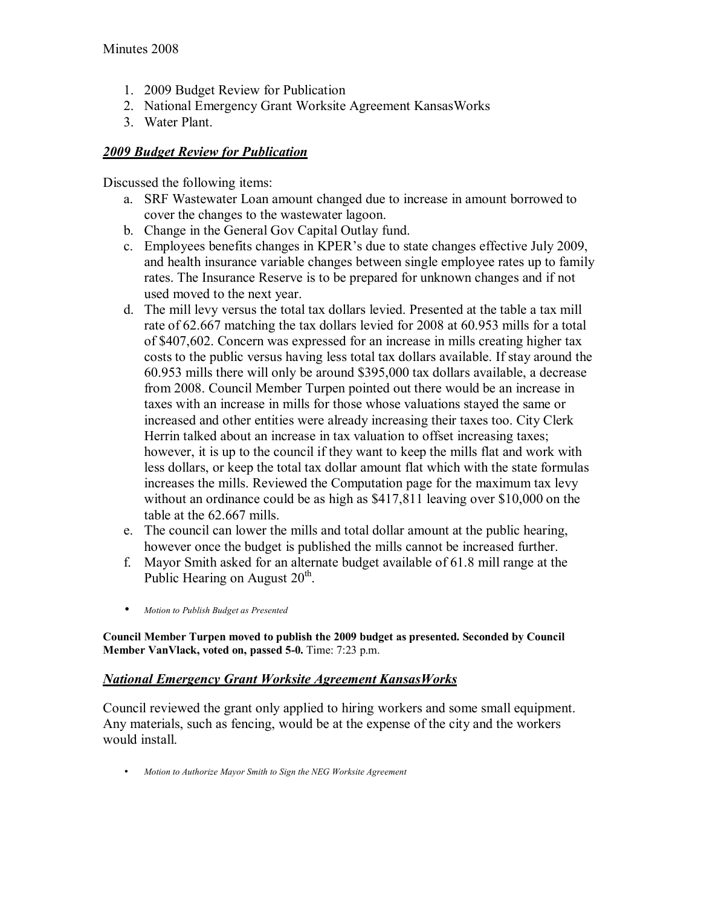- 1. 2009 Budget Review for Publication
- 2. National Emergency Grant Worksite Agreement KansasWorks
- 3. Water Plant.

## *2009 Budget Review for Publication*

Discussed the following items:

- a. SRF Wastewater Loan amount changed due to increase in amount borrowed to cover the changes to the wastewater lagoon.
- b. Change in the General Gov Capital Outlay fund.
- c. Employees benefits changes in KPER's due to state changes effective July 2009, and health insurance variable changes between single employee rates up to family rates. The Insurance Reserve is to be prepared for unknown changes and if not used moved to the next year.
- d. The mill levy versus the total tax dollars levied. Presented at the table a tax mill rate of 62.667 matching the tax dollars levied for 2008 at 60.953 mills for a total of \$407,602. Concern was expressed for an increase in mills creating higher tax costs to the public versus having less total tax dollars available. If stay around the 60.953 mills there will only be around \$395,000 tax dollars available, a decrease from 2008. Council Member Turpen pointed out there would be an increase in taxes with an increase in mills for those whose valuations stayed the same or increased and other entities were already increasing their taxes too. City Clerk Herrin talked about an increase in tax valuation to offset increasing taxes; however, it is up to the council if they want to keep the mills flat and work with less dollars, or keep the total tax dollar amount flat which with the state formulas increases the mills. Reviewed the Computation page for the maximum tax levy without an ordinance could be as high as \$417,811 leaving over \$10,000 on the table at the 62.667 mills.
- e. The council can lower the mills and total dollar amount at the public hearing, however once the budget is published the mills cannot be increased further.
- f. Mayor Smith asked for an alternate budget available of 61.8 mill range at the Public Hearing on August  $20<sup>th</sup>$ .
- *Motion to Publish Budget as Presented*

**Council Member Turpen moved to publish the 2009 budget as presented. Seconded by Council Member VanVlack, voted on, passed 5-0.** Time: 7:23 p.m.

## *National Emergency Grant Worksite Agreement KansasWorks*

Council reviewed the grant only applied to hiring workers and some small equipment. Any materials, such as fencing, would be at the expense of the city and the workers would install.

• *Motion to Authorize Mayor Smith to Sign the NEG Worksite Agreement*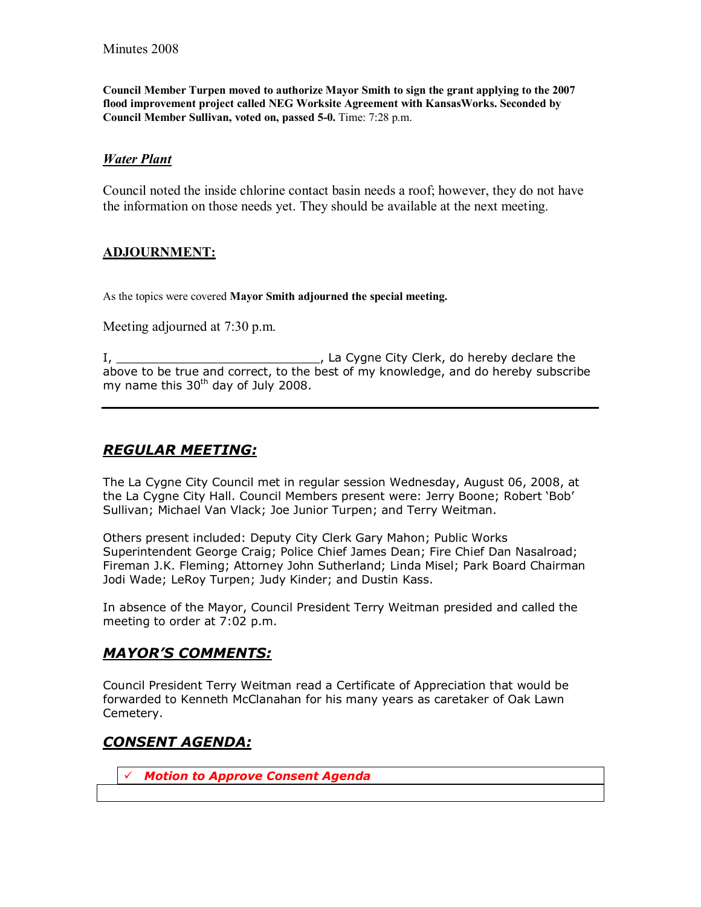**Council Member Turpen moved to authorize Mayor Smith to sign the grant applying to the 2007 flood improvement project called NEG Worksite Agreement with KansasWorks. Seconded by Council Member Sullivan, voted on, passed 5-0.** Time: 7:28 p.m.

#### *Water Plant*

Council noted the inside chlorine contact basin needs a roof; however, they do not have the information on those needs yet. They should be available at the next meeting.

#### **ADJOURNMENT:**

As the topics were covered **Mayor Smith adjourned the special meeting.** 

Meeting adjourned at 7:30 p.m.

I, \_\_\_\_\_\_\_\_\_\_\_\_\_\_\_\_\_\_\_\_\_\_\_\_\_\_\_\_, La Cygne City Clerk, do hereby declare the above to be true and correct, to the best of my knowledge, and do hereby subscribe my name this  $30<sup>th</sup>$  day of July 2008.

## *REGULAR MEETING:*

The La Cygne City Council met in regular session Wednesday, August 06, 2008, at the La Cygne City Hall. Council Members present were: Jerry Boone; Robert 'Bob' Sullivan; Michael Van Vlack; Joe Junior Turpen; and Terry Weitman.

Others present included: Deputy City Clerk Gary Mahon; Public Works Superintendent George Craig; Police Chief James Dean; Fire Chief Dan Nasalroad; Fireman J.K. Fleming; Attorney John Sutherland; Linda Misel; Park Board Chairman Jodi Wade; LeRoy Turpen; Judy Kinder; and Dustin Kass.

In absence of the Mayor, Council President Terry Weitman presided and called the meeting to order at 7:02 p.m.

## *MAYORíS COMMENTS:*

Council President Terry Weitman read a Certificate of Appreciation that would be forwarded to Kenneth McClanahan for his many years as caretaker of Oak Lawn Cemetery.

## *CONSENT AGENDA:*

! *Motion to Approve Consent Agenda*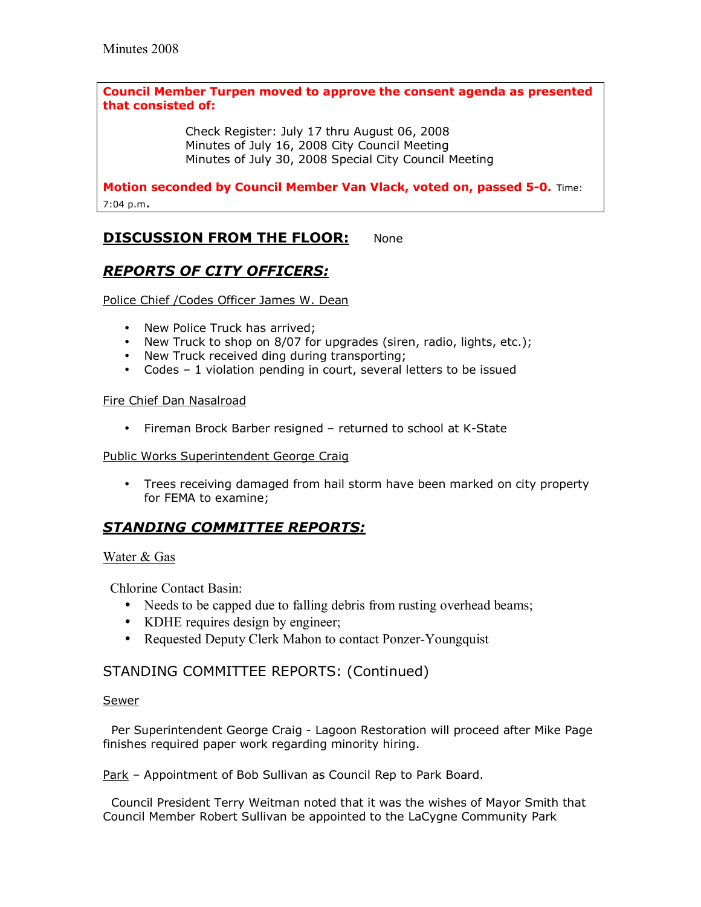#### **Council Member Turpen moved to approve the consent agenda as presented that consisted of:**

 Check Register: July 17 thru August 06, 2008 Minutes of July 16, 2008 City Council Meeting Minutes of July 30, 2008 Special City Council Meeting

**Motion seconded by Council Member Van Vlack, voted on, passed 5-0.** Time: 7:04 p.m.

## **DISCUSSION FROM THE FLOOR:** None

# *REPORTS OF CITY OFFICERS:*

Police Chief /Codes Officer James W. Dean

- New Police Truck has arrived;
- New Truck to shop on 8/07 for upgrades (siren, radio, lights, etc.);
- New Truck received ding during transporting;
- Codes  $-1$  violation pending in court, several letters to be issued

#### Fire Chief Dan Nasalroad

• Fireman Brock Barber resigned - returned to school at K-State

#### Public Works Superintendent George Craig

• Trees receiving damaged from hail storm have been marked on city property for FEMA to examine;

## *STANDING COMMITTEE REPORTS:*

#### Water & Gas

Chlorine Contact Basin:

- Needs to be capped due to falling debris from rusting overhead beams;
- KDHE requires design by engineer;
- Requested Deputy Clerk Mahon to contact Ponzer-Youngquist

## STANDING COMMITTEE REPORTS: (Continued)

#### Sewer

 Per Superintendent George Craig - Lagoon Restoration will proceed after Mike Page finishes required paper work regarding minority hiring.

Park - Appointment of Bob Sullivan as Council Rep to Park Board.

 Council President Terry Weitman noted that it was the wishes of Mayor Smith that Council Member Robert Sullivan be appointed to the LaCygne Community Park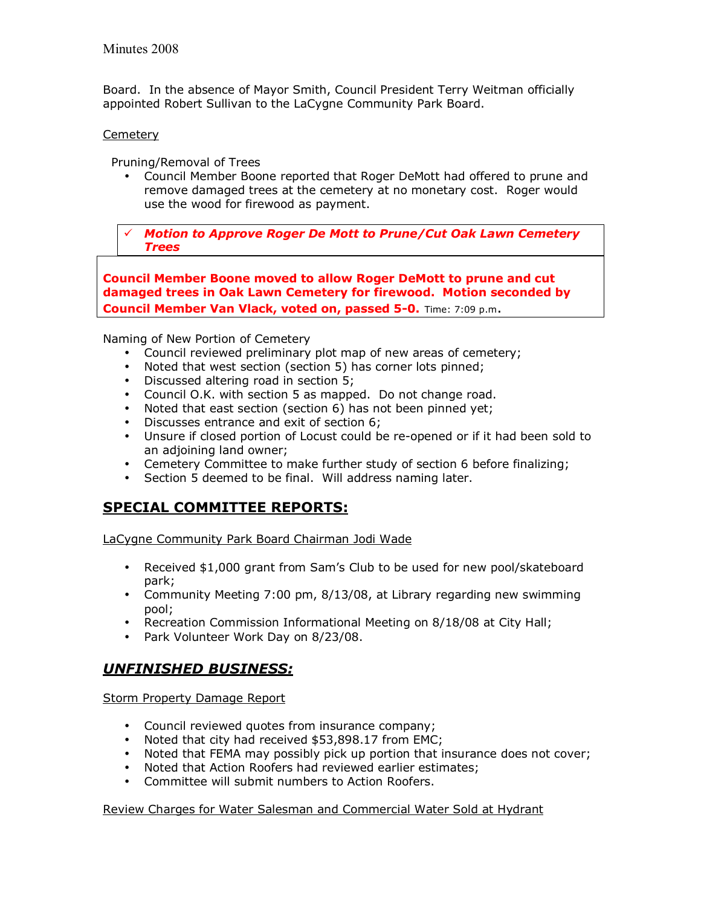Board. In the absence of Mayor Smith, Council President Terry Weitman officially appointed Robert Sullivan to the LaCygne Community Park Board.

#### **Cemetery**

Pruning/Removal of Trees

• Council Member Boone reported that Roger DeMott had offered to prune and remove damaged trees at the cemetery at no monetary cost. Roger would use the wood for firewood as payment.

! *Motion to Approve Roger De Mott to Prune/Cut Oak Lawn Cemetery Trees* 

**Council Member Boone moved to allow Roger DeMott to prune and cut damaged trees in Oak Lawn Cemetery for firewood. Motion seconded by Council Member Van Vlack, voted on, passed 5-0.** Time: 7:09 p.m.

Naming of New Portion of Cemetery

- Council reviewed preliminary plot map of new areas of cemetery;
- Noted that west section (section 5) has corner lots pinned;
- Discussed altering road in section 5;
- Council O.K. with section 5 as mapped. Do not change road.
- Noted that east section (section 6) has not been pinned yet;
- Discusses entrance and exit of section 6;
- Unsure if closed portion of Locust could be re-opened or if it had been sold to an adjoining land owner;
- Cemetery Committee to make further study of section 6 before finalizing;
- Section 5 deemed to be final. Will address naming later.

## **SPECIAL COMMITTEE REPORTS:**

LaCygne Community Park Board Chairman Jodi Wade

- Received \$1,000 grant from Sam's Club to be used for new pool/skateboard park;
- Community Meeting 7:00 pm, 8/13/08, at Library regarding new swimming pool;
- Recreation Commission Informational Meeting on 8/18/08 at City Hall;
- Park Volunteer Work Day on 8/23/08.

# *UNFINISHED BUSINESS:*

Storm Property Damage Report

- Council reviewed quotes from insurance company;
- Noted that city had received \$53,898.17 from EMC;
- Noted that FEMA may possibly pick up portion that insurance does not cover;
- Noted that Action Roofers had reviewed earlier estimates;
- Committee will submit numbers to Action Roofers.

#### Review Charges for Water Salesman and Commercial Water Sold at Hydrant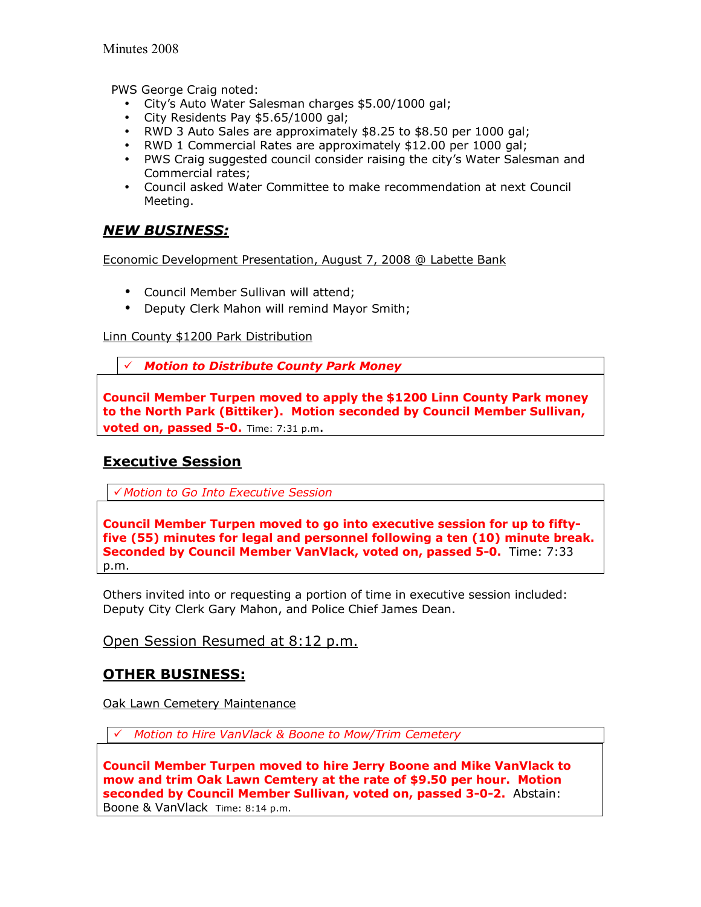PWS George Craig noted:

- Cityís Auto Water Salesman charges \$5.00/1000 gal;
- City Residents Pay \$5.65/1000 gal;
- RWD 3 Auto Sales are approximately \$8.25 to \$8.50 per 1000 gal;
- RWD 1 Commercial Rates are approximately \$12.00 per 1000 gal;
- PWS Craig suggested council consider raising the cityís Water Salesman and Commercial rates;
- Council asked Water Committee to make recommendation at next Council Meeting.

# *NEW BUSINESS:*

Economic Development Presentation, August 7, 2008 @ Labette Bank

- Council Member Sullivan will attend;
- Deputy Clerk Mahon will remind Mayor Smith;

#### Linn County \$1200 Park Distribution

! *Motion to Distribute County Park Money* 

**Council Member Turpen moved to apply the \$1200 Linn County Park money to the North Park (Bittiker). Motion seconded by Council Member Sullivan, voted on, passed 5-0.** Time: 7:31 p.m.

# **Executive Session**

! *Motion to Go Into Executive Session* 

**Council Member Turpen moved to go into executive session for up to fiftyfive (55) minutes for legal and personnel following a ten (10) minute break. Seconded by Council Member VanVlack, voted on, passed 5-0.** Time: 7:33 p.m.

Others invited into or requesting a portion of time in executive session included: Deputy City Clerk Gary Mahon, and Police Chief James Dean.

## Open Session Resumed at 8:12 p.m.

## **OTHER BUSINESS:**

Oak Lawn Cemetery Maintenance

! *Motion to Hire VanVlack & Boone to Mow/Trim Cemetery* 

**Council Member Turpen moved to hire Jerry Boone and Mike VanVlack to mow and trim Oak Lawn Cemtery at the rate of \$9.50 per hour. Motion seconded by Council Member Sullivan, voted on, passed 3-0-2.** Abstain: Boone & VanVlackTime: 8:14 p.m.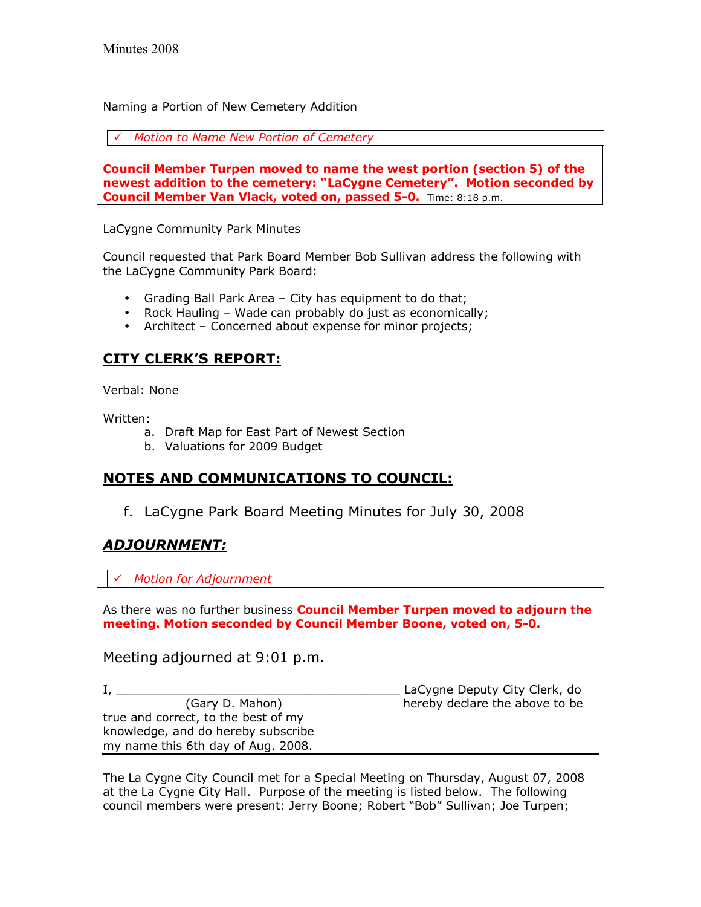#### Naming a Portion of New Cemetery Addition

! *Motion to Name New Portion of Cemetery* 

**Council Member Turpen moved to name the west portion (section 5) of the**  newest addition to the cemetery: "LaCygne Cemetery". Motion seconded by **Council Member Van Vlack, voted on, passed 5-0.** Time: 8:18 p.m.

#### LaCygne Community Park Minutes

Council requested that Park Board Member Bob Sullivan address the following with the LaCygne Community Park Board:

- Grading Ball Park Area  $-$  City has equipment to do that;
- Rock Hauling  $-$  Wade can probably do just as economically;
- Architect  $-$  Concerned about expense for minor projects;

# **CITY CLERKíS REPORT:**

Verbal: None

Written:

- a. Draft Map for East Part of Newest Section
- b. Valuations for 2009 Budget

## **NOTES AND COMMUNICATIONS TO COUNCIL:**

f. LaCygne Park Board Meeting Minutes for July 30, 2008

## *ADJOURNMENT:*

! *Motion for Adjournment*

As there was no further business **Council Member Turpen moved to adjourn the meeting. Motion seconded by Council Member Boone, voted on, 5-0.** 

## Meeting adjourned at 9:01 p.m.

I, \_\_\_\_\_\_\_\_\_\_\_\_\_\_\_\_\_\_\_\_\_\_\_\_\_\_\_\_\_\_\_\_\_\_\_\_\_\_\_ LaCygne Deputy City Clerk, do (Gary D. Mahon) hereby declare the above to be true and correct, to the best of my knowledge, and do hereby subscribe my name this 6th day of Aug. 2008.

The La Cygne City Council met for a Special Meeting on Thursday, August 07, 2008 at the La Cygne City Hall. Purpose of the meeting is listed below. The following council members were present: Jerry Boone; Robert "Bob" Sullivan; Joe Turpen;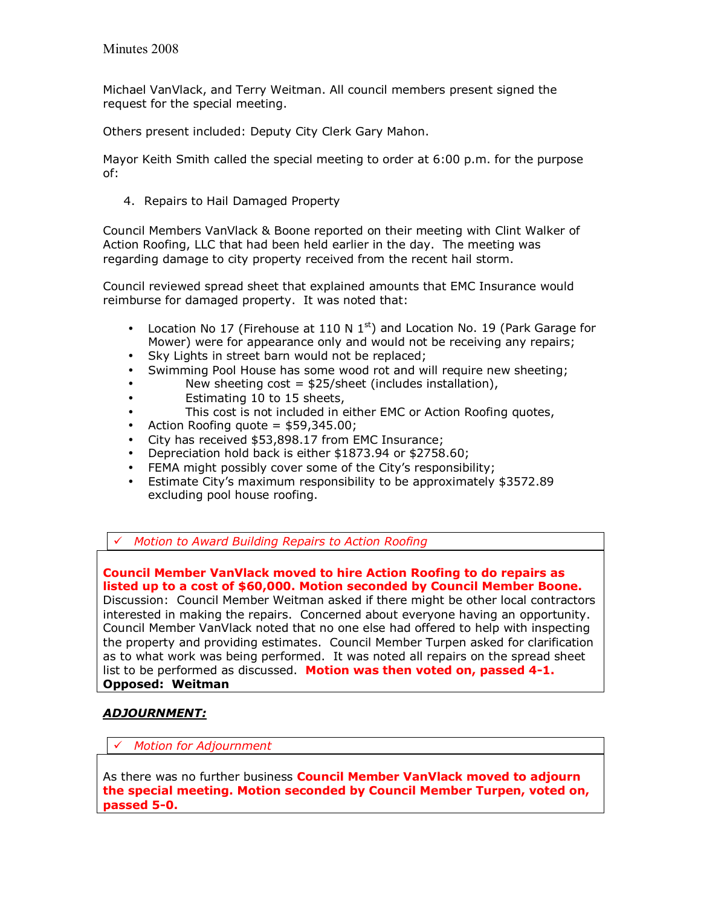Michael VanVlack, and Terry Weitman. All council members present signed the request for the special meeting.

Others present included: Deputy City Clerk Gary Mahon.

Mayor Keith Smith called the special meeting to order at 6:00 p.m. for the purpose of:

4. Repairs to Hail Damaged Property

Council Members VanVlack & Boone reported on their meeting with Clint Walker of Action Roofing, LLC that had been held earlier in the day. The meeting was regarding damage to city property received from the recent hail storm.

Council reviewed spread sheet that explained amounts that EMC Insurance would reimburse for damaged property. It was noted that:

- Location No 17 (Firehouse at 110 N  $1<sup>st</sup>$ ) and Location No. 19 (Park Garage for Mower) were for appearance only and would not be receiving any repairs;
- Sky Lights in street barn would not be replaced;
- Swimming Pool House has some wood rot and will require new sheeting;
- New sheeting cost =  $$25/sheet$  (includes installation),
- Estimating 10 to 15 sheets,
- This cost is not included in either EMC or Action Roofing quotes,
- Action Roofing quote  $=$  \$59,345.00;
- City has received \$53,898.17 from EMC Insurance;
- Depreciation hold back is either \$1873.94 or \$2758.60;
- FEMA might possibly cover some of the Cityís responsibility;
- Estimate Cityís maximum responsibility to be approximately \$3572.89 excluding pool house roofing.

! *Motion to Award Building Repairs to Action Roofing*

**Council Member VanVlack moved to hire Action Roofing to do repairs as listed up to a cost of \$60,000. Motion seconded by Council Member Boone.**  Discussion: Council Member Weitman asked if there might be other local contractors interested in making the repairs. Concerned about everyone having an opportunity. Council Member VanVlack noted that no one else had offered to help with inspecting the property and providing estimates. Council Member Turpen asked for clarification as to what work was being performed. It was noted all repairs on the spread sheet list to be performed as discussed. **Motion was then voted on, passed 4-1. Opposed: Weitman** 

#### *ADJOURNMENT:*

! *Motion for Adjournment*

As there was no further business **Council Member VanVlack moved to adjourn the special meeting. Motion seconded by Council Member Turpen, voted on, passed 5-0.**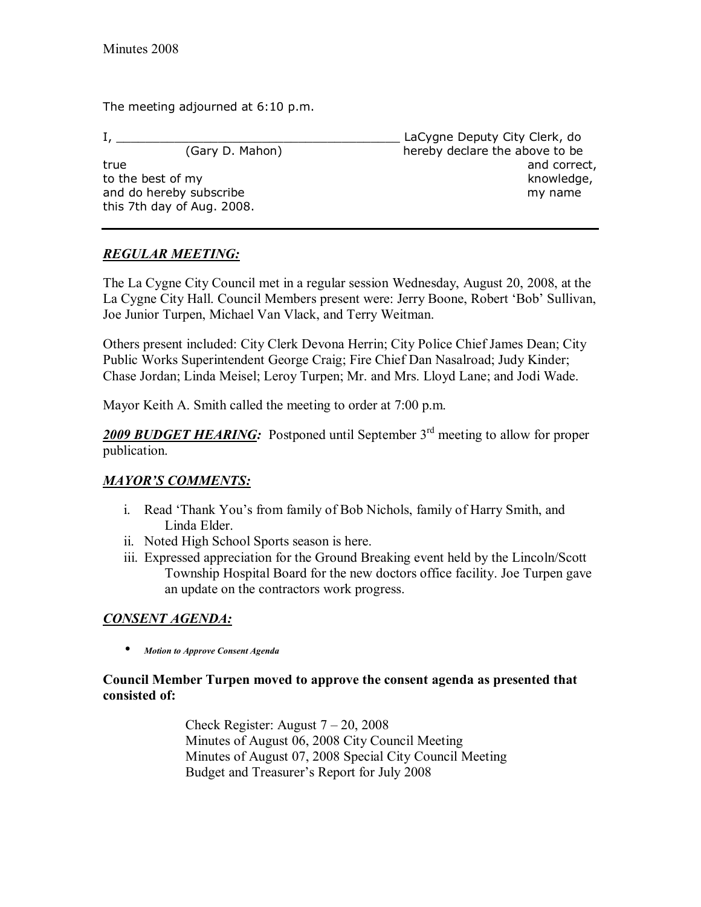The meeting adjourned at 6:10 p.m.

this 7th day of Aug. 2008.

I, \_\_\_\_\_\_\_\_\_\_\_\_\_\_\_\_\_\_\_\_\_\_\_\_\_\_\_\_\_\_\_\_\_\_\_\_\_\_\_ LaCygne Deputy City Clerk, do (Gary D. Mahon) hereby declare the above to be true and correct, the contract of the contract of the contract of the contract of the contract of the contract of the contract of the contract of the contract of the contract of the contract of the contract of the contract to the best of my knowledge, the best of my knowledge, and do hereby subscribe my name

# *REGULAR MEETING:*

The La Cygne City Council met in a regular session Wednesday, August 20, 2008, at the La Cygne City Hall. Council Members present were: Jerry Boone, Robert 'Bob' Sullivan, Joe Junior Turpen, Michael Van Vlack, and Terry Weitman.

Others present included: City Clerk Devona Herrin; City Police Chief James Dean; City Public Works Superintendent George Craig; Fire Chief Dan Nasalroad; Judy Kinder; Chase Jordan; Linda Meisel; Leroy Turpen; Mr. and Mrs. Lloyd Lane; and Jodi Wade.

Mayor Keith A. Smith called the meeting to order at 7:00 p.m.

2009 BUDGET HEARING: Postponed until September 3<sup>rd</sup> meeting to allow for proper publication.

## **MAYOR'S COMMENTS:**

- i. Read 'Thank You's from family of Bob Nichols, family of Harry Smith, and Linda Elder.
- ii. Noted High School Sports season is here.
- iii. Expressed appreciation for the Ground Breaking event held by the Lincoln/Scott Township Hospital Board for the new doctors office facility. Joe Turpen gave an update on the contractors work progress.

# *CONSENT AGENDA:*

• *Motion to Approve Consent Agenda* 

## **Council Member Turpen moved to approve the consent agenda as presented that consisted of:**

Check Register: August  $7 - 20$ , 2008 Minutes of August 06, 2008 City Council Meeting Minutes of August 07, 2008 Special City Council Meeting Budget and Treasurer's Report for July 2008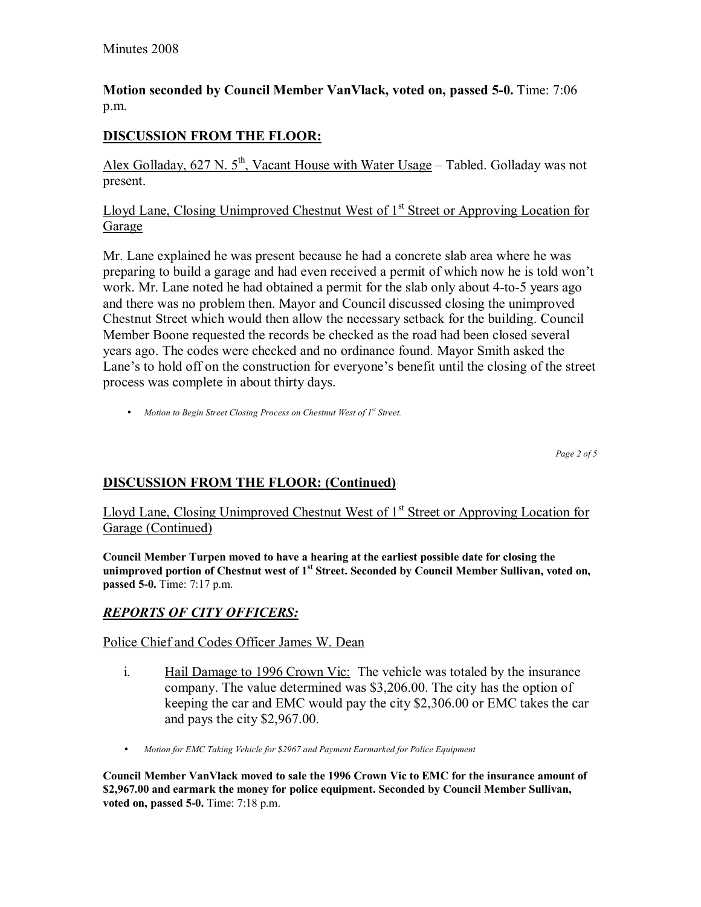## **Motion seconded by Council Member VanVlack, voted on, passed 5-0.** Time: 7:06 p.m.

# **DISCUSSION FROM THE FLOOR:**

Alex Golladay, 627 N.  $5<sup>th</sup>$ , Vacant House with Water Usage – Tabled. Golladay was not present.

## Lloyd Lane, Closing Unimproved Chestnut West of 1<sup>st</sup> Street or Approving Location for Garage

Mr. Lane explained he was present because he had a concrete slab area where he was preparing to build a garage and had even received a permit of which now he is told wonít work. Mr. Lane noted he had obtained a permit for the slab only about 4-to-5 years ago and there was no problem then. Mayor and Council discussed closing the unimproved Chestnut Street which would then allow the necessary setback for the building. Council Member Boone requested the records be checked as the road had been closed several years ago. The codes were checked and no ordinance found. Mayor Smith asked the Lane's to hold off on the construction for everyone's benefit until the closing of the street process was complete in about thirty days.

• *Motion to Begin Street Closing Process on Chestnut West of 1<sup>st</sup> Street.* 

*Page 2 of 5* 

## **DISCUSSION FROM THE FLOOR: (Continued)**

Lloyd Lane, Closing Unimproved Chestnut West of 1<sup>st</sup> Street or Approving Location for Garage (Continued)

**Council Member Turpen moved to have a hearing at the earliest possible date for closing the unimproved portion of Chestnut west of 1st Street. Seconded by Council Member Sullivan, voted on, passed 5-0.** Time: 7:17 p.m.

## *REPORTS OF CITY OFFICERS:*

Police Chief and Codes Officer James W. Dean

- i. Hail Damage to 1996 Crown Vic: The vehicle was totaled by the insurance company. The value determined was \$3,206.00. The city has the option of keeping the car and EMC would pay the city \$2,306.00 or EMC takes the car and pays the city \$2,967.00.
- *Motion for EMC Taking Vehicle for \$2967 and Payment Earmarked for Police Equipment*

**Council Member VanVlack moved to sale the 1996 Crown Vic to EMC for the insurance amount of \$2,967.00 and earmark the money for police equipment. Seconded by Council Member Sullivan, voted on, passed 5-0.** Time: 7:18 p.m.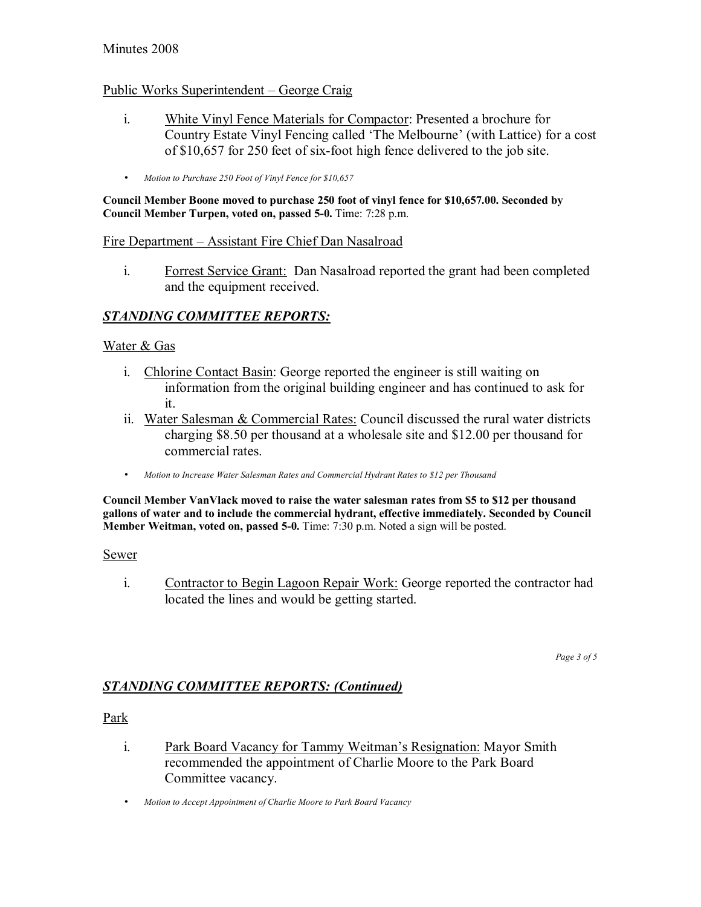#### Minutes 2008

#### Public Works Superintendent – George Craig

- i. White Vinyl Fence Materials for Compactor: Presented a brochure for Country Estate Vinyl Fencing called 'The Melbourne' (with Lattice) for a cost of \$10,657 for 250 feet of six-foot high fence delivered to the job site.
- *Motion to Purchase 250 Foot of Vinyl Fence for \$10,657*

**Council Member Boone moved to purchase 250 foot of vinyl fence for \$10,657.00. Seconded by Council Member Turpen, voted on, passed 5-0.** Time: 7:28 p.m.

#### Fire Department – Assistant Fire Chief Dan Nasalroad

i. Forrest Service Grant: Dan Nasalroad reported the grant had been completed and the equipment received.

## *STANDING COMMITTEE REPORTS:*

#### Water & Gas

- i. Chlorine Contact Basin: George reported the engineer is still waiting on information from the original building engineer and has continued to ask for it.
- ii. Water Salesman & Commercial Rates: Council discussed the rural water districts charging \$8.50 per thousand at a wholesale site and \$12.00 per thousand for commercial rates.
- *Motion to Increase Water Salesman Rates and Commercial Hydrant Rates to \$12 per Thousand*

**Council Member VanVlack moved to raise the water salesman rates from \$5 to \$12 per thousand gallons of water and to include the commercial hydrant, effective immediately. Seconded by Council Member Weitman, voted on, passed 5-0.** Time: 7:30 p.m. Noted a sign will be posted.

#### Sewer

i. Contractor to Begin Lagoon Repair Work: George reported the contractor had located the lines and would be getting started.

*Page 3 of 5* 

## *STANDING COMMITTEE REPORTS: (Continued)*

#### Park

- i. Park Board Vacancy for Tammy Weitman's Resignation: Mayor Smith recommended the appointment of Charlie Moore to the Park Board Committee vacancy.
- *Motion to Accept Appointment of Charlie Moore to Park Board Vacancy*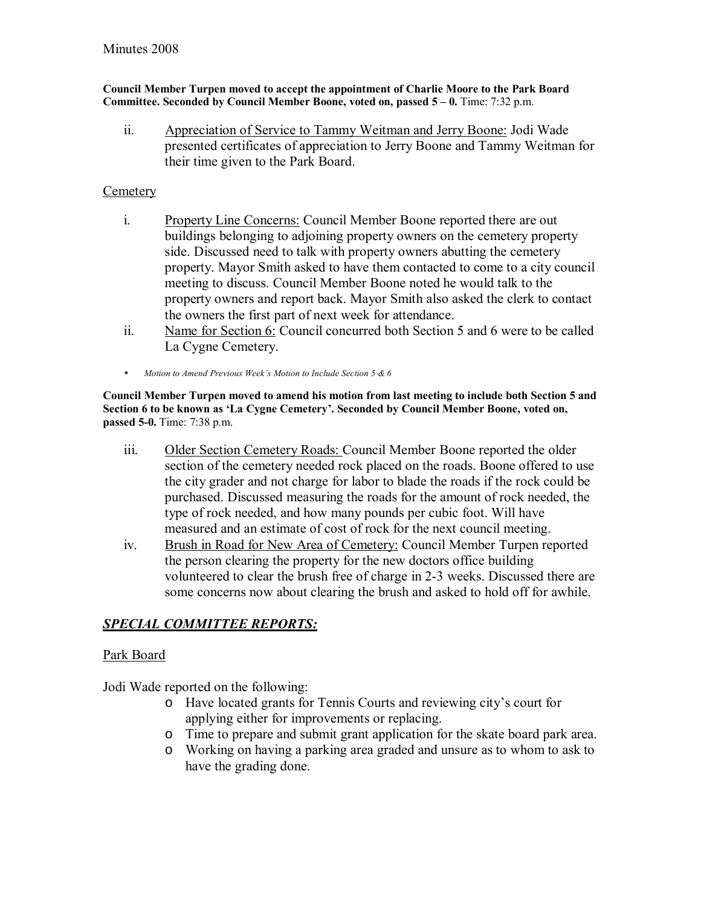#### **Council Member Turpen moved to accept the appointment of Charlie Moore to the Park Board Committee. Seconded by Council Member Boone, voted on, passed 5 – 0.** Time: 7:32 p.m.

ii. Appreciation of Service to Tammy Weitman and Jerry Boone: Jodi Wade presented certificates of appreciation to Jerry Boone and Tammy Weitman for their time given to the Park Board.

## **Cemetery**

- i. Property Line Concerns: Council Member Boone reported there are out buildings belonging to adjoining property owners on the cemetery property side. Discussed need to talk with property owners abutting the cemetery property. Mayor Smith asked to have them contacted to come to a city council meeting to discuss. Council Member Boone noted he would talk to the property owners and report back. Mayor Smith also asked the clerk to contact the owners the first part of next week for attendance.
- ii. Name for Section 6: Council concurred both Section 5 and 6 were to be called La Cygne Cemetery.
- *Motion to Amend Previous Weekís Motion to Include Section 5 & 6*

**Council Member Turpen moved to amend his motion from last meeting to include both Section 5 and**  Section 6 to be known as 'La Cygne Cemetery'. Seconded by Council Member Boone, voted on, **passed 5-0.** Time: 7:38 p.m.

- iii. Older Section Cemetery Roads: Council Member Boone reported the older section of the cemetery needed rock placed on the roads. Boone offered to use the city grader and not charge for labor to blade the roads if the rock could be purchased. Discussed measuring the roads for the amount of rock needed, the type of rock needed, and how many pounds per cubic foot. Will have measured and an estimate of cost of rock for the next council meeting.
- iv. Brush in Road for New Area of Cemetery: Council Member Turpen reported the person clearing the property for the new doctors office building volunteered to clear the brush free of charge in 2-3 weeks. Discussed there are some concerns now about clearing the brush and asked to hold off for awhile.

## *SPECIAL COMMITTEE REPORTS:*

## Park Board

Jodi Wade reported on the following:

- o Have located grants for Tennis Courts and reviewing cityís court for applying either for improvements or replacing.
- o Time to prepare and submit grant application for the skate board park area.
- o Working on having a parking area graded and unsure as to whom to ask to have the grading done.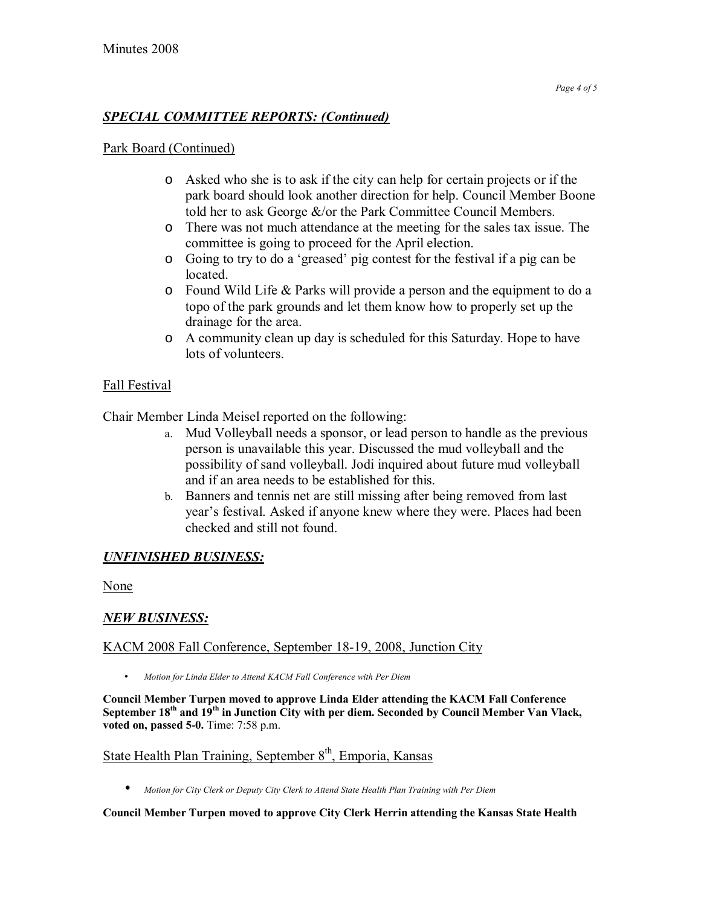## *SPECIAL COMMITTEE REPORTS: (Continued)*

#### Park Board (Continued)

- o Asked who she is to ask if the city can help for certain projects or if the park board should look another direction for help. Council Member Boone told her to ask George &/or the Park Committee Council Members.
- o There was not much attendance at the meeting for the sales tax issue. The committee is going to proceed for the April election.
- o Going to try to do a ëgreasedí pig contest for the festival if a pig can be located.
- o Found Wild Life & Parks will provide a person and the equipment to do a topo of the park grounds and let them know how to properly set up the drainage for the area.
- o A community clean up day is scheduled for this Saturday. Hope to have lots of volunteers.

## Fall Festival

Chair Member Linda Meisel reported on the following:

- a. Mud Volleyball needs a sponsor, or lead person to handle as the previous person is unavailable this year. Discussed the mud volleyball and the possibility of sand volleyball. Jodi inquired about future mud volleyball and if an area needs to be established for this.
- b. Banners and tennis net are still missing after being removed from last year's festival. Asked if anyone knew where they were. Places had been checked and still not found.

## *UNFINISHED BUSINESS:*

None

## *NEW BUSINESS:*

#### KACM 2008 Fall Conference, September 18-19, 2008, Junction City

• *Motion for Linda Elder to Attend KACM Fall Conference with Per Diem* 

**Council Member Turpen moved to approve Linda Elder attending the KACM Fall Conference**  September 18<sup>th</sup> and 19<sup>th</sup> in Junction City with per diem. Seconded by Council Member Van Vlack, **voted on, passed 5-0.** Time: 7:58 p.m.

# State Health Plan Training, September  $8<sup>th</sup>$ , Emporia, Kansas

• *Motion for City Clerk or Deputy City Clerk to Attend State Health Plan Training with Per Diem*

#### **Council Member Turpen moved to approve City Clerk Herrin attending the Kansas State Health**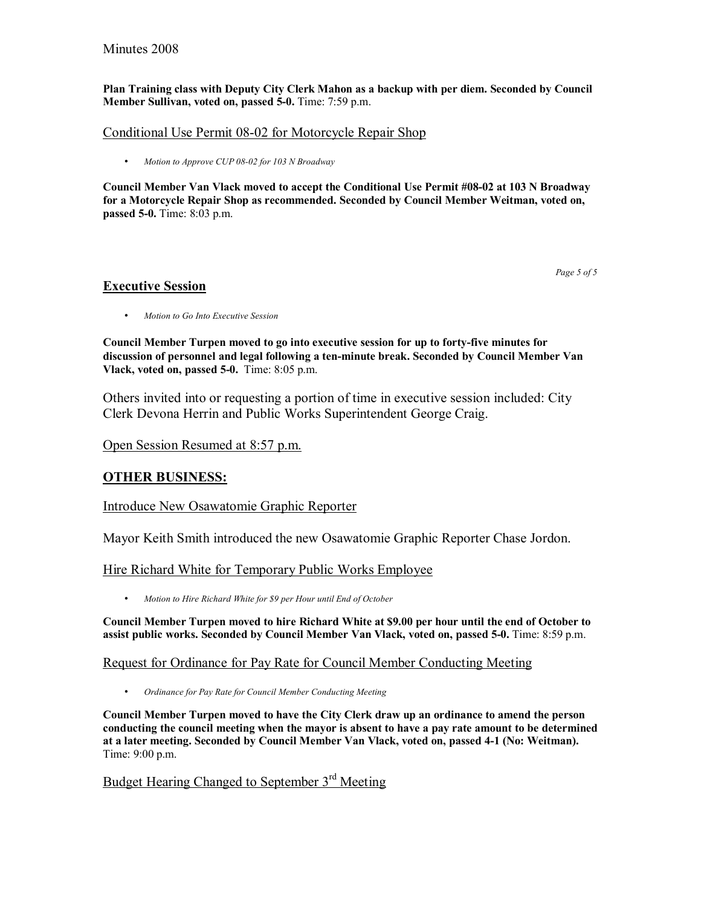#### Minutes 2008

**Plan Training class with Deputy City Clerk Mahon as a backup with per diem. Seconded by Council Member Sullivan, voted on, passed 5-0.** Time: 7:59 p.m.

#### Conditional Use Permit 08-02 for Motorcycle Repair Shop

• *Motion to Approve CUP 08-02 for 103 N Broadway*

**Council Member Van Vlack moved to accept the Conditional Use Permit #08-02 at 103 N Broadway for a Motorcycle Repair Shop as recommended. Seconded by Council Member Weitman, voted on, passed 5-0.** Time: 8:03 p.m.

*Page 5 of 5* 

#### **Executive Session**

• *Motion to Go Into Executive Session* 

**Council Member Turpen moved to go into executive session for up to forty-five minutes for discussion of personnel and legal following a ten-minute break. Seconded by Council Member Van Vlack, voted on, passed 5-0.** Time: 8:05 p.m.

Others invited into or requesting a portion of time in executive session included: City Clerk Devona Herrin and Public Works Superintendent George Craig.

#### Open Session Resumed at 8:57 p.m.

#### **OTHER BUSINESS:**

Introduce New Osawatomie Graphic Reporter

Mayor Keith Smith introduced the new Osawatomie Graphic Reporter Chase Jordon.

Hire Richard White for Temporary Public Works Employee

• *Motion to Hire Richard White for \$9 per Hour until End of October*

**Council Member Turpen moved to hire Richard White at \$9.00 per hour until the end of October to assist public works. Seconded by Council Member Van Vlack, voted on, passed 5-0.** Time: 8:59 p.m.

#### Request for Ordinance for Pay Rate for Council Member Conducting Meeting

• *Ordinance for Pay Rate for Council Member Conducting Meeting* 

**Council Member Turpen moved to have the City Clerk draw up an ordinance to amend the person conducting the council meeting when the mayor is absent to have a pay rate amount to be determined at a later meeting. Seconded by Council Member Van Vlack, voted on, passed 4-1 (No: Weitman).**  Time: 9:00 p.m.

# Budget Hearing Changed to September 3<sup>rd</sup> Meeting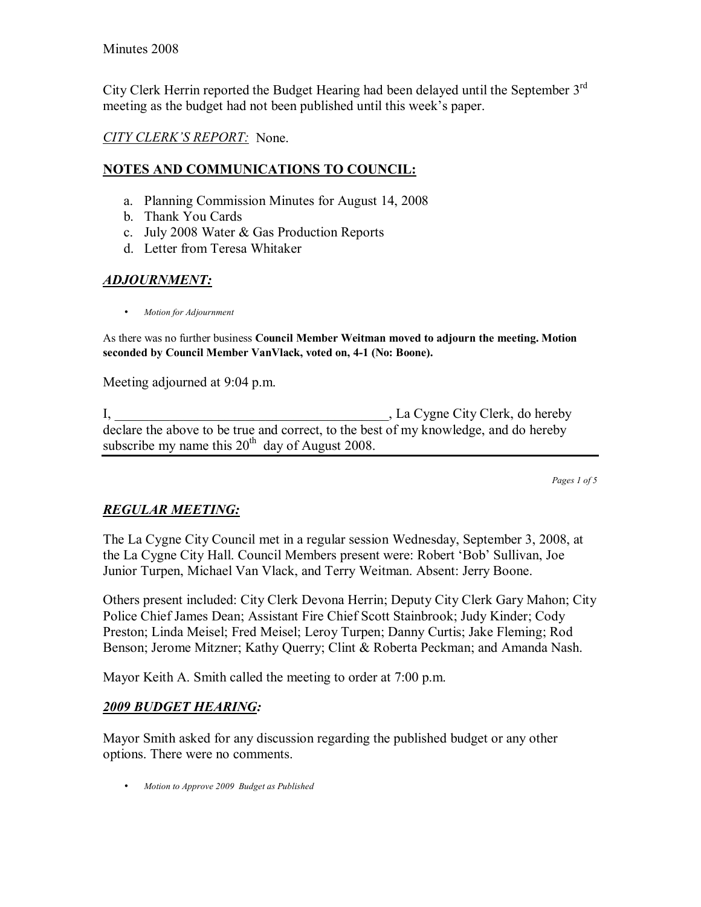City Clerk Herrin reported the Budget Hearing had been delayed until the September 3rd meeting as the budget had not been published until this week's paper.

## *CITY CLERKíS REPORT:* None.

### **NOTES AND COMMUNICATIONS TO COUNCIL:**

- a. Planning Commission Minutes for August 14, 2008
- b. Thank You Cards
- c. July 2008 Water & Gas Production Reports
- d. Letter from Teresa Whitaker

# *ADJOURNMENT:*

• *Motion for Adjournment*

As there was no further business **Council Member Weitman moved to adjourn the meeting. Motion seconded by Council Member VanVlack, voted on, 4-1 (No: Boone).**

Meeting adjourned at 9:04 p.m.

I, La Cygne City Clerk, do hereby declare the above to be true and correct, to the best of my knowledge, and do hereby subscribe my name this  $20<sup>th</sup>$  day of August 2008.

*Pages 1 of 5*

# *REGULAR MEETING:*

The La Cygne City Council met in a regular session Wednesday, September 3, 2008, at the La Cygne City Hall. Council Members present were: Robert 'Bob' Sullivan, Joe Junior Turpen, Michael Van Vlack, and Terry Weitman. Absent: Jerry Boone.

Others present included: City Clerk Devona Herrin; Deputy City Clerk Gary Mahon; City Police Chief James Dean; Assistant Fire Chief Scott Stainbrook; Judy Kinder; Cody Preston; Linda Meisel; Fred Meisel; Leroy Turpen; Danny Curtis; Jake Fleming; Rod Benson; Jerome Mitzner; Kathy Querry; Clint & Roberta Peckman; and Amanda Nash.

Mayor Keith A. Smith called the meeting to order at 7:00 p.m.

# *2009 BUDGET HEARING:*

Mayor Smith asked for any discussion regarding the published budget or any other options. There were no comments.

• *Motion to Approve 2009 Budget as Published*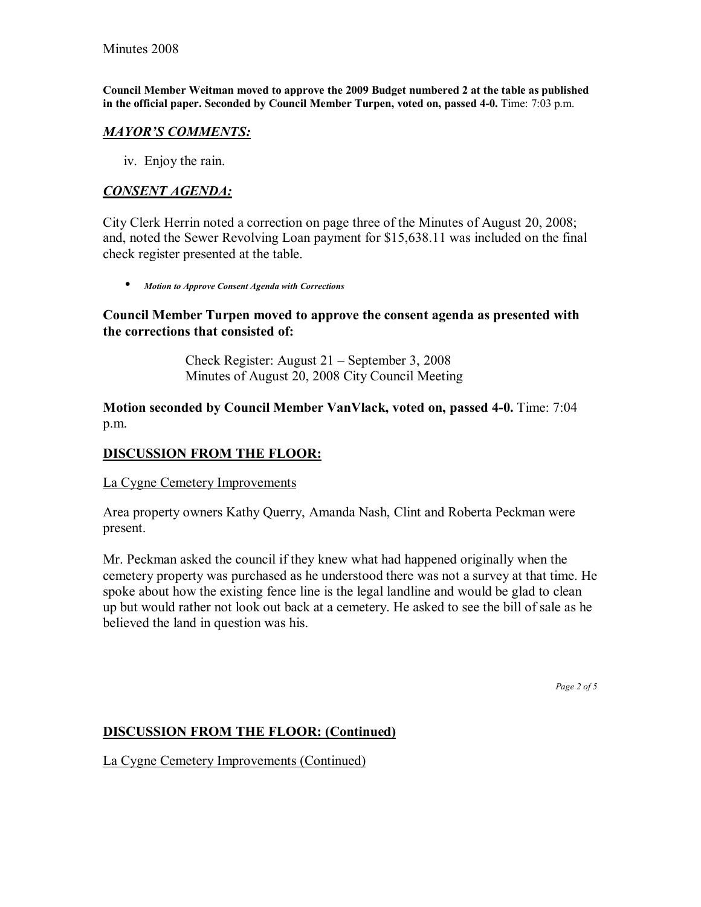**Council Member Weitman moved to approve the 2009 Budget numbered 2 at the table as published in the official paper. Seconded by Council Member Turpen, voted on, passed 4-0.** Time: 7:03 p.m.

### *MAYORíS COMMENTS:*

iv. Enjoy the rain.

### *CONSENT AGENDA:*

City Clerk Herrin noted a correction on page three of the Minutes of August 20, 2008; and, noted the Sewer Revolving Loan payment for \$15,638.11 was included on the final check register presented at the table.

• *Motion to Approve Consent Agenda with Corrections*

### **Council Member Turpen moved to approve the consent agenda as presented with the corrections that consisted of:**

Check Register: August  $21$  – September 3, 2008 Minutes of August 20, 2008 City Council Meeting

**Motion seconded by Council Member VanVlack, voted on, passed 4-0.** Time: 7:04 p.m.

### **DISCUSSION FROM THE FLOOR:**

La Cygne Cemetery Improvements

Area property owners Kathy Querry, Amanda Nash, Clint and Roberta Peckman were present.

Mr. Peckman asked the council if they knew what had happened originally when the cemetery property was purchased as he understood there was not a survey at that time. He spoke about how the existing fence line is the legal landline and would be glad to clean up but would rather not look out back at a cemetery. He asked to see the bill of sale as he believed the land in question was his.

*Page 2 of 5* 

# **DISCUSSION FROM THE FLOOR: (Continued)**

La Cygne Cemetery Improvements (Continued)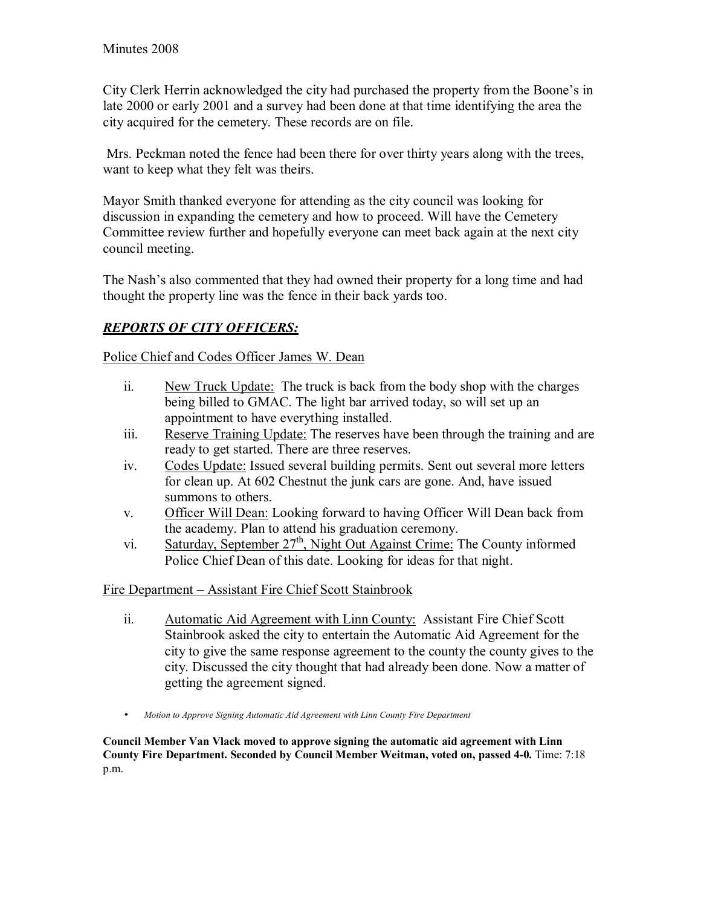City Clerk Herrin acknowledged the city had purchased the property from the Boone's in late 2000 or early 2001 and a survey had been done at that time identifying the area the city acquired for the cemetery. These records are on file.

 Mrs. Peckman noted the fence had been there for over thirty years along with the trees, want to keep what they felt was theirs.

Mayor Smith thanked everyone for attending as the city council was looking for discussion in expanding the cemetery and how to proceed. Will have the Cemetery Committee review further and hopefully everyone can meet back again at the next city council meeting.

The Nash's also commented that they had owned their property for a long time and had thought the property line was the fence in their back yards too.

# *REPORTS OF CITY OFFICERS:*

Police Chief and Codes Officer James W. Dean

- ii. New Truck Update: The truck is back from the body shop with the charges being billed to GMAC. The light bar arrived today, so will set up an appointment to have everything installed.
- iii. Reserve Training Update: The reserves have been through the training and are ready to get started. There are three reserves.
- iv. Codes Update: Issued several building permits. Sent out several more letters for clean up. At 602 Chestnut the junk cars are gone. And, have issued summons to others.
- v. Officer Will Dean: Looking forward to having Officer Will Dean back from the academy. Plan to attend his graduation ceremony.
- vi. Saturday, September  $27<sup>th</sup>$ , Night Out Against Crime: The County informed Police Chief Dean of this date. Looking for ideas for that night.

Fire Department – Assistant Fire Chief Scott Stainbrook

- ii. Automatic Aid Agreement with Linn County: Assistant Fire Chief Scott Stainbrook asked the city to entertain the Automatic Aid Agreement for the city to give the same response agreement to the county the county gives to the city. Discussed the city thought that had already been done. Now a matter of getting the agreement signed.
- *Motion to Approve Signing Automatic Aid Agreement with Linn County Fire Department*

**Council Member Van Vlack moved to approve signing the automatic aid agreement with Linn County Fire Department. Seconded by Council Member Weitman, voted on, passed 4-0.** Time: 7:18 p.m.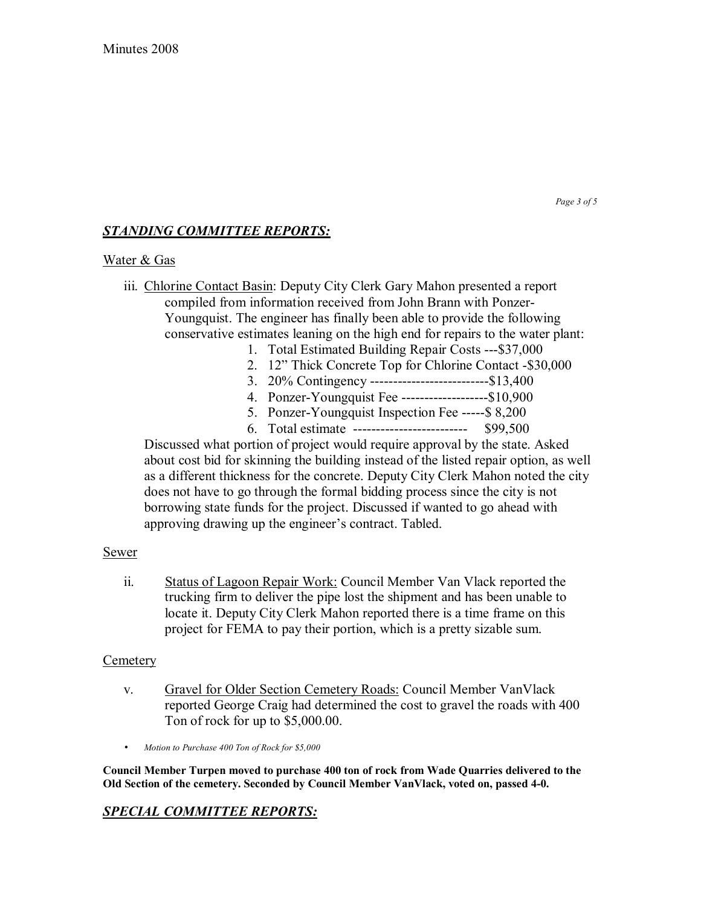#### *Page 3 of 5*

## *STANDING COMMITTEE REPORTS:*

#### Water & Gas

- iii. Chlorine Contact Basin: Deputy City Clerk Gary Mahon presented a report compiled from information received from John Brann with Ponzer-Youngquist. The engineer has finally been able to provide the following conservative estimates leaning on the high end for repairs to the water plant:
	- 1. Total Estimated Building Repair Costs ---\$37,000
	- 2. 12" Thick Concrete Top for Chlorine Contact -\$30,000
	- 3. 20% Contingency --------------------------\$13,400
	- 4. Ponzer-Youngquist Fee -------------------\$10,900
	- 5. Ponzer-Youngquist Inspection Fee -----\$ 8,200
	- 6. Total estimate ------------------------- \$99,500

Discussed what portion of project would require approval by the state. Asked about cost bid for skinning the building instead of the listed repair option, as well as a different thickness for the concrete. Deputy City Clerk Mahon noted the city does not have to go through the formal bidding process since the city is not borrowing state funds for the project. Discussed if wanted to go ahead with approving drawing up the engineer's contract. Tabled.

#### Sewer

ii. Status of Lagoon Repair Work: Council Member Van Vlack reported the trucking firm to deliver the pipe lost the shipment and has been unable to locate it. Deputy City Clerk Mahon reported there is a time frame on this project for FEMA to pay their portion, which is a pretty sizable sum.

#### **Cemetery**

- v. Gravel for Older Section Cemetery Roads: Council Member VanVlack reported George Craig had determined the cost to gravel the roads with 400 Ton of rock for up to \$5,000.00.
- *Motion to Purchase 400 Ton of Rock for \$5,000*

**Council Member Turpen moved to purchase 400 ton of rock from Wade Quarries delivered to the Old Section of the cemetery. Seconded by Council Member VanVlack, voted on, passed 4-0.** 

### *SPECIAL COMMITTEE REPORTS:*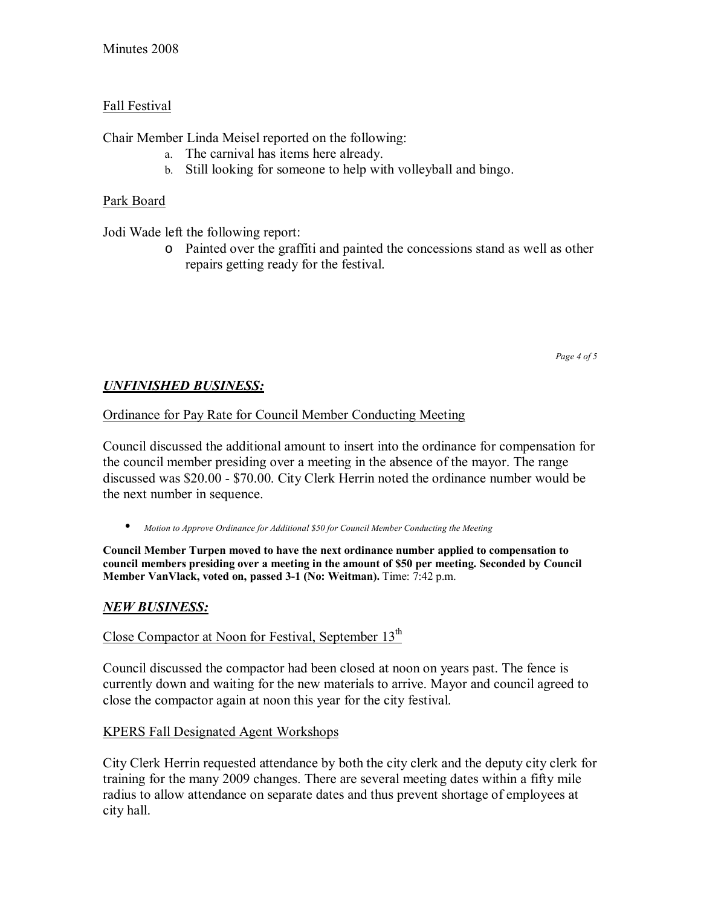# Fall Festival

Chair Member Linda Meisel reported on the following:

- a. The carnival has items here already.
- b. Still looking for someone to help with volleyball and bingo.

# Park Board

Jodi Wade left the following report:

o Painted over the graffiti and painted the concessions stand as well as other repairs getting ready for the festival.

*Page 4 of 5* 

# *UNFINISHED BUSINESS:*

Ordinance for Pay Rate for Council Member Conducting Meeting

Council discussed the additional amount to insert into the ordinance for compensation for the council member presiding over a meeting in the absence of the mayor. The range discussed was \$20.00 - \$70.00. City Clerk Herrin noted the ordinance number would be the next number in sequence.

• *Motion to Approve Ordinance for Additional \$50 for Council Member Conducting the Meeting*

**Council Member Turpen moved to have the next ordinance number applied to compensation to council members presiding over a meeting in the amount of \$50 per meeting. Seconded by Council Member VanVlack, voted on, passed 3-1 (No: Weitman).** Time: 7:42 p.m.

# *NEW BUSINESS:*

Close Compactor at Noon for Festival, September 13<sup>th</sup>

Council discussed the compactor had been closed at noon on years past. The fence is currently down and waiting for the new materials to arrive. Mayor and council agreed to close the compactor again at noon this year for the city festival.

# KPERS Fall Designated Agent Workshops

City Clerk Herrin requested attendance by both the city clerk and the deputy city clerk for training for the many 2009 changes. There are several meeting dates within a fifty mile radius to allow attendance on separate dates and thus prevent shortage of employees at city hall.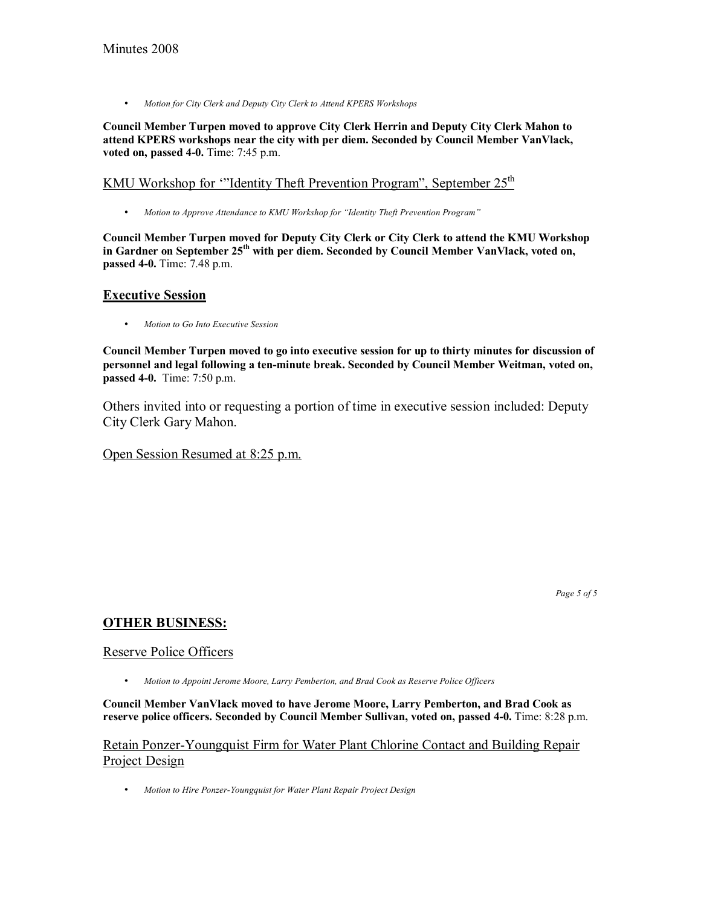• *Motion for City Clerk and Deputy City Clerk to Attend KPERS Workshops* 

**Council Member Turpen moved to approve City Clerk Herrin and Deputy City Clerk Mahon to attend KPERS workshops near the city with per diem. Seconded by Council Member VanVlack, voted on, passed 4-0.** Time: 7:45 p.m.

### KMU Workshop for "Identity Theft Prevention Program", September  $25<sup>th</sup>$

• Motion to Approve Attendance to KMU Workshop for "Identity Theft Prevention Program"

**Council Member Turpen moved for Deputy City Clerk or City Clerk to attend the KMU Workshop**  in Gardner on September 25<sup>th</sup> with per diem. Seconded by Council Member VanVlack, voted on, **passed 4-0.** Time: 7.48 p.m.

#### **Executive Session**

• *Motion to Go Into Executive Session* 

**Council Member Turpen moved to go into executive session for up to thirty minutes for discussion of personnel and legal following a ten-minute break. Seconded by Council Member Weitman, voted on, passed 4-0.** Time: 7:50 p.m.

Others invited into or requesting a portion of time in executive session included: Deputy City Clerk Gary Mahon.

Open Session Resumed at 8:25 p.m.

*Page 5 of 5* 

### **OTHER BUSINESS:**

#### Reserve Police Officers

• *Motion to Appoint Jerome Moore, Larry Pemberton, and Brad Cook as Reserve Police Officers*

**Council Member VanVlack moved to have Jerome Moore, Larry Pemberton, and Brad Cook as reserve police officers. Seconded by Council Member Sullivan, voted on, passed 4-0.** Time: 8:28 p.m.

Retain Ponzer-Youngquist Firm for Water Plant Chlorine Contact and Building Repair Project Design

• *Motion to Hire Ponzer-Youngquist for Water Plant Repair Project Design*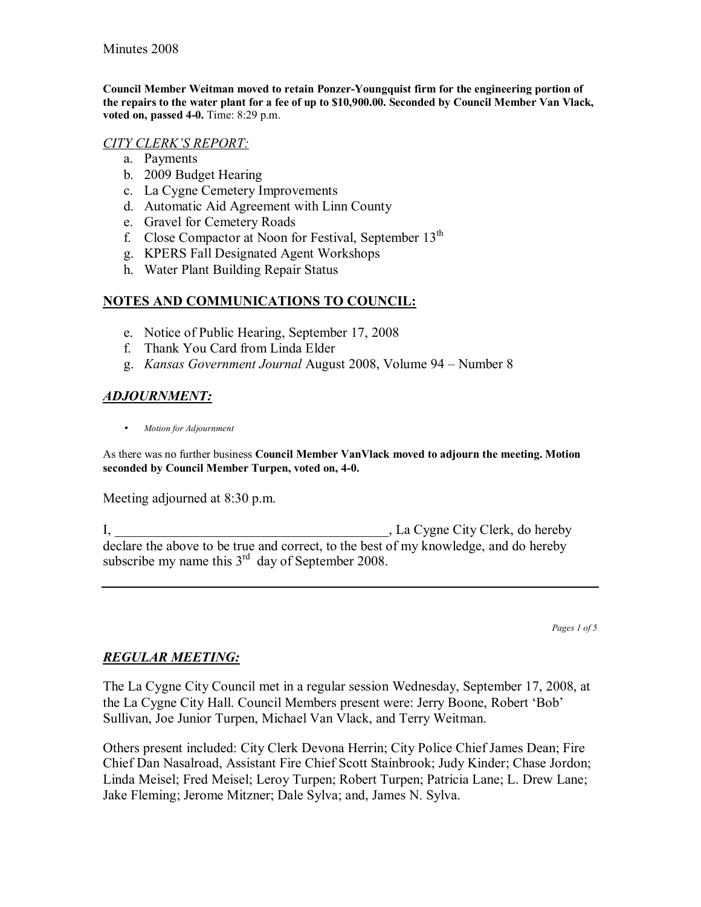**Council Member Weitman moved to retain Ponzer-Youngquist firm for the engineering portion of the repairs to the water plant for a fee of up to \$10,900.00. Seconded by Council Member Van Vlack, voted on, passed 4-0.** Time: 8:29 p.m.

### *CITY CLERKíS REPORT:*

- a. Payments
- b. 2009 Budget Hearing
- c. La Cygne Cemetery Improvements
- d. Automatic Aid Agreement with Linn County
- e. Gravel for Cemetery Roads
- f. Close Compactor at Noon for Festival, September  $13<sup>th</sup>$
- g. KPERS Fall Designated Agent Workshops
- h. Water Plant Building Repair Status

## **NOTES AND COMMUNICATIONS TO COUNCIL:**

- e. Notice of Public Hearing, September 17, 2008
- f. Thank You Card from Linda Elder
- g. *Kansas Government Journal* August 2008, Volume 94 Number 8

# *ADJOURNMENT:*

• *Motion for Adjournment*

As there was no further business **Council Member VanVlack moved to adjourn the meeting. Motion seconded by Council Member Turpen, voted on, 4-0.**

Meeting adjourned at 8:30 p.m.

I, La Cygne City Clerk, do hereby declare the above to be true and correct, to the best of my knowledge, and do hereby subscribe my name this  $3<sup>rd</sup>$  day of September 2008.

*Pages 1 of 5*

# *REGULAR MEETING:*

The La Cygne City Council met in a regular session Wednesday, September 17, 2008, at the La Cygne City Hall. Council Members present were: Jerry Boone, Robert 'Bob' Sullivan, Joe Junior Turpen, Michael Van Vlack, and Terry Weitman.

Others present included: City Clerk Devona Herrin; City Police Chief James Dean; Fire Chief Dan Nasalroad, Assistant Fire Chief Scott Stainbrook; Judy Kinder; Chase Jordon; Linda Meisel; Fred Meisel; Leroy Turpen; Robert Turpen; Patricia Lane; L. Drew Lane; Jake Fleming; Jerome Mitzner; Dale Sylva; and, James N. Sylva.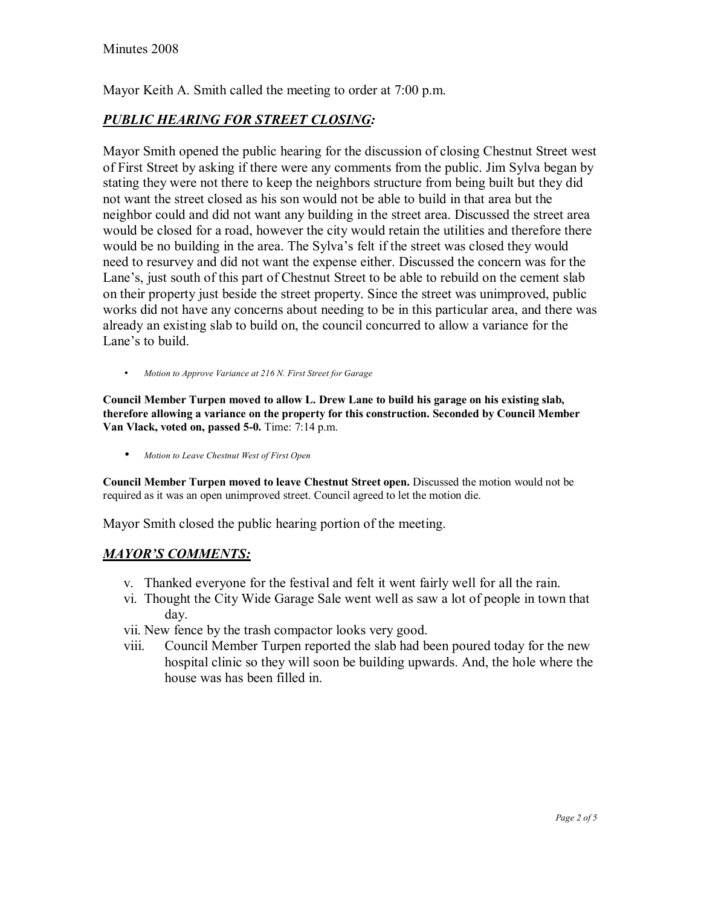Mayor Keith A. Smith called the meeting to order at 7:00 p.m.

## *PUBLIC HEARING FOR STREET CLOSING:*

Mayor Smith opened the public hearing for the discussion of closing Chestnut Street west of First Street by asking if there were any comments from the public. Jim Sylva began by stating they were not there to keep the neighbors structure from being built but they did not want the street closed as his son would not be able to build in that area but the neighbor could and did not want any building in the street area. Discussed the street area would be closed for a road, however the city would retain the utilities and therefore there would be no building in the area. The Sylva's felt if the street was closed they would need to resurvey and did not want the expense either. Discussed the concern was for the Lane's, just south of this part of Chestnut Street to be able to rebuild on the cement slab on their property just beside the street property. Since the street was unimproved, public works did not have any concerns about needing to be in this particular area, and there was already an existing slab to build on, the council concurred to allow a variance for the Lane's to build.

• *Motion to Approve Variance at 216 N. First Street for Garage*

**Council Member Turpen moved to allow L. Drew Lane to build his garage on his existing slab, therefore allowing a variance on the property for this construction. Seconded by Council Member Van Vlack, voted on, passed 5-0.** Time: 7:14 p.m.

• *Motion to Leave Chestnut West of First Open*

**Council Member Turpen moved to leave Chestnut Street open.** Discussed the motion would not be required as it was an open unimproved street. Council agreed to let the motion die.

Mayor Smith closed the public hearing portion of the meeting.

#### *MAYORíS COMMENTS:*

- v. Thanked everyone for the festival and felt it went fairly well for all the rain.
- vi. Thought the City Wide Garage Sale went well as saw a lot of people in town that day.
- vii. New fence by the trash compactor looks very good.
- viii. Council Member Turpen reported the slab had been poured today for the new hospital clinic so they will soon be building upwards. And, the hole where the house was has been filled in.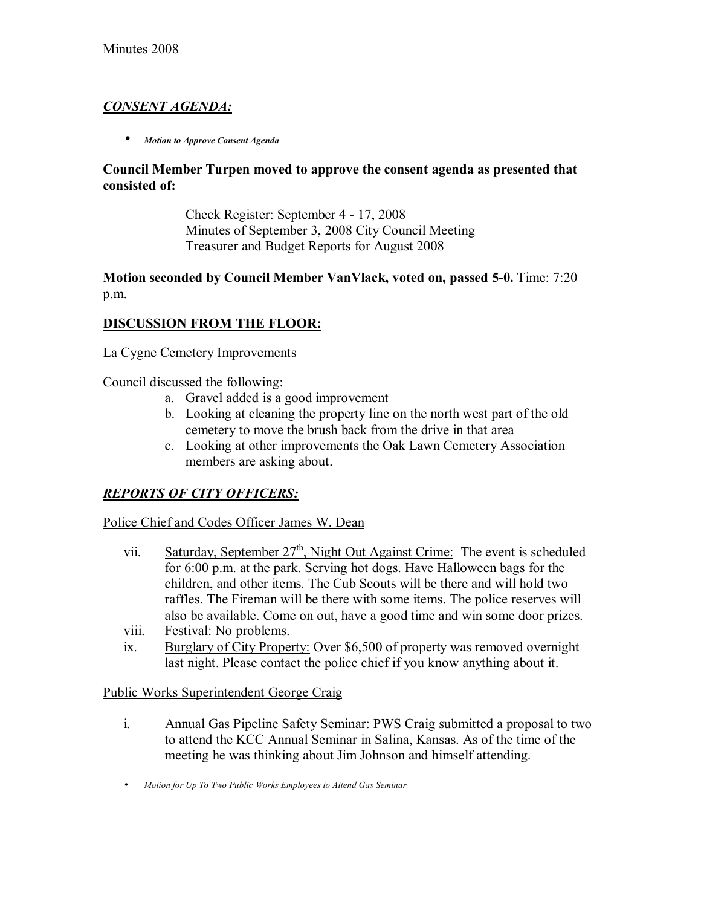# *CONSENT AGENDA:*

• *Motion to Approve Consent Agenda*

### **Council Member Turpen moved to approve the consent agenda as presented that consisted of:**

 Check Register: September 4 - 17, 2008 Minutes of September 3, 2008 City Council Meeting Treasurer and Budget Reports for August 2008

### **Motion seconded by Council Member VanVlack, voted on, passed 5-0.** Time: 7:20 p.m.

## **DISCUSSION FROM THE FLOOR:**

### La Cygne Cemetery Improvements

Council discussed the following:

- a. Gravel added is a good improvement
- b. Looking at cleaning the property line on the north west part of the old cemetery to move the brush back from the drive in that area
- c. Looking at other improvements the Oak Lawn Cemetery Association members are asking about.

### *REPORTS OF CITY OFFICERS:*

#### Police Chief and Codes Officer James W. Dean

- vii. Saturday, September  $27<sup>th</sup>$ , Night Out Against Crime: The event is scheduled for 6:00 p.m. at the park. Serving hot dogs. Have Halloween bags for the children, and other items. The Cub Scouts will be there and will hold two raffles. The Fireman will be there with some items. The police reserves will also be available. Come on out, have a good time and win some door prizes.
- viii. Festival: No problems.
- ix. Burglary of City Property: Over \$6,500 of property was removed overnight last night. Please contact the police chief if you know anything about it.

#### Public Works Superintendent George Craig

- i. Annual Gas Pipeline Safety Seminar: PWS Craig submitted a proposal to two to attend the KCC Annual Seminar in Salina, Kansas. As of the time of the meeting he was thinking about Jim Johnson and himself attending.
- *Motion for Up To Two Public Works Employees to Attend Gas Seminar*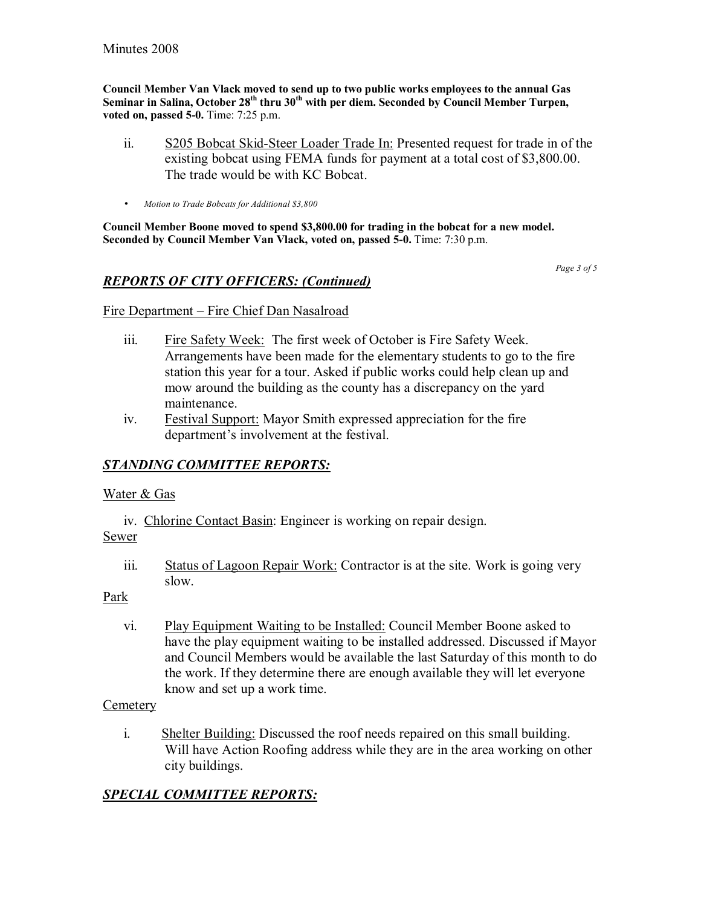**Council Member Van Vlack moved to send up to two public works employees to the annual Gas**  Seminar in Salina, October 28<sup>th</sup> thru 30<sup>th</sup> with per diem. Seconded by Council Member Turpen, **voted on, passed 5-0.** Time: 7:25 p.m.

- ii. S205 Bobcat Skid-Steer Loader Trade In: Presented request for trade in of the existing bobcat using FEMA funds for payment at a total cost of \$3,800.00. The trade would be with KC Bobcat.
- *Motion to Trade Bobcats for Additional \$3,800*

**Council Member Boone moved to spend \$3,800.00 for trading in the bobcat for a new model. Seconded by Council Member Van Vlack, voted on, passed 5-0.** Time: 7:30 p.m.

#### *Page 3 of 5*

# *REPORTS OF CITY OFFICERS: (Continued)*

### Fire Department – Fire Chief Dan Nasalroad

- iii. Fire Safety Week: The first week of October is Fire Safety Week. Arrangements have been made for the elementary students to go to the fire station this year for a tour. Asked if public works could help clean up and mow around the building as the county has a discrepancy on the yard maintenance.
- iv. Festival Support: Mayor Smith expressed appreciation for the fire department's involvement at the festival.

# *STANDING COMMITTEE REPORTS:*

#### Water & Gas

iv. Chlorine Contact Basin: Engineer is working on repair design.

Sewer

iii. Status of Lagoon Repair Work: Contractor is at the site. Work is going very slow.

#### Park

vi. Play Equipment Waiting to be Installed: Council Member Boone asked to have the play equipment waiting to be installed addressed. Discussed if Mayor and Council Members would be available the last Saturday of this month to do the work. If they determine there are enough available they will let everyone know and set up a work time.

### **Cemetery**

i. Shelter Building: Discussed the roof needs repaired on this small building. Will have Action Roofing address while they are in the area working on other city buildings.

# *SPECIAL COMMITTEE REPORTS:*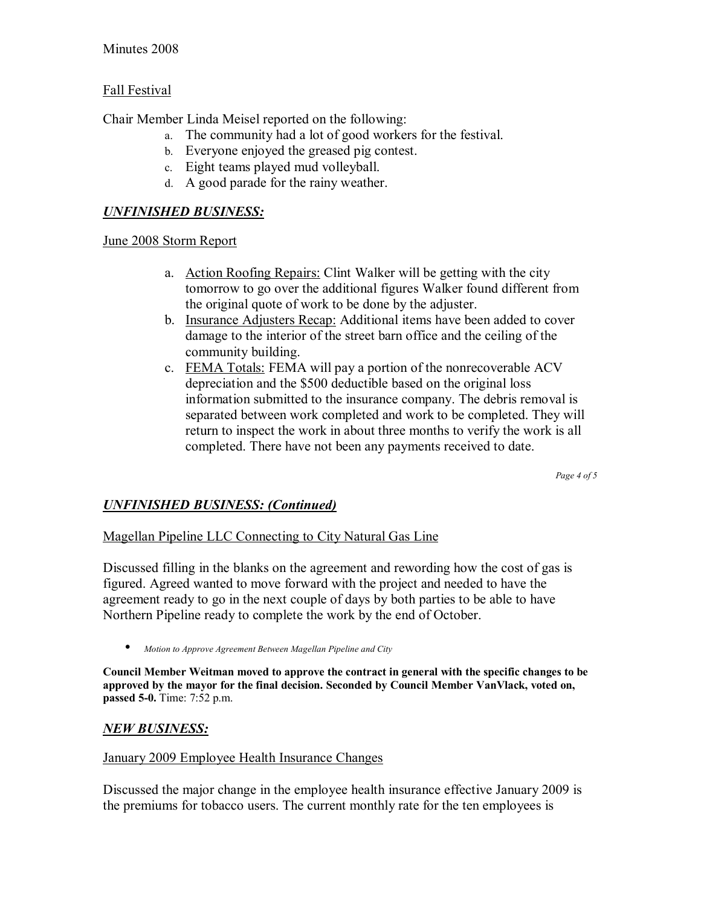### Minutes 2008

### Fall Festival

Chair Member Linda Meisel reported on the following:

- a. The community had a lot of good workers for the festival.
- b. Everyone enjoyed the greased pig contest.
- c. Eight teams played mud volleyball.
- d. A good parade for the rainy weather.

### *UNFINISHED BUSINESS:*

### June 2008 Storm Report

- a. Action Roofing Repairs: Clint Walker will be getting with the city tomorrow to go over the additional figures Walker found different from the original quote of work to be done by the adjuster.
- b. Insurance Adjusters Recap: Additional items have been added to cover damage to the interior of the street barn office and the ceiling of the community building.
- c. FEMA Totals: FEMA will pay a portion of the nonrecoverable ACV depreciation and the \$500 deductible based on the original loss information submitted to the insurance company. The debris removal is separated between work completed and work to be completed. They will return to inspect the work in about three months to verify the work is all completed. There have not been any payments received to date.

*Page 4 of 5* 

### *UNFINISHED BUSINESS: (Continued)*

### Magellan Pipeline LLC Connecting to City Natural Gas Line

Discussed filling in the blanks on the agreement and rewording how the cost of gas is figured. Agreed wanted to move forward with the project and needed to have the agreement ready to go in the next couple of days by both parties to be able to have Northern Pipeline ready to complete the work by the end of October.

• *Motion to Approve Agreement Between Magellan Pipeline and City*

**Council Member Weitman moved to approve the contract in general with the specific changes to be approved by the mayor for the final decision. Seconded by Council Member VanVlack, voted on, passed 5-0.** Time: 7:52 p.m.

### *NEW BUSINESS:*

#### January 2009 Employee Health Insurance Changes

Discussed the major change in the employee health insurance effective January 2009 is the premiums for tobacco users. The current monthly rate for the ten employees is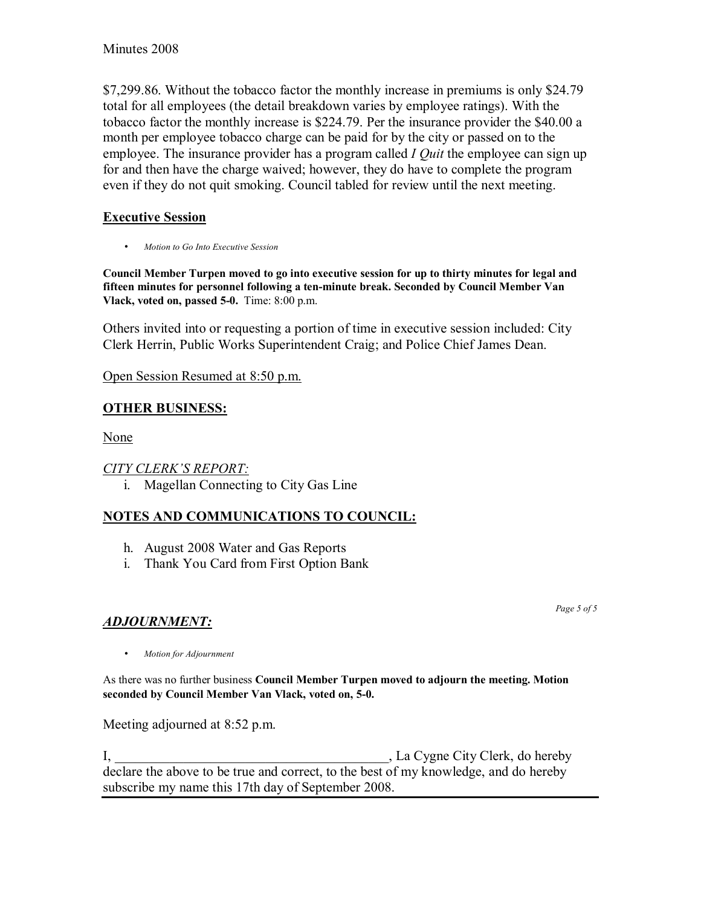\$7,299.86. Without the tobacco factor the monthly increase in premiums is only \$24.79 total for all employees (the detail breakdown varies by employee ratings). With the tobacco factor the monthly increase is \$224.79. Per the insurance provider the \$40.00 a month per employee tobacco charge can be paid for by the city or passed on to the employee. The insurance provider has a program called *I Quit* the employee can sign up for and then have the charge waived; however, they do have to complete the program even if they do not quit smoking. Council tabled for review until the next meeting.

# **Executive Session**

• *Motion to Go Into Executive Session* 

**Council Member Turpen moved to go into executive session for up to thirty minutes for legal and fifteen minutes for personnel following a ten-minute break. Seconded by Council Member Van Vlack, voted on, passed 5-0.** Time: 8:00 p.m.

Others invited into or requesting a portion of time in executive session included: City Clerk Herrin, Public Works Superintendent Craig; and Police Chief James Dean.

Open Session Resumed at 8:50 p.m.

# **OTHER BUSINESS:**

None

# **CITY CLERK'S REPORT:**

i. Magellan Connecting to City Gas Line

# **NOTES AND COMMUNICATIONS TO COUNCIL:**

- h. August 2008 Water and Gas Reports
- i. Thank You Card from First Option Bank

# *ADJOURNMENT:*

*Page 5 of 5* 

• *Motion for Adjournment*

#### As there was no further business **Council Member Turpen moved to adjourn the meeting. Motion seconded by Council Member Van Vlack, voted on, 5-0.**

Meeting adjourned at 8:52 p.m.

I, \_\_\_\_\_\_\_\_\_\_\_\_\_\_\_\_\_\_\_\_\_\_\_\_\_\_\_\_\_\_\_\_\_\_\_\_\_\_\_\_, La Cygne City Clerk, do hereby declare the above to be true and correct, to the best of my knowledge, and do hereby subscribe my name this 17th day of September 2008.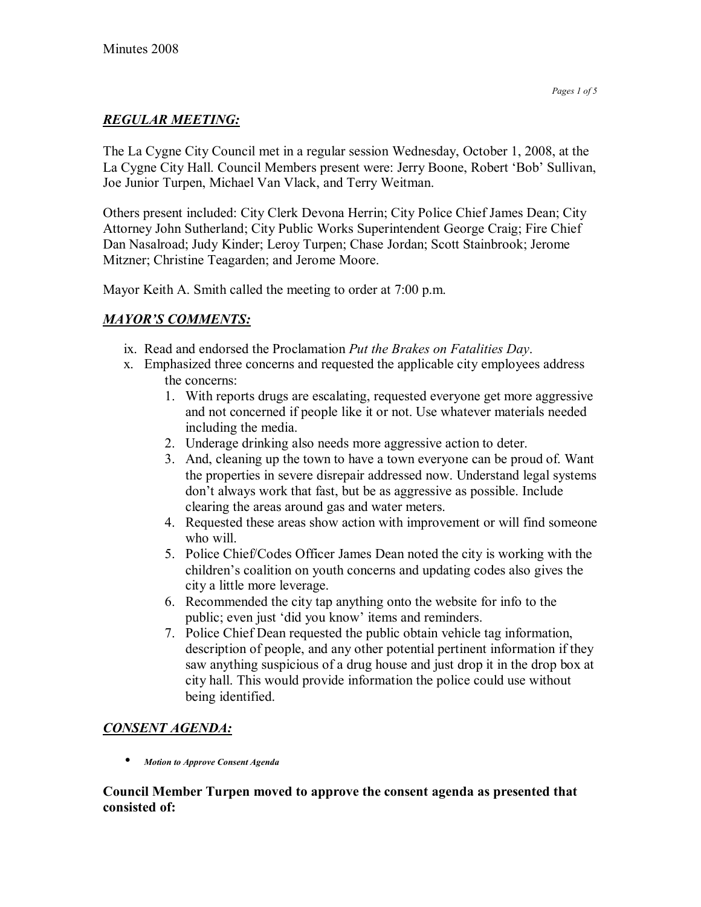# *REGULAR MEETING:*

The La Cygne City Council met in a regular session Wednesday, October 1, 2008, at the La Cygne City Hall. Council Members present were: Jerry Boone, Robert 'Bob' Sullivan, Joe Junior Turpen, Michael Van Vlack, and Terry Weitman.

Others present included: City Clerk Devona Herrin; City Police Chief James Dean; City Attorney John Sutherland; City Public Works Superintendent George Craig; Fire Chief Dan Nasalroad; Judy Kinder; Leroy Turpen; Chase Jordan; Scott Stainbrook; Jerome Mitzner; Christine Teagarden; and Jerome Moore.

Mayor Keith A. Smith called the meeting to order at 7:00 p.m.

# *MAYORíS COMMENTS:*

- ix. Read and endorsed the Proclamation *Put the Brakes on Fatalities Day*.
- x. Emphasized three concerns and requested the applicable city employees address the concerns:
	- 1. With reports drugs are escalating, requested everyone get more aggressive and not concerned if people like it or not. Use whatever materials needed including the media.
	- 2. Underage drinking also needs more aggressive action to deter.
	- 3. And, cleaning up the town to have a town everyone can be proud of. Want the properties in severe disrepair addressed now. Understand legal systems don't always work that fast, but be as aggressive as possible. Include clearing the areas around gas and water meters.
	- 4. Requested these areas show action with improvement or will find someone who will.
	- 5. Police Chief/Codes Officer James Dean noted the city is working with the children's coalition on youth concerns and updating codes also gives the city a little more leverage.
	- 6. Recommended the city tap anything onto the website for info to the public; even just 'did you know' items and reminders.
	- 7. Police Chief Dean requested the public obtain vehicle tag information, description of people, and any other potential pertinent information if they saw anything suspicious of a drug house and just drop it in the drop box at city hall. This would provide information the police could use without being identified.

# *CONSENT AGENDA:*

• *Motion to Approve Consent Agenda* 

### **Council Member Turpen moved to approve the consent agenda as presented that consisted of:**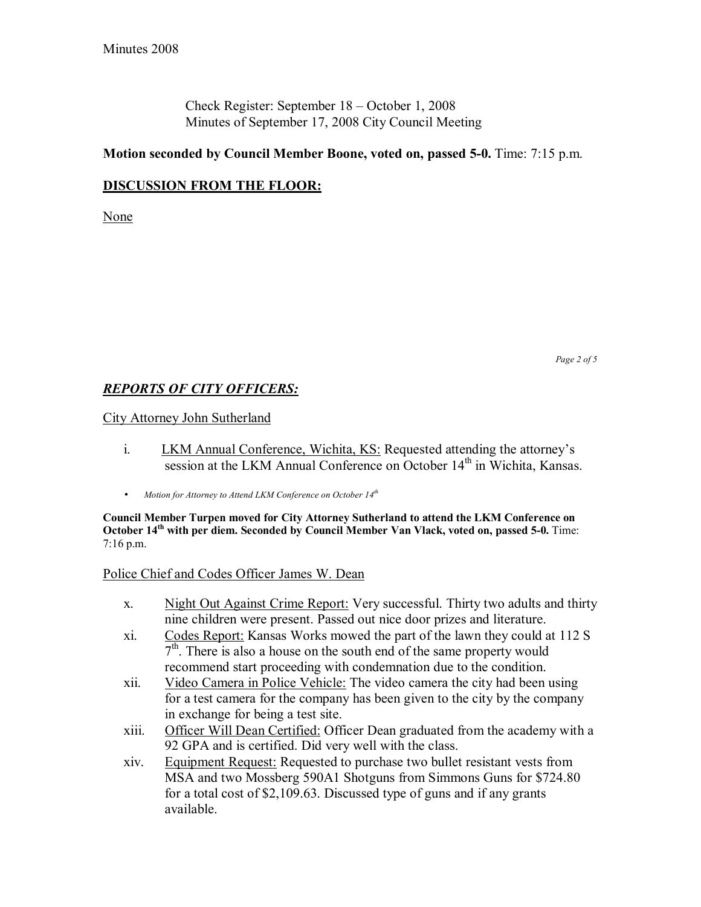Check Register: September  $18 - October 1, 2008$ Minutes of September 17, 2008 City Council Meeting

### **Motion seconded by Council Member Boone, voted on, passed 5-0.** Time: 7:15 p.m.

### **DISCUSSION FROM THE FLOOR:**

None

### *REPORTS OF CITY OFFICERS:*

City Attorney John Sutherland

- i. LKM Annual Conference, Wichita, KS: Requested attending the attorney's session at the LKM Annual Conference on October 14<sup>th</sup> in Wichita, Kansas.
- *Motion for Attorney to Attend LKM Conference on October 14th*

**Council Member Turpen moved for City Attorney Sutherland to attend the LKM Conference on October 14<sup>th</sup> with per diem. Seconded by Council Member Van Vlack, voted on, passed 5-0.** Time: 7:16 p.m.

#### Police Chief and Codes Officer James W. Dean

- x. Night Out Against Crime Report: Very successful. Thirty two adults and thirty nine children were present. Passed out nice door prizes and literature.
- xi. Codes Report: Kansas Works mowed the part of the lawn they could at 112 S  $7<sup>th</sup>$ . There is also a house on the south end of the same property would recommend start proceeding with condemnation due to the condition.
- xii. Video Camera in Police Vehicle: The video camera the city had been using for a test camera for the company has been given to the city by the company in exchange for being a test site.
- xiii. Officer Will Dean Certified: Officer Dean graduated from the academy with a 92 GPA and is certified. Did very well with the class.
- xiv. Equipment Request: Requested to purchase two bullet resistant vests from MSA and two Mossberg 590A1 Shotguns from Simmons Guns for \$724.80 for a total cost of \$2,109.63. Discussed type of guns and if any grants available.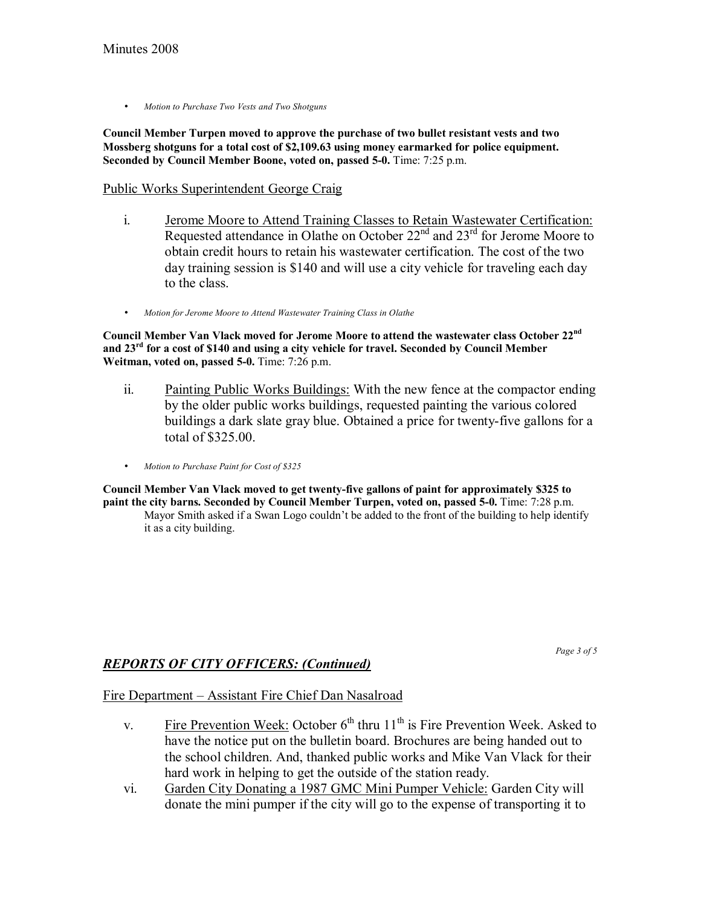• *Motion to Purchase Two Vests and Two Shotguns*

**Council Member Turpen moved to approve the purchase of two bullet resistant vests and two Mossberg shotguns for a total cost of \$2,109.63 using money earmarked for police equipment. Seconded by Council Member Boone, voted on, passed 5-0.** Time: 7:25 p.m.

# Public Works Superintendent George Craig

- i. Jerome Moore to Attend Training Classes to Retain Wastewater Certification: Requested attendance in Olathe on October  $22<sup>nd</sup>$  and  $23<sup>rd</sup>$  for Jerome Moore to obtain credit hours to retain his wastewater certification. The cost of the two day training session is \$140 and will use a city vehicle for traveling each day to the class.
- *Motion for Jerome Moore to Attend Wastewater Training Class in Olathe*

**Council Member Van Vlack moved for Jerome Moore to attend the wastewater class October 22nd and 23rd for a cost of \$140 and using a city vehicle for travel. Seconded by Council Member Weitman, voted on, passed 5-0.** Time: 7:26 p.m.

- ii. Painting Public Works Buildings: With the new fence at the compactor ending by the older public works buildings, requested painting the various colored buildings a dark slate gray blue. Obtained a price for twenty-five gallons for a total of \$325.00.
- *Motion to Purchase Paint for Cost of \$325*

**Council Member Van Vlack moved to get twenty-five gallons of paint for approximately \$325 to paint the city barns. Seconded by Council Member Turpen, voted on, passed 5-0.** Time: 7:28 p.m. Mayor Smith asked if a Swan Logo couldn't be added to the front of the building to help identify it as a city building.

*Page 3 of 5* 

# *REPORTS OF CITY OFFICERS: (Continued)*

Fire Department – Assistant Fire Chief Dan Nasalroad

- v. Fire Prevention Week: October  $6<sup>th</sup>$  thru  $11<sup>th</sup>$  is Fire Prevention Week. Asked to have the notice put on the bulletin board. Brochures are being handed out to the school children. And, thanked public works and Mike Van Vlack for their hard work in helping to get the outside of the station ready.
- vi. Garden City Donating a 1987 GMC Mini Pumper Vehicle: Garden City will donate the mini pumper if the city will go to the expense of transporting it to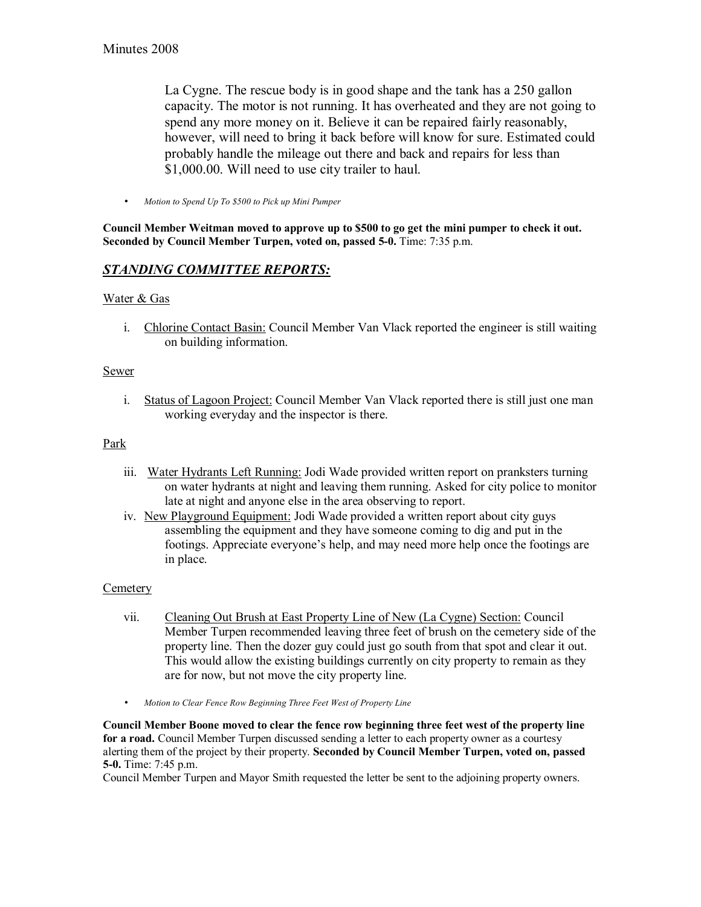La Cygne. The rescue body is in good shape and the tank has a 250 gallon capacity. The motor is not running. It has overheated and they are not going to spend any more money on it. Believe it can be repaired fairly reasonably, however, will need to bring it back before will know for sure. Estimated could probably handle the mileage out there and back and repairs for less than \$1,000.00. Will need to use city trailer to haul.

• *Motion to Spend Up To \$500 to Pick up Mini Pumper*

**Council Member Weitman moved to approve up to \$500 to go get the mini pumper to check it out. Seconded by Council Member Turpen, voted on, passed 5-0.** Time: 7:35 p.m.

### *STANDING COMMITTEE REPORTS:*

#### Water & Gas

i. Chlorine Contact Basin: Council Member Van Vlack reported the engineer is still waiting on building information.

#### Sewer

i. Status of Lagoon Project: Council Member Van Vlack reported there is still just one man working everyday and the inspector is there.

#### Park

- iii. Water Hydrants Left Running: Jodi Wade provided written report on pranksters turning on water hydrants at night and leaving them running. Asked for city police to monitor late at night and anyone else in the area observing to report.
- iv. New Playground Equipment: Jodi Wade provided a written report about city guys assembling the equipment and they have someone coming to dig and put in the footings. Appreciate everyone's help, and may need more help once the footings are in place.

#### **Cemetery**

- vii. Cleaning Out Brush at East Property Line of New (La Cygne) Section: Council Member Turpen recommended leaving three feet of brush on the cemetery side of the property line. Then the dozer guy could just go south from that spot and clear it out. This would allow the existing buildings currently on city property to remain as they are for now, but not move the city property line.
- *Motion to Clear Fence Row Beginning Three Feet West of Property Line*

**Council Member Boone moved to clear the fence row beginning three feet west of the property line for a road.** Council Member Turpen discussed sending a letter to each property owner as a courtesy alerting them of the project by their property. **Seconded by Council Member Turpen, voted on, passed 5-0.** Time: 7:45 p.m.

Council Member Turpen and Mayor Smith requested the letter be sent to the adjoining property owners.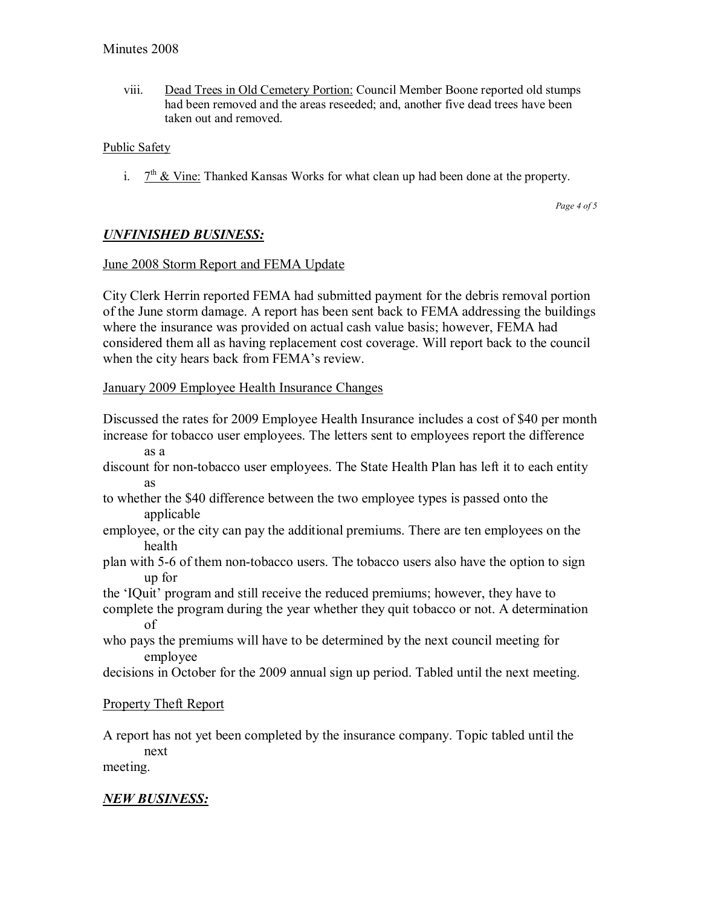viii. Dead Trees in Old Cemetery Portion: Council Member Boone reported old stumps had been removed and the areas reseeded; and, another five dead trees have been taken out and removed.

### Public Safety

i.  $7<sup>th</sup>$  & Vine: Thanked Kansas Works for what clean up had been done at the property.

*Page 4 of 5* 

## *UNFINISHED BUSINESS:*

### June 2008 Storm Report and FEMA Update

City Clerk Herrin reported FEMA had submitted payment for the debris removal portion of the June storm damage. A report has been sent back to FEMA addressing the buildings where the insurance was provided on actual cash value basis; however, FEMA had considered them all as having replacement cost coverage. Will report back to the council when the city hears back from FEMA's review.

#### January 2009 Employee Health Insurance Changes

Discussed the rates for 2009 Employee Health Insurance includes a cost of \$40 per month increase for tobacco user employees. The letters sent to employees report the difference as a

- discount for non-tobacco user employees. The State Health Plan has left it to each entity as
- to whether the \$40 difference between the two employee types is passed onto the applicable
- employee, or the city can pay the additional premiums. There are ten employees on the health
- plan with 5-6 of them non-tobacco users. The tobacco users also have the option to sign up for
- the 'IQuit' program and still receive the reduced premiums; however, they have to
- complete the program during the year whether they quit tobacco or not. A determination of
- who pays the premiums will have to be determined by the next council meeting for employee
- decisions in October for the 2009 annual sign up period. Tabled until the next meeting.

### Property Theft Report

A report has not yet been completed by the insurance company. Topic tabled until the next meeting.

# *NEW BUSINESS:*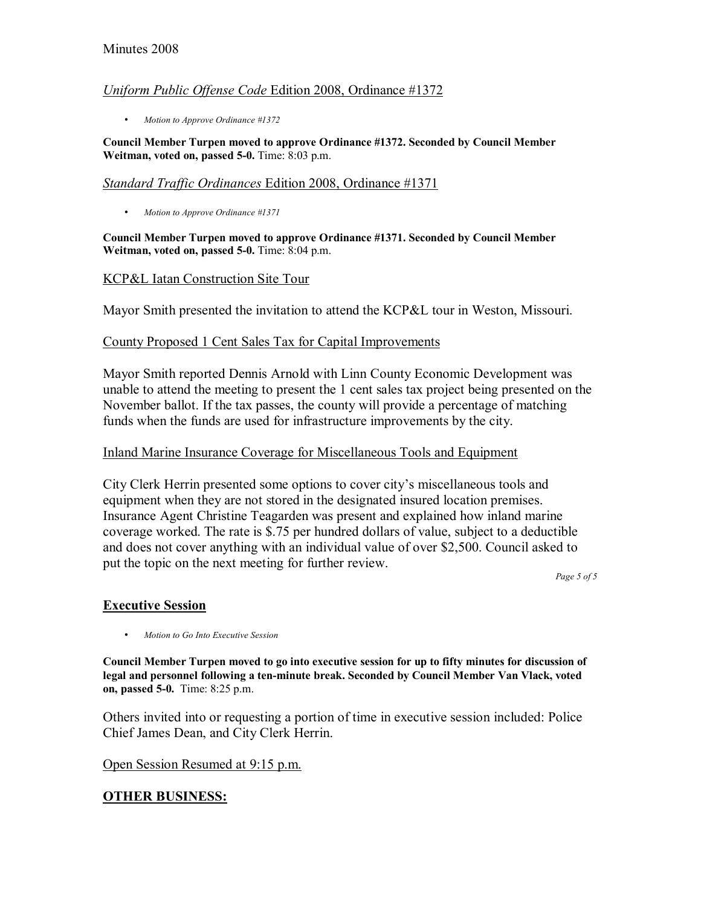### Minutes 2008

#### *Uniform Public Offense Code* Edition 2008, Ordinance #1372

• *Motion to Approve Ordinance #1372*

**Council Member Turpen moved to approve Ordinance #1372. Seconded by Council Member Weitman, voted on, passed 5-0.** Time: 8:03 p.m.

#### *Standard Traffic Ordinances* Edition 2008, Ordinance #1371

• *Motion to Approve Ordinance #1371*

**Council Member Turpen moved to approve Ordinance #1371. Seconded by Council Member Weitman, voted on, passed 5-0.** Time: 8:04 p.m.

#### KCP&L Iatan Construction Site Tour

Mayor Smith presented the invitation to attend the KCP&L tour in Weston, Missouri.

#### County Proposed 1 Cent Sales Tax for Capital Improvements

Mayor Smith reported Dennis Arnold with Linn County Economic Development was unable to attend the meeting to present the 1 cent sales tax project being presented on the November ballot. If the tax passes, the county will provide a percentage of matching funds when the funds are used for infrastructure improvements by the city.

#### Inland Marine Insurance Coverage for Miscellaneous Tools and Equipment

City Clerk Herrin presented some options to cover city's miscellaneous tools and equipment when they are not stored in the designated insured location premises. Insurance Agent Christine Teagarden was present and explained how inland marine coverage worked. The rate is \$.75 per hundred dollars of value, subject to a deductible and does not cover anything with an individual value of over \$2,500. Council asked to put the topic on the next meeting for further review.

*Page 5 of 5* 

#### **Executive Session**

• *Motion to Go Into Executive Session* 

**Council Member Turpen moved to go into executive session for up to fifty minutes for discussion of legal and personnel following a ten-minute break. Seconded by Council Member Van Vlack, voted on, passed 5-0.** Time: 8:25 p.m.

Others invited into or requesting a portion of time in executive session included: Police Chief James Dean, and City Clerk Herrin.

Open Session Resumed at 9:15 p.m.

#### **OTHER BUSINESS:**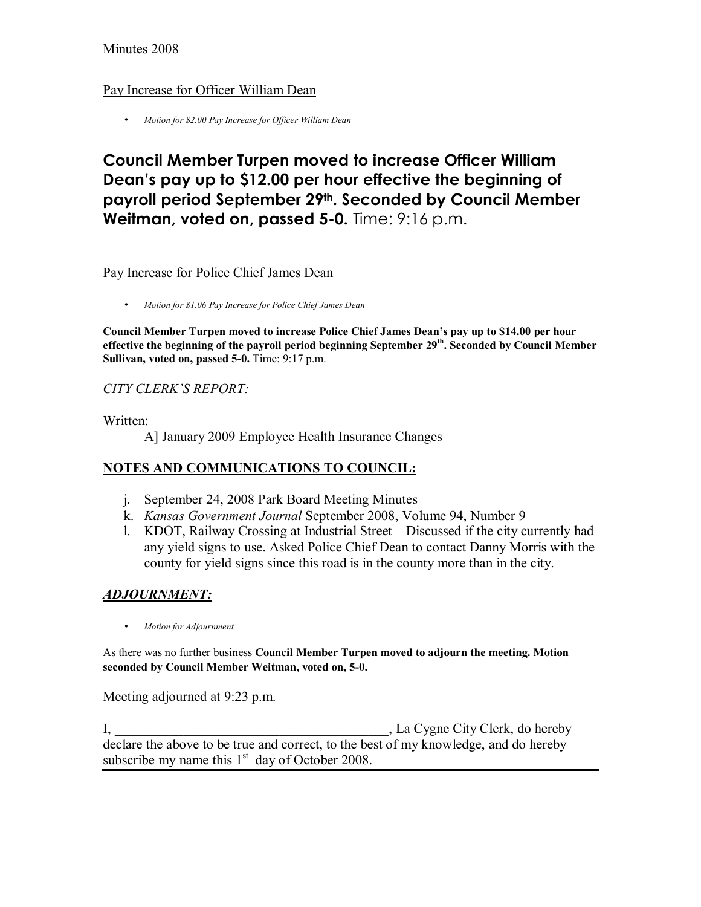### Minutes 2008

### Pay Increase for Officer William Dean

• *Motion for \$2.00 Pay Increase for Officer William Dean*

# **Council Member Turpen moved to increase Officer William Deanís pay up to \$12.00 per hour effective the beginning of payroll period September 29th. Seconded by Council Member Weitman, voted on, passed 5-0.** Time: 9:16 p.m.

#### Pay Increase for Police Chief James Dean

• *Motion for \$1.06 Pay Increase for Police Chief James Dean*

Council Member Turpen moved to increase Police Chief James Dean's pay up to \$14.00 per hour effective the beginning of the payroll period beginning September 29<sup>th</sup>. Seconded by Council Member **Sullivan, voted on, passed 5-0.** Time: 9:17 p.m.

### *CITY CLERKíS REPORT:*

Written:

A] January 2009 Employee Health Insurance Changes

#### **NOTES AND COMMUNICATIONS TO COUNCIL:**

- j. September 24, 2008 Park Board Meeting Minutes
- k. *Kansas Government Journal* September 2008, Volume 94, Number 9
- l. KDOT, Railway Crossing at Industrial Street Discussed if the city currently had any yield signs to use. Asked Police Chief Dean to contact Danny Morris with the county for yield signs since this road is in the county more than in the city.

### *ADJOURNMENT:*

• *Motion for Adjournment*

As there was no further business **Council Member Turpen moved to adjourn the meeting. Motion seconded by Council Member Weitman, voted on, 5-0.**

Meeting adjourned at 9:23 p.m.

I, \_\_\_\_\_\_\_\_\_\_\_\_\_\_\_\_\_\_\_\_\_\_\_\_\_\_\_\_\_\_\_\_\_\_\_\_\_\_\_\_, La Cygne City Clerk, do hereby declare the above to be true and correct, to the best of my knowledge, and do hereby subscribe my name this  $1<sup>st</sup>$  day of October 2008.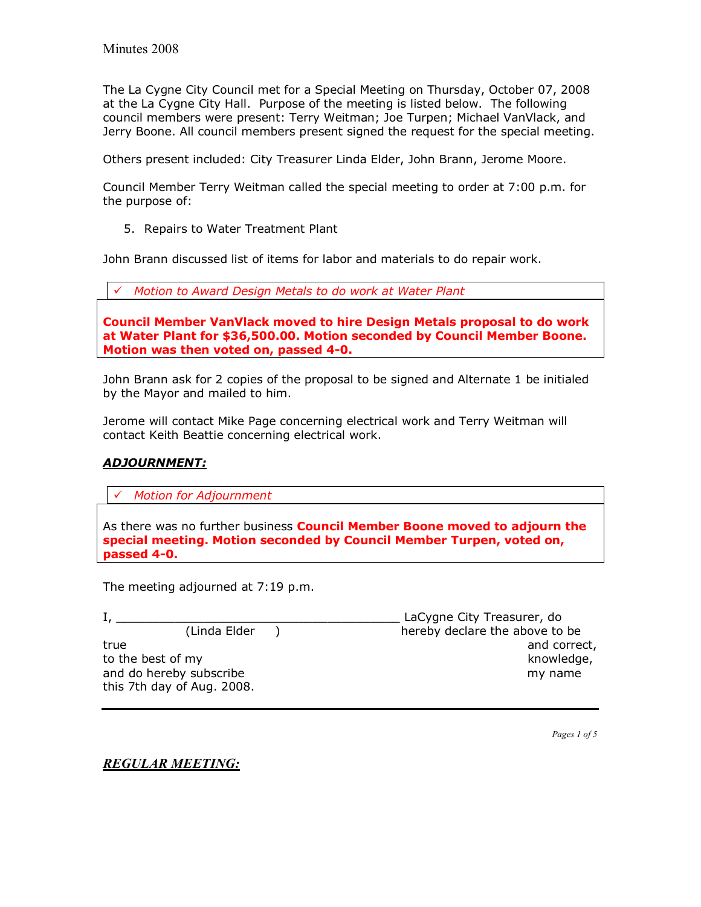The La Cygne City Council met for a Special Meeting on Thursday, October 07, 2008 at the La Cygne City Hall. Purpose of the meeting is listed below. The following council members were present: Terry Weitman; Joe Turpen; Michael VanVlack, and Jerry Boone. All council members present signed the request for the special meeting.

Others present included: City Treasurer Linda Elder, John Brann, Jerome Moore.

Council Member Terry Weitman called the special meeting to order at 7:00 p.m. for the purpose of:

5. Repairs to Water Treatment Plant

John Brann discussed list of items for labor and materials to do repair work.

|  |  |  |  |  |  |  | √ Motion to Award Design Metals to do work at Water Plant |  |
|--|--|--|--|--|--|--|-----------------------------------------------------------|--|
|--|--|--|--|--|--|--|-----------------------------------------------------------|--|

**Council Member VanVlack moved to hire Design Metals proposal to do work at Water Plant for \$36,500.00. Motion seconded by Council Member Boone. Motion was then voted on, passed 4-0.** 

John Brann ask for 2 copies of the proposal to be signed and Alternate 1 be initialed by the Mayor and mailed to him.

Jerome will contact Mike Page concerning electrical work and Terry Weitman will contact Keith Beattie concerning electrical work.

#### *ADJOURNMENT:*

! *Motion for Adjournment*

As there was no further business **Council Member Boone moved to adjourn the special meeting. Motion seconded by Council Member Turpen, voted on, passed 4-0.** 

The meeting adjourned at 7:19 p.m.

I, \_\_\_\_\_\_\_\_\_\_\_\_\_\_\_\_\_\_\_\_\_\_\_\_\_\_\_\_\_\_\_\_\_\_\_\_\_\_\_ LaCygne City Treasurer, do (Linda Elder ) hereby declare the above to be true and correct, the contract of the contract of the contract of the contract of the contract of the contract of the contract of the contract of the contract of the contract of the contract of the contract of the contract to the best of my knowledge, and do hereby subscribe my name my name this 7th day of Aug. 2008.

*Pages 1 of 5*

*REGULAR MEETING:*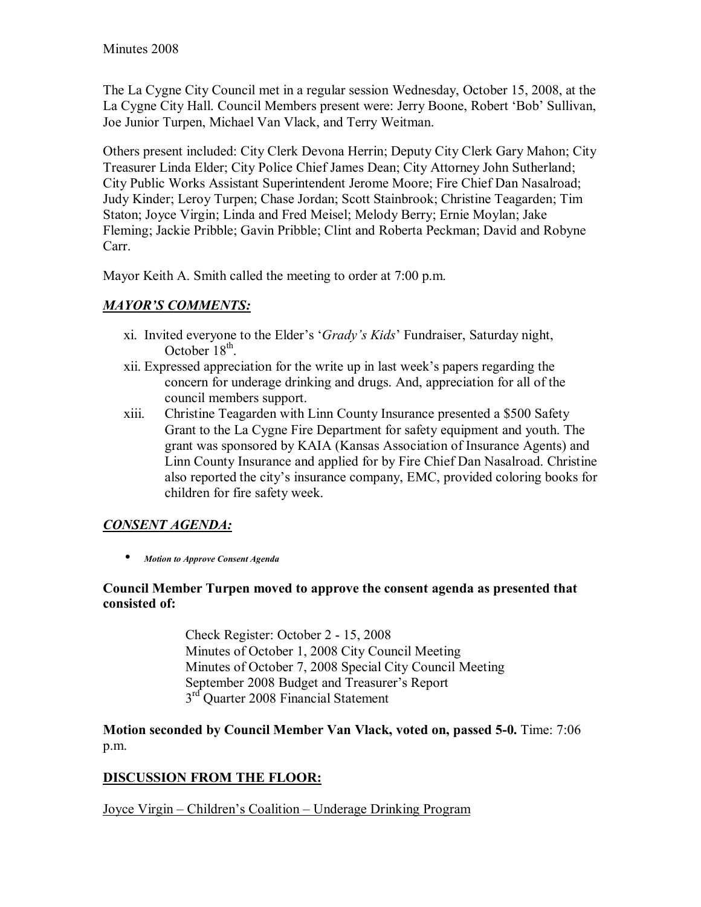The La Cygne City Council met in a regular session Wednesday, October 15, 2008, at the La Cygne City Hall. Council Members present were: Jerry Boone, Robert 'Bob' Sullivan, Joe Junior Turpen, Michael Van Vlack, and Terry Weitman.

Others present included: City Clerk Devona Herrin; Deputy City Clerk Gary Mahon; City Treasurer Linda Elder; City Police Chief James Dean; City Attorney John Sutherland; City Public Works Assistant Superintendent Jerome Moore; Fire Chief Dan Nasalroad; Judy Kinder; Leroy Turpen; Chase Jordan; Scott Stainbrook; Christine Teagarden; Tim Staton; Joyce Virgin; Linda and Fred Meisel; Melody Berry; Ernie Moylan; Jake Fleming; Jackie Pribble; Gavin Pribble; Clint and Roberta Peckman; David and Robyne Carr.

Mayor Keith A. Smith called the meeting to order at 7:00 p.m.

# **MAYOR'S COMMENTS:**

- xi. Invited everyone to the Elder's '*Grady's Kids*' Fundraiser, Saturday night, October  $18<sup>th</sup>$ .
- xii. Expressed appreciation for the write up in last week's papers regarding the concern for underage drinking and drugs. And, appreciation for all of the council members support.
- xiii. Christine Teagarden with Linn County Insurance presented a \$500 Safety Grant to the La Cygne Fire Department for safety equipment and youth. The grant was sponsored by KAIA (Kansas Association of Insurance Agents) and Linn County Insurance and applied for by Fire Chief Dan Nasalroad. Christine also reported the city's insurance company, EMC, provided coloring books for children for fire safety week.

# *CONSENT AGENDA:*

• *Motion to Approve Consent Agenda* 

## **Council Member Turpen moved to approve the consent agenda as presented that consisted of:**

 Check Register: October 2 - 15, 2008 Minutes of October 1, 2008 City Council Meeting Minutes of October 7, 2008 Special City Council Meeting September 2008 Budget and Treasurer's Report 3<sup>rd</sup> Quarter 2008 Financial Statement

**Motion seconded by Council Member Van Vlack, voted on, passed 5-0.** Time: 7:06 p.m.

# **DISCUSSION FROM THE FLOOR:**

Joyce Virgin – Children's Coalition – Underage Drinking Program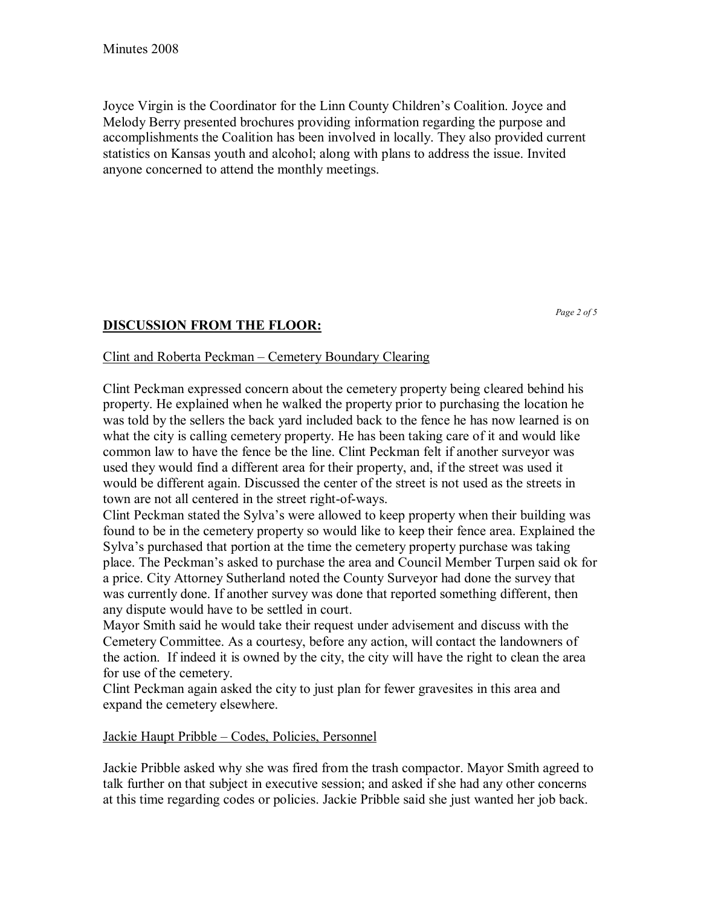Joyce Virgin is the Coordinator for the Linn County Children's Coalition. Joyce and Melody Berry presented brochures providing information regarding the purpose and accomplishments the Coalition has been involved in locally. They also provided current statistics on Kansas youth and alcohol; along with plans to address the issue. Invited anyone concerned to attend the monthly meetings.

# **DISCUSSION FROM THE FLOOR:**

*Page 2 of 5* 

### Clint and Roberta Peckman – Cemetery Boundary Clearing

Clint Peckman expressed concern about the cemetery property being cleared behind his property. He explained when he walked the property prior to purchasing the location he was told by the sellers the back yard included back to the fence he has now learned is on what the city is calling cemetery property. He has been taking care of it and would like common law to have the fence be the line. Clint Peckman felt if another surveyor was used they would find a different area for their property, and, if the street was used it would be different again. Discussed the center of the street is not used as the streets in town are not all centered in the street right-of-ways.

Clint Peckman stated the Sylvaís were allowed to keep property when their building was found to be in the cemetery property so would like to keep their fence area. Explained the Sylva's purchased that portion at the time the cemetery property purchase was taking place. The Peckmanís asked to purchase the area and Council Member Turpen said ok for a price. City Attorney Sutherland noted the County Surveyor had done the survey that was currently done. If another survey was done that reported something different, then any dispute would have to be settled in court.

Mayor Smith said he would take their request under advisement and discuss with the Cemetery Committee. As a courtesy, before any action, will contact the landowners of the action. If indeed it is owned by the city, the city will have the right to clean the area for use of the cemetery.

Clint Peckman again asked the city to just plan for fewer gravesites in this area and expand the cemetery elsewhere.

#### Jackie Haupt Pribble – Codes, Policies, Personnel

Jackie Pribble asked why she was fired from the trash compactor. Mayor Smith agreed to talk further on that subject in executive session; and asked if she had any other concerns at this time regarding codes or policies. Jackie Pribble said she just wanted her job back.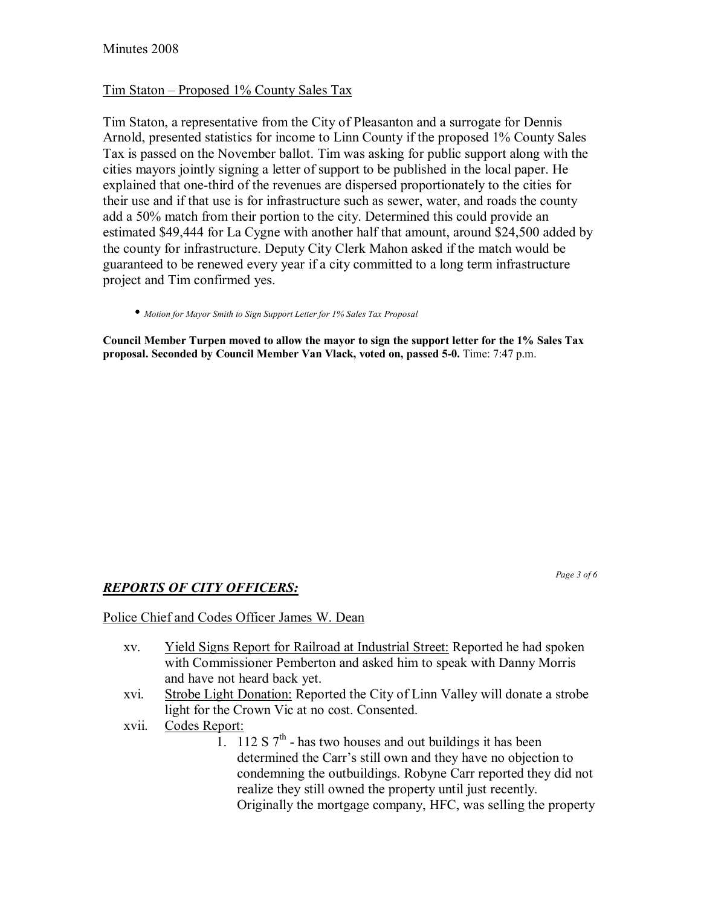### Tim Staton – Proposed  $1\%$  County Sales Tax

Tim Staton, a representative from the City of Pleasanton and a surrogate for Dennis Arnold, presented statistics for income to Linn County if the proposed 1% County Sales Tax is passed on the November ballot. Tim was asking for public support along with the cities mayors jointly signing a letter of support to be published in the local paper. He explained that one-third of the revenues are dispersed proportionately to the cities for their use and if that use is for infrastructure such as sewer, water, and roads the county add a 50% match from their portion to the city. Determined this could provide an estimated \$49,444 for La Cygne with another half that amount, around \$24,500 added by the county for infrastructure. Deputy City Clerk Mahon asked if the match would be guaranteed to be renewed every year if a city committed to a long term infrastructure project and Tim confirmed yes.

• *Motion for Mayor Smith to Sign Support Letter for 1% Sales Tax Proposal*

**Council Member Turpen moved to allow the mayor to sign the support letter for the 1% Sales Tax proposal. Seconded by Council Member Van Vlack, voted on, passed 5-0.** Time: 7:47 p.m.

*Page 3 of 6* 

# *REPORTS OF CITY OFFICERS:*

#### Police Chief and Codes Officer James W. Dean

- xv. Yield Signs Report for Railroad at Industrial Street: Reported he had spoken with Commissioner Pemberton and asked him to speak with Danny Morris and have not heard back yet.
- xvi. Strobe Light Donation: Reported the City of Linn Valley will donate a strobe light for the Crown Vic at no cost. Consented.
- xvii. Codes Report:
	- 1. 112 S  $7<sup>th</sup>$  has two houses and out buildings it has been determined the Carr's still own and they have no objection to condemning the outbuildings. Robyne Carr reported they did not realize they still owned the property until just recently. Originally the mortgage company, HFC, was selling the property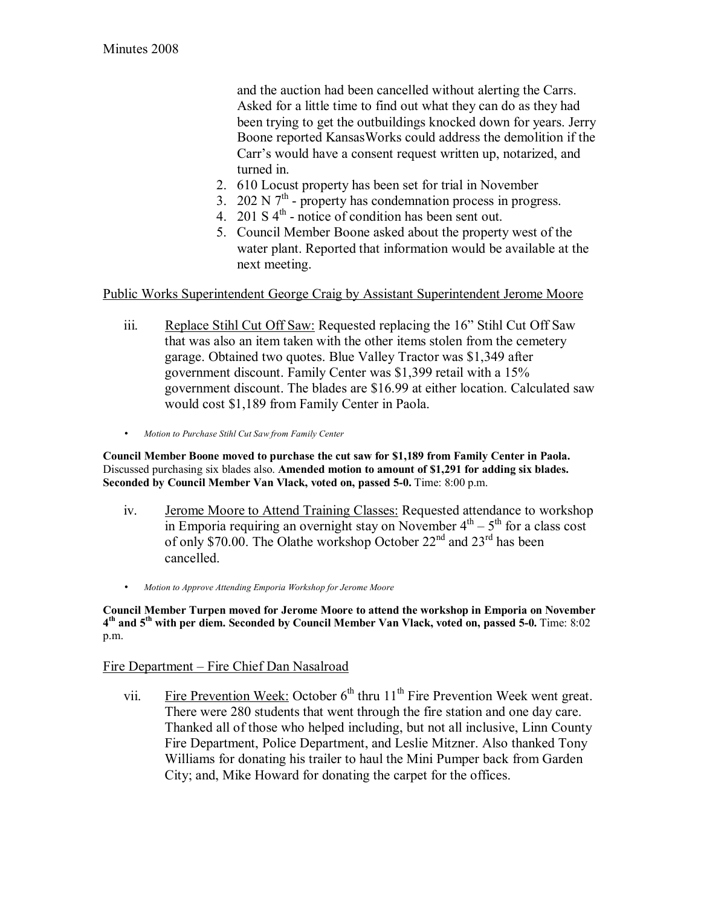and the auction had been cancelled without alerting the Carrs. Asked for a little time to find out what they can do as they had been trying to get the outbuildings knocked down for years. Jerry Boone reported KansasWorks could address the demolition if the Carr's would have a consent request written up, notarized, and turned in.

- 2. 610 Locust property has been set for trial in November
- 3. 202 N  $7<sup>th</sup>$  property has condemnation process in progress.
- 4. 201 S  $4^{\text{th}}$  notice of condition has been sent out.
- 5. Council Member Boone asked about the property west of the water plant. Reported that information would be available at the next meeting.

Public Works Superintendent George Craig by Assistant Superintendent Jerome Moore

- iii. Replace Stihl Cut Off Saw: Requested replacing the 16<sup>o</sup> Stihl Cut Off Saw that was also an item taken with the other items stolen from the cemetery garage. Obtained two quotes. Blue Valley Tractor was \$1,349 after government discount. Family Center was \$1,399 retail with a 15% government discount. The blades are \$16.99 at either location. Calculated saw would cost \$1,189 from Family Center in Paola.
- *Motion to Purchase Stihl Cut Saw from Family Center*

**Council Member Boone moved to purchase the cut saw for \$1,189 from Family Center in Paola.**  Discussed purchasing six blades also. **Amended motion to amount of \$1,291 for adding six blades. Seconded by Council Member Van Vlack, voted on, passed 5-0.** Time: 8:00 p.m.

- iv. Jerome Moore to Attend Training Classes: Requested attendance to workshop in Emporia requiring an overnight stay on November  $4<sup>th</sup> – 5<sup>th</sup>$  for a class cost of only \$70.00. The Olathe workshop October  $22<sup>nd</sup>$  and  $23<sup>rd</sup>$  has been cancelled.
- *Motion to Approve Attending Emporia Workshop for Jerome Moore*

**Council Member Turpen moved for Jerome Moore to attend the workshop in Emporia on November 4th and 5th with per diem. Seconded by Council Member Van Vlack, voted on, passed 5-0.** Time: 8:02 p.m.

### Fire Department – Fire Chief Dan Nasalroad

vii. Fire Prevention Week: October  $6<sup>th</sup>$  thru 11<sup>th</sup> Fire Prevention Week went great. There were 280 students that went through the fire station and one day care. Thanked all of those who helped including, but not all inclusive, Linn County Fire Department, Police Department, and Leslie Mitzner. Also thanked Tony Williams for donating his trailer to haul the Mini Pumper back from Garden City; and, Mike Howard for donating the carpet for the offices.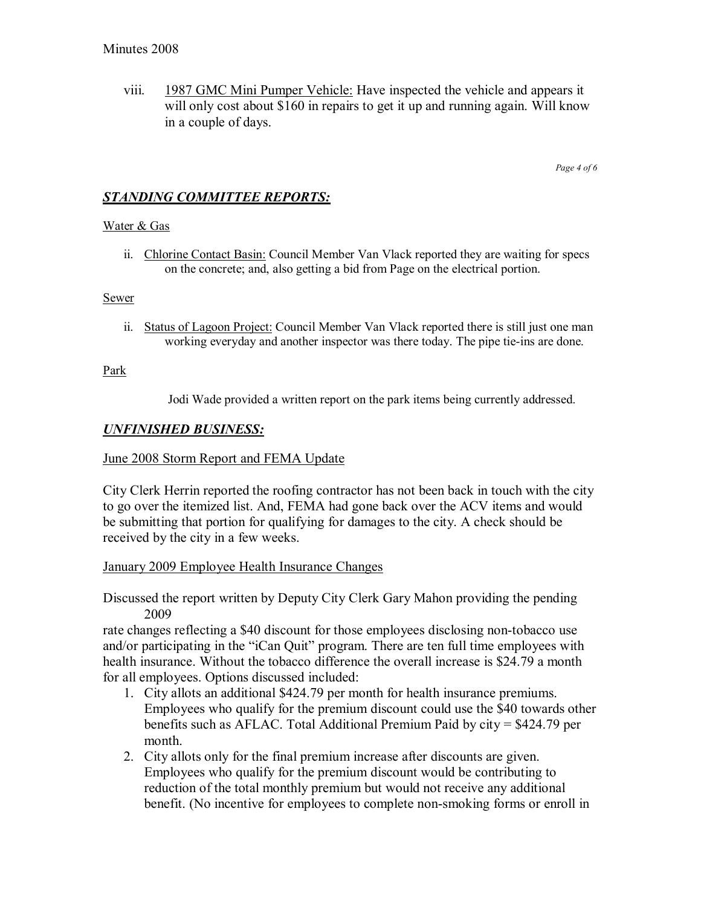viii. 1987 GMC Mini Pumper Vehicle: Have inspected the vehicle and appears it will only cost about \$160 in repairs to get it up and running again. Will know in a couple of days.

*Page 4 of 6* 

# *STANDING COMMITTEE REPORTS:*

#### Water & Gas

ii. Chlorine Contact Basin: Council Member Van Vlack reported they are waiting for specs on the concrete; and, also getting a bid from Page on the electrical portion.

#### Sewer

ii. Status of Lagoon Project: Council Member Van Vlack reported there is still just one man working everyday and another inspector was there today. The pipe tie-ins are done.

#### Park

Jodi Wade provided a written report on the park items being currently addressed.

#### *UNFINISHED BUSINESS:*

#### June 2008 Storm Report and FEMA Update

City Clerk Herrin reported the roofing contractor has not been back in touch with the city to go over the itemized list. And, FEMA had gone back over the ACV items and would be submitting that portion for qualifying for damages to the city. A check should be received by the city in a few weeks.

#### January 2009 Employee Health Insurance Changes

Discussed the report written by Deputy City Clerk Gary Mahon providing the pending 2009

rate changes reflecting a \$40 discount for those employees disclosing non-tobacco use and/or participating in the "iCan Quit" program. There are ten full time employees with health insurance. Without the tobacco difference the overall increase is \$24.79 a month for all employees. Options discussed included:

- 1. City allots an additional \$424.79 per month for health insurance premiums. Employees who qualify for the premium discount could use the \$40 towards other benefits such as AFLAC. Total Additional Premium Paid by city = \$424.79 per month.
- 2. City allots only for the final premium increase after discounts are given. Employees who qualify for the premium discount would be contributing to reduction of the total monthly premium but would not receive any additional benefit. (No incentive for employees to complete non-smoking forms or enroll in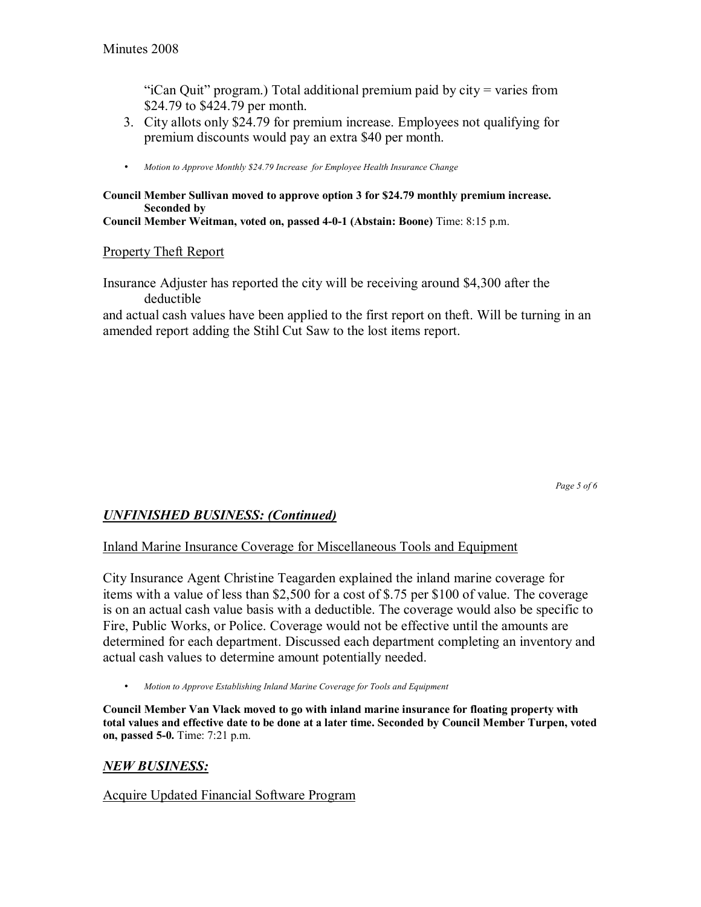"iCan Quit" program.) Total additional premium paid by city = varies from \$24.79 to \$424.79 per month.

- 3. City allots only \$24.79 for premium increase. Employees not qualifying for premium discounts would pay an extra \$40 per month.
- *Motion to Approve Monthly \$24.79 Increase for Employee Health Insurance Change*

### **Council Member Sullivan moved to approve option 3 for \$24.79 monthly premium increase. Seconded by**

**Council Member Weitman, voted on, passed 4-0-1 (Abstain: Boone)** Time: 8:15 p.m.

### Property Theft Report

Insurance Adjuster has reported the city will be receiving around \$4,300 after the deductible

and actual cash values have been applied to the first report on theft. Will be turning in an amended report adding the Stihl Cut Saw to the lost items report.

*Page 5 of 6* 

### *UNFINISHED BUSINESS: (Continued)*

#### Inland Marine Insurance Coverage for Miscellaneous Tools and Equipment

City Insurance Agent Christine Teagarden explained the inland marine coverage for items with a value of less than \$2,500 for a cost of \$.75 per \$100 of value. The coverage is on an actual cash value basis with a deductible. The coverage would also be specific to Fire, Public Works, or Police. Coverage would not be effective until the amounts are determined for each department. Discussed each department completing an inventory and actual cash values to determine amount potentially needed.

• *Motion to Approve Establishing Inland Marine Coverage for Tools and Equipment*

**Council Member Van Vlack moved to go with inland marine insurance for floating property with total values and effective date to be done at a later time. Seconded by Council Member Turpen, voted on, passed 5-0.** Time: 7:21 p.m.

### *NEW BUSINESS:*

Acquire Updated Financial Software Program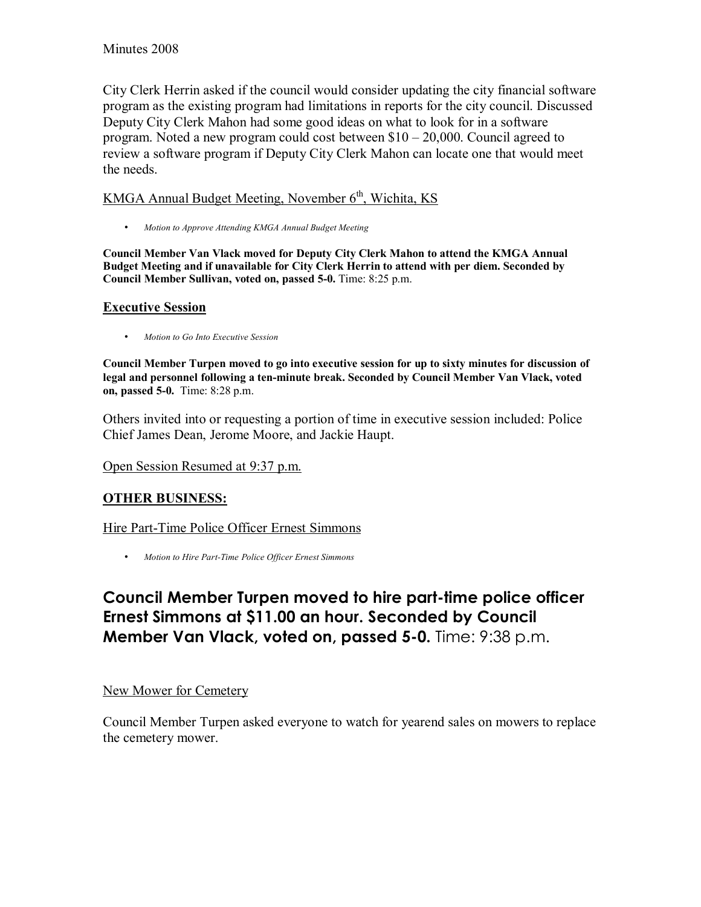City Clerk Herrin asked if the council would consider updating the city financial software program as the existing program had limitations in reports for the city council. Discussed Deputy City Clerk Mahon had some good ideas on what to look for in a software program. Noted a new program could cost between  $$10 - 20,000$ . Council agreed to review a software program if Deputy City Clerk Mahon can locate one that would meet the needs.

# KMGA Annual Budget Meeting, November  $6<sup>th</sup>$ , Wichita, KS

• *Motion to Approve Attending KMGA Annual Budget Meeting*

**Council Member Van Vlack moved for Deputy City Clerk Mahon to attend the KMGA Annual Budget Meeting and if unavailable for City Clerk Herrin to attend with per diem. Seconded by Council Member Sullivan, voted on, passed 5-0.** Time: 8:25 p.m.

### **Executive Session**

• *Motion to Go Into Executive Session* 

**Council Member Turpen moved to go into executive session for up to sixty minutes for discussion of legal and personnel following a ten-minute break. Seconded by Council Member Van Vlack, voted on, passed 5-0.** Time: 8:28 p.m.

Others invited into or requesting a portion of time in executive session included: Police Chief James Dean, Jerome Moore, and Jackie Haupt.

Open Session Resumed at 9:37 p.m.

# **OTHER BUSINESS:**

Hire Part-Time Police Officer Ernest Simmons

• *Motion to Hire Part-Time Police Officer Ernest Simmons*

# **Council Member Turpen moved to hire part-time police officer Ernest Simmons at \$11.00 an hour. Seconded by Council Member Van Vlack, voted on, passed 5-0.** Time: 9:38 p.m.

### New Mower for Cemetery

Council Member Turpen asked everyone to watch for yearend sales on mowers to replace the cemetery mower.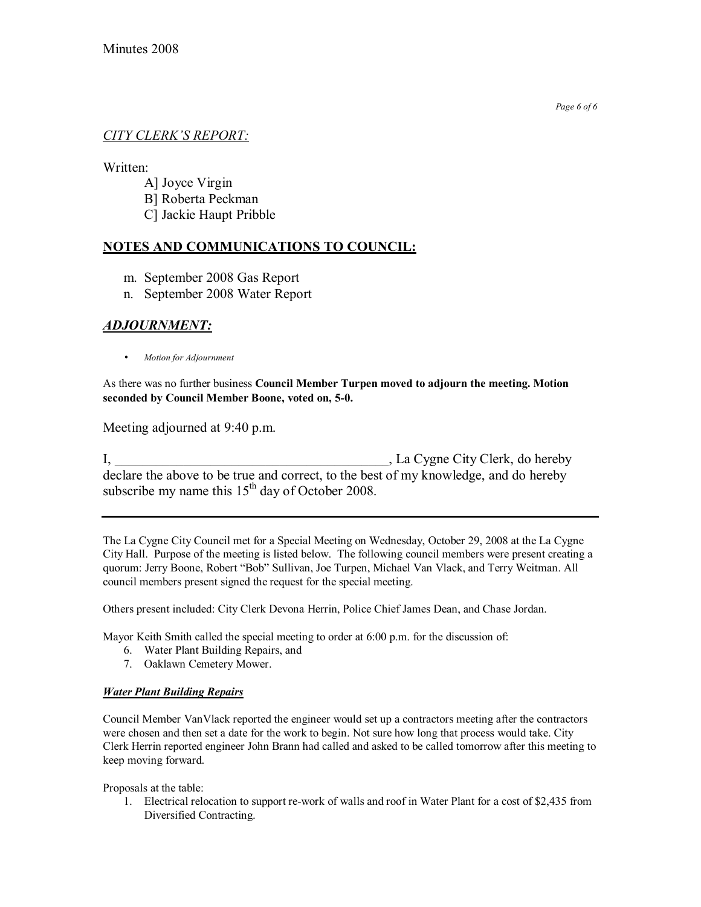### **CITY CLERK'S REPORT:**

Written:

A] Joyce Virgin B] Roberta Peckman

C] Jackie Haupt Pribble

### **NOTES AND COMMUNICATIONS TO COUNCIL:**

- m. September 2008 Gas Report
- n. September 2008 Water Report

# *ADJOURNMENT:*

• *Motion for Adjournment*

As there was no further business **Council Member Turpen moved to adjourn the meeting. Motion seconded by Council Member Boone, voted on, 5-0.**

Meeting adjourned at 9:40 p.m.

I, La Cygne City Clerk, do hereby declare the above to be true and correct, to the best of my knowledge, and do hereby subscribe my name this  $15<sup>th</sup>$  day of October 2008.

The La Cygne City Council met for a Special Meeting on Wednesday, October 29, 2008 at the La Cygne City Hall. Purpose of the meeting is listed below. The following council members were present creating a quorum: Jerry Boone, Robert "Bob" Sullivan, Joe Turpen, Michael Van Vlack, and Terry Weitman. All council members present signed the request for the special meeting.

Others present included: City Clerk Devona Herrin, Police Chief James Dean, and Chase Jordan.

Mayor Keith Smith called the special meeting to order at 6:00 p.m. for the discussion of:

- 6. Water Plant Building Repairs, and
- 7. Oaklawn Cemetery Mower.

#### *Water Plant Building Repairs*

Council Member VanVlack reported the engineer would set up a contractors meeting after the contractors were chosen and then set a date for the work to begin. Not sure how long that process would take. City Clerk Herrin reported engineer John Brann had called and asked to be called tomorrow after this meeting to keep moving forward.

Proposals at the table:

1. Electrical relocation to support re-work of walls and roof in Water Plant for a cost of \$2,435 from Diversified Contracting.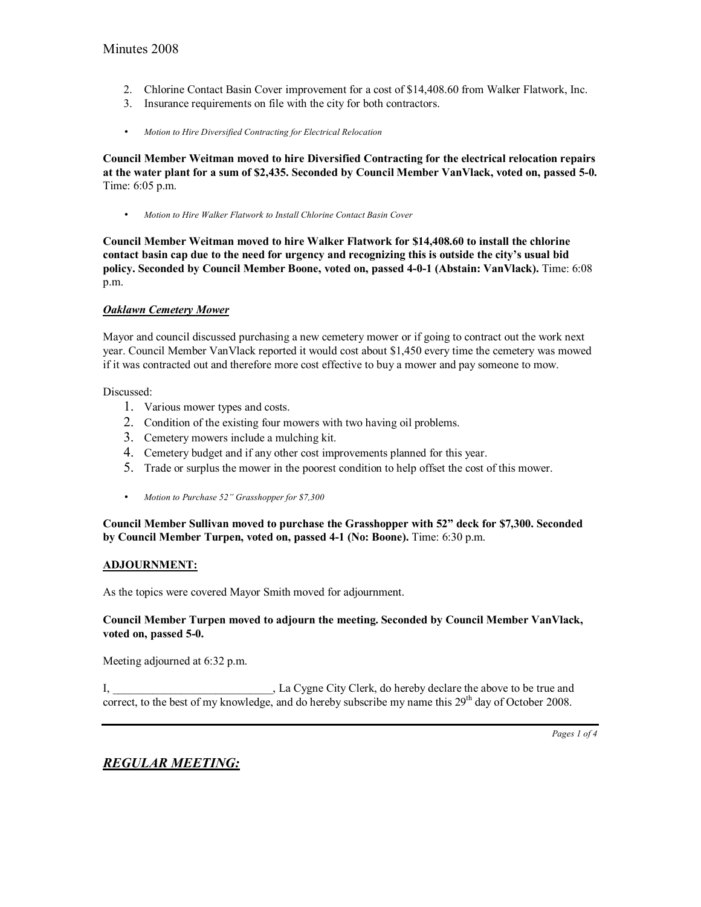- 2. Chlorine Contact Basin Cover improvement for a cost of \$14,408.60 from Walker Flatwork, Inc.
- 3. Insurance requirements on file with the city for both contractors.
- *Motion to Hire Diversified Contracting for Electrical Relocation*

**Council Member Weitman moved to hire Diversified Contracting for the electrical relocation repairs at the water plant for a sum of \$2,435. Seconded by Council Member VanVlack, voted on, passed 5-0.**  Time: 6:05 p.m.

• *Motion to Hire Walker Flatwork to Install Chlorine Contact Basin Cover*

**Council Member Weitman moved to hire Walker Flatwork for \$14,408.60 to install the chlorine**  contact basin cap due to the need for urgency and recognizing this is outside the city's usual bid **policy. Seconded by Council Member Boone, voted on, passed 4-0-1 (Abstain: VanVlack).** Time: 6:08 p.m.

#### *Oaklawn Cemetery Mower*

Mayor and council discussed purchasing a new cemetery mower or if going to contract out the work next year. Council Member VanVlack reported it would cost about \$1,450 every time the cemetery was mowed if it was contracted out and therefore more cost effective to buy a mower and pay someone to mow.

Discussed:

- 1. Various mower types and costs.
- 2. Condition of the existing four mowers with two having oil problems.
- 3. Cemetery mowers include a mulching kit.
- 4. Cemetery budget and if any other cost improvements planned for this year.
- 5. Trade or surplus the mower in the poorest condition to help offset the cost of this mower.
- *Motion to Purchase 52" Grasshopper for \$7,300*

**Council Member Sullivan moved to purchase the Grasshopper with 52î deck for \$7,300. Seconded by Council Member Turpen, voted on, passed 4-1 (No: Boone).** Time: 6:30 p.m.

#### **ADJOURNMENT:**

As the topics were covered Mayor Smith moved for adjournment.

#### **Council Member Turpen moved to adjourn the meeting. Seconded by Council Member VanVlack, voted on, passed 5-0.**

Meeting adjourned at 6:32 p.m.

I, \_\_\_\_\_\_\_\_\_\_\_\_\_\_\_\_\_\_\_\_\_\_\_\_\_\_\_\_, La Cygne City Clerk, do hereby declare the above to be true and correct, to the best of my knowledge, and do hereby subscribe my name this  $29<sup>th</sup>$  day of October 2008.

# *REGULAR MEETING:*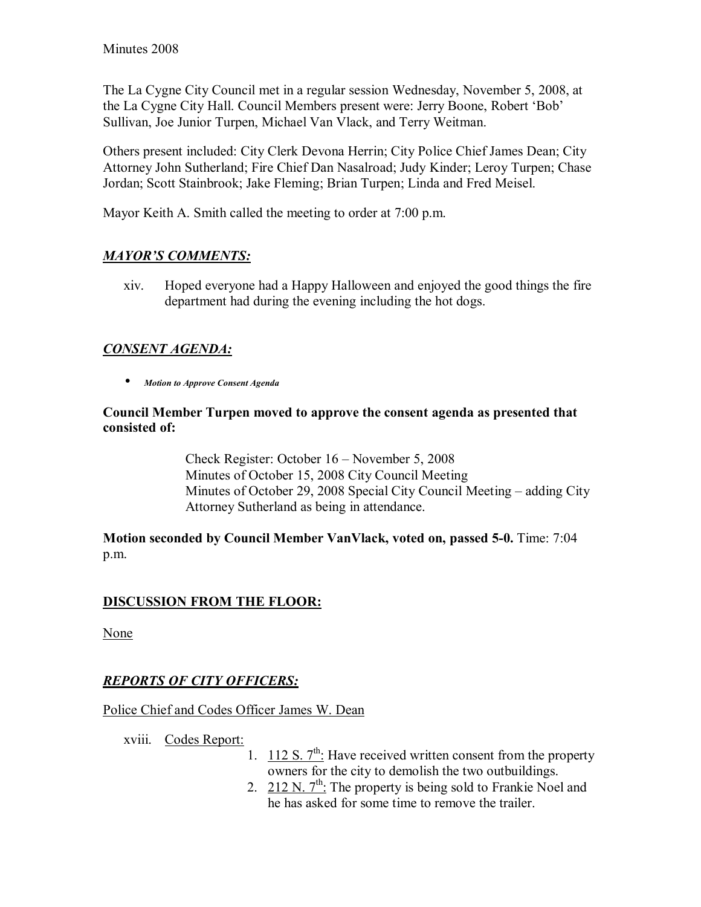The La Cygne City Council met in a regular session Wednesday, November 5, 2008, at the La Cygne City Hall. Council Members present were: Jerry Boone, Robert 'Bob' Sullivan, Joe Junior Turpen, Michael Van Vlack, and Terry Weitman.

Others present included: City Clerk Devona Herrin; City Police Chief James Dean; City Attorney John Sutherland; Fire Chief Dan Nasalroad; Judy Kinder; Leroy Turpen; Chase Jordan; Scott Stainbrook; Jake Fleming; Brian Turpen; Linda and Fred Meisel.

Mayor Keith A. Smith called the meeting to order at 7:00 p.m.

# **MAYOR'S COMMENTS:**

xiv. Hoped everyone had a Happy Halloween and enjoyed the good things the fire department had during the evening including the hot dogs.

# *CONSENT AGENDA:*

• *Motion to Approve Consent Agenda* 

### **Council Member Turpen moved to approve the consent agenda as presented that consisted of:**

Check Register: October  $16$  – November 5, 2008 Minutes of October 15, 2008 City Council Meeting Minutes of October 29, 2008 Special City Council Meeting  $-$  adding City Attorney Sutherland as being in attendance.

**Motion seconded by Council Member VanVlack, voted on, passed 5-0.** Time: 7:04 p.m.

# **DISCUSSION FROM THE FLOOR:**

None

# *REPORTS OF CITY OFFICERS:*

### Police Chief and Codes Officer James W. Dean

xviii. Codes Report:

- 1.  $112 S. 7<sup>th</sup>$ : Have received written consent from the property owners for the city to demolish the two outbuildings.
- 2. 212 N.  $7<sup>th</sup>$ : The property is being sold to Frankie Noel and he has asked for some time to remove the trailer.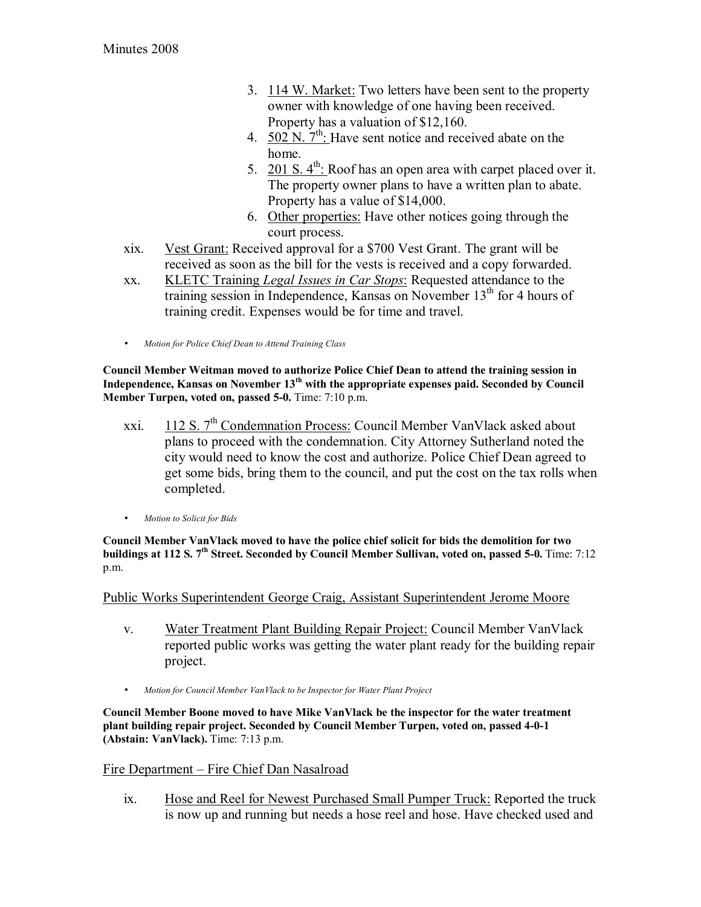- 3. 114 W. Market: Two letters have been sent to the property owner with knowledge of one having been received. Property has a valuation of \$12,160.
- 4. 502 N.  $7<sup>th</sup>$ : Have sent notice and received abate on the home.
- 5.  $201 S. 4<sup>th</sup>$ : Roof has an open area with carpet placed over it. The property owner plans to have a written plan to abate. Property has a value of \$14,000.
- 6. Other properties: Have other notices going through the court process.
- xix. Vest Grant: Received approval for a \$700 Vest Grant. The grant will be received as soon as the bill for the vests is received and a copy forwarded.
- xx. KLETC Training *Legal Issues in Car Stops*: Requested attendance to the training session in Independence, Kansas on November  $13<sup>th</sup>$  for 4 hours of training credit. Expenses would be for time and travel.
- *Motion for Police Chief Dean to Attend Training Class*

**Council Member Weitman moved to authorize Police Chief Dean to attend the training session in Independence, Kansas on November 13th with the appropriate expenses paid. Seconded by Council Member Turpen, voted on, passed 5-0.** Time: 7:10 p.m.

- xxi. 112 S. 7th Condemnation Process: Council Member VanVlack asked about plans to proceed with the condemnation. City Attorney Sutherland noted the city would need to know the cost and authorize. Police Chief Dean agreed to get some bids, bring them to the council, and put the cost on the tax rolls when completed.
- *Motion to Solicit for Bids*

**Council Member VanVlack moved to have the police chief solicit for bids the demolition for two buildings at 112 S. 7th Street. Seconded by Council Member Sullivan, voted on, passed 5-0.** Time: 7:12 p.m.

Public Works Superintendent George Craig, Assistant Superintendent Jerome Moore

- v. Water Treatment Plant Building Repair Project: Council Member VanVlack reported public works was getting the water plant ready for the building repair project.
- *Motion for Council Member VanVlack to be Inspector for Water Plant Project*

**Council Member Boone moved to have Mike VanVlack be the inspector for the water treatment plant building repair project. Seconded by Council Member Turpen, voted on, passed 4-0-1 (Abstain: VanVlack).** Time: 7:13 p.m.

### Fire Department – Fire Chief Dan Nasalroad

ix. Hose and Reel for Newest Purchased Small Pumper Truck: Reported the truck is now up and running but needs a hose reel and hose. Have checked used and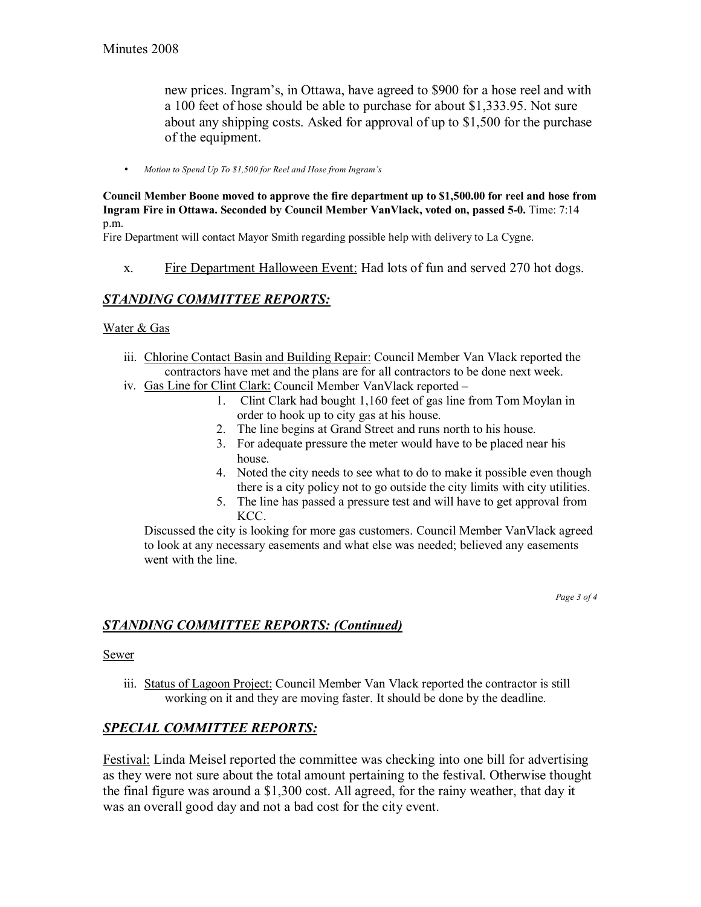new prices. Ingram's, in Ottawa, have agreed to \$900 for a hose reel and with a 100 feet of hose should be able to purchase for about \$1,333.95. Not sure about any shipping costs. Asked for approval of up to \$1,500 for the purchase of the equipment.

• *Motion to Spend Up To \$1,500 for Reel and Hose from Ingramís*

**Council Member Boone moved to approve the fire department up to \$1,500.00 for reel and hose from Ingram Fire in Ottawa. Seconded by Council Member VanVlack, voted on, passed 5-0.** Time: 7:14 p.m.

Fire Department will contact Mayor Smith regarding possible help with delivery to La Cygne.

x. Fire Department Halloween Event: Had lots of fun and served 270 hot dogs.

## *STANDING COMMITTEE REPORTS:*

#### Water & Gas

- iii. Chlorine Contact Basin and Building Repair: Council Member Van Vlack reported the contractors have met and the plans are for all contractors to be done next week.
- iv. Gas Line for Clint Clark: Council Member VanVlack reported -
	- 1. Clint Clark had bought 1,160 feet of gas line from Tom Moylan in order to hook up to city gas at his house.
	- 2. The line begins at Grand Street and runs north to his house.
	- 3. For adequate pressure the meter would have to be placed near his house.
	- 4. Noted the city needs to see what to do to make it possible even though there is a city policy not to go outside the city limits with city utilities.
	- 5. The line has passed a pressure test and will have to get approval from KCC.

Discussed the city is looking for more gas customers. Council Member VanVlack agreed to look at any necessary easements and what else was needed; believed any easements went with the line.

*Page 3 of 4* 

### *STANDING COMMITTEE REPORTS: (Continued)*

**Sewer** 

iii. Status of Lagoon Project: Council Member Van Vlack reported the contractor is still working on it and they are moving faster. It should be done by the deadline.

### *SPECIAL COMMITTEE REPORTS:*

Festival: Linda Meisel reported the committee was checking into one bill for advertising as they were not sure about the total amount pertaining to the festival. Otherwise thought the final figure was around a \$1,300 cost. All agreed, for the rainy weather, that day it was an overall good day and not a bad cost for the city event.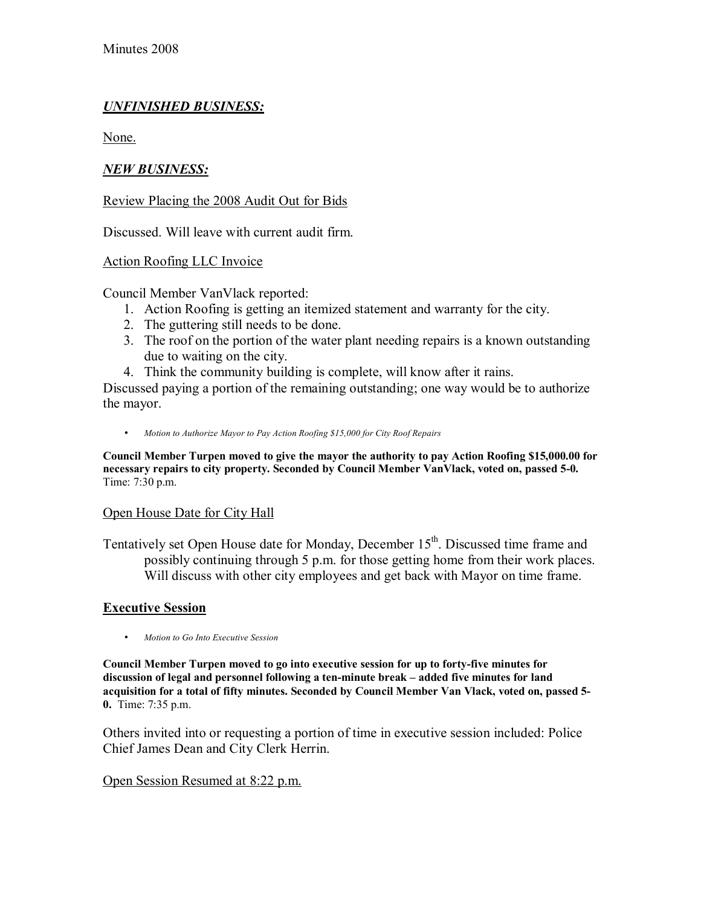# *UNFINISHED BUSINESS:*

None.

### *NEW BUSINESS:*

### Review Placing the 2008 Audit Out for Bids

Discussed. Will leave with current audit firm.

### Action Roofing LLC Invoice

Council Member VanVlack reported:

- 1. Action Roofing is getting an itemized statement and warranty for the city.
- 2. The guttering still needs to be done.
- 3. The roof on the portion of the water plant needing repairs is a known outstanding due to waiting on the city.
- 4. Think the community building is complete, will know after it rains.

Discussed paying a portion of the remaining outstanding; one way would be to authorize the mayor.

• *Motion to Authorize Mayor to Pay Action Roofing \$15,000 for City Roof Repairs*

**Council Member Turpen moved to give the mayor the authority to pay Action Roofing \$15,000.00 for necessary repairs to city property. Seconded by Council Member VanVlack, voted on, passed 5-0.**  Time: 7:30 p.m.

#### Open House Date for City Hall

Tentatively set Open House date for Monday, December 15<sup>th</sup>. Discussed time frame and possibly continuing through 5 p.m. for those getting home from their work places. Will discuss with other city employees and get back with Mayor on time frame.

#### **Executive Session**

• *Motion to Go Into Executive Session* 

**Council Member Turpen moved to go into executive session for up to forty-five minutes for**  discussion of legal and personnel following a ten-minute break – added five minutes for land **acquisition for a total of fifty minutes. Seconded by Council Member Van Vlack, voted on, passed 5- 0.** Time: 7:35 p.m.

Others invited into or requesting a portion of time in executive session included: Police Chief James Dean and City Clerk Herrin.

#### Open Session Resumed at 8:22 p.m.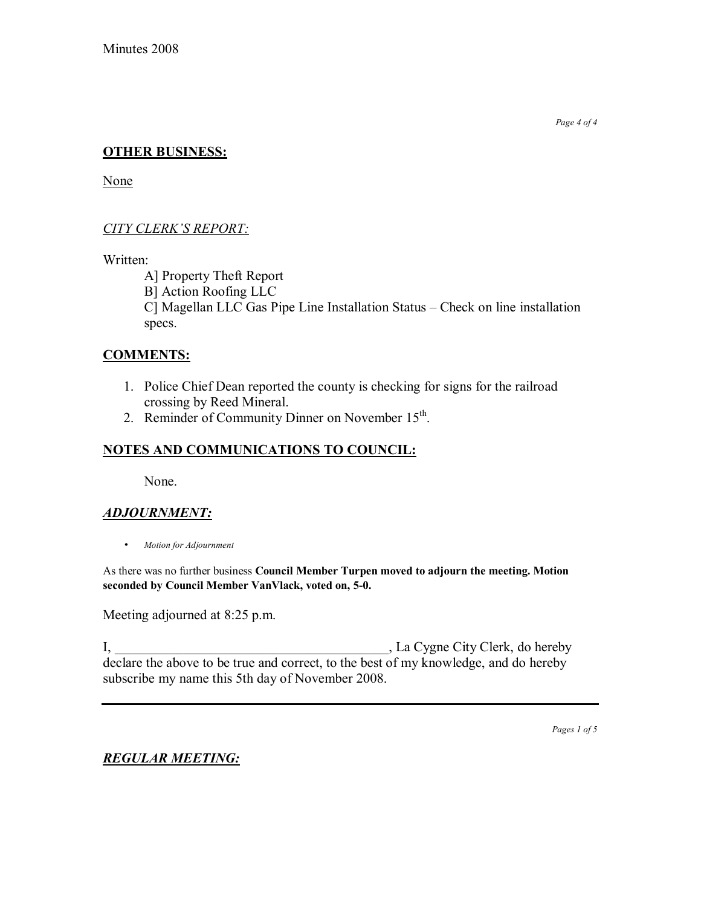*Page 4 of 4* 

## **OTHER BUSINESS:**

None

## **CITY CLERK'S REPORT:**

Written:

A] Property Theft Report B] Action Roofing LLC C] Magellan LLC Gas Pipe Line Installation Status – Check on line installation specs.

### **COMMENTS:**

- 1. Police Chief Dean reported the county is checking for signs for the railroad crossing by Reed Mineral.
- 2. Reminder of Community Dinner on November 15<sup>th</sup>.

# **NOTES AND COMMUNICATIONS TO COUNCIL:**

None.

# *ADJOURNMENT:*

• *Motion for Adjournment*

As there was no further business **Council Member Turpen moved to adjourn the meeting. Motion seconded by Council Member VanVlack, voted on, 5-0.**

Meeting adjourned at 8:25 p.m.

I, \_\_\_\_\_\_\_\_\_\_\_\_\_\_\_\_\_\_\_\_\_\_\_\_\_\_\_\_\_\_\_\_\_\_\_\_\_\_\_\_, La Cygne City Clerk, do hereby declare the above to be true and correct, to the best of my knowledge, and do hereby subscribe my name this 5th day of November 2008.

*Pages 1 of 5*

# *REGULAR MEETING:*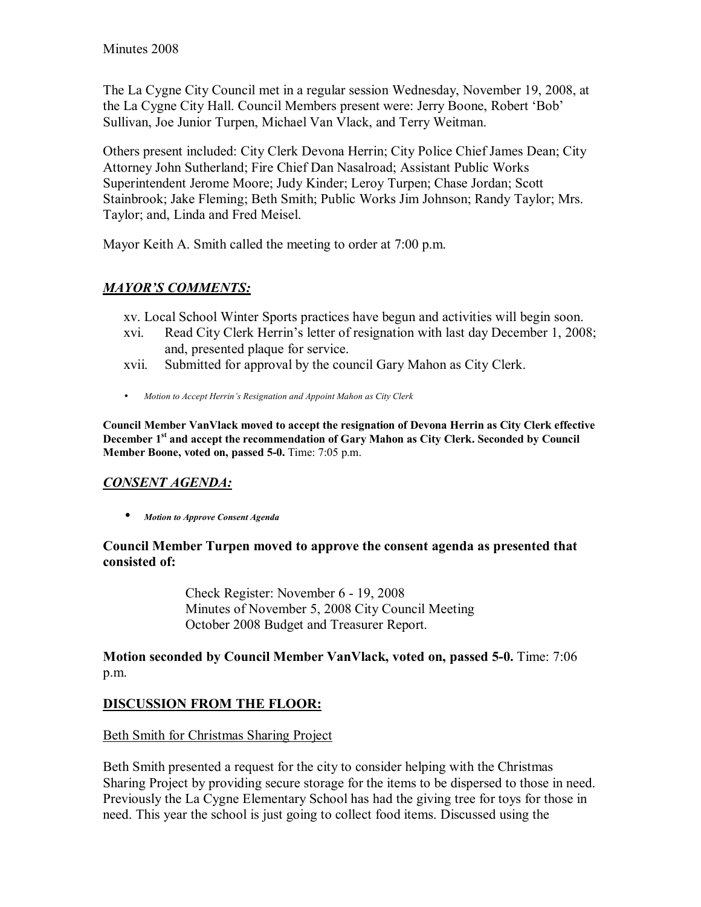The La Cygne City Council met in a regular session Wednesday, November 19, 2008, at the La Cygne City Hall. Council Members present were: Jerry Boone, Robert 'Bob' Sullivan, Joe Junior Turpen, Michael Van Vlack, and Terry Weitman.

Others present included: City Clerk Devona Herrin; City Police Chief James Dean; City Attorney John Sutherland; Fire Chief Dan Nasalroad; Assistant Public Works Superintendent Jerome Moore; Judy Kinder; Leroy Turpen; Chase Jordan; Scott Stainbrook; Jake Fleming; Beth Smith; Public Works Jim Johnson; Randy Taylor; Mrs. Taylor; and, Linda and Fred Meisel.

Mayor Keith A. Smith called the meeting to order at 7:00 p.m.

# **MAYOR'S COMMENTS:**

xv. Local School Winter Sports practices have begun and activities will begin soon.

- xvi. Read City Clerk Herrinís letter of resignation with last day December 1, 2008; and, presented plaque for service.
- xvii. Submitted for approval by the council Gary Mahon as City Clerk.
- *Motion to Accept Herrin's Resignation and Appoint Mahon as City Clerk*

**Council Member VanVlack moved to accept the resignation of Devona Herrin as City Clerk effective**  December 1<sup>st</sup> and accept the recommendation of Gary Mahon as City Clerk. Seconded by Council **Member Boone, voted on, passed 5-0.** Time: 7:05 p.m.

# *CONSENT AGENDA:*

• *Motion to Approve Consent Agenda* 

## **Council Member Turpen moved to approve the consent agenda as presented that consisted of:**

 Check Register: November 6 - 19, 2008 Minutes of November 5, 2008 City Council Meeting October 2008 Budget and Treasurer Report.

**Motion seconded by Council Member VanVlack, voted on, passed 5-0.** Time: 7:06 p.m.

# **DISCUSSION FROM THE FLOOR:**

# Beth Smith for Christmas Sharing Project

Beth Smith presented a request for the city to consider helping with the Christmas Sharing Project by providing secure storage for the items to be dispersed to those in need. Previously the La Cygne Elementary School has had the giving tree for toys for those in need. This year the school is just going to collect food items. Discussed using the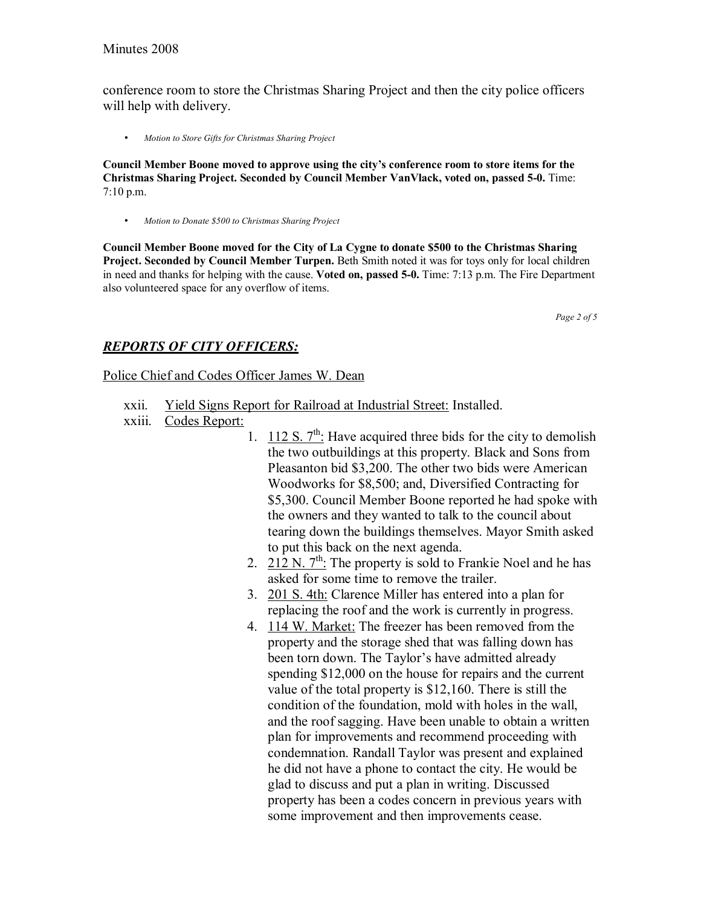conference room to store the Christmas Sharing Project and then the city police officers will help with delivery.

• *Motion to Store Gifts for Christmas Sharing Project*

**Council Member Boone moved to approve using the cityís conference room to store items for the Christmas Sharing Project. Seconded by Council Member VanVlack, voted on, passed 5-0.** Time: 7:10 p.m.

• *Motion to Donate \$500 to Christmas Sharing Project*

**Council Member Boone moved for the City of La Cygne to donate \$500 to the Christmas Sharing Project. Seconded by Council Member Turpen.** Beth Smith noted it was for toys only for local children in need and thanks for helping with the cause. **Voted on, passed 5-0.** Time: 7:13 p.m. The Fire Department also volunteered space for any overflow of items.

*Page 2 of 5* 

### *REPORTS OF CITY OFFICERS:*

#### Police Chief and Codes Officer James W. Dean

- xxii. Yield Signs Report for Railroad at Industrial Street: Installed.
- xxiii. Codes Report:
	- 1.  $112 S. 7<sup>th</sup>$ : Have acquired three bids for the city to demolish the two outbuildings at this property. Black and Sons from Pleasanton bid \$3,200. The other two bids were American Woodworks for \$8,500; and, Diversified Contracting for \$5,300. Council Member Boone reported he had spoke with the owners and they wanted to talk to the council about tearing down the buildings themselves. Mayor Smith asked to put this back on the next agenda.
	- 2. 212 N.  $7^{th}$ : The property is sold to Frankie Noel and he has asked for some time to remove the trailer.
	- 3. 201 S. 4th: Clarence Miller has entered into a plan for replacing the roof and the work is currently in progress.
	- 4. 114 W. Market: The freezer has been removed from the property and the storage shed that was falling down has been torn down. The Taylor's have admitted already spending \$12,000 on the house for repairs and the current value of the total property is \$12,160. There is still the condition of the foundation, mold with holes in the wall, and the roof sagging. Have been unable to obtain a written plan for improvements and recommend proceeding with condemnation. Randall Taylor was present and explained he did not have a phone to contact the city. He would be glad to discuss and put a plan in writing. Discussed property has been a codes concern in previous years with some improvement and then improvements cease.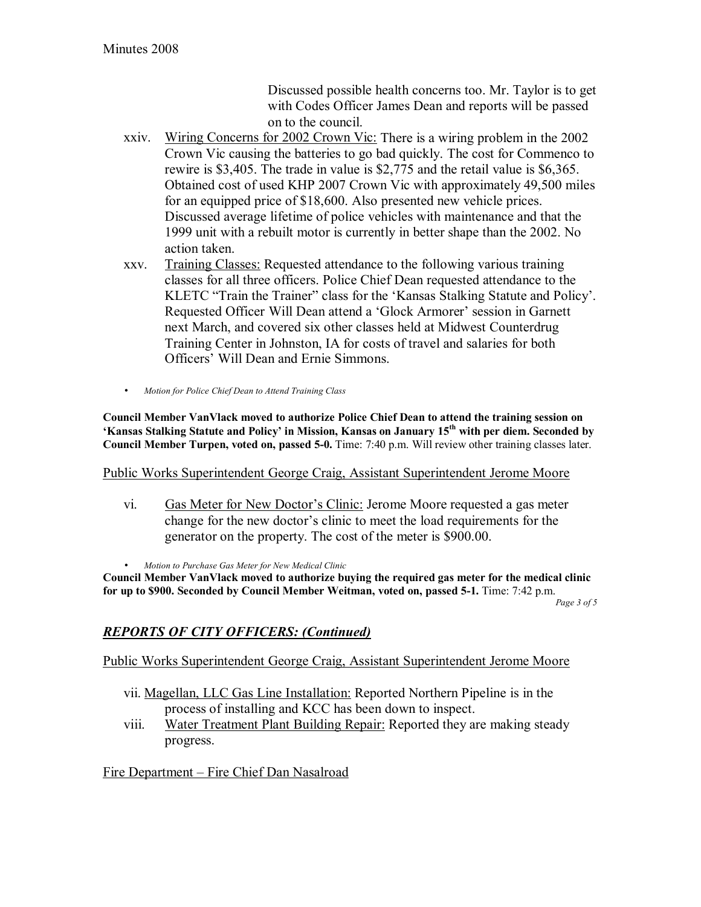Discussed possible health concerns too. Mr. Taylor is to get with Codes Officer James Dean and reports will be passed on to the council.

- xxiv. Wiring Concerns for 2002 Crown Vic: There is a wiring problem in the 2002 Crown Vic causing the batteries to go bad quickly. The cost for Commenco to rewire is \$3,405. The trade in value is \$2,775 and the retail value is \$6,365. Obtained cost of used KHP 2007 Crown Vic with approximately 49,500 miles for an equipped price of \$18,600. Also presented new vehicle prices. Discussed average lifetime of police vehicles with maintenance and that the 1999 unit with a rebuilt motor is currently in better shape than the 2002. No action taken.
- xxv. Training Classes: Requested attendance to the following various training classes for all three officers. Police Chief Dean requested attendance to the KLETC "Train the Trainer" class for the 'Kansas Stalking Statute and Policy'. Requested Officer Will Dean attend a 'Glock Armorer' session in Garnett next March, and covered six other classes held at Midwest Counterdrug Training Center in Johnston, IA for costs of travel and salaries for both Officers' Will Dean and Ernie Simmons.
- *Motion for Police Chief Dean to Attend Training Class*

**Council Member VanVlack moved to authorize Police Chief Dean to attend the training session on ëKansas Stalking Statute and Policyí in Mission, Kansas on January 15th with per diem. Seconded by Council Member Turpen, voted on, passed 5-0.** Time: 7:40 p.m. Will review other training classes later.

Public Works Superintendent George Craig, Assistant Superintendent Jerome Moore

- vi. Gas Meter for New Doctor's Clinic: Jerome Moore requested a gas meter change for the new doctor's clinic to meet the load requirements for the generator on the property. The cost of the meter is \$900.00.
- *Motion to Purchase Gas Meter for New Medical Clinic*

**Council Member VanVlack moved to authorize buying the required gas meter for the medical clinic for up to \$900. Seconded by Council Member Weitman, voted on, passed 5-1.** Time: 7:42 p.m.

*Page 3 of 5* 

## *REPORTS OF CITY OFFICERS: (Continued)*

Public Works Superintendent George Craig, Assistant Superintendent Jerome Moore

- vii. Magellan, LLC Gas Line Installation: Reported Northern Pipeline is in the process of installing and KCC has been down to inspect.
- viii. Water Treatment Plant Building Repair: Reported they are making steady progress.

Fire Department – Fire Chief Dan Nasalroad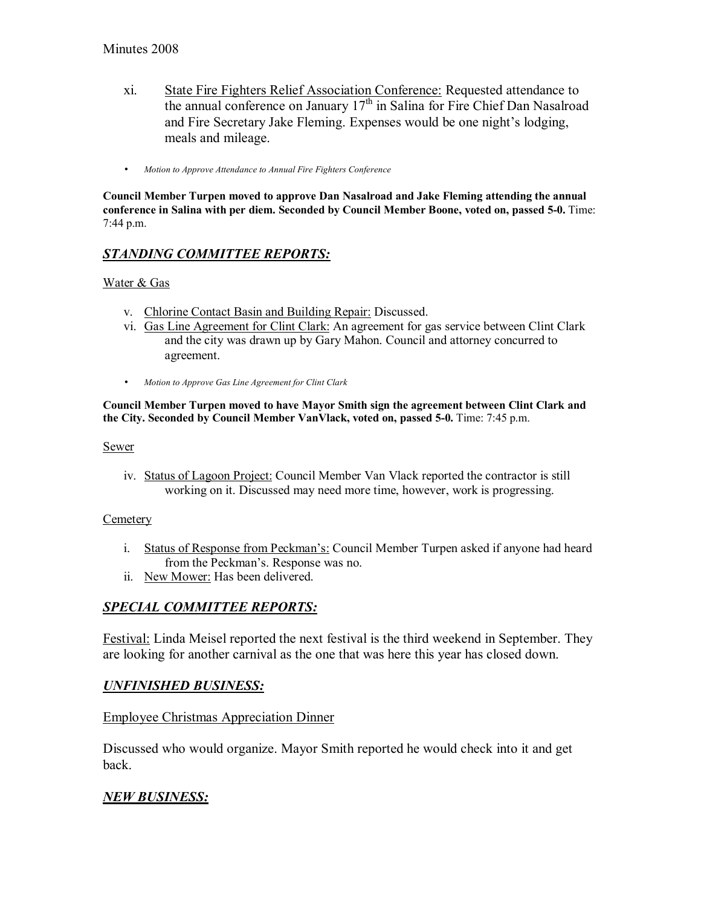- xi. State Fire Fighters Relief Association Conference: Requested attendance to the annual conference on January  $17<sup>th</sup>$  in Salina for Fire Chief Dan Nasalroad and Fire Secretary Jake Fleming. Expenses would be one night's lodging, meals and mileage.
- *Motion to Approve Attendance to Annual Fire Fighters Conference*

**Council Member Turpen moved to approve Dan Nasalroad and Jake Fleming attending the annual conference in Salina with per diem. Seconded by Council Member Boone, voted on, passed 5-0.** Time: 7:44 p.m.

# *STANDING COMMITTEE REPORTS:*

#### Water & Gas

- v. Chlorine Contact Basin and Building Repair: Discussed.
- vi. Gas Line Agreement for Clint Clark: An agreement for gas service between Clint Clark and the city was drawn up by Gary Mahon. Council and attorney concurred to agreement.
- *Motion to Approve Gas Line Agreement for Clint Clark*

#### **Council Member Turpen moved to have Mayor Smith sign the agreement between Clint Clark and the City. Seconded by Council Member VanVlack, voted on, passed 5-0.** Time: 7:45 p.m.

Sewer

iv. Status of Lagoon Project: Council Member Van Vlack reported the contractor is still working on it. Discussed may need more time, however, work is progressing.

#### **Cemetery**

- i. Status of Response from Peckman's: Council Member Turpen asked if anyone had heard from the Peckman's. Response was no.
- ii. New Mower: Has been delivered.

### *SPECIAL COMMITTEE REPORTS:*

Festival: Linda Meisel reported the next festival is the third weekend in September. They are looking for another carnival as the one that was here this year has closed down.

### *UNFINISHED BUSINESS:*

#### Employee Christmas Appreciation Dinner

Discussed who would organize. Mayor Smith reported he would check into it and get back.

## *NEW BUSINESS:*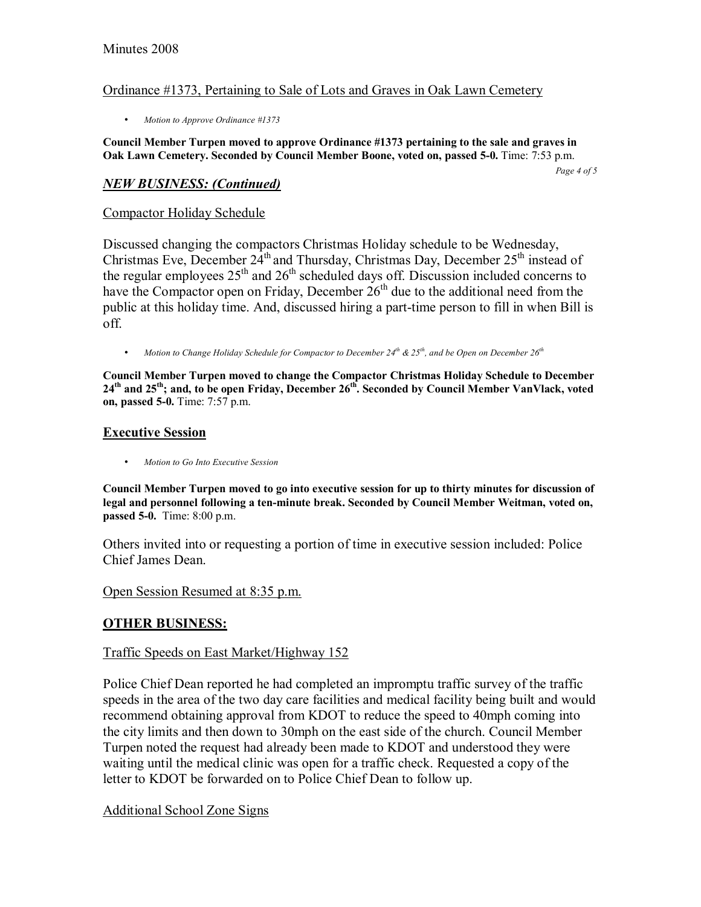#### Ordinance #1373, Pertaining to Sale of Lots and Graves in Oak Lawn Cemetery

• *Motion to Approve Ordinance #1373*

#### **Council Member Turpen moved to approve Ordinance #1373 pertaining to the sale and graves in Oak Lawn Cemetery. Seconded by Council Member Boone, voted on, passed 5-0.** Time: 7:53 p.m.

*Page 4 of 5* 

#### *NEW BUSINESS: (Continued)*

#### Compactor Holiday Schedule

Discussed changing the compactors Christmas Holiday schedule to be Wednesday, Christmas Eve, December  $24<sup>th</sup>$  and Thursday, Christmas Day, December  $25<sup>th</sup>$  instead of the regular employees  $25<sup>th</sup>$  and  $26<sup>th</sup>$  scheduled days off. Discussion included concerns to have the Compactor open on Friday, December  $26<sup>th</sup>$  due to the additional need from the public at this holiday time. And, discussed hiring a part-time person to fill in when Bill is off.

• Motion to Change Holiday Schedule for Compactor to December 24<sup>th</sup> & 25<sup>th</sup>, and be Open on December 26<sup>th</sup>

**Council Member Turpen moved to change the Compactor Christmas Holiday Schedule to December**  24<sup>th</sup> and 25<sup>th</sup>; and, to be open Friday, December 26<sup>th</sup>. Seconded by Council Member VanVlack, voted **on, passed 5-0.** Time: 7:57 p.m.

#### **Executive Session**

• *Motion to Go Into Executive Session* 

**Council Member Turpen moved to go into executive session for up to thirty minutes for discussion of legal and personnel following a ten-minute break. Seconded by Council Member Weitman, voted on, passed 5-0.** Time: 8:00 p.m.

Others invited into or requesting a portion of time in executive session included: Police Chief James Dean.

Open Session Resumed at 8:35 p.m.

### **OTHER BUSINESS:**

### Traffic Speeds on East Market/Highway 152

Police Chief Dean reported he had completed an impromptu traffic survey of the traffic speeds in the area of the two day care facilities and medical facility being built and would recommend obtaining approval from KDOT to reduce the speed to 40mph coming into the city limits and then down to 30mph on the east side of the church. Council Member Turpen noted the request had already been made to KDOT and understood they were waiting until the medical clinic was open for a traffic check. Requested a copy of the letter to KDOT be forwarded on to Police Chief Dean to follow up.

### Additional School Zone Signs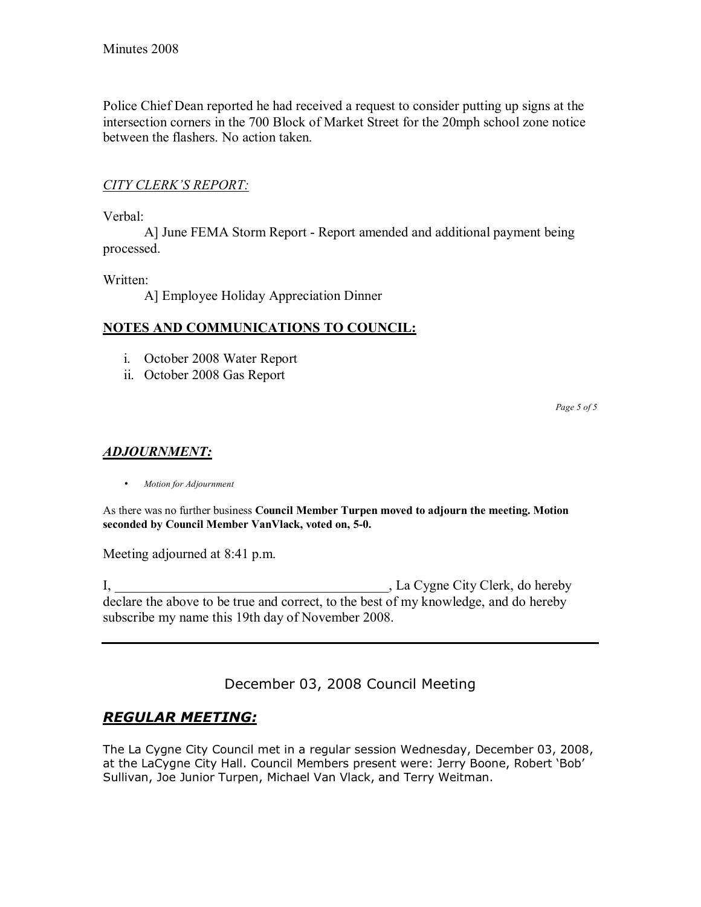Police Chief Dean reported he had received a request to consider putting up signs at the intersection corners in the 700 Block of Market Street for the 20mph school zone notice between the flashers. No action taken.

### **CITY CLERK'S REPORT:**

Verbal:

 A] June FEMA Storm Report - Report amended and additional payment being processed.

Written:

A] Employee Holiday Appreciation Dinner

### **NOTES AND COMMUNICATIONS TO COUNCIL:**

- i. October 2008 Water Report
- ii. October 2008 Gas Report

*Page 5 of 5* 

### *ADJOURNMENT:*

• *Motion for Adjournment*

As there was no further business **Council Member Turpen moved to adjourn the meeting. Motion seconded by Council Member VanVlack, voted on, 5-0.**

Meeting adjourned at 8:41 p.m.

I, \_\_\_\_\_\_\_\_\_\_\_\_\_\_\_\_\_\_\_\_\_\_\_\_\_\_\_\_\_\_\_\_\_\_\_\_\_\_\_\_, La Cygne City Clerk, do hereby declare the above to be true and correct, to the best of my knowledge, and do hereby subscribe my name this 19th day of November 2008.

December 03, 2008 Council Meeting

# *REGULAR MEETING:*

The La Cygne City Council met in a regular session Wednesday, December 03, 2008, at the LaCygne City Hall. Council Members present were: Jerry Boone, Robert 'Bob' Sullivan, Joe Junior Turpen, Michael Van Vlack, and Terry Weitman.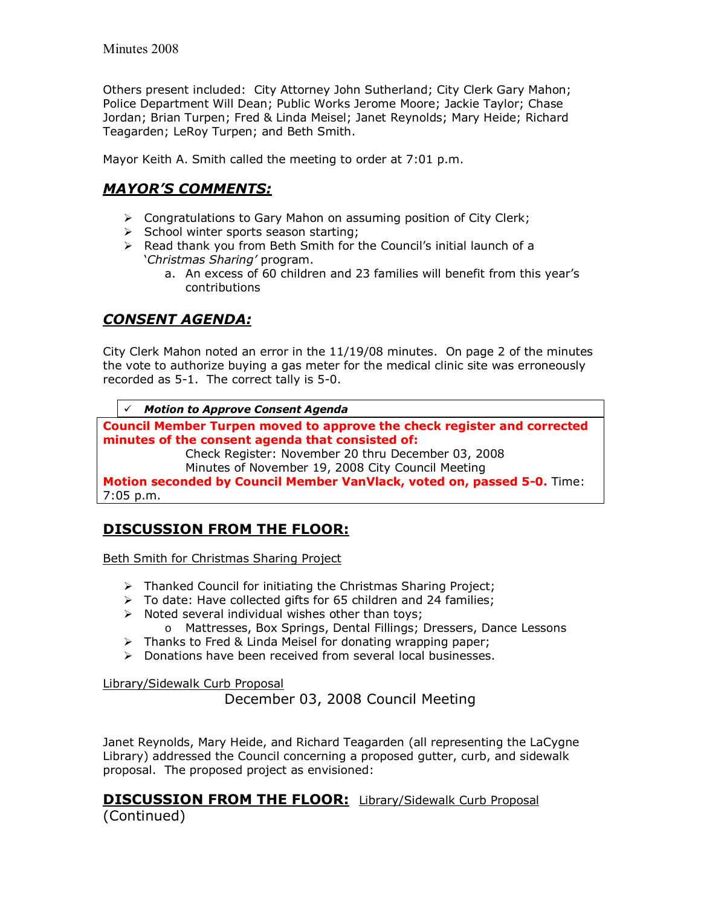Others present included: City Attorney John Sutherland; City Clerk Gary Mahon; Police Department Will Dean; Public Works Jerome Moore; Jackie Taylor; Chase Jordan; Brian Turpen; Fred & Linda Meisel; Janet Reynolds; Mary Heide; Richard Teagarden; LeRoy Turpen; and Beth Smith.

Mayor Keith A. Smith called the meeting to order at 7:01 p.m.

# *MAYORíS COMMENTS:*

- $\triangleright$  Congratulations to Gary Mahon on assuming position of City Clerk;
- $\triangleright$  School winter sports season starting;
- $\triangleright$  Read thank you from Beth Smith for the Council's initial launch of a ë*Christmas Sharingí* program.
	- a. An excess of 60 children and 23 families will benefit from this year's contributions

# *CONSENT AGENDA:*

City Clerk Mahon noted an error in the 11/19/08 minutes. On page 2 of the minutes the vote to authorize buying a gas meter for the medical clinic site was erroneously recorded as 5-1. The correct tally is 5-0.

! *Motion to Approve Consent Agenda* 

**Council Member Turpen moved to approve the check register and corrected minutes of the consent agenda that consisted of:** 

 Check Register: November 20 thru December 03, 2008 Minutes of November 19, 2008 City Council Meeting

**Motion seconded by Council Member VanVlack, voted on, passed 5-0.** Time: 7:05 p.m.

# **DISCUSSION FROM THE FLOOR:**

Beth Smith for Christmas Sharing Project

- $\triangleright$  Thanked Council for initiating the Christmas Sharing Project;
- $\triangleright$  To date: Have collected gifts for 65 children and 24 families;
- $\triangleright$  Noted several individual wishes other than toys;
	- o Mattresses, Box Springs, Dental Fillings; Dressers, Dance Lessons
- $\triangleright$  Thanks to Fred & Linda Meisel for donating wrapping paper;
- $\triangleright$  Donations have been received from several local businesses.

Library/Sidewalk Curb Proposal

December 03, 2008 Council Meeting

Janet Reynolds, Mary Heide, and Richard Teagarden (all representing the LaCygne Library) addressed the Council concerning a proposed gutter, curb, and sidewalk proposal. The proposed project as envisioned:

#### **DISCUSSION FROM THE FLOOR:** Library/Sidewalk Curb Proposal (Continued)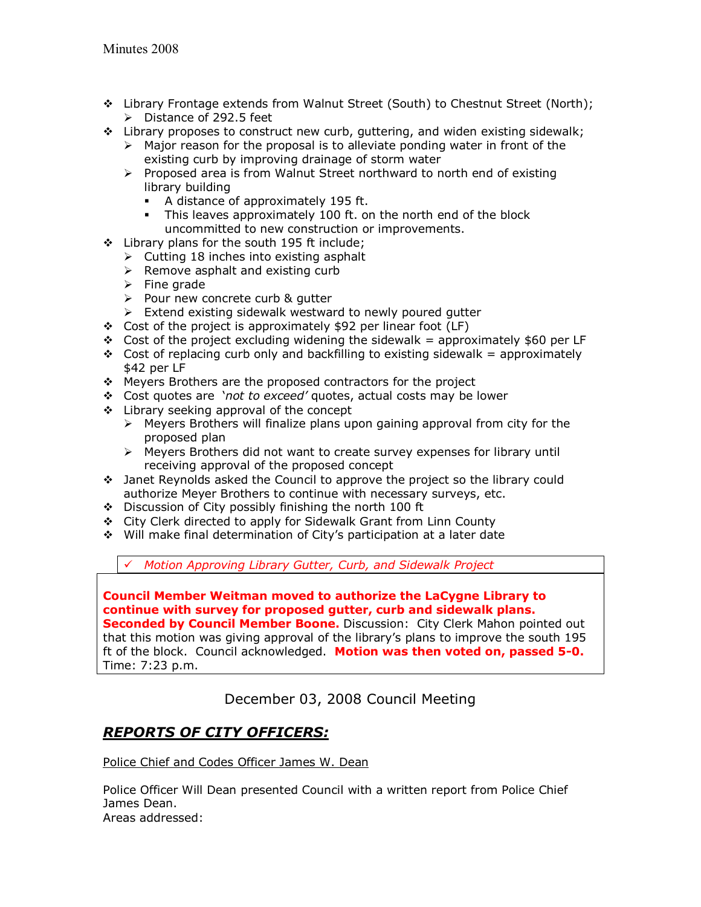- \$ Library Frontage extends from Walnut Street (South) to Chestnut Street (North);  $\triangleright$  Distance of 292.5 feet
- $\cdot$  Library proposes to construct new curb, guttering, and widen existing sidewalk;
	- $\triangleright$  Major reason for the proposal is to alleviate ponding water in front of the existing curb by improving drainage of storm water
	- $\triangleright$  Proposed area is from Walnut Street northward to north end of existing library building
		- A distance of approximately 195 ft.
		- This leaves approximately 100 ft. on the north end of the block uncommitted to new construction or improvements.
- **\*** Library plans for the south 195 ft include;
	- $\triangleright$  Cutting 18 inches into existing asphalt
	- $\triangleright$  Remove asphalt and existing curb
	- $\triangleright$  Fine grade
	- $\triangleright$  Pour new concrete curb & qutter
	- $\triangleright$  Extend existing sidewalk westward to newly poured gutter
- \* Cost of the project is approximately \$92 per linear foot (LF)
- $\div$  Cost of the project excluding widening the sidewalk = approximately \$60 per LF
- $\div$  Cost of replacing curb only and backfilling to existing sidewalk = approximately \$42 per LF
- \* Meyers Brothers are the proposed contractors for the project
- \* Cost quotes are 'not to exceed' quotes, actual costs may be lower
- $\div$  Library seeking approval of the concept
	- $\triangleright$  Meyers Brothers will finalize plans upon gaining approval from city for the proposed plan
	- $\triangleright$  Meyers Brothers did not want to create survey expenses for library until receiving approval of the proposed concept
- \$ Janet Reynolds asked the Council to approve the project so the library could authorize Meyer Brothers to continue with necessary surveys, etc.
- \$ Discussion of City possibly finishing the north 100 ft
- \$ City Clerk directed to apply for Sidewalk Grant from Linn County
- \$ Will make final determination of Cityís participation at a later date

! *Motion Approving Library Gutter, Curb, and Sidewalk Project*

**Council Member Weitman moved to authorize the LaCygne Library to continue with survey for proposed gutter, curb and sidewalk plans. Seconded by Council Member Boone.** Discussion:City Clerk Mahon pointed out that this motion was giving approval of the libraryís plans to improve the south 195 ft of the block. Council acknowledged. **Motion was then voted on, passed 5-0.** Time: 7:23 p.m.

December 03, 2008 Council Meeting

# *REPORTS OF CITY OFFICERS:*

Police Chief and Codes Officer James W. Dean

Police Officer Will Dean presented Council with a written report from Police Chief James Dean. Areas addressed: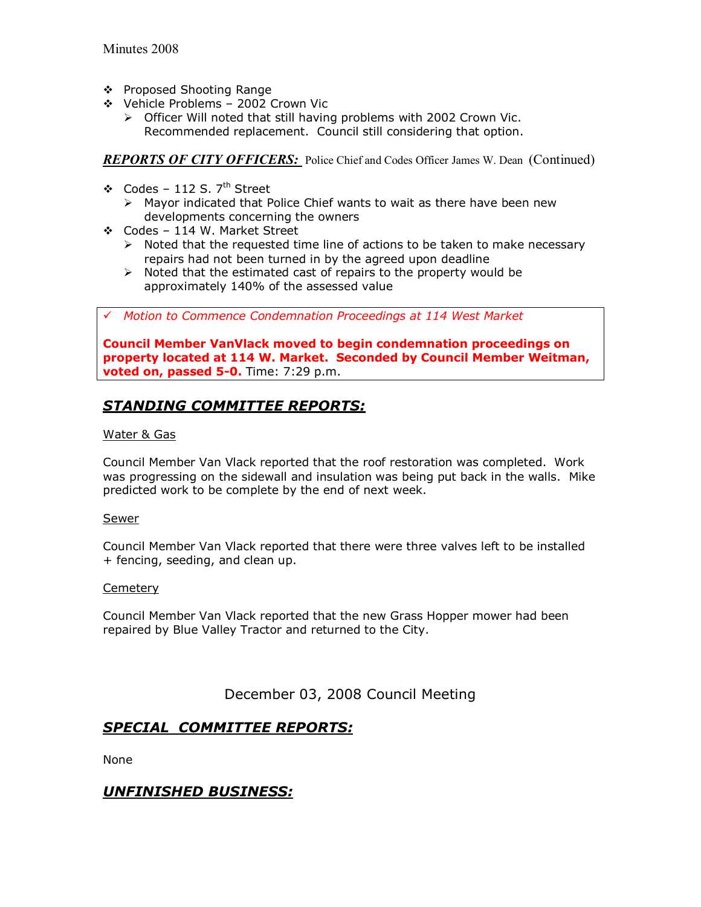- \$ Proposed Shooting Range
- ❖ Vehicle Problems 2002 Crown Vic
	- $\triangleright$  Officer Will noted that still having problems with 2002 Crown Vic. Recommended replacement. Council still considering that option.

*REPORTS OF CITY OFFICERS:* Police Chief and Codes Officer James W. Dean (Continued)

- ❖ Codes 112 S.  $7<sup>th</sup>$  Street
	- $\triangleright$  Mayor indicated that Police Chief wants to wait as there have been new developments concerning the owners
- $\div$  Codes 114 W. Market Street
	- $\triangleright$  Noted that the requested time line of actions to be taken to make necessary repairs had not been turned in by the agreed upon deadline
	- $\triangleright$  Noted that the estimated cast of repairs to the property would be approximately 140% of the assessed value

! *Motion to Commence Condemnation Proceedings at 114 West Market*

**Council Member VanVlack moved to begin condemnation proceedings on property located at 114 W. Market. Seconded by Council Member Weitman, voted on, passed 5-0.** Time: 7:29 p.m.

# *STANDING COMMITTEE REPORTS:*

#### Water & Gas

Council Member Van Vlack reported that the roof restoration was completed. Work was progressing on the sidewall and insulation was being put back in the walls. Mike predicted work to be complete by the end of next week.

#### Sewer

Council Member Van Vlack reported that there were three valves left to be installed + fencing, seeding, and clean up.

#### **Cemetery**

Council Member Van Vlack reported that the new Grass Hopper mower had been repaired by Blue Valley Tractor and returned to the City.

December 03, 2008 Council Meeting

## *SPECIAL COMMITTEE REPORTS:*

None

## *UNFINISHED BUSINESS:*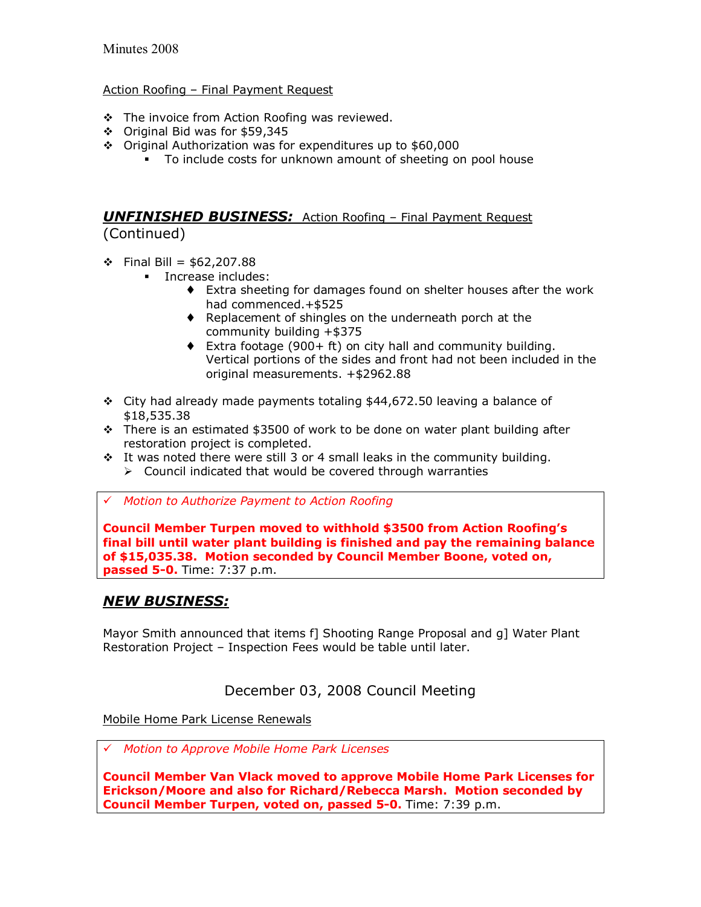#### Action Roofing - Final Payment Request

- $\div$  The invoice from Action Roofing was reviewed.
- \$ Original Bid was for \$59,345
- \$ Original Authorization was for expenditures up to \$60,000
	- $\blacksquare$  To include costs for unknown amount of sheeting on pool house

### **UNFINISHED BUSINESS:** Action Roofing - Final Payment Request (Continued)

 $\div$  Final Bill = \$62,207.88

- **Increase includes:** 
	- ♦ Extra sheeting for damages found on shelter houses after the work had commenced.+\$525
	- ♦ Replacement of shingles on the underneath porch at the community building +\$375
	- $\bullet$  Extra footage (900+ ft) on city hall and community building. Vertical portions of the sides and front had not been included in the original measurements. +\$2962.88
- $\div$  City had already made payments totaling \$44,672.50 leaving a balance of \$18,535.38
- $\cdot$  There is an estimated \$3500 of work to be done on water plant building after restoration project is completed.
- $\cdot$  It was noted there were still 3 or 4 small leaks in the community building.
	- $\triangleright$  Council indicated that would be covered through warranties
- ! *Motion to Authorize Payment to Action Roofing*

**Council Member Turpen moved to withhold \$3500 from Action Roofingís final bill until water plant building is finished and pay the remaining balance of \$15,035.38. Motion seconded by Council Member Boone, voted on, passed 5-0.** Time: 7:37 p.m.

### *NEW BUSINESS:*

Mayor Smith announced that items f] Shooting Range Proposal and q] Water Plant Restoration Project - Inspection Fees would be table until later.

## December 03, 2008 Council Meeting

Mobile Home Park License Renewals

! *Motion to Approve Mobile Home Park Licenses*

**Council Member Van Vlack moved to approve Mobile Home Park Licenses for Erickson/Moore and also for Richard/Rebecca Marsh. Motion seconded by Council Member Turpen, voted on, passed 5-0.** Time: 7:39 p.m.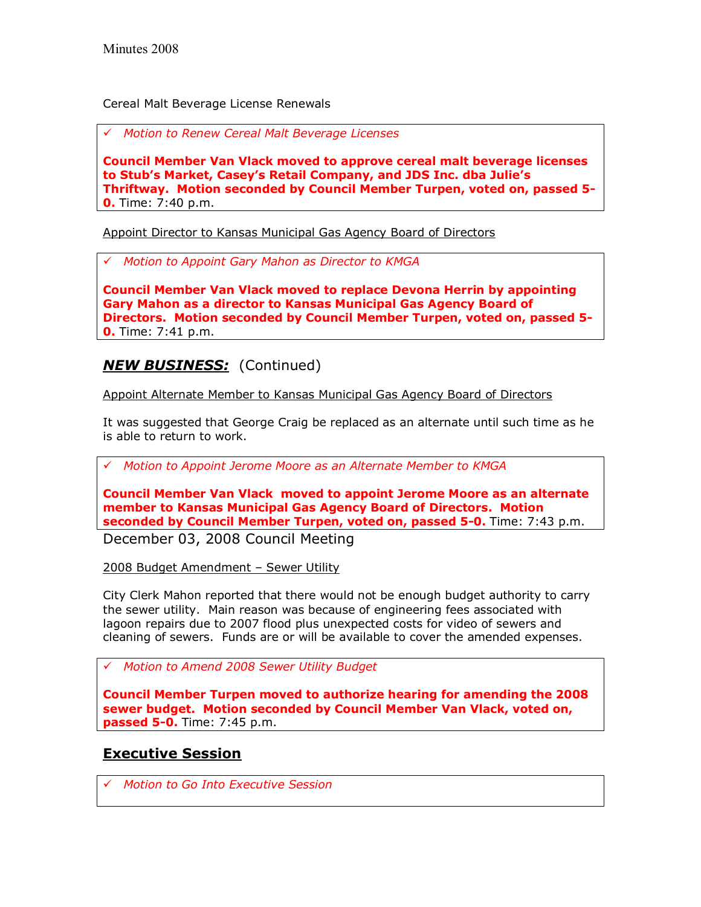Cereal Malt Beverage License Renewals

! *Motion to Renew Cereal Malt Beverage Licenses*

**Council Member Van Vlack moved to approve cereal malt beverage licenses to Stubís Market, Caseyís Retail Company, and JDS Inc. dba Julieís Thriftway. Motion seconded by Council Member Turpen, voted on, passed 5- 0.** Time: 7:40 p.m.

Appoint Director to Kansas Municipal Gas Agency Board of Directors

! *Motion to Appoint Gary Mahon as Director to KMGA*

**Council Member Van Vlack moved to replace Devona Herrin by appointing Gary Mahon as a director to Kansas Municipal Gas Agency Board of Directors. Motion seconded by Council Member Turpen, voted on, passed 5- 0.** Time: 7:41 p.m.

# *NEW BUSINESS:* (Continued)

Appoint Alternate Member to Kansas Municipal Gas Agency Board of Directors

It was suggested that George Craig be replaced as an alternate until such time as he is able to return to work.

! *Motion to Appoint Jerome Moore as an Alternate Member to KMGA*

**Council Member Van Vlack moved to appoint Jerome Moore as an alternate member to Kansas Municipal Gas Agency Board of Directors. Motion seconded by Council Member Turpen, voted on, passed 5-0.** Time: 7:43 p.m.

December 03, 2008 Council Meeting

2008 Budget Amendment - Sewer Utility

City Clerk Mahon reported that there would not be enough budget authority to carry the sewer utility. Main reason was because of engineering fees associated with lagoon repairs due to 2007 flood plus unexpected costs for video of sewers and cleaning of sewers. Funds are or will be available to cover the amended expenses.

! *Motion to Amend 2008 Sewer Utility Budget*

**Council Member Turpen moved to authorize hearing for amending the 2008 sewer budget. Motion seconded by Council Member Van Vlack, voted on, passed 5-0.** Time: 7:45 p.m.

## **Executive Session**

! *Motion to Go Into Executive Session*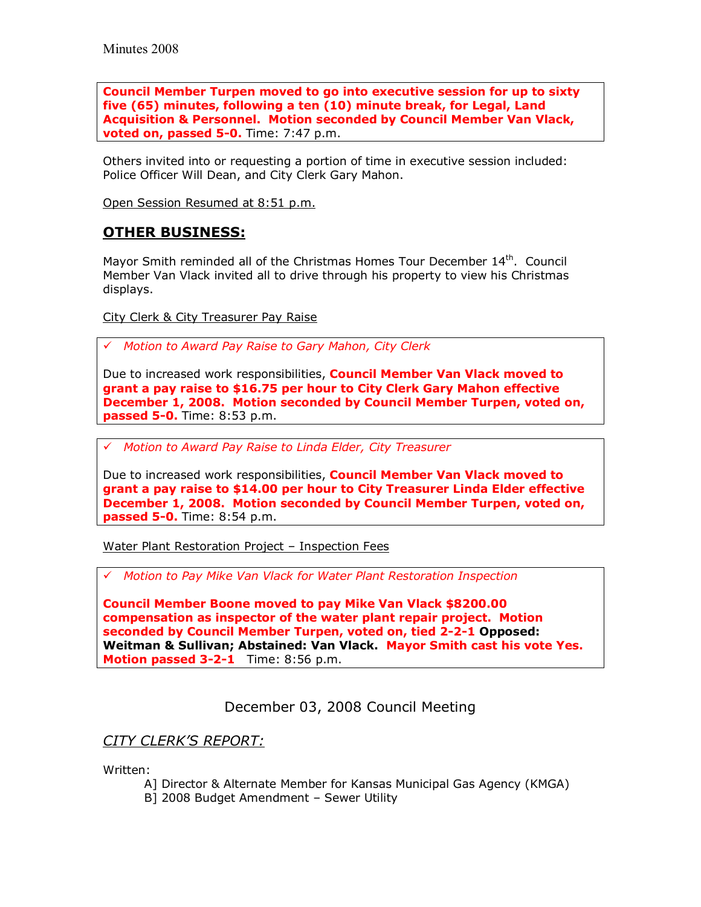**Council Member Turpen moved to go into executive session for up to sixty five (65) minutes, following a ten (10) minute break, for Legal, Land Acquisition & Personnel. Motion seconded by Council Member Van Vlack, voted on, passed 5-0.** Time: 7:47 p.m.

Others invited into or requesting a portion of time in executive session included: Police Officer Will Dean, and City Clerk Gary Mahon.

Open Session Resumed at 8:51 p.m.

## **OTHER BUSINESS:**

Mayor Smith reminded all of the Christmas Homes Tour December 14<sup>th</sup>. Council Member Van Vlack invited all to drive through his property to view his Christmas displays.

City Clerk & City Treasurer Pay Raise

! *Motion to Award Pay Raise to Gary Mahon, City Clerk*

Due to increased work responsibilities, **Council Member Van Vlack moved to grant a pay raise to \$16.75 per hour to City Clerk Gary Mahon effective December 1, 2008. Motion seconded by Council Member Turpen, voted on, passed 5-0.** Time: 8:53 p.m.

! *Motion to Award Pay Raise to Linda Elder, City Treasurer*

Due to increased work responsibilities, **Council Member Van Vlack moved to grant a pay raise to \$14.00 per hour to City Treasurer Linda Elder effective December 1, 2008. Motion seconded by Council Member Turpen, voted on, passed 5-0.** Time: 8:54 p.m.

Water Plant Restoration Project - Inspection Fees

! *Motion to Pay Mike Van Vlack for Water Plant Restoration Inspection*

**Council Member Boone moved to pay Mike Van Vlack \$8200.00 compensation as inspector of the water plant repair project. Motion seconded by Council Member Turpen, voted on, tied 2-2-1 Opposed: Weitman & Sullivan; Abstained: Van Vlack. Mayor Smith cast his vote Yes. Motion passed 3-2-1** Time: 8:56 p.m.

December 03, 2008 Council Meeting

### *CITY CLERKíS REPORT:*

Written:

- A] Director & Alternate Member for Kansas Municipal Gas Agency (KMGA)
- B] 2008 Budget Amendment Sewer Utility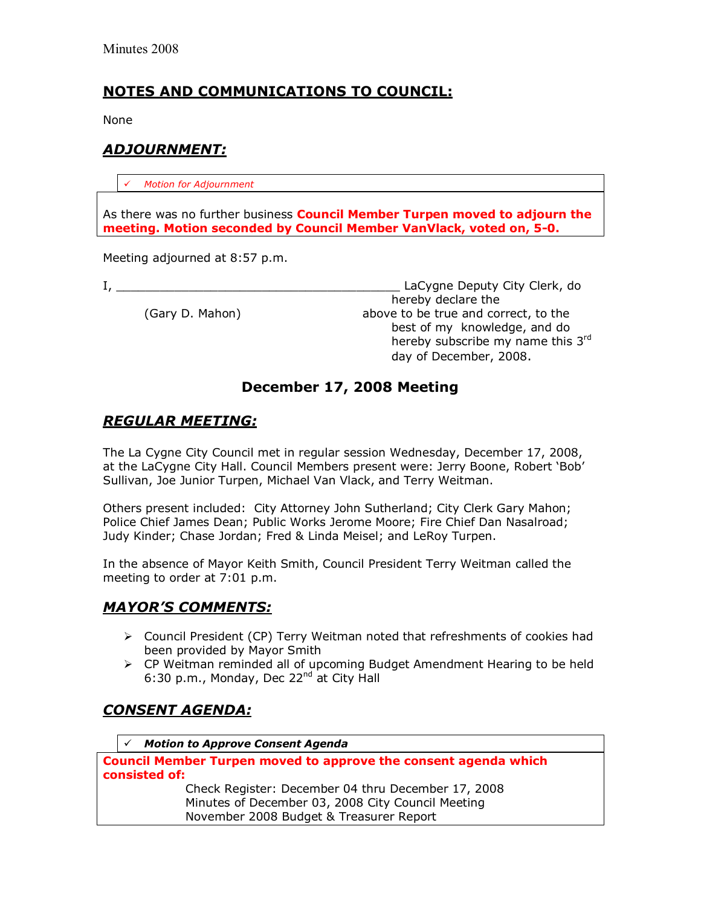## **NOTES AND COMMUNICATIONS TO COUNCIL:**

None

## *ADJOURNMENT:*

! *Motion for Adjournment*

As there was no further business **Council Member Turpen moved to adjourn the meeting. Motion seconded by Council Member VanVlack, voted on, 5-0.**

Meeting adjourned at 8:57 p.m.

I, the contract of the contract of the contract of the contract of the contract of the contract of the contract of the contract of the contract of the contract of the contract of the contract of the contract of the contrac hereby declare the (Gary D. Mahon) above to be true and correct, to the best of my knowledge, and do hereby subscribe my name this 3rd day of December, 2008.

## **December 17, 2008 Meeting**

## *REGULAR MEETING:*

The La Cygne City Council met in regular session Wednesday, December 17, 2008, at the LaCygne City Hall. Council Members present were: Jerry Boone, Robert 'Bob' Sullivan, Joe Junior Turpen, Michael Van Vlack, and Terry Weitman.

Others present included: City Attorney John Sutherland; City Clerk Gary Mahon; Police Chief James Dean; Public Works Jerome Moore; Fire Chief Dan Nasalroad; Judy Kinder; Chase Jordan; Fred & Linda Meisel; and LeRoy Turpen.

In the absence of Mayor Keith Smith, Council President Terry Weitman called the meeting to order at 7:01 p.m.

## *MAYORíS COMMENTS:*

- $\triangleright$  Council President (CP) Terry Weitman noted that refreshments of cookies had been provided by Mayor Smith
- $\triangleright$  CP Weitman reminded all of upcoming Budget Amendment Hearing to be held 6:30 p.m., Monday, Dec 22<sup>nd</sup> at City Hall

# *CONSENT AGENDA:*

! *Motion to Approve Consent Agenda* 

**Council Member Turpen moved to approve the consent agenda which consisted of:**  Check Register: December 04 thru December 17, 2008 Minutes of December 03, 2008 City Council Meeting November 2008 Budget & Treasurer Report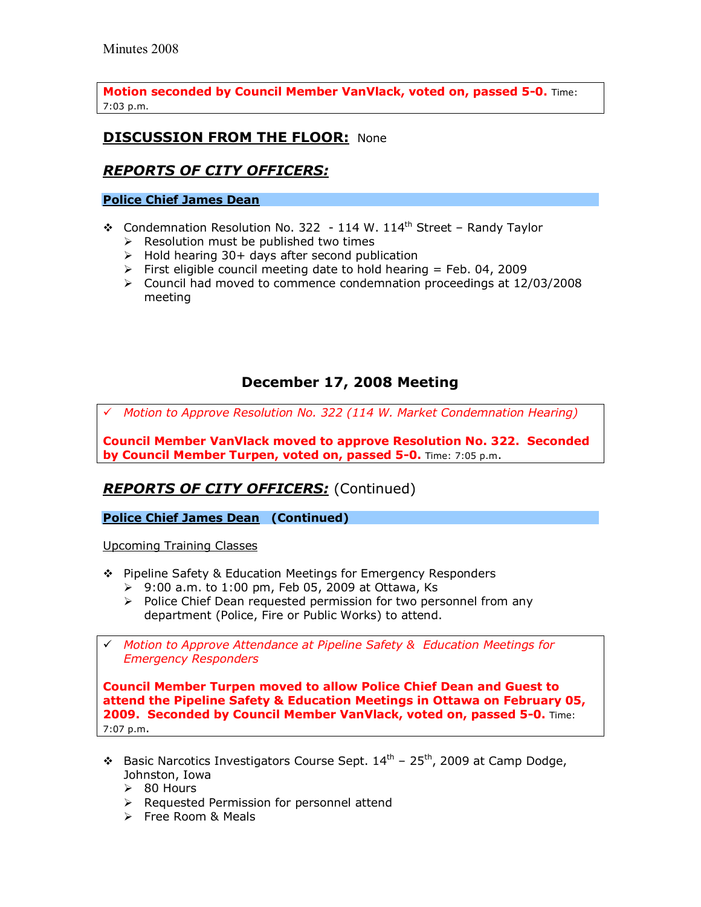**Motion seconded by Council Member VanVlack, voted on, passed 5-0.** Time: 7:03 p.m.

## **DISCUSSION FROM THE FLOOR: None**

## *REPORTS OF CITY OFFICERS:*

#### **Police Chief James Dean**

- $\div$  Condemnation Resolution No. 322 114 W. 114<sup>th</sup> Street Randy Taylor
	- $\triangleright$  Resolution must be published two times
	- $\triangleright$  Hold hearing 30+ days after second publication
	- $\triangleright$  First eligible council meeting date to hold hearing = Feb. 04, 2009
	- $\triangleright$  Council had moved to commence condemnation proceedings at 12/03/2008 meeting

# **December 17, 2008 Meeting**

! *Motion to Approve Resolution No. 322 (114 W. Market Condemnation Hearing)*

**Council Member VanVlack moved to approve Resolution No. 322. Seconded by Council Member Turpen, voted on, passed 5-0.** Time: 7:05 p.m.

# *REPORTS OF CITY OFFICERS:* (Continued)

**Police Chief James Dean (Continued)** 

Upcoming Training Classes

- \$ Pipeline Safety & Education Meetings for Emergency Responders
	- $\geq 9:00$  a.m. to 1:00 pm, Feb 05, 2009 at Ottawa, Ks
	- $\triangleright$  Police Chief Dean requested permission for two personnel from any department (Police, Fire or Public Works) to attend.
- ! *Motion to Approve Attendance at Pipeline Safety & Education Meetings for Emergency Responders*

**Council Member Turpen moved to allow Police Chief Dean and Guest to attend the Pipeline Safety & Education Meetings in Ottawa on February 05, 2009. Seconded by Council Member VanVlack, voted on, passed 5-0.** Time: 7:07 p.m.

- $\cdot$  Basic Narcotics Investigators Course Sept.  $14<sup>th</sup>$  25<sup>th</sup>, 2009 at Camp Dodge, Johnston, Iowa
	- $\geq$  80 Hours
	- $\triangleright$  Requested Permission for personnel attend
	- $\triangleright$  Free Room & Meals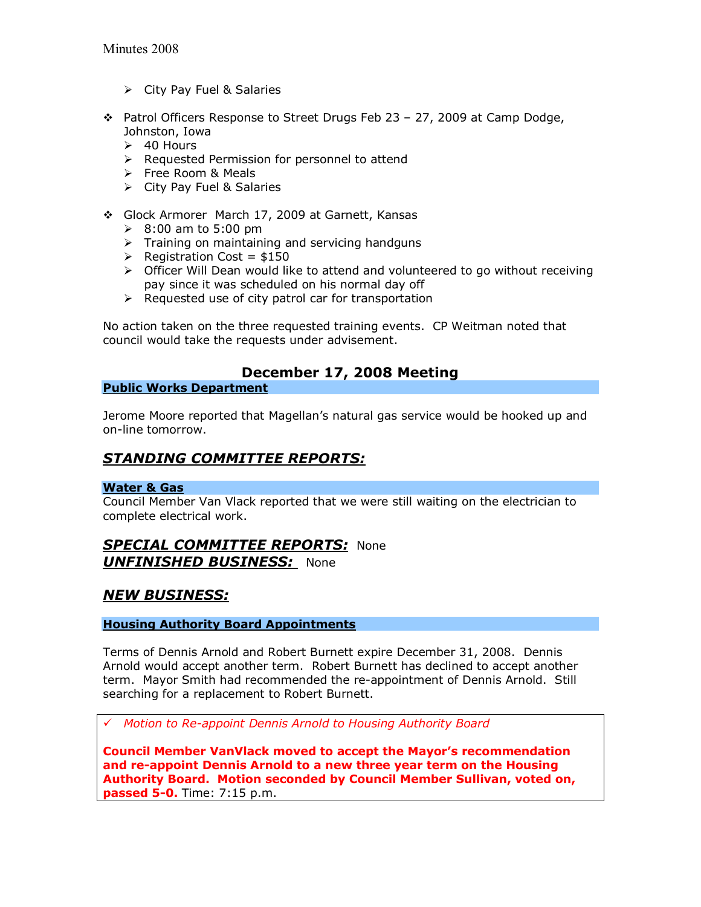- $\triangleright$  City Pay Fuel & Salaries
- $\cdot \cdot$  Patrol Officers Response to Street Drugs Feb 23 27, 2009 at Camp Dodge, Johnston, Iowa
	- $\geq$  40 Hours
	- $\triangleright$  Requested Permission for personnel to attend
	- $\triangleright$  Free Room & Meals
	- $\triangleright$  City Pay Fuel & Salaries
- Glock Armorer March 17, 2009 at Garnett, Kansas
	- $\geq 8:00$  am to 5:00 pm
	- $\triangleright$  Training on maintaining and servicing handguns
	- $\triangleright$  Registration Cost = \$150
	- $\triangleright$  Officer Will Dean would like to attend and volunteered to go without receiving pay since it was scheduled on his normal day off
	- $\triangleright$  Requested use of city patrol car for transportation

No action taken on the three requested training events. CP Weitman noted that council would take the requests under advisement.

## **December 17, 2008 Meeting**

#### **Public Works Department**

Jerome Moore reported that Magellan's natural gas service would be hooked up and on-line tomorrow.

# *STANDING COMMITTEE REPORTS:*

#### **Water & Gas**

Council Member Van Vlack reported that we were still waiting on the electrician to complete electrical work.

### *SPECIAL COMMITTEE REPORTS:* None *UNFINISHED BUSINESS:* None

### *NEW BUSINESS:*

#### **Housing Authority Board Appointments**

Terms of Dennis Arnold and Robert Burnett expire December 31, 2008. Dennis Arnold would accept another term. Robert Burnett has declined to accept another term. Mayor Smith had recommended the re-appointment of Dennis Arnold. Still searching for a replacement to Robert Burnett.

! *Motion to Re-appoint Dennis Arnold to Housing Authority Board*

**Council Member VanVlack moved to accept the Mayorís recommendation and re-appoint Dennis Arnold to a new three year term on the Housing Authority Board. Motion seconded by Council Member Sullivan, voted on, passed 5-0.** Time: 7:15 p.m.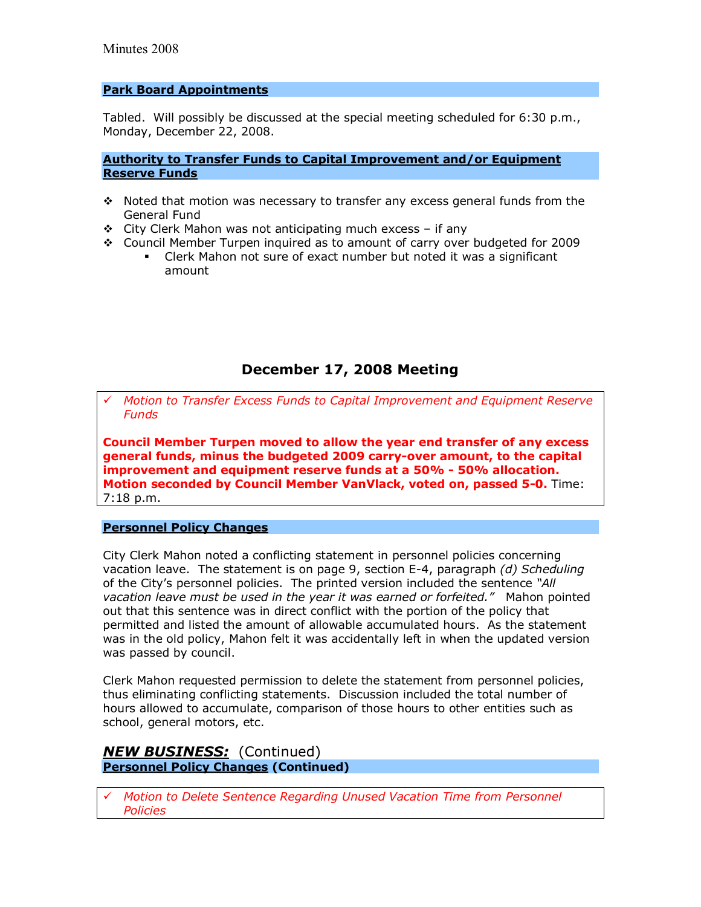#### **Park Board Appointments**

Tabled. Will possibly be discussed at the special meeting scheduled for 6:30 p.m., Monday, December 22, 2008.

#### **Authority to Transfer Funds to Capital Improvement and/or Equipment Reserve Funds**

- $\cdot$  Noted that motion was necessary to transfer any excess general funds from the General Fund
- $\div$  City Clerk Mahon was not anticipating much excess if any
- \* Council Member Turpen inquired as to amount of carry over budgeted for 2009
	- Clerk Mahon not sure of exact number but noted it was a significant amount

## **December 17, 2008 Meeting**

! *Motion to Transfer Excess Funds to Capital Improvement and Equipment Reserve Funds*

**Council Member Turpen moved to allow the year end transfer of any excess general funds, minus the budgeted 2009 carry-over amount, to the capital improvement and equipment reserve funds at a 50% - 50% allocation. Motion seconded by Council Member VanVlack, voted on, passed 5-0.** Time: 7:18 p.m.

#### **Personnel Policy Changes**

City Clerk Mahon noted a conflicting statement in personnel policies concerning vacation leave. The statement is on page 9, section E-4, paragraph *(d) Scheduling*  of the Cityís personnel policies. The printed version included the sentence *ìAll vacation leave must be used in the year it was earned or forfeited.* <sup>*Mahon pointed*</sup> out that this sentence was in direct conflict with the portion of the policy that permitted and listed the amount of allowable accumulated hours. As the statement was in the old policy, Mahon felt it was accidentally left in when the updated version was passed by council.

Clerk Mahon requested permission to delete the statement from personnel policies, thus eliminating conflicting statements. Discussion included the total number of hours allowed to accumulate, comparison of those hours to other entities such as school, general motors, etc.

#### *NEW BUSINESS:*(Continued) **Personnel Policy Changes (Continued)**

! *Motion to Delete Sentence Regarding Unused Vacation Time from Personnel Policies*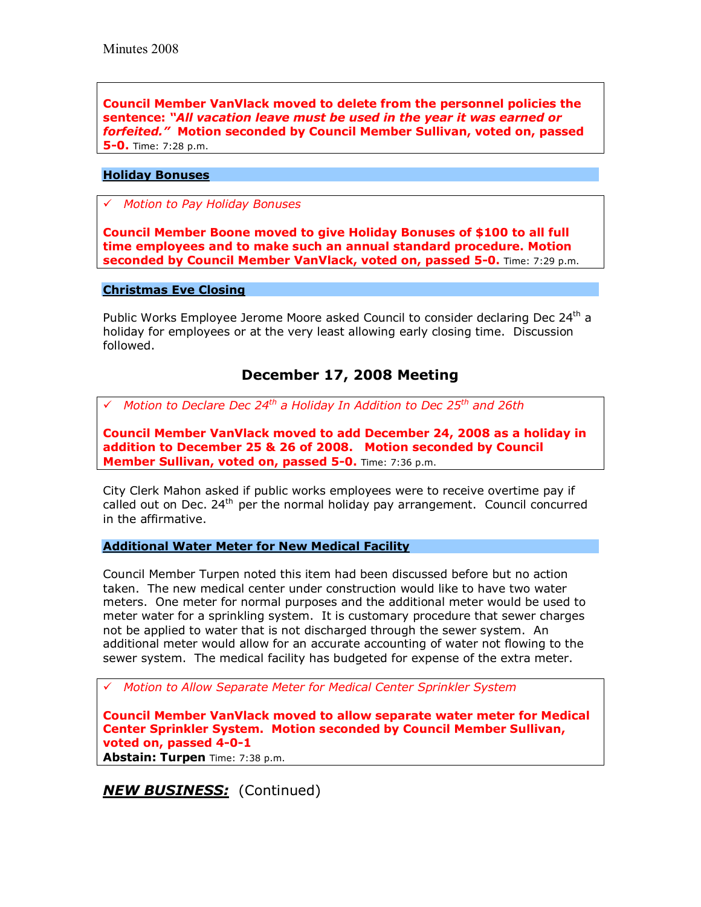**Council Member VanVlack moved to delete from the personnel policies the sentence:** *ìAll vacation leave must be used in the year it was earned or forfeited.î* **Motion seconded by Council Member Sullivan, voted on, passed 5-0.** Time: 7:28 p.m.

#### **Holiday Bonuses**

! *Motion to Pay Holiday Bonuses*

**Council Member Boone moved to give Holiday Bonuses of \$100 to all full time employees and to make such an annual standard procedure. Motion seconded by Council Member VanVlack, voted on, passed 5-0.** Time: 7:29 p.m.

#### **Christmas Eve Closing**

Public Works Employee Jerome Moore asked Council to consider declaring Dec 24<sup>th</sup> a holiday for employees or at the very least allowing early closing time. Discussion followed.

## **December 17, 2008 Meeting**

! *Motion to Declare Dec 24th a Holiday In Addition to Dec 25th and 26th*

**Council Member VanVlack moved to add December 24, 2008 as a holiday in addition to December 25 & 26 of 2008. Motion seconded by Council Member Sullivan, voted on, passed 5-0.** Time: 7:36 p.m.

City Clerk Mahon asked if public works employees were to receive overtime pay if called out on Dec.  $24<sup>th</sup>$  per the normal holiday pay arrangement. Council concurred in the affirmative.

#### **Additional Water Meter for New Medical Facility**

Council Member Turpen noted this item had been discussed before but no action taken. The new medical center under construction would like to have two water meters. One meter for normal purposes and the additional meter would be used to meter water for a sprinkling system. It is customary procedure that sewer charges not be applied to water that is not discharged through the sewer system. An additional meter would allow for an accurate accounting of water not flowing to the sewer system. The medical facility has budgeted for expense of the extra meter.

! *Motion to Allow Separate Meter for Medical Center Sprinkler System*

**Council Member VanVlack moved to allow separate water meter for Medical Center Sprinkler System. Motion seconded by Council Member Sullivan, voted on, passed 4-0-1 Abstain: Turpen** Time: 7:38 p.m.

**NEW BUSINESS:** (Continued)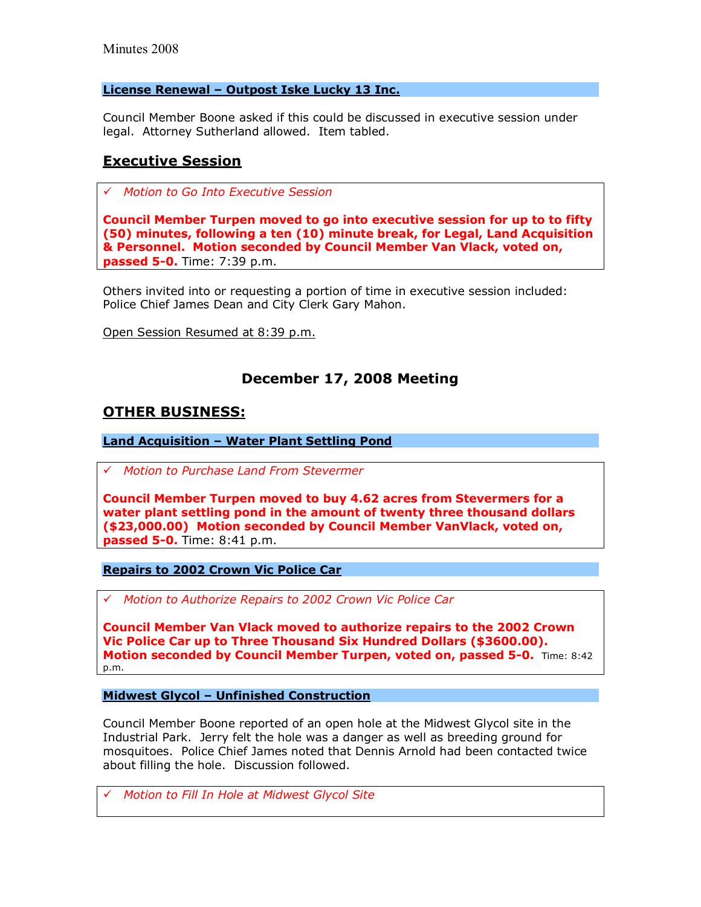#### License Renewal - Outpost Iske Lucky 13 Inc.

Council Member Boone asked if this could be discussed in executive session under legal. Attorney Sutherland allowed. Item tabled.

### **Executive Session**

! *Motion to Go Into Executive Session*

**Council Member Turpen moved to go into executive session for up to to fifty (50) minutes, following a ten (10) minute break, for Legal, Land Acquisition & Personnel. Motion seconded by Council Member Van Vlack, voted on, passed 5-0.** Time: 7:39 p.m.

Others invited into or requesting a portion of time in executive session included: Police Chief James Dean and City Clerk Gary Mahon.

Open Session Resumed at 8:39 p.m.

## **December 17, 2008 Meeting**

### **OTHER BUSINESS:**

**Land Acquisition - Water Plant Settling Pond** 

! *Motion to Purchase Land From Stevermer*

**Council Member Turpen moved to buy 4.62 acres from Stevermers for a water plant settling pond in the amount of twenty three thousand dollars (\$23,000.00) Motion seconded by Council Member VanVlack, voted on, passed 5-0.** Time: 8:41 p.m.

**Repairs to 2002 Crown Vic Police Car**

! *Motion to Authorize Repairs to 2002 Crown Vic Police Car*

**Council Member Van Vlack moved to authorize repairs to the 2002 Crown Vic Police Car up to Three Thousand Six Hundred Dollars (\$3600.00). Motion seconded by Council Member Turpen, voted on, passed 5-0.** Time: 8:42 p.m.

#### **Midwest Glycol - Unfinished Construction**

Council Member Boone reported of an open hole at the Midwest Glycol site in the Industrial Park. Jerry felt the hole was a danger as well as breeding ground for mosquitoes. Police Chief James noted that Dennis Arnold had been contacted twice about filling the hole. Discussion followed.

! *Motion to Fill In Hole at Midwest Glycol Site*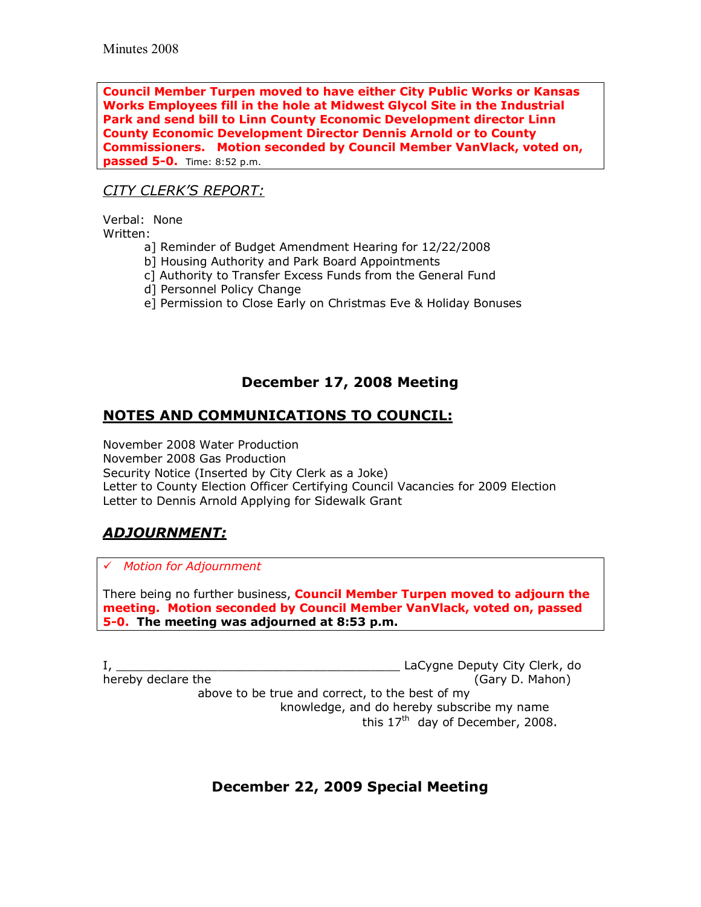**Council Member Turpen moved to have either City Public Works or Kansas Works Employees fill in the hole at Midwest Glycol Site in the Industrial Park and send bill to Linn County Economic Development director Linn County Economic Development Director Dennis Arnold or to County Commissioners. Motion seconded by Council Member VanVlack, voted on, passed 5-0.** Time: 8:52 p.m.

## *CITY CLERKíS REPORT:*

Verbal: None Written:

- a] Reminder of Budget Amendment Hearing for 12/22/2008
- b] Housing Authority and Park Board Appointments
- c] Authority to Transfer Excess Funds from the General Fund
- d] Personnel Policy Change
- e] Permission to Close Early on Christmas Eve & Holiday Bonuses

## **December 17, 2008 Meeting**

## **NOTES AND COMMUNICATIONS TO COUNCIL:**

November 2008 Water Production November 2008 Gas Production Security Notice (Inserted by City Clerk as a Joke) Letter to County Election Officer Certifying Council Vacancies for 2009 Election Letter to Dennis Arnold Applying for Sidewalk Grant

## *ADJOURNMENT:*

! *Motion for Adjournment*

There being no further business, **Council Member Turpen moved to adjourn the meeting. Motion seconded by Council Member VanVlack, voted on, passed 5-0. The meeting was adjourned at 8:53 p.m.** 

I, \_\_\_\_\_\_\_\_\_\_\_\_\_\_\_\_\_\_\_\_\_\_\_\_\_\_\_\_\_\_\_\_\_\_\_\_\_\_\_ LaCygne Deputy City Clerk, do hereby declare the (Gary D. Mahon) above to be true and correct, to the best of my knowledge, and do hereby subscribe my name this  $17<sup>th</sup>$  day of December, 2008.

**December 22, 2009 Special Meeting**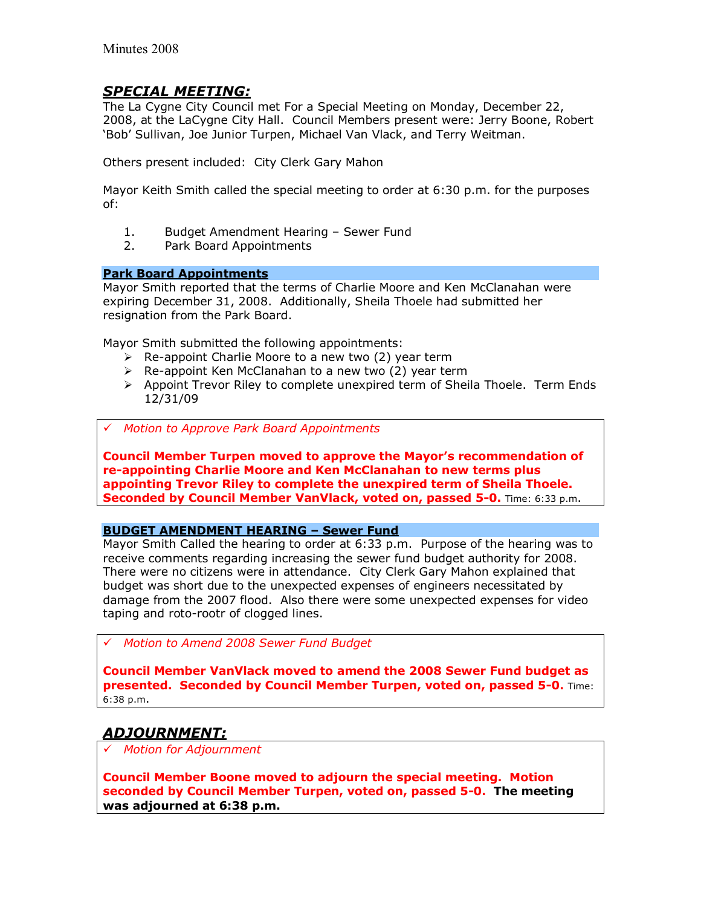### *SPECIAL MEETING:*

The La Cygne City Council met For a Special Meeting on Monday, December 22, 2008, at the LaCygne City Hall. Council Members present were: Jerry Boone, Robert 'Bob' Sullivan, Joe Junior Turpen, Michael Van Vlack, and Terry Weitman.

Others present included: City Clerk Gary Mahon

Mayor Keith Smith called the special meeting to order at 6:30 p.m. for the purposes of:

- 1. Budget Amendment Hearing Sewer Fund
- 2. Park Board Appointments

#### **Park Board Appointments**

Mayor Smith reported that the terms of Charlie Moore and Ken McClanahan were expiring December 31, 2008. Additionally, Sheila Thoele had submitted her resignation from the Park Board.

Mayor Smith submitted the following appointments:

- $\triangleright$  Re-appoint Charlie Moore to a new two (2) year term
- $\triangleright$  Re-appoint Ken McClanahan to a new two (2) year term
- $\triangleright$  Appoint Trevor Riley to complete unexpired term of Sheila Thoele. Term Ends 12/31/09
- ! *Motion to Approve Park Board Appointments*

**Council Member Turpen moved to approve the Mayorís recommendation of re-appointing Charlie Moore and Ken McClanahan to new terms plus appointing Trevor Riley to complete the unexpired term of Sheila Thoele. Seconded by Council Member VanVlack, voted on, passed 5-0.** Time: 6:33 p.m.

#### **BUDGET AMENDMENT HEARING - Sewer Fund**

Mayor Smith Called the hearing to order at 6:33 p.m. Purpose of the hearing was to receive comments regarding increasing the sewer fund budget authority for 2008. There were no citizens were in attendance. City Clerk Gary Mahon explained that budget was short due to the unexpected expenses of engineers necessitated by damage from the 2007 flood. Also there were some unexpected expenses for video taping and roto-rootr of clogged lines.

! *Motion to Amend 2008 Sewer Fund Budget*

**Council Member VanVlack moved to amend the 2008 Sewer Fund budget as presented. Seconded by Council Member Turpen, voted on, passed 5-0.** Time: 6:38 p.m.

## *ADJOURNMENT:*

! *Motion for Adjournment*

**Council Member Boone moved to adjourn the special meeting. Motion seconded by Council Member Turpen, voted on, passed 5-0. The meeting was adjourned at 6:38 p.m.**